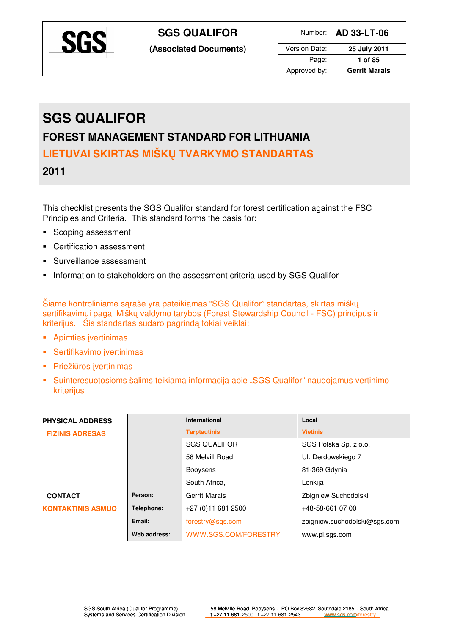

# **SGS QUALIFOR**

## **FOREST MANAGEMENT STANDARD FOR LITHUANIA**

**LIETUVAI SKIRTAS MIŠKŲ TVARKYMO STANDARTAS** 

**2011** 

This checklist presents the SGS Qualifor standard for forest certification against the FSC Principles and Criteria. This standard forms the basis for:

- Scoping assessment
- **•** Certification assessment
- Surveillance assessment
- **Information to stakeholders on the assessment criteria used by SGS Qualiform**

Šiame kontroliniame sąraše yra pateikiamas "SGS Qualifor" standartas, skirtas miškų sertifikavimui pagal Miškų valdymo tarybos (Forest Stewardship Council - FSC) principus ir kriterijus. Šis standartas sudaro pagrindą tokiai veiklai:

- **-** Apimties įvertinimas
- **Sertifikavimo įvertinimas**
- Priežiūros įvertinimas
- Suinteresuotosioms šalims teikiama informacija apie "SGS Qualifor" naudojamus vertinimo kriterijus

| <b>PHYSICAL ADDRESS</b>  |              | <b>International</b> | Local                        |
|--------------------------|--------------|----------------------|------------------------------|
| <b>FIZINIS ADRESAS</b>   |              | <b>Tarptautinis</b>  | <b>Vietinis</b>              |
|                          |              | <b>SGS QUALIFOR</b>  | SGS Polska Sp. z o.o.        |
|                          |              | 58 Melvill Road      | UI. Derdowskiego 7           |
|                          |              | <b>Booysens</b>      | 81-369 Gdynia                |
|                          |              | South Africa,        | Lenkija                      |
| <b>CONTACT</b>           | Person:      | <b>Gerrit Marais</b> | Zbigniew Suchodolski         |
| <b>KONTAKTINIS ASMUO</b> | Telephone:   | +27 (0) 11 681 2500  | +48-58-661 07 00             |
|                          | Email:       | forestry@sgs.com     | zbigniew.suchodolski@sgs.com |
|                          | Web address: | WWW.SGS.COM/FORESTRY | www.pl.sgs.com               |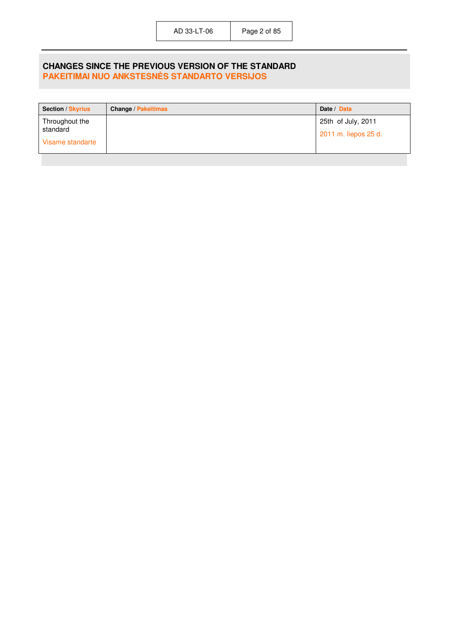#### **CHANGES SINCE THE PREVIOUS VERSION OF THE STANDARD PAKEITIMAI NUO ANKSTESNĖS STANDARTO VERSIJOS**

| <b>Section / Skyrius</b> | <b>Change / Pakeitimas</b> | Date / Data          |
|--------------------------|----------------------------|----------------------|
| Throughout the           |                            | 25th of July, 2011   |
| standard                 |                            | 2011 m. liepos 25 d. |
| Visame standarte         |                            |                      |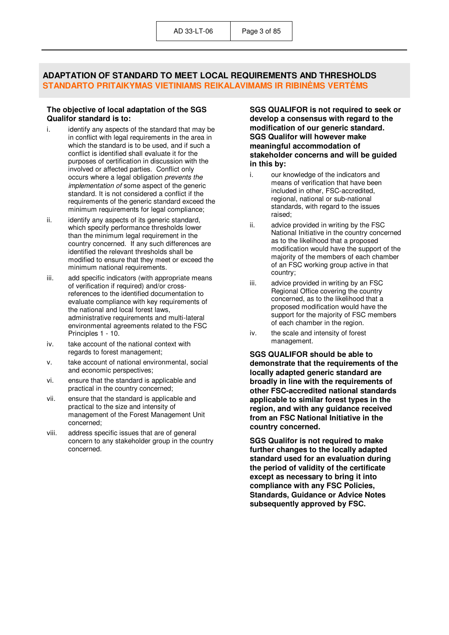#### **ADAPTATION OF STANDARD TO MEET LOCAL REQUIREMENTS AND THRESHOLDS STANDARTO PRITAIKYMAS VIETINIAMS REIKALAVIMAMS IR RIBINöMS VERTöMS**

#### **The objective of local adaptation of the SGS Qualifor standard is to:**

- i. identify any aspects of the standard that may be in conflict with legal requirements in the area in which the standard is to be used, and if such a conflict is identified shall evaluate it for the purposes of certification in discussion with the involved or affected parties. Conflict only occurs where a legal obligation *prevents the implementation of* some aspect of the generic standard. It is not considered a conflict if the requirements of the generic standard exceed the minimum requirements for legal compliance;
- ii. identify any aspects of its generic standard, which specify performance thresholds lower than the minimum legal requirement in the country concerned. If any such differences are identified the relevant thresholds shall be modified to ensure that they meet or exceed the minimum national requirements.
- iii. add specific indicators (with appropriate means of verification if required) and/or crossreferences to the identified documentation to evaluate compliance with key requirements of the national and local forest laws, administrative requirements and multi-lateral environmental agreements related to the FSC Principles 1 - 10.
- iv. take account of the national context with regards to forest management;
- v. take account of national environmental, social and economic perspectives;
- vi. ensure that the standard is applicable and practical in the country concerned;
- vii. ensure that the standard is applicable and practical to the size and intensity of management of the Forest Management Unit concerned;
- viii. address specific issues that are of general concern to any stakeholder group in the country concerned.

**SGS QUALIFOR is not required to seek or develop a consensus with regard to the modification of our generic standard. SGS Qualifor will however make meaningful accommodation of stakeholder concerns and will be guided in this by:** 

- i. our knowledge of the indicators and means of verification that have been included in other, FSC-accredited, regional, national or sub-national standards, with regard to the issues raised;
- ii. advice provided in writing by the FSC National Initiative in the country concerned as to the likelihood that a proposed modification would have the support of the majority of the members of each chamber of an FSC working group active in that country;
- iii. advice provided in writing by an FSC Regional Office covering the country concerned, as to the likelihood that a proposed modification would have the support for the majority of FSC members of each chamber in the region.
- iv. the scale and intensity of forest management.

**SGS QUALIFOR should be able to demonstrate that the requirements of the locally adapted generic standard are broadly in line with the requirements of other FSC-accredited national standards applicable to similar forest types in the region, and with any guidance received from an FSC National Initiative in the country concerned.** 

**SGS Qualifor is not required to make further changes to the locally adapted standard used for an evaluation during the period of validity of the certificate except as necessary to bring it into compliance with any FSC Policies, Standards, Guidance or Advice Notes subsequently approved by FSC.**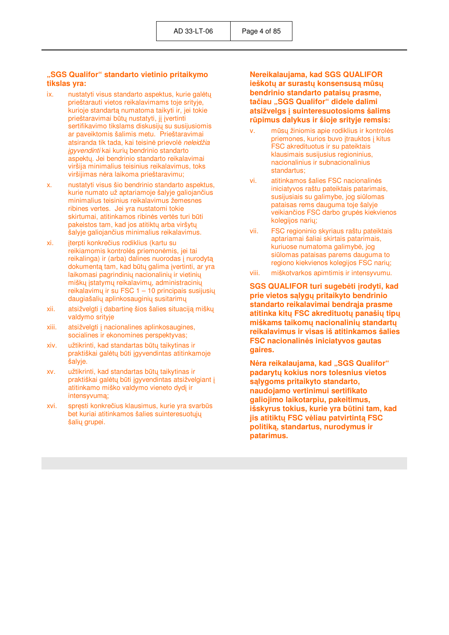#### **"SGS Qualifor" standarto vietinio pritaikymo tikslas yra:**

- ix. nustatyti visus standarto aspektus, kurie galėtų prieštarauti vietos reikalavimams toje srityje, kurioje standartą numatoma taikyti ir, jei tokie prieštaravimai būtų nustatyti, jį įvertinti sertifikavimo tikslams diskusijų su susijusiomis ar paveiktomis šalimis metu. Prieštaravimai atsiranda tik tada, kai teisin÷ prievol÷ *neleidžia įgyvendinti* kai kurių bendrinio standarto aspektų. Jei bendrinio standarto reikalavimai viršija minimalius teisinius reikalavimus, toks viršijimas nėra laikoma prieštaravimu;
- x. nustatyti visus šio bendrinio standarto aspektus, kurie numato už aptariamoje šalyje galiojančius minimalius teisinius reikalavimus žemesnes ribines vertes. Jei yra nustatomi tokie skirtumai, atitinkamos ribinės vertės turi būti pakeistos tam, kad jos atitiktų arba viršytų šalyje galiojančius minimalius reikalavimus.
- xi. įterpti konkrečius rodiklius (kartu su reikiamomis kontrolės priemonėmis, jei tai reikalinga) ir (arba) dalines nuorodas į nurodytą dokumentą tam, kad būtų galima įvertinti, ar yra laikomasi pagrindinių nacionalinių ir vietinių miškų įstatymų reikalavimų, administracinių reikalavimų ir su FSC 1 – 10 principais susijusių daugiašalių aplinkosauginių susitarimų
- xii. atsižvelgti į dabartinę šios šalies situaciją miškų valdymo srityje
- xiii. atsižvelgti į nacionalines aplinkosaugines, socialines ir ekonomines perspektyvas;
- xiv. užtikrinti, kad standartas būtų taikytinas ir praktiškai galėtų būti jgyvendintas atitinkamoje šalyje.
- xv. užtikrinti, kad standartas būtų taikytinas ir praktiškai galėtų būti įgyvendintas atsižvelgiant į atitinkamo miško valdymo vieneto dydį ir intensyvumą;
- xvi. spręsti konkrečius klausimus, kurie yra svarbūs bet kuriai atitinkamos šalies suinteresuotųjų šalių grupei.

**Nereikalaujama, kad SGS QUALIFOR ieškotų ar surastų konsensusą mūsų bendrinio standarto pataisų prasme, tačiau "SGS Qualifor" didele dalimi atsižvelgs į suinteresuotosioms šalims rūpimus dalykus ir šioje srityje remsis:**

- v. mūsu žiniomis apie rodiklius ir kontrolės priemones, kurios buvo įtrauktos į kitus FSC akredituotus ir su pateiktais klausimais susijusius regioninius, nacionalinius ir subnacionalinius standartus;
- vi. atitinkamos šalies FSC nacionalinės iniciatyvos raštu pateiktais patarimais, susijusiais su galimybe, jog siūlomas pataisas rems dauguma toje šalyje veikiančios FSC darbo grupės kiekvienos kolegijos narių;
- vii. FSC regioninio skyriaus raštu pateiktais aptariamai šaliai skirtais patarimais, kuriuose numatoma galimybė, jog siūlomas pataisas parems dauguma to regiono kiekvienos kolegijos FSC narių;
- viii. miškotvarkos apimtimis ir intensyvumu.

**SGS QUALIFOR turi sugeb÷ti įrodyti, kad prie vietos sąlygų pritaikyto bendrinio standarto reikalavimai bendrąja prasme atitinka kitų FSC akredituotų panašių tipų miškams taikomų nacionalinių standartų reikalavimus ir visas iš atitinkamos šalies FSC nacionalin÷s iniciatyvos gautas gaires.** 

**Ne**ra reikalaujama, kad "SGS Qualifor" **padarytų kokius nors tolesnius vietos sąlygoms pritaikyto standarto, naudojamo vertinimui sertifikato galiojimo laikotarpiu, pakeitimus, išskyrus tokius, kurie yra būtini tam, kad jis atitiktų FSC v÷liau patvirtintą FSC politiką, standartus, nurodymus ir patarimus.**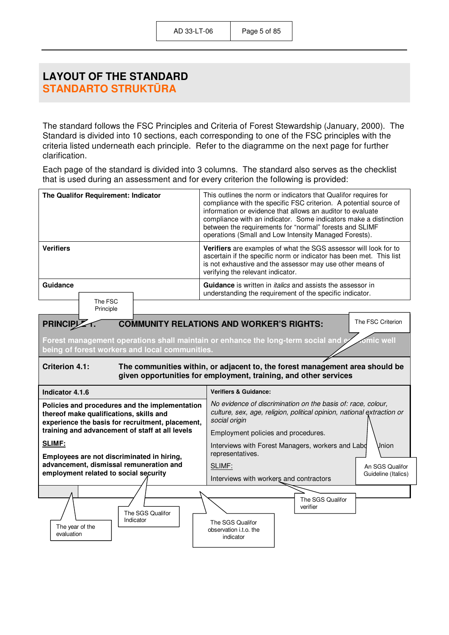## **LAYOUT OF THE STANDARD STANDARTO STRUKTŪRA**

The standard follows the FSC Principles and Criteria of Forest Stewardship (January, 2000). The Standard is divided into 10 sections, each corresponding to one of the FSC principles with the criteria listed underneath each principle. Refer to the diagramme on the next page for further clarification.

Each page of the standard is divided into 3 columns. The standard also serves as the checklist that is used during an assessment and for every criterion the following is provided:

| The Qualifor Requirement: Indicator                                                                                                                                                                                         | This outlines the norm or indicators that Qualifor requires for<br>compliance with the specific FSC criterion. A potential source of<br>information or evidence that allows an auditor to evaluate<br>compliance with an indicator. Some indicators make a distinction<br>between the requirements for "normal" forests and SLIMF<br>operations (Small and Low Intensity Managed Forests). |  |
|-----------------------------------------------------------------------------------------------------------------------------------------------------------------------------------------------------------------------------|--------------------------------------------------------------------------------------------------------------------------------------------------------------------------------------------------------------------------------------------------------------------------------------------------------------------------------------------------------------------------------------------|--|
| <b>Verifiers</b>                                                                                                                                                                                                            | Verifiers are examples of what the SGS assessor will look for to<br>ascertain if the specific norm or indicator has been met. This list<br>is not exhaustive and the assessor may use other means of<br>verifying the relevant indicator.                                                                                                                                                  |  |
| Guidance<br>The FSC<br>Principle                                                                                                                                                                                            | Guidance is written in <i>italics</i> and assists the assessor in<br>understanding the requirement of the specific indicator.                                                                                                                                                                                                                                                              |  |
| PRINCIP <sub>Z</sub><br>Forest management operations shall maintain or enhance the long-term social and e                                                                                                                   | The FSC Criterion<br><b>COMMUNITY RELATIONS AND WORKER'S RIGHTS:</b><br>mic well                                                                                                                                                                                                                                                                                                           |  |
| being of forest workers and local communities.<br><b>Criterion 4.1:</b><br>The communities within, or adjacent to, the forest management area should be<br>given opportunities for employment, training, and other services |                                                                                                                                                                                                                                                                                                                                                                                            |  |
| Indicator 4.1.6                                                                                                                                                                                                             | <b>Verifiers &amp; Guidance:</b>                                                                                                                                                                                                                                                                                                                                                           |  |
| Policies and procedures and the implementation<br>thereof make qualifications, skills and<br>experience the basis for recruitment, placement,<br>training and advancement of staff at all levels                            | No evidence of discrimination on the basis of: race, colour,<br>culture, sex, age, religion, political opinion, national extraction or<br>social origin<br>Employment policies and procedures.                                                                                                                                                                                             |  |
| SLIMF:<br>Employees are not discriminated in hiring,                                                                                                                                                                        | Interviews with Forest Managers, workers and Labd<br>Jnion<br>representatives.                                                                                                                                                                                                                                                                                                             |  |
| advancement, dismissal remuneration and<br>employment related to social security                                                                                                                                            | SLIMF:<br>An SGS Qualifor<br>Guideline (Italics)<br>Interviews with workers and contractors                                                                                                                                                                                                                                                                                                |  |
| The SGS Qualifor<br>Indicator<br>The year of the<br>evaluation                                                                                                                                                              | The SGS Qualifor<br>verifier<br>The SGS Qualifor<br>observation i.t.o. the<br>indicator                                                                                                                                                                                                                                                                                                    |  |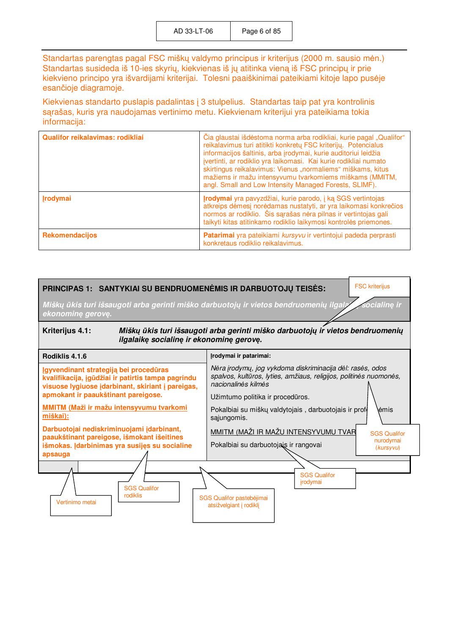Standartas parengtas pagal FSC miškų valdymo principus ir kriterijus (2000 m. sausio mėn.) Standartas susideda iš 10-ies skyrių, kiekvienas iš jų atitinka vieną iš FSC principų ir prie kiekvieno principo yra išvardijami kriterijai. Tolesni paaiškinimai pateikiami kitoje lapo pusėje esančioje diagramoje.

Kiekvienas standarto puslapis padalintas į 3 stulpelius. Standartas taip pat yra kontrolinis sąrašas, kuris yra naudojamas vertinimo metu. Kiekvienam kriterijui yra pateikiama tokia informacija:

| <b>Qualifor reikalavimas: rodikliaj</b> | Čia glaustai išdėstoma norma arba rodikliai, kurie pagal "Qualifor"<br>reikalavimus turi atitikti konkretų FSC kriterijų. Potencialus<br>informacijos šaltinis, arba įrodymai, kurie auditoriui leidžia<br>jvertinti, ar rodiklio yra laikomasi. Kai kurie rodikliai numato<br>skirtingus reikalavimus: Vienus "normaliems" miškams, kitus<br>mažiems ir mažu intensyvumu tvarkomiems miškams (MMITM,<br>angl. Small and Low Intensity Managed Forests, SLIMF). |
|-----------------------------------------|-----------------------------------------------------------------------------------------------------------------------------------------------------------------------------------------------------------------------------------------------------------------------------------------------------------------------------------------------------------------------------------------------------------------------------------------------------------------|
| <b>Irodymai</b>                         | <b>Įrodymai</b> yra pavyzdžiai, kurie parodo, į ką SGS vertintojas<br>atkreips dėmesį norėdamas nustatyti, ar yra laikomasi konkrečios<br>normos ar rodiklio. Šis sarašas nėra pilnas ir vertintojas gali<br>taikyti kitas atitinkamo rodiklio laikymosi kontrolės priemones.                                                                                                                                                                                   |
| Rekomendacijos                          | Patarimai yra pateikiami kursyvu ir vertintojui padeda perprasti<br>konkretaus rodiklio reikalavimus.                                                                                                                                                                                                                                                                                                                                                           |

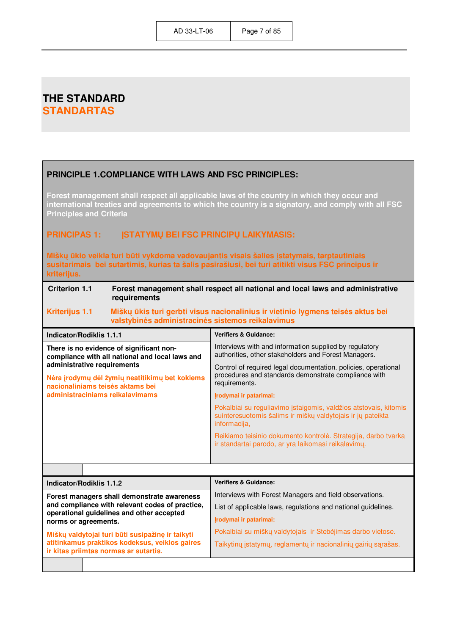## **THE STANDARD STANDARTAS**

#### **PRINCIPLE 1.COMPLIANCE WITH LAWS AND FSC PRINCIPLES: Forest management shall respect all applicable laws of the country in which they occur and international treaties and agreements to which the country is a signatory, and comply with all FSC Principles and Criteria PRINCIPAS 1: ĮSTATYMŲ BEI FSC PRINCIPŲ LAIKYMASIS: Miškų ūkio veikla turi būti vykdoma vadovaujantis visais šalies įstatymais, tarptautiniais susitarimais bei sutartimis, kurias ta šalis pasirašiusi, bei turi atitikti visus FSC principus ir kriterijus. Criterion 1.1 Forest management shall respect all national and local laws and administrative requirements Kriterijus 1.1** Miškų ūkis turi gerbti visus nacionalinius ir vietinio lygmens teisės aktus bei **valstybin÷s administracin÷s sistemos reikalavimus Indicator/Rodiklis 1.1.1 Verifiers & Guidance:**  Interviews with and information supplied by regulatory authorities, other stakeholders and Forest Managers. Control of required legal documentation. policies, operational procedures and standards demonstrate compliance with requirements. **Įrodymai ir patarimai:**  Pokalbiai su reguliavimo įstaigomis, valdžios atstovais, kitomis suinteresuotomis šalims ir miškų valdytojais ir jų pateikta informacija, Reikiamo teisinio dokumento kontrolė. Strategija, darbo tvarka ir standartai parodo, ar yra laikomasi reikalavimų. **There is no evidence of significant noncompliance with all national and local laws and administrative requirements N÷ra įrodymų d÷l žymių neatitikimų bet kokiems nacionaliniams teis÷s aktams bei administraciniams reikalavimams Indicator/Rodiklis 1.1.2 Verifiers & Guidance:**  Interviews with Forest Managers and field observations. List of applicable laws, regulations and national guidelines. **Įrodymai ir patarimai:**  Pokalbiai su miškų valdytojais ir Stebėjimas darbo vietose. Taikytinų įstatymų, reglamentų ir nacionalinių gairių sąrašas. **Forest managers shall demonstrate awareness and compliance with relevant codes of practice, operational guidelines and other accepted norms or agreements. Miškų valdytojai turi būti susipažinę ir taikyti atitinkamus praktikos kodeksus, veiklos gaires ir kitas priimtas normas ar sutartis.**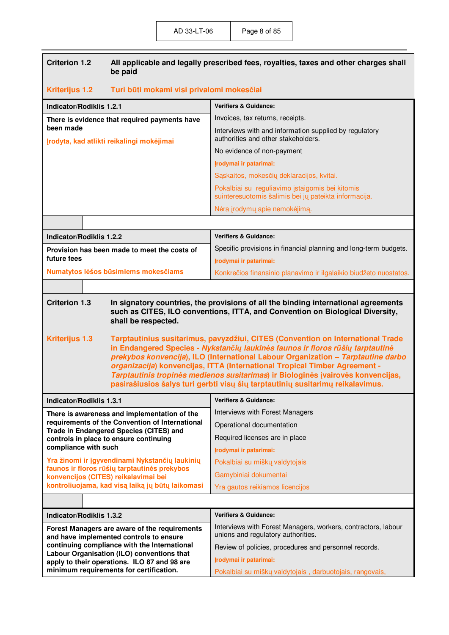| <b>Kriterijus 1.2</b><br>Turi būti mokami visi privalomi mokesčiai<br><b>Verifiers &amp; Guidance:</b><br><b>Indicator/Rodiklis 1.2.1</b><br>Invoices, tax returns, receipts.<br>There is evidence that required payments have<br>been made<br>Interviews with and information supplied by regulatory<br>authorities and other stakeholders.<br>Įrodyta, kad atlikti reikalingi mokėjimai<br>No evidence of non-payment<br>Įrodymai ir patarimai:<br>Sąskaitos, mokesčių deklaracijos, kvitai.<br>Pokalbiai su reguliavimo įstaigomis bei kitomis<br>suinteresuotomis šalimis bei jų pateikta informacija.<br>Nėra įrodymų apie nemokėjimą.<br><b>Verifiers &amp; Guidance:</b><br><b>Indicator/Rodiklis 1.2.2</b><br>Specific provisions in financial planning and long-term budgets.<br>Provision has been made to meet the costs of<br>future fees<br>Įrodymai ir patarimai:<br>Numatytos lėšos būsimiems mokesčiams<br>Konkrečios finansinio planavimo ir ilgalaikio biudžeto nuostatos.<br><b>Criterion 1.3</b><br>In signatory countries, the provisions of all the binding international agreements<br>such as CITES, ILO conventions, ITTA, and Convention on Biological Diversity,<br>shall be respected.<br><b>Kriterijus 1.3</b><br>Tarptautinius susitarimus, pavyzdžiui, CITES (Convention on International Trade<br>in Endangered Species - Nykstančių laukinės faunos ir floros rūšių tarptautinė<br>prekybos konvencija), ILO (International Labour Organization - Tarptautine darbo<br>organizacija) konvencijas, ITTA (International Tropical Timber Agreement -<br>Tarptautinis tropinės medienos susitarimas) ir Biologinės įvairovės konvencijas,<br>pasirašiusios šalys turi gerbti visų šių tarptautinių susitarimų reikalavimus.<br><b>Verifiers &amp; Guidance:</b><br><b>Indicator/Rodiklis 1.3.1</b><br>Interviews with Forest Managers<br>There is awareness and implementation of the<br>requirements of the Convention of International<br>Operational documentation<br>Trade in Endangered Species (CITES) and<br>Required licenses are in place<br>controls in place to ensure continuing<br>compliance with such<br>Įrodymai ir patarimai:<br>Yra žinomi ir įgyvendinami Nykstančių laukinių<br>Pokalbiai su miškų valdytojais<br>faunos ir floros rūšių tarptautinės prekybos<br>Gamybiniai dokumentai<br>konvencijos (CITES) reikalavimai bei<br>kontroliuojama, kad visą laiką jų būtų laikomasi<br>Yra gautos reikiamos licencijos<br><b>Verifiers &amp; Guidance:</b><br><b>Indicator/Rodiklis 1.3.2</b><br>Interviews with Forest Managers, workers, contractors, labour<br>Forest Managers are aware of the requirements<br>unions and regulatory authorities.<br>and have implemented controls to ensure<br>continuing compliance with the International<br>Review of policies, procedures and personnel records.<br>Labour Organisation (ILO) conventions that<br>Įrodymai ir patarimai:<br>apply to their operations. ILO 87 and 98 are | <b>Criterion 1.2</b> | All applicable and legally prescribed fees, royalties, taxes and other charges shall<br>be paid |                                                          |
|------------------------------------------------------------------------------------------------------------------------------------------------------------------------------------------------------------------------------------------------------------------------------------------------------------------------------------------------------------------------------------------------------------------------------------------------------------------------------------------------------------------------------------------------------------------------------------------------------------------------------------------------------------------------------------------------------------------------------------------------------------------------------------------------------------------------------------------------------------------------------------------------------------------------------------------------------------------------------------------------------------------------------------------------------------------------------------------------------------------------------------------------------------------------------------------------------------------------------------------------------------------------------------------------------------------------------------------------------------------------------------------------------------------------------------------------------------------------------------------------------------------------------------------------------------------------------------------------------------------------------------------------------------------------------------------------------------------------------------------------------------------------------------------------------------------------------------------------------------------------------------------------------------------------------------------------------------------------------------------------------------------------------------------------------------------------------------------------------------------------------------------------------------------------------------------------------------------------------------------------------------------------------------------------------------------------------------------------------------------------------------------------------------------------------------------------------------------------------------------------------------------------------------------------------------------------------------------------------------------------------------------------------------------------------------------------------------------------------------------------------------------------------------------------------------------------------------------------------------------------------------------------------------------------------------------------------------------------------------|----------------------|-------------------------------------------------------------------------------------------------|----------------------------------------------------------|
|                                                                                                                                                                                                                                                                                                                                                                                                                                                                                                                                                                                                                                                                                                                                                                                                                                                                                                                                                                                                                                                                                                                                                                                                                                                                                                                                                                                                                                                                                                                                                                                                                                                                                                                                                                                                                                                                                                                                                                                                                                                                                                                                                                                                                                                                                                                                                                                                                                                                                                                                                                                                                                                                                                                                                                                                                                                                                                                                                                                    |                      |                                                                                                 |                                                          |
|                                                                                                                                                                                                                                                                                                                                                                                                                                                                                                                                                                                                                                                                                                                                                                                                                                                                                                                                                                                                                                                                                                                                                                                                                                                                                                                                                                                                                                                                                                                                                                                                                                                                                                                                                                                                                                                                                                                                                                                                                                                                                                                                                                                                                                                                                                                                                                                                                                                                                                                                                                                                                                                                                                                                                                                                                                                                                                                                                                                    |                      |                                                                                                 |                                                          |
|                                                                                                                                                                                                                                                                                                                                                                                                                                                                                                                                                                                                                                                                                                                                                                                                                                                                                                                                                                                                                                                                                                                                                                                                                                                                                                                                                                                                                                                                                                                                                                                                                                                                                                                                                                                                                                                                                                                                                                                                                                                                                                                                                                                                                                                                                                                                                                                                                                                                                                                                                                                                                                                                                                                                                                                                                                                                                                                                                                                    |                      |                                                                                                 |                                                          |
|                                                                                                                                                                                                                                                                                                                                                                                                                                                                                                                                                                                                                                                                                                                                                                                                                                                                                                                                                                                                                                                                                                                                                                                                                                                                                                                                                                                                                                                                                                                                                                                                                                                                                                                                                                                                                                                                                                                                                                                                                                                                                                                                                                                                                                                                                                                                                                                                                                                                                                                                                                                                                                                                                                                                                                                                                                                                                                                                                                                    |                      |                                                                                                 |                                                          |
|                                                                                                                                                                                                                                                                                                                                                                                                                                                                                                                                                                                                                                                                                                                                                                                                                                                                                                                                                                                                                                                                                                                                                                                                                                                                                                                                                                                                                                                                                                                                                                                                                                                                                                                                                                                                                                                                                                                                                                                                                                                                                                                                                                                                                                                                                                                                                                                                                                                                                                                                                                                                                                                                                                                                                                                                                                                                                                                                                                                    |                      |                                                                                                 |                                                          |
|                                                                                                                                                                                                                                                                                                                                                                                                                                                                                                                                                                                                                                                                                                                                                                                                                                                                                                                                                                                                                                                                                                                                                                                                                                                                                                                                                                                                                                                                                                                                                                                                                                                                                                                                                                                                                                                                                                                                                                                                                                                                                                                                                                                                                                                                                                                                                                                                                                                                                                                                                                                                                                                                                                                                                                                                                                                                                                                                                                                    |                      |                                                                                                 |                                                          |
|                                                                                                                                                                                                                                                                                                                                                                                                                                                                                                                                                                                                                                                                                                                                                                                                                                                                                                                                                                                                                                                                                                                                                                                                                                                                                                                                                                                                                                                                                                                                                                                                                                                                                                                                                                                                                                                                                                                                                                                                                                                                                                                                                                                                                                                                                                                                                                                                                                                                                                                                                                                                                                                                                                                                                                                                                                                                                                                                                                                    |                      |                                                                                                 |                                                          |
|                                                                                                                                                                                                                                                                                                                                                                                                                                                                                                                                                                                                                                                                                                                                                                                                                                                                                                                                                                                                                                                                                                                                                                                                                                                                                                                                                                                                                                                                                                                                                                                                                                                                                                                                                                                                                                                                                                                                                                                                                                                                                                                                                                                                                                                                                                                                                                                                                                                                                                                                                                                                                                                                                                                                                                                                                                                                                                                                                                                    |                      |                                                                                                 |                                                          |
|                                                                                                                                                                                                                                                                                                                                                                                                                                                                                                                                                                                                                                                                                                                                                                                                                                                                                                                                                                                                                                                                                                                                                                                                                                                                                                                                                                                                                                                                                                                                                                                                                                                                                                                                                                                                                                                                                                                                                                                                                                                                                                                                                                                                                                                                                                                                                                                                                                                                                                                                                                                                                                                                                                                                                                                                                                                                                                                                                                                    |                      |                                                                                                 |                                                          |
|                                                                                                                                                                                                                                                                                                                                                                                                                                                                                                                                                                                                                                                                                                                                                                                                                                                                                                                                                                                                                                                                                                                                                                                                                                                                                                                                                                                                                                                                                                                                                                                                                                                                                                                                                                                                                                                                                                                                                                                                                                                                                                                                                                                                                                                                                                                                                                                                                                                                                                                                                                                                                                                                                                                                                                                                                                                                                                                                                                                    |                      |                                                                                                 |                                                          |
|                                                                                                                                                                                                                                                                                                                                                                                                                                                                                                                                                                                                                                                                                                                                                                                                                                                                                                                                                                                                                                                                                                                                                                                                                                                                                                                                                                                                                                                                                                                                                                                                                                                                                                                                                                                                                                                                                                                                                                                                                                                                                                                                                                                                                                                                                                                                                                                                                                                                                                                                                                                                                                                                                                                                                                                                                                                                                                                                                                                    |                      |                                                                                                 |                                                          |
|                                                                                                                                                                                                                                                                                                                                                                                                                                                                                                                                                                                                                                                                                                                                                                                                                                                                                                                                                                                                                                                                                                                                                                                                                                                                                                                                                                                                                                                                                                                                                                                                                                                                                                                                                                                                                                                                                                                                                                                                                                                                                                                                                                                                                                                                                                                                                                                                                                                                                                                                                                                                                                                                                                                                                                                                                                                                                                                                                                                    |                      |                                                                                                 |                                                          |
|                                                                                                                                                                                                                                                                                                                                                                                                                                                                                                                                                                                                                                                                                                                                                                                                                                                                                                                                                                                                                                                                                                                                                                                                                                                                                                                                                                                                                                                                                                                                                                                                                                                                                                                                                                                                                                                                                                                                                                                                                                                                                                                                                                                                                                                                                                                                                                                                                                                                                                                                                                                                                                                                                                                                                                                                                                                                                                                                                                                    |                      |                                                                                                 |                                                          |
|                                                                                                                                                                                                                                                                                                                                                                                                                                                                                                                                                                                                                                                                                                                                                                                                                                                                                                                                                                                                                                                                                                                                                                                                                                                                                                                                                                                                                                                                                                                                                                                                                                                                                                                                                                                                                                                                                                                                                                                                                                                                                                                                                                                                                                                                                                                                                                                                                                                                                                                                                                                                                                                                                                                                                                                                                                                                                                                                                                                    |                      |                                                                                                 |                                                          |
|                                                                                                                                                                                                                                                                                                                                                                                                                                                                                                                                                                                                                                                                                                                                                                                                                                                                                                                                                                                                                                                                                                                                                                                                                                                                                                                                                                                                                                                                                                                                                                                                                                                                                                                                                                                                                                                                                                                                                                                                                                                                                                                                                                                                                                                                                                                                                                                                                                                                                                                                                                                                                                                                                                                                                                                                                                                                                                                                                                                    |                      |                                                                                                 |                                                          |
|                                                                                                                                                                                                                                                                                                                                                                                                                                                                                                                                                                                                                                                                                                                                                                                                                                                                                                                                                                                                                                                                                                                                                                                                                                                                                                                                                                                                                                                                                                                                                                                                                                                                                                                                                                                                                                                                                                                                                                                                                                                                                                                                                                                                                                                                                                                                                                                                                                                                                                                                                                                                                                                                                                                                                                                                                                                                                                                                                                                    |                      |                                                                                                 |                                                          |
|                                                                                                                                                                                                                                                                                                                                                                                                                                                                                                                                                                                                                                                                                                                                                                                                                                                                                                                                                                                                                                                                                                                                                                                                                                                                                                                                                                                                                                                                                                                                                                                                                                                                                                                                                                                                                                                                                                                                                                                                                                                                                                                                                                                                                                                                                                                                                                                                                                                                                                                                                                                                                                                                                                                                                                                                                                                                                                                                                                                    |                      |                                                                                                 |                                                          |
|                                                                                                                                                                                                                                                                                                                                                                                                                                                                                                                                                                                                                                                                                                                                                                                                                                                                                                                                                                                                                                                                                                                                                                                                                                                                                                                                                                                                                                                                                                                                                                                                                                                                                                                                                                                                                                                                                                                                                                                                                                                                                                                                                                                                                                                                                                                                                                                                                                                                                                                                                                                                                                                                                                                                                                                                                                                                                                                                                                                    |                      |                                                                                                 |                                                          |
|                                                                                                                                                                                                                                                                                                                                                                                                                                                                                                                                                                                                                                                                                                                                                                                                                                                                                                                                                                                                                                                                                                                                                                                                                                                                                                                                                                                                                                                                                                                                                                                                                                                                                                                                                                                                                                                                                                                                                                                                                                                                                                                                                                                                                                                                                                                                                                                                                                                                                                                                                                                                                                                                                                                                                                                                                                                                                                                                                                                    |                      |                                                                                                 |                                                          |
|                                                                                                                                                                                                                                                                                                                                                                                                                                                                                                                                                                                                                                                                                                                                                                                                                                                                                                                                                                                                                                                                                                                                                                                                                                                                                                                                                                                                                                                                                                                                                                                                                                                                                                                                                                                                                                                                                                                                                                                                                                                                                                                                                                                                                                                                                                                                                                                                                                                                                                                                                                                                                                                                                                                                                                                                                                                                                                                                                                                    |                      |                                                                                                 |                                                          |
|                                                                                                                                                                                                                                                                                                                                                                                                                                                                                                                                                                                                                                                                                                                                                                                                                                                                                                                                                                                                                                                                                                                                                                                                                                                                                                                                                                                                                                                                                                                                                                                                                                                                                                                                                                                                                                                                                                                                                                                                                                                                                                                                                                                                                                                                                                                                                                                                                                                                                                                                                                                                                                                                                                                                                                                                                                                                                                                                                                                    |                      |                                                                                                 |                                                          |
|                                                                                                                                                                                                                                                                                                                                                                                                                                                                                                                                                                                                                                                                                                                                                                                                                                                                                                                                                                                                                                                                                                                                                                                                                                                                                                                                                                                                                                                                                                                                                                                                                                                                                                                                                                                                                                                                                                                                                                                                                                                                                                                                                                                                                                                                                                                                                                                                                                                                                                                                                                                                                                                                                                                                                                                                                                                                                                                                                                                    |                      |                                                                                                 |                                                          |
|                                                                                                                                                                                                                                                                                                                                                                                                                                                                                                                                                                                                                                                                                                                                                                                                                                                                                                                                                                                                                                                                                                                                                                                                                                                                                                                                                                                                                                                                                                                                                                                                                                                                                                                                                                                                                                                                                                                                                                                                                                                                                                                                                                                                                                                                                                                                                                                                                                                                                                                                                                                                                                                                                                                                                                                                                                                                                                                                                                                    |                      |                                                                                                 |                                                          |
|                                                                                                                                                                                                                                                                                                                                                                                                                                                                                                                                                                                                                                                                                                                                                                                                                                                                                                                                                                                                                                                                                                                                                                                                                                                                                                                                                                                                                                                                                                                                                                                                                                                                                                                                                                                                                                                                                                                                                                                                                                                                                                                                                                                                                                                                                                                                                                                                                                                                                                                                                                                                                                                                                                                                                                                                                                                                                                                                                                                    |                      |                                                                                                 |                                                          |
|                                                                                                                                                                                                                                                                                                                                                                                                                                                                                                                                                                                                                                                                                                                                                                                                                                                                                                                                                                                                                                                                                                                                                                                                                                                                                                                                                                                                                                                                                                                                                                                                                                                                                                                                                                                                                                                                                                                                                                                                                                                                                                                                                                                                                                                                                                                                                                                                                                                                                                                                                                                                                                                                                                                                                                                                                                                                                                                                                                                    |                      |                                                                                                 |                                                          |
|                                                                                                                                                                                                                                                                                                                                                                                                                                                                                                                                                                                                                                                                                                                                                                                                                                                                                                                                                                                                                                                                                                                                                                                                                                                                                                                                                                                                                                                                                                                                                                                                                                                                                                                                                                                                                                                                                                                                                                                                                                                                                                                                                                                                                                                                                                                                                                                                                                                                                                                                                                                                                                                                                                                                                                                                                                                                                                                                                                                    |                      | minimum requirements for certification.                                                         | Pokalbiai su miškų valdytojais, darbuotojais, rangovais, |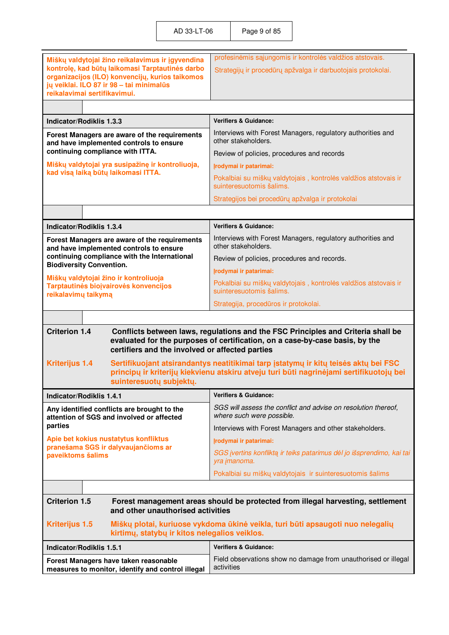AD 33-LT-06 Page 9 of 85

|                                                                                                     | profesinėmis sąjungomis ir kontrolės valdžios atstovais.                                                                                                                       |
|-----------------------------------------------------------------------------------------------------|--------------------------------------------------------------------------------------------------------------------------------------------------------------------------------|
| Miškų valdytojai žino reikalavimus ir įgyvendina<br>kontrolę, kad būtų laikomasi Tarptautinės darbo | Strategijų ir procedūrų apžvalga ir darbuotojais protokolai.                                                                                                                   |
| organizacijos (ILO) konvencijų, kurios taikomos                                                     |                                                                                                                                                                                |
| jų veiklai. ILO 87 ir 98 - tai minimalūs<br>reikalavimai sertifikavimui.                            |                                                                                                                                                                                |
|                                                                                                     |                                                                                                                                                                                |
| Indicator/Rodiklis 1.3.3                                                                            | <b>Verifiers &amp; Guidance:</b>                                                                                                                                               |
| Forest Managers are aware of the requirements                                                       | Interviews with Forest Managers, regulatory authorities and                                                                                                                    |
| and have implemented controls to ensure                                                             | other stakeholders.                                                                                                                                                            |
| continuing compliance with ITTA.                                                                    | Review of policies, procedures and records                                                                                                                                     |
| Miškų valdytojai yra susipažinę ir kontroliuoja,<br>kad visą laiką būtų laikomasi ITTA.             | Įrodymai ir patarimai:                                                                                                                                                         |
|                                                                                                     | Pokalbiai su miškų valdytojais, kontrolės valdžios atstovais ir<br>suinteresuotomis šalims.                                                                                    |
|                                                                                                     | Strategijos bei procedūrų apžvalga ir protokolai                                                                                                                               |
|                                                                                                     |                                                                                                                                                                                |
| <b>Indicator/Rodiklis 1.3.4</b>                                                                     | <b>Verifiers &amp; Guidance:</b>                                                                                                                                               |
| Forest Managers are aware of the requirements<br>and have implemented controls to ensure            | Interviews with Forest Managers, regulatory authorities and<br>other stakeholders.                                                                                             |
| continuing compliance with the International<br><b>Biodiversity Convention.</b>                     | Review of policies, procedures and records.                                                                                                                                    |
| Miškų valdytojai žino ir kontroliuoja                                                               | Įrodymai ir patarimai:                                                                                                                                                         |
| Tarptautinės biojvairovės konvencijos<br>reikalavimų taikymą                                        | Pokalbiai su miškų valdytojais, kontrolės valdžios atstovais ir<br>suinteresuotomis šalims.                                                                                    |
|                                                                                                     | Strategija, procedūros ir protokolai.                                                                                                                                          |
|                                                                                                     |                                                                                                                                                                                |
|                                                                                                     |                                                                                                                                                                                |
| <b>Criterion 1.4</b><br>certifiers and the involved or affected parties                             | Conflicts between laws, regulations and the FSC Principles and Criteria shall be<br>evaluated for the purposes of certification, on a case-by-case basis, by the               |
| <b>Kriterijus 1.4</b>                                                                               | Sertifikuojant atsirandantys neatitikimai tarp įstatymų ir kitų teisės aktų bei FSC<br>principų ir kriterijų kiekvienu atskiru atveju turi būti nagrinėjami sertifikuotojų bei |
| suinteresuotų subjektų.                                                                             |                                                                                                                                                                                |
| <b>Indicator/Rodiklis 1.4.1</b><br>Any identified conflicts are brought to the                      | <b>Verifiers &amp; Guidance:</b><br>SGS will assess the conflict and advise on resolution thereof,<br>where such were possible.                                                |
| attention of SGS and involved or affected<br>parties                                                |                                                                                                                                                                                |
| Apie bet kokius nustatytus konfliktus                                                               | Interviews with Forest Managers and other stakeholders.<br>Įrodymai ir patarimai:                                                                                              |
| pranešama SGS ir dalyvaujančioms ar<br>paveiktoms šalims                                            | SGS įvertins konfliktą ir teiks patarimus dėl jo išsprendimo, kai tai<br>yra <i>imanoma</i> .                                                                                  |
|                                                                                                     | Pokalbiai su miškų valdytojais ir suinteresuotomis šalims                                                                                                                      |
|                                                                                                     |                                                                                                                                                                                |
| <b>Criterion 1.5</b>                                                                                | Forest management areas should be protected from illegal harvesting, settlement                                                                                                |
| and other unauthorised activities                                                                   |                                                                                                                                                                                |
| <b>Kriterijus 1.5</b><br>kirtimų, statybų ir kitos nelegalios veiklos.                              | Miškų plotai, kuriuose vykdoma ūkinė veikla, turi būti apsaugoti nuo nelegalių                                                                                                 |
| <b>Indicator/Rodiklis 1.5.1</b>                                                                     | <b>Verifiers &amp; Guidance:</b>                                                                                                                                               |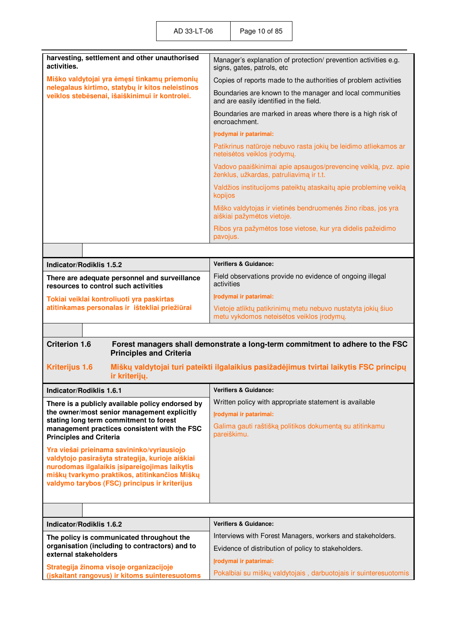| harvesting, settlement and other unauthorised<br>activities.                                                             | Manager's explanation of protection/ prevention activities e.g.<br>signs, gates, patrols, etc             |
|--------------------------------------------------------------------------------------------------------------------------|-----------------------------------------------------------------------------------------------------------|
| Miško valdytojai yra ėmęsi tinkamų priemonių                                                                             | Copies of reports made to the authorities of problem activities                                           |
| nelegalaus kirtimo, statybų ir kitos neleistinos<br>veiklos stebėsenai, išaiškinimui ir kontrolei.                       | Boundaries are known to the manager and local communities<br>and are easily identified in the field.      |
|                                                                                                                          | Boundaries are marked in areas where there is a high risk of<br>encroachment.                             |
|                                                                                                                          | Irodymai ir patarimai:                                                                                    |
|                                                                                                                          | Patikrinus natūroje nebuvo rasta jokių be leidimo atliekamos ar<br>neteisėtos veiklos įrodymų.            |
|                                                                                                                          | Vadovo paaiškinimai apie apsaugos/prevencinę veiklą, pvz. apie<br>ženklus, užkardas, patruliavimą ir t.t. |
|                                                                                                                          | Valdžios institucijoms pateiktų ataskaitų apie probleminę veiklą<br>kopijos                               |
|                                                                                                                          | Miško valdytojas ir vietinės bendruomenės žino ribas, jos yra<br>aiškiai pažymėtos vietoje.               |
|                                                                                                                          | Ribos yra pažymėtos tose vietose, kur yra didelis pažeidimo<br>pavojus.                                   |
|                                                                                                                          |                                                                                                           |
| <b>Indicator/Rodiklis 1.5.2</b>                                                                                          | <b>Verifiers &amp; Guidance:</b>                                                                          |
| There are adequate personnel and surveillance<br>resources to control such activities                                    | Field observations provide no evidence of ongoing illegal<br>activities                                   |
| Tokiai veiklai kontroliuoti yra paskirtas                                                                                | Irodymai ir patarimai:                                                                                    |
| atitinkamas personalas ir ištekliai priežiūrai                                                                           | Vietoje atliktų patikrinimų metu nebuvo nustatyta jokių šiuo<br>metu vykdomos neteisėtos veiklos įrodymų. |
|                                                                                                                          |                                                                                                           |
| <b>Criterion 1.6</b><br><b>Principles and Criteria</b>                                                                   | Forest managers shall demonstrate a long-term commitment to adhere to the FSC                             |
| <b>Kriterijus 1.6</b><br>ir kriterijų.                                                                                   | Miškų valdytojai turi pateikti ilgalaikius pasižadėjimus tvirtai laikytis FSC principų                    |
| Indicator/Rodiklis 1.6.1                                                                                                 | Verifiers & Guidance:                                                                                     |
| There is a publicly available policy endorsed by                                                                         | Written policy with appropriate statement is available                                                    |
| the owner/most senior management explicitly                                                                              | Irodymai ir patarimai:                                                                                    |
| stating long term commitment to forest<br>management practices consistent with the FSC<br><b>Principles and Criteria</b> | Galima gauti raštišką politikos dokumentą su atitinkamu<br>pareiškimu.                                    |
| Yra viešai prieinama savininko/vyriausiojo                                                                               |                                                                                                           |
| valdytojo pasirašyta strategija, kurioje aiškiai                                                                         |                                                                                                           |
| nurodomas ilgalaikis įsipareigojimas laikytis<br>miškų tvarkymo praktikos, atitinkančios Miškų                           |                                                                                                           |
| valdymo tarybos (FSC) principus ir kriterijus                                                                            |                                                                                                           |
|                                                                                                                          |                                                                                                           |
|                                                                                                                          |                                                                                                           |
| Indicator/Rodiklis 1.6.2                                                                                                 | <b>Verifiers &amp; Guidance:</b>                                                                          |
| The policy is communicated throughout the<br>organisation (including to contractors) and to                              | Interviews with Forest Managers, workers and stakeholders.                                                |
|                                                                                                                          |                                                                                                           |
| external stakeholders                                                                                                    | Evidence of distribution of policy to stakeholders.                                                       |
| Strategija žinoma visoje organizacijoje                                                                                  | Įrodymai ir patarimai:<br>Pokalbiai su miškų valdytojais, darbuotojais ir suinteresuotomis                |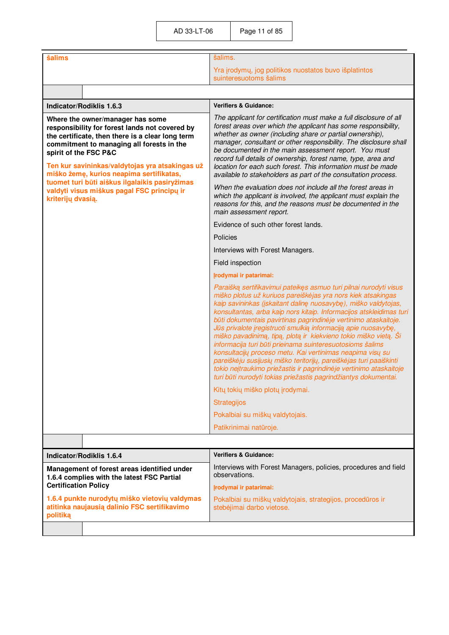| šalims                                                                                                                                                                                                                                                                                                                                                                                                                           | šalims.                                                                                                                                                                                                                                                                                                                                                                                                                                                                                                                                                                                                                                                                                                                                                                                                                       |
|----------------------------------------------------------------------------------------------------------------------------------------------------------------------------------------------------------------------------------------------------------------------------------------------------------------------------------------------------------------------------------------------------------------------------------|-------------------------------------------------------------------------------------------------------------------------------------------------------------------------------------------------------------------------------------------------------------------------------------------------------------------------------------------------------------------------------------------------------------------------------------------------------------------------------------------------------------------------------------------------------------------------------------------------------------------------------------------------------------------------------------------------------------------------------------------------------------------------------------------------------------------------------|
|                                                                                                                                                                                                                                                                                                                                                                                                                                  | Yra įrodymų, jog politikos nuostatos buvo išplatintos<br>suinteresuotoms šalims                                                                                                                                                                                                                                                                                                                                                                                                                                                                                                                                                                                                                                                                                                                                               |
|                                                                                                                                                                                                                                                                                                                                                                                                                                  |                                                                                                                                                                                                                                                                                                                                                                                                                                                                                                                                                                                                                                                                                                                                                                                                                               |
| Indicator/Rodiklis 1.6.3                                                                                                                                                                                                                                                                                                                                                                                                         | <b>Verifiers &amp; Guidance:</b>                                                                                                                                                                                                                                                                                                                                                                                                                                                                                                                                                                                                                                                                                                                                                                                              |
| Where the owner/manager has some<br>responsibility for forest lands not covered by<br>the certificate, then there is a clear long term<br>commitment to managing all forests in the<br>spirit of the FSC P&C<br>Ten kur savininkas/valdytojas yra atsakingas už<br>miško žemę, kurios neapima sertifikatas,<br>tuomet turi būti aiškus ilgalaikis pasiryžimas<br>valdyti visus miškus pagal FSC principų ir<br>kriterijų dvasią. | The applicant for certification must make a full disclosure of all<br>forest areas over which the applicant has some responsibility,<br>whether as owner (including share or partial ownership),<br>manager, consultant or other responsibility. The disclosure shall<br>be documented in the main assessment report. You must<br>record full details of ownership, forest name, type, area and<br>location for each such forest. This information must be made<br>available to stakeholders as part of the consultation process.                                                                                                                                                                                                                                                                                             |
|                                                                                                                                                                                                                                                                                                                                                                                                                                  | When the evaluation does not include all the forest areas in<br>which the applicant is involved, the applicant must explain the<br>reasons for this, and the reasons must be documented in the<br>main assessment report.                                                                                                                                                                                                                                                                                                                                                                                                                                                                                                                                                                                                     |
|                                                                                                                                                                                                                                                                                                                                                                                                                                  | Evidence of such other forest lands.                                                                                                                                                                                                                                                                                                                                                                                                                                                                                                                                                                                                                                                                                                                                                                                          |
|                                                                                                                                                                                                                                                                                                                                                                                                                                  | Policies                                                                                                                                                                                                                                                                                                                                                                                                                                                                                                                                                                                                                                                                                                                                                                                                                      |
|                                                                                                                                                                                                                                                                                                                                                                                                                                  | Interviews with Forest Managers.                                                                                                                                                                                                                                                                                                                                                                                                                                                                                                                                                                                                                                                                                                                                                                                              |
|                                                                                                                                                                                                                                                                                                                                                                                                                                  | Field inspection                                                                                                                                                                                                                                                                                                                                                                                                                                                                                                                                                                                                                                                                                                                                                                                                              |
|                                                                                                                                                                                                                                                                                                                                                                                                                                  | Įrodymai ir patarimai:                                                                                                                                                                                                                                                                                                                                                                                                                                                                                                                                                                                                                                                                                                                                                                                                        |
|                                                                                                                                                                                                                                                                                                                                                                                                                                  | Paraišką sertifikavimui pateikęs asmuo turi pilnai nurodyti visus<br>miško plotus už kuriuos pareiškėjas yra nors kiek atsakingas<br>kaip savininkas (įskaitant dalinę nuosavybę), miško valdytojas,<br>konsultantas, arba kaip nors kitaip. Informacijos atskleidimas turi<br>būti dokumentais pavirtinas pagrindinėje vertinimo ataskaitoje.<br>Jūs privalote įregistruoti smulkią informaciją apie nuosavybę,<br>miško pavadinimą, tipą, plotą ir kiekvieno tokio miško vietą. Ši<br>informacija turi būti prieinama suinteresuotosioms šalims<br>konsultacijų proceso metu. Kai vertinimas neapima visų su<br>pareiškėju susijusių miško teritorijų, pareiškėjas turi paaiškinti<br>tokio neįtraukimo priežastis ir pagrindinėje vertinimo ataskaitoje<br>turi būti nurodyti tokias priežastis pagrindžiantys dokumentai. |
|                                                                                                                                                                                                                                                                                                                                                                                                                                  | Kitų tokių miško plotų įrodymai.                                                                                                                                                                                                                                                                                                                                                                                                                                                                                                                                                                                                                                                                                                                                                                                              |
|                                                                                                                                                                                                                                                                                                                                                                                                                                  | <b>Strategijos</b>                                                                                                                                                                                                                                                                                                                                                                                                                                                                                                                                                                                                                                                                                                                                                                                                            |
|                                                                                                                                                                                                                                                                                                                                                                                                                                  | Pokalbiai su miškų valdytojais.                                                                                                                                                                                                                                                                                                                                                                                                                                                                                                                                                                                                                                                                                                                                                                                               |
|                                                                                                                                                                                                                                                                                                                                                                                                                                  | Patikrinimai natūroje.                                                                                                                                                                                                                                                                                                                                                                                                                                                                                                                                                                                                                                                                                                                                                                                                        |
|                                                                                                                                                                                                                                                                                                                                                                                                                                  |                                                                                                                                                                                                                                                                                                                                                                                                                                                                                                                                                                                                                                                                                                                                                                                                                               |
| <b>Indicator/Rodiklis 1.6.4</b>                                                                                                                                                                                                                                                                                                                                                                                                  | <b>Verifiers &amp; Guidance:</b>                                                                                                                                                                                                                                                                                                                                                                                                                                                                                                                                                                                                                                                                                                                                                                                              |
| Management of forest areas identified under<br>1.6.4 complies with the latest FSC Partial<br><b>Certification Policy</b>                                                                                                                                                                                                                                                                                                         | Interviews with Forest Managers, policies, procedures and field<br>observations.                                                                                                                                                                                                                                                                                                                                                                                                                                                                                                                                                                                                                                                                                                                                              |
| 1.6.4 punkte nurodytų miško vietovių valdymas<br>atitinka naujausią dalinio FSC sertifikavimo                                                                                                                                                                                                                                                                                                                                    | Įrodymai ir patarimai:<br>Pokalbiai su miškų valdytojais, strategijos, procedūros ir<br>stebėjimai darbo vietose.                                                                                                                                                                                                                                                                                                                                                                                                                                                                                                                                                                                                                                                                                                             |
| politiką                                                                                                                                                                                                                                                                                                                                                                                                                         |                                                                                                                                                                                                                                                                                                                                                                                                                                                                                                                                                                                                                                                                                                                                                                                                                               |

 $\mathbb{R}^n$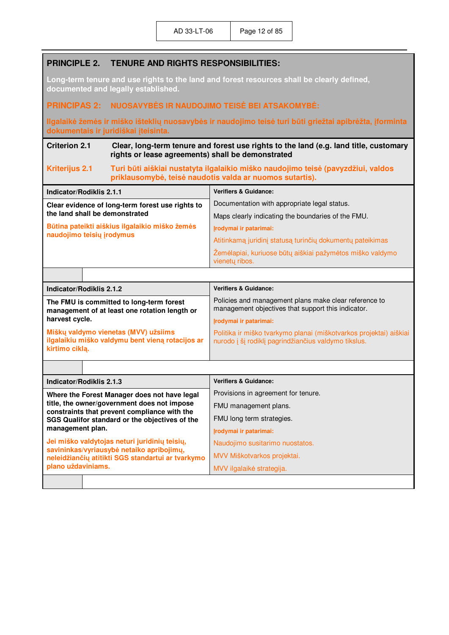| <b>PRINCIPLE 2.</b>                                                                                                               | <b>TENURE AND RIGHTS RESPONSIBILITIES:</b>                                                                                                 |                                                                                                                                              |  |
|-----------------------------------------------------------------------------------------------------------------------------------|--------------------------------------------------------------------------------------------------------------------------------------------|----------------------------------------------------------------------------------------------------------------------------------------------|--|
| Long-term tenure and use rights to the land and forest resources shall be clearly defined,<br>documented and legally established. |                                                                                                                                            |                                                                                                                                              |  |
| <b>PRINCIPAS 2:</b>                                                                                                               | NUOSAVYBĖS IR NAUDOJIMO TEISĖ BEI ATSAKOMYBĖ:                                                                                              |                                                                                                                                              |  |
|                                                                                                                                   | dokumentais ir juridiškai įteisinta.                                                                                                       | Ilgalaikė žemės ir miško išteklių nuosavybės ir naudojimo teisė turi būti griežtai apibrėžta, įforminta                                      |  |
| <b>Criterion 2.1</b>                                                                                                              | Clear, long-term tenure and forest use rights to the land (e.g. land title, customary<br>rights or lease agreements) shall be demonstrated |                                                                                                                                              |  |
| <b>Kriterijus 2.1</b>                                                                                                             |                                                                                                                                            | Turi būti aiškiai nustatyta ilgalaikio miško naudojimo teisė (pavyzdžiui, valdos<br>priklausomybė, teisė naudotis valda ar nuomos sutartis). |  |
| Indicator/Rodiklis 2.1.1                                                                                                          |                                                                                                                                            | <b>Verifiers &amp; Guidance:</b>                                                                                                             |  |
|                                                                                                                                   | Clear evidence of long-term forest use rights to                                                                                           | Documentation with appropriate legal status.                                                                                                 |  |
| the land shall be demonstrated                                                                                                    |                                                                                                                                            | Maps clearly indicating the boundaries of the FMU.                                                                                           |  |
| naudojimo teisių įrodymus                                                                                                         | Būtina pateikti aiškius ilgalaikio miško žemės                                                                                             | Irodymai ir patarimai:                                                                                                                       |  |
|                                                                                                                                   |                                                                                                                                            | Atitinkamą juridinį statusą turinčių dokumentų pateikimas                                                                                    |  |
|                                                                                                                                   |                                                                                                                                            | Žemėlapiai, kuriuose būtų aiškiai pažymėtos miško valdymo<br>vienetų ribos.                                                                  |  |
|                                                                                                                                   |                                                                                                                                            |                                                                                                                                              |  |
| Indicator/Rodiklis 2.1.2                                                                                                          |                                                                                                                                            | <b>Verifiers &amp; Guidance:</b>                                                                                                             |  |
| The FMU is committed to long-term forest<br>management of at least one rotation length or                                         |                                                                                                                                            | Policies and management plans make clear reference to<br>management objectives that support this indicator.                                  |  |
| harvest cycle.                                                                                                                    |                                                                                                                                            | Įrodymai ir patarimai:                                                                                                                       |  |
| kirtimo ciklą.                                                                                                                    | Miškų valdymo vienetas (MVV) užsiims<br>ilgalaikiu miško valdymu bent vieną rotacijos ar                                                   | Politika ir miško tvarkymo planai (miškotvarkos projektai) aiškiai<br>nurodo į šį rodiklį pagrindžiančius valdymo tikslus.                   |  |
|                                                                                                                                   |                                                                                                                                            |                                                                                                                                              |  |
| Indicator/Rodiklis 2.1.3                                                                                                          |                                                                                                                                            | <b>Verifiers &amp; Guidance:</b>                                                                                                             |  |
|                                                                                                                                   | Where the Forest Manager does not have legal                                                                                               | Provisions in agreement for tenure.                                                                                                          |  |
|                                                                                                                                   | title, the owner/government does not impose                                                                                                | FMU management plans.                                                                                                                        |  |
| constraints that prevent compliance with the<br>SGS Qualifor standard or the objectives of the<br>management plan.                |                                                                                                                                            | FMU long term strategies.                                                                                                                    |  |
|                                                                                                                                   |                                                                                                                                            | Irodymai ir patarimai:                                                                                                                       |  |
|                                                                                                                                   | Jei miško valdytojas neturi juridinių teisių,                                                                                              | Naudojimo susitarimo nuostatos.                                                                                                              |  |
|                                                                                                                                   | savininkas/vyriausybė netaiko apribojimų,<br>neleidžiančių atitikti SGS standartui ar tvarkymo                                             | MVV Miškotvarkos projektai.                                                                                                                  |  |
| plano uždaviniams.                                                                                                                |                                                                                                                                            | MVV ilgalaikė strategija.                                                                                                                    |  |
|                                                                                                                                   |                                                                                                                                            |                                                                                                                                              |  |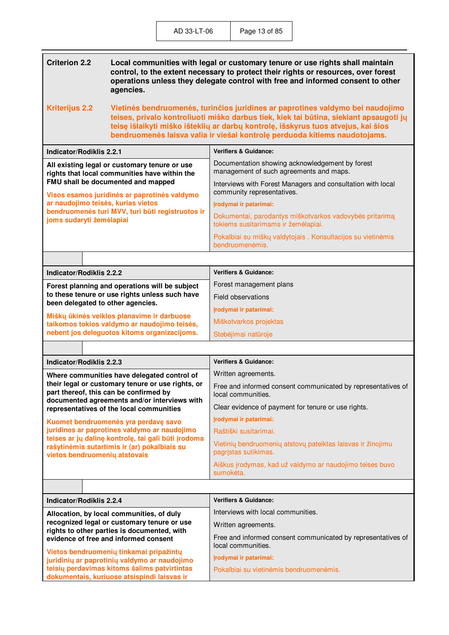| <b>Criterion 2.2</b><br>Local communities with legal or customary tenure or use rights shall maintain<br>control, to the extent necessary to protect their rights or resources, over forest<br>operations unless they delegate control with free and informed consent to other<br>agencies. |                                                                                                                                                                                                                                                                                                                                             |  |
|---------------------------------------------------------------------------------------------------------------------------------------------------------------------------------------------------------------------------------------------------------------------------------------------|---------------------------------------------------------------------------------------------------------------------------------------------------------------------------------------------------------------------------------------------------------------------------------------------------------------------------------------------|--|
| <b>Kriterijus 2.2</b>                                                                                                                                                                                                                                                                       | Vietinės bendruomenės, turinčios juridines ar paprotines valdymo bei naudojimo<br>teises, privalo kontroliuoti miško darbus tiek, kiek tai būtina, siekiant apsaugoti jų<br>teisę išlaikyti miško išteklių ar darbų kontrolę, išskyrus tuos atvejus, kai šios<br>bendruomenės laisva valia ir viešai kontrolę perduoda kitiems naudotojams. |  |
| <b>Indicator/Rodiklis 2.2.1</b>                                                                                                                                                                                                                                                             | <b>Verifiers &amp; Guidance:</b>                                                                                                                                                                                                                                                                                                            |  |
| All existing legal or customary tenure or use<br>rights that local communities have within the                                                                                                                                                                                              | Documentation showing acknowledgement by forest<br>management of such agreements and maps.                                                                                                                                                                                                                                                  |  |
| FMU shall be documented and mapped<br>Visos esamos juridinės ar paprotinės valdymo                                                                                                                                                                                                          | Interviews with Forest Managers and consultation with local<br>community representatives.                                                                                                                                                                                                                                                   |  |
| ar naudojimo teisės, kurias vietos                                                                                                                                                                                                                                                          | Įrodymai ir patarimai:                                                                                                                                                                                                                                                                                                                      |  |
| bendruomenės turi MVV, turi būti registruotos ir<br>joms sudaryti žemėlapiai                                                                                                                                                                                                                | Dokumentai, parodantys miškotvarkos vadovybės pritarimą<br>tokiems susitarimams ir žemėlapiai.                                                                                                                                                                                                                                              |  |
|                                                                                                                                                                                                                                                                                             | Pokalbiai su miškų valdytojais. Konsultacijos su vietinėmis<br>bendruomenėmis.                                                                                                                                                                                                                                                              |  |
|                                                                                                                                                                                                                                                                                             |                                                                                                                                                                                                                                                                                                                                             |  |
| <b>Indicator/Rodiklis 2.2.2</b>                                                                                                                                                                                                                                                             | <b>Verifiers &amp; Guidance:</b>                                                                                                                                                                                                                                                                                                            |  |
| Forest planning and operations will be subject                                                                                                                                                                                                                                              | Forest management plans                                                                                                                                                                                                                                                                                                                     |  |
| to these tenure or use rights unless such have                                                                                                                                                                                                                                              | Field observations                                                                                                                                                                                                                                                                                                                          |  |
| been delegated to other agencies.                                                                                                                                                                                                                                                           | Irodymai ir patarimai:                                                                                                                                                                                                                                                                                                                      |  |
| Miškų ūkinės veiklos planavime ir darbuose<br>taikomos tokios valdymo ar naudojimo teisės,                                                                                                                                                                                                  | Miškotvarkos projektas                                                                                                                                                                                                                                                                                                                      |  |
| nebent jos deleguotos kitoms organizacijoms.                                                                                                                                                                                                                                                | Stebėjimai natūroje                                                                                                                                                                                                                                                                                                                         |  |
|                                                                                                                                                                                                                                                                                             |                                                                                                                                                                                                                                                                                                                                             |  |
| Indicator/Rodiklis 2.2.3                                                                                                                                                                                                                                                                    | <b>Verifiers &amp; Guidance:</b>                                                                                                                                                                                                                                                                                                            |  |
| Where communities have delegated control of                                                                                                                                                                                                                                                 | Written agreements.                                                                                                                                                                                                                                                                                                                         |  |
| their legal or customary tenure or use rights, or<br>part thereof, this can be confirmed by                                                                                                                                                                                                 | Free and informed consent communicated by representatives of<br>local communities.                                                                                                                                                                                                                                                          |  |
| documented agreements and/or interviews with<br>representatives of the local communities                                                                                                                                                                                                    | Clear evidence of payment for tenure or use rights.                                                                                                                                                                                                                                                                                         |  |
| Kuomet bendruomenės yra perdavę savo                                                                                                                                                                                                                                                        | Įrodymai ir patarimai:                                                                                                                                                                                                                                                                                                                      |  |
| juridines ar paprotines valdymo ar naudojimo<br>teises ar jų dalinę kontrolę, tai gali būti įrodoma                                                                                                                                                                                         | Raštiški susitarimai.                                                                                                                                                                                                                                                                                                                       |  |
| rašytinėmis sutartimis ir (ar) pokalbiais su<br>vietos bendruomenių atstovais                                                                                                                                                                                                               | Vietinių bendruomenių atstovų pateiktas laisvas ir žinojimu<br>pagristas sutikimas.                                                                                                                                                                                                                                                         |  |
|                                                                                                                                                                                                                                                                                             | Aiškus įrodymas, kad už valdymo ar naudojimo teises buvo<br>sumokėta.                                                                                                                                                                                                                                                                       |  |
|                                                                                                                                                                                                                                                                                             |                                                                                                                                                                                                                                                                                                                                             |  |
| <b>Indicator/Rodiklis 2.2.4</b>                                                                                                                                                                                                                                                             | <b>Verifiers &amp; Guidance:</b>                                                                                                                                                                                                                                                                                                            |  |
| Allocation, by local communities, of duly                                                                                                                                                                                                                                                   | Interviews with local communities.                                                                                                                                                                                                                                                                                                          |  |
| recognized legal or customary tenure or use<br>rights to other parties is documented, with                                                                                                                                                                                                  | Written agreements.                                                                                                                                                                                                                                                                                                                         |  |
| evidence of free and informed consent                                                                                                                                                                                                                                                       | Free and informed consent communicated by representatives of<br>local communities.                                                                                                                                                                                                                                                          |  |
| Vietos bendruomenių tinkamai pripažintų<br>juridinių ar paprotinių valdymo ar naudojimo                                                                                                                                                                                                     | Irodymai ir patarimai:                                                                                                                                                                                                                                                                                                                      |  |
| teisių perdavimas kitoms šalims patvirtintas<br>dokumentais, kuriuose atsispindi laisvas ir                                                                                                                                                                                                 | Pokalbiai su vietinėmis bendruomenėmis.                                                                                                                                                                                                                                                                                                     |  |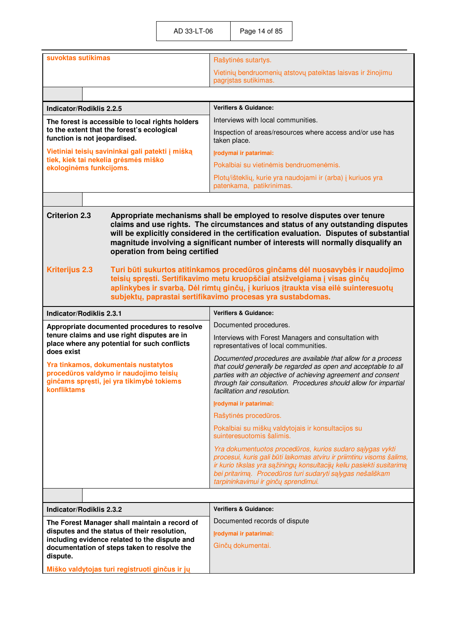| suvoktas sutikimas                                                                                                                                                                                                                                                                                                                                                                                                                                                                                                                                                                                                                                                                                                      | Rašytinės sutartys.                                                                                                                                                                                                                                                                                               |
|-------------------------------------------------------------------------------------------------------------------------------------------------------------------------------------------------------------------------------------------------------------------------------------------------------------------------------------------------------------------------------------------------------------------------------------------------------------------------------------------------------------------------------------------------------------------------------------------------------------------------------------------------------------------------------------------------------------------------|-------------------------------------------------------------------------------------------------------------------------------------------------------------------------------------------------------------------------------------------------------------------------------------------------------------------|
|                                                                                                                                                                                                                                                                                                                                                                                                                                                                                                                                                                                                                                                                                                                         | Vietinių bendruomenių atstovų pateiktas laisvas ir žinojimu                                                                                                                                                                                                                                                       |
|                                                                                                                                                                                                                                                                                                                                                                                                                                                                                                                                                                                                                                                                                                                         | pagrįstas sutikimas.                                                                                                                                                                                                                                                                                              |
|                                                                                                                                                                                                                                                                                                                                                                                                                                                                                                                                                                                                                                                                                                                         |                                                                                                                                                                                                                                                                                                                   |
| <b>Indicator/Rodiklis 2.2.5</b>                                                                                                                                                                                                                                                                                                                                                                                                                                                                                                                                                                                                                                                                                         | <b>Verifiers &amp; Guidance:</b>                                                                                                                                                                                                                                                                                  |
| The forest is accessible to local rights holders                                                                                                                                                                                                                                                                                                                                                                                                                                                                                                                                                                                                                                                                        | Interviews with local communities.                                                                                                                                                                                                                                                                                |
| to the extent that the forest's ecological<br>function is not jeopardised.                                                                                                                                                                                                                                                                                                                                                                                                                                                                                                                                                                                                                                              | Inspection of areas/resources where access and/or use has<br>taken place.                                                                                                                                                                                                                                         |
| Vietiniai teisių savininkai gali patekti į mišką                                                                                                                                                                                                                                                                                                                                                                                                                                                                                                                                                                                                                                                                        | Įrodymai ir patarimai:                                                                                                                                                                                                                                                                                            |
| tiek, kiek tai nekelia grėsmės miško<br>ekologinėms funkcijoms.                                                                                                                                                                                                                                                                                                                                                                                                                                                                                                                                                                                                                                                         | Pokalbiai su vietinėmis bendruomenėmis.                                                                                                                                                                                                                                                                           |
|                                                                                                                                                                                                                                                                                                                                                                                                                                                                                                                                                                                                                                                                                                                         | Plotų/išteklių, kurie yra naudojami ir (arba) į kuriuos yra<br>patenkama, patikrinimas.                                                                                                                                                                                                                           |
|                                                                                                                                                                                                                                                                                                                                                                                                                                                                                                                                                                                                                                                                                                                         |                                                                                                                                                                                                                                                                                                                   |
| Appropriate mechanisms shall be employed to resolve disputes over tenure<br>claims and use rights. The circumstances and status of any outstanding disputes<br>will be explicitly considered in the certification evaluation. Disputes of substantial<br>magnitude involving a significant number of interests will normally disqualify an<br>operation from being certified<br><b>Kriterijus 2.3</b><br>Turi būti sukurtos atitinkamos procedūros ginčams dėl nuosavybės ir naudojimo<br>teisių spręsti. Sertifikavimo metu kruopščiai atsižvelgiama į visas ginčų<br>aplinkybes ir svarbą. Dėl rimtų ginčų, į kuriuos įtraukta visa eilė suinteresuotų<br>subjektų, paprastai sertifikavimo procesas yra sustabdomas. |                                                                                                                                                                                                                                                                                                                   |
| <b>Indicator/Rodiklis 2.3.1</b>                                                                                                                                                                                                                                                                                                                                                                                                                                                                                                                                                                                                                                                                                         | <b>Verifiers &amp; Guidance:</b>                                                                                                                                                                                                                                                                                  |
| Appropriate documented procedures to resolve                                                                                                                                                                                                                                                                                                                                                                                                                                                                                                                                                                                                                                                                            | Documented procedures.                                                                                                                                                                                                                                                                                            |
| tenure claims and use right disputes are in<br>place where any potential for such conflicts<br>does exist                                                                                                                                                                                                                                                                                                                                                                                                                                                                                                                                                                                                               | Interviews with Forest Managers and consultation with<br>representatives of local communities.                                                                                                                                                                                                                    |
| Yra tinkamos, dokumentais nustatytos<br>procedūros valdymo ir naudojimo teisių<br>ginčams spręsti, jei yra tikimybė tokiems<br>konfliktams                                                                                                                                                                                                                                                                                                                                                                                                                                                                                                                                                                              | Documented procedures are available that allow for a process<br>that could generally be regarded as open and acceptable to all<br>parties with an objective of achieving agreement and consent<br>through fair consultation. Procedures should allow for impartial<br>facilitation and resolution.                |
|                                                                                                                                                                                                                                                                                                                                                                                                                                                                                                                                                                                                                                                                                                                         | Irodymai ir patarimai:                                                                                                                                                                                                                                                                                            |
|                                                                                                                                                                                                                                                                                                                                                                                                                                                                                                                                                                                                                                                                                                                         | Rašytinės procedūros.                                                                                                                                                                                                                                                                                             |
|                                                                                                                                                                                                                                                                                                                                                                                                                                                                                                                                                                                                                                                                                                                         | Pokalbiai su miškų valdytojais ir konsultacijos su<br>suinteresuotomis šalimis.                                                                                                                                                                                                                                   |
|                                                                                                                                                                                                                                                                                                                                                                                                                                                                                                                                                                                                                                                                                                                         | Yra dokumentuotos procedūros, kurios sudaro sąlygas vykti<br>procesui, kuris gali būti laikomas atviru ir priimtinu visoms šalims,<br>ir kurio tikslas yra sąžiningų konsultacijų keliu pasiekti susitarimą<br>bei pritarimą. Procedūros turi sudaryti sąlygas nešališkam<br>tarpininkavimui ir ginčų sprendimui. |
|                                                                                                                                                                                                                                                                                                                                                                                                                                                                                                                                                                                                                                                                                                                         |                                                                                                                                                                                                                                                                                                                   |
| <b>Indicator/Rodiklis 2.3.2</b>                                                                                                                                                                                                                                                                                                                                                                                                                                                                                                                                                                                                                                                                                         | <b>Verifiers &amp; Guidance:</b>                                                                                                                                                                                                                                                                                  |
| The Forest Manager shall maintain a record of                                                                                                                                                                                                                                                                                                                                                                                                                                                                                                                                                                                                                                                                           | Documented records of dispute                                                                                                                                                                                                                                                                                     |
| disputes and the status of their resolution,<br>including evidence related to the dispute and                                                                                                                                                                                                                                                                                                                                                                                                                                                                                                                                                                                                                           | Irodymai ir patarimai:                                                                                                                                                                                                                                                                                            |
| documentation of steps taken to resolve the                                                                                                                                                                                                                                                                                                                                                                                                                                                                                                                                                                                                                                                                             | Ginčų dokumentai.                                                                                                                                                                                                                                                                                                 |
| dispute.                                                                                                                                                                                                                                                                                                                                                                                                                                                                                                                                                                                                                                                                                                                |                                                                                                                                                                                                                                                                                                                   |
| Miško valdytojas turi registruoti ginčus ir jų                                                                                                                                                                                                                                                                                                                                                                                                                                                                                                                                                                                                                                                                          |                                                                                                                                                                                                                                                                                                                   |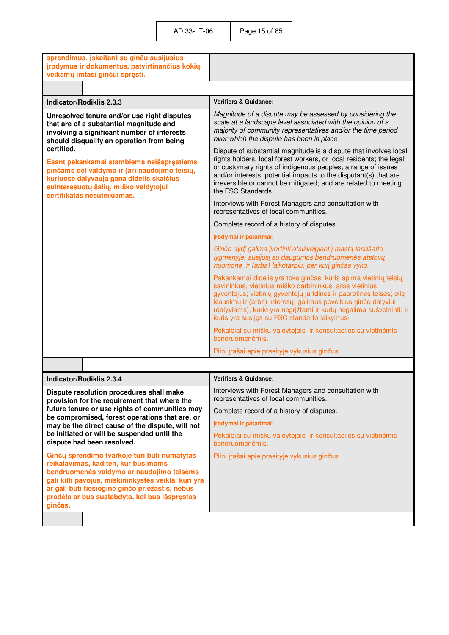| sprendimus, įskaitant su ginču susijusius<br>įrodymus ir dokumentus, patvirtinančius kokių<br>veiksmų imtasi ginčui spręsti.                                                                                                                                                                           |                                                                                                                                                                                                                                                                                                                                                                                            |
|--------------------------------------------------------------------------------------------------------------------------------------------------------------------------------------------------------------------------------------------------------------------------------------------------------|--------------------------------------------------------------------------------------------------------------------------------------------------------------------------------------------------------------------------------------------------------------------------------------------------------------------------------------------------------------------------------------------|
|                                                                                                                                                                                                                                                                                                        |                                                                                                                                                                                                                                                                                                                                                                                            |
| Indicator/Rodiklis 2.3.3                                                                                                                                                                                                                                                                               | <b>Verifiers &amp; Guidance:</b>                                                                                                                                                                                                                                                                                                                                                           |
| Unresolved tenure and/or use right disputes<br>that are of a substantial magnitude and<br>involving a significant number of interests<br>should disqualify an operation from being                                                                                                                     | Magnitude of a dispute may be assessed by considering the<br>scale at a landscape level associated with the opinion of a<br>majority of community representatives and/or the time period<br>over which the dispute has been in place                                                                                                                                                       |
| certified.<br>Esant pakankamai stambiems neišspręstiems<br>ginčams dėl valdymo ir (ar) naudojimo teisių,<br>kuriuose dalyvauja gana didelis skaičius<br>suinteresuotų šalių, miško valdytojui<br>sertifikatas nesuteikiamas.                                                                           | Dispute of substantial magnitude is a dispute that involves local<br>rights holders, local forest workers, or local residents; the legal<br>or customary rights of indigenous peoples; a range of issues<br>and/or interests; potential impacts to the disputant(s) that are<br>irreversible or cannot be mitigated; and are related to meeting<br>the FSC Standards                       |
|                                                                                                                                                                                                                                                                                                        | Interviews with Forest Managers and consultation with<br>representatives of local communities.                                                                                                                                                                                                                                                                                             |
|                                                                                                                                                                                                                                                                                                        | Complete record of a history of disputes.                                                                                                                                                                                                                                                                                                                                                  |
|                                                                                                                                                                                                                                                                                                        | Irodymai ir patarimai:                                                                                                                                                                                                                                                                                                                                                                     |
|                                                                                                                                                                                                                                                                                                        | Ginčo dydį galima įvertinti atsižvelgiant į mastą landšafto<br>lygmenyje, susijusį su daugumos bendruomenės atstovų<br>nuomone ir (arba) laikotarpiu, per kurį ginčas vyko.                                                                                                                                                                                                                |
|                                                                                                                                                                                                                                                                                                        | Pakankamai didelis yra toks ginčas, kuris apima vietinių teisių<br>savininkus, vietinius miško darbininkus, arba vietinius<br>gyventojus; vietinių gyventojų juridines ir paprotines teises; eilę<br>klausimų ir (arba) interesų; galimus poveikius ginčo dalyviui<br>(dalyviams), kurie yra negrįžtami ir kurių negalima sušvelninti; ir<br>kuris yra susijęs su FSC standarto laikymusi. |
|                                                                                                                                                                                                                                                                                                        | Pokalbiai su miškų valdytojais ir konsultacijos su vietinėmis<br>bendruomenėmis.                                                                                                                                                                                                                                                                                                           |
|                                                                                                                                                                                                                                                                                                        | Pilni įrašai apie praeityje vykusius ginčus.                                                                                                                                                                                                                                                                                                                                               |
|                                                                                                                                                                                                                                                                                                        |                                                                                                                                                                                                                                                                                                                                                                                            |
| Indicator/Rodiklis 2.3.4                                                                                                                                                                                                                                                                               | <b>Verifiers &amp; Guidance:</b>                                                                                                                                                                                                                                                                                                                                                           |
| Dispute resolution procedures shall make<br>provision for the requirement that where the                                                                                                                                                                                                               | Interviews with Forest Managers and consultation with<br>representatives of local communities.                                                                                                                                                                                                                                                                                             |
| future tenure or use rights of communities may<br>be compromised, forest operations that are, or                                                                                                                                                                                                       | Complete record of a history of disputes.                                                                                                                                                                                                                                                                                                                                                  |
| may be the direct cause of the dispute, will not                                                                                                                                                                                                                                                       | Irodymai ir patarimai:                                                                                                                                                                                                                                                                                                                                                                     |
| be initiated or will be suspended until the<br>dispute had been resolved.                                                                                                                                                                                                                              | Pokalbiai su miškų valdytojais ir konsultacijos su vietinėmis<br>bendruomenėmis.                                                                                                                                                                                                                                                                                                           |
| Ginčų sprendimo tvarkoje turi būti numatytas<br>reikalavimas, kad ten, kur būsimoms<br>bendruomenės valdymo ar naudojimo teisėms<br>gali kilti pavojus, miškininkystės veikla, kuri yra<br>ar gali būti tiesioginė ginčo priežastis, nebus<br>pradėta ar bus sustabdyta, kol bus išspręstas<br>ginčas. | Pilni įrašai apie praeityje vykusius ginčus.                                                                                                                                                                                                                                                                                                                                               |
|                                                                                                                                                                                                                                                                                                        |                                                                                                                                                                                                                                                                                                                                                                                            |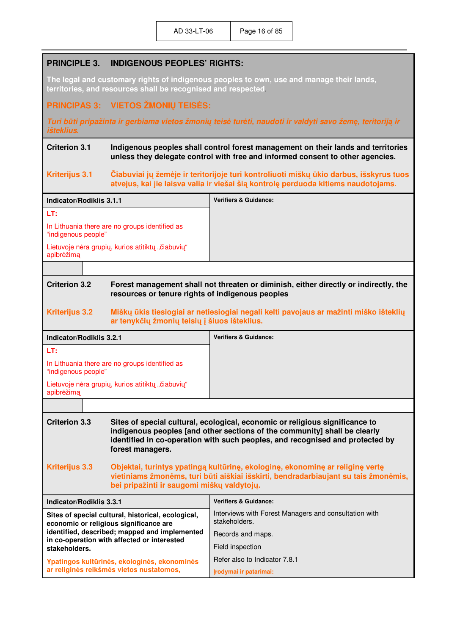### **PRINCIPLE 3. INDIGENOUS PEOPLES' RIGHTS:**

**The legal and customary rights of indigenous peoples to own, use and manage their lands, territories, and resources shall be recognised and respected**.

#### **PRINCIPAS 3: VIETOS ŽMONIŲ TEISöS:**

*Turi būti pripažinta ir gerbiama vietos žmonių teis÷ tur÷ti, naudoti ir valdyti savo žemę, teritoriją ir išteklius***.**

#### **Criterion 3.1 Indigenous peoples shall control forest management on their lands and territories unless they delegate control with free and informed consent to other agencies.**

#### **Kriterijus 3.1 Čiabuviai jų žem÷je ir teritorijoje turi kontroliuoti miškų ūkio darbus, išskyrus tuos atvejus, kai jie laisva valia ir viešai šią kontrolę perduoda kitiems naudotojams.**

| Indicator/Rodiklis 3.1.1                                              | <b>Verifiers &amp; Guidance:</b> |
|-----------------------------------------------------------------------|----------------------------------|
| LT:                                                                   |                                  |
| In Lithuania there are no groups identified as<br>"indigenous people" |                                  |
| Lietuvoje nėra grupių, kurios atitiktų "čiabuvių"<br>apibrėžima       |                                  |
|                                                                       |                                  |

#### **Criterion 3.2 Forest management shall not threaten or diminish, either directly or indirectly, the resources or tenure rights of indigenous peoples**

#### **Kriterijus 3.2 Miškų ūkis tiesiogiai ar netiesiogiai negali kelti pavojaus ar mažinti miško išteklių ar tenykčių žmonių teisių į šiuos išteklius.**

| Indicator/Rodiklis 3.2.1                                              | <b>Verifiers &amp; Guidance:</b> |
|-----------------------------------------------------------------------|----------------------------------|
| LT:                                                                   |                                  |
| In Lithuania there are no groups identified as<br>"indigenous people" |                                  |
| Lietuvoje nėra grupių, kurios atitiktų "čiabuvių"<br>apibrėžima       |                                  |

#### **Criterion 3.3 Sites of special cultural, ecological, economic or religious significance to indigenous peoples [and other sections of the community] shall be clearly identified in co-operation with such peoples, and recognised and protected by forest managers.**

#### **Kriterijus 3.3 Objektai, turintys ypatingą kultūrinę, ekologinę, ekonominę ar religinę vertę vietiniams žmon÷ms, turi būti aiškiai išskirti, bendradarbiaujant su tais žmon÷mis, bei pripažinti ir saugomi miškų valdytojų.**

| Indicator/Rodiklis 3.3.1                                                                     | <b>Verifiers &amp; Guidance:</b>                                       |
|----------------------------------------------------------------------------------------------|------------------------------------------------------------------------|
| Sites of special cultural, historical, ecological,<br>economic or religious significance are | Interviews with Forest Managers and consultation with<br>stakeholders. |
| identified, described; mapped and implemented<br>in co-operation with affected or interested | Records and maps.                                                      |
| stakeholders.                                                                                | Field inspection                                                       |
| Ypatingos kultūrinės, ekologinės, ekonominės                                                 | Refer also to Indicator 7.8.1                                          |
| ar religinės reikšmės vietos nustatomos,                                                     | Irodymai ir patarimai:                                                 |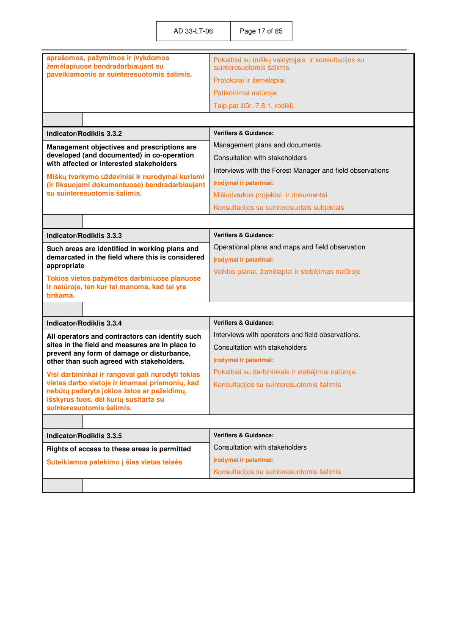| aprašomos, pažymimos ir įvykdomos<br>žemėlapiuose bendradarbiaujant su                                                                                             | Pokalbiai su miškų valdytojais ir konsultacijos su<br>suinteresuotomis šalimis. |
|--------------------------------------------------------------------------------------------------------------------------------------------------------------------|---------------------------------------------------------------------------------|
| paveikiamomis ar suinteresuotomis šalimis.                                                                                                                         | Protokolai ir žemėlapiai.                                                       |
|                                                                                                                                                                    | Patikrinimai natūroje.                                                          |
|                                                                                                                                                                    | Taip pat žiūr. 7.8.1. rodiklį.                                                  |
|                                                                                                                                                                    |                                                                                 |
| <b>Indicator/Rodiklis 3.3.2</b>                                                                                                                                    | <b>Verifiers &amp; Guidance:</b>                                                |
| Management objectives and prescriptions are                                                                                                                        | Management plans and documents.                                                 |
| developed (and documented) in co-operation<br>with affected or interested stakeholders                                                                             | Consultation with stakeholders                                                  |
|                                                                                                                                                                    | Interviews with the Forest Manager and field observations                       |
| Miškų tvarkymo uždaviniai ir nurodymai kuriami<br>(ir fiksuojami dokumentuose) bendradarbiaujant                                                                   | Įrodymai ir patarimai:                                                          |
| su suinteresuotomis šalimis.                                                                                                                                       | Miškotvarkos projektai ir dokumentai.                                           |
|                                                                                                                                                                    | Konsultacijos su suinteresuotais subjektais                                     |
|                                                                                                                                                                    |                                                                                 |
| Indicator/Rodiklis 3.3.3                                                                                                                                           | <b>Verifiers &amp; Guidance:</b>                                                |
| Such areas are identified in working plans and                                                                                                                     | Operational plans and maps and field observation                                |
| demarcated in the field where this is considered<br>appropriate                                                                                                    | Įrodymai ir patarimai:                                                          |
|                                                                                                                                                                    | Veiklos planai, žemėlapiai ir stebėjimas natūroje                               |
| Tokios vietos pažymėtos darbiniuose planuose<br>ir natūroje, ten kur tai manoma, kad tai yra<br>tinkama.                                                           |                                                                                 |
|                                                                                                                                                                    |                                                                                 |
| <b>Indicator/Rodiklis 3.3.4</b>                                                                                                                                    | <b>Verifiers &amp; Guidance:</b>                                                |
| All operators and contractors can identify such                                                                                                                    | Interviews with operators and field observations.                               |
| sites in the field and measures are in place to                                                                                                                    | Consultation with stakeholders                                                  |
| prevent any form of damage or disturbance,<br>other than such agreed with stakeholders.                                                                            | Irodymai ir patarimai:                                                          |
| Visi darbininkai ir rangovai gali nurodyti tokias                                                                                                                  | Pokalbiai su darbininkais ir stebėjimai natūroje.                               |
| vietas darbo vietoje ir imamasi priemonių, kad<br>nebūtų padaryta jokios žalos ar pažeidimų,<br>išskyrus tuos, dėl kurių susitarta su<br>suinteresuotomis šalimis. | Konsultacijos su suinteresuotomis šalimis                                       |
|                                                                                                                                                                    |                                                                                 |
| Indicator/Rodiklis 3.3.5                                                                                                                                           | <b>Verifiers &amp; Guidance:</b>                                                |
| Rights of access to these areas is permitted                                                                                                                       | Consultation with stakeholders                                                  |
| Suteikiamos patekimo į šias vietas teisės                                                                                                                          | Įrodymai ir patarimai:                                                          |
|                                                                                                                                                                    | Konsultacijos su suinteresuotomis šalimis                                       |
|                                                                                                                                                                    |                                                                                 |
|                                                                                                                                                                    |                                                                                 |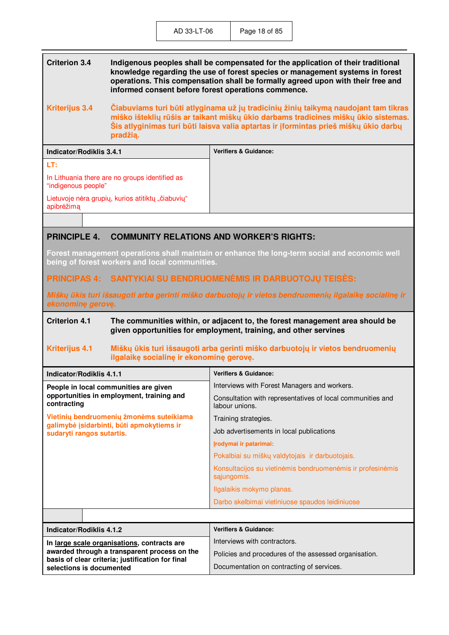| <b>Criterion 3.4</b>  | Indigenous peoples shall be compensated for the application of their traditional<br>knowledge regarding the use of forest species or management systems in forest<br>operations. This compensation shall be formally agreed upon with their free and<br>informed consent before forest operations commence. |
|-----------------------|-------------------------------------------------------------------------------------------------------------------------------------------------------------------------------------------------------------------------------------------------------------------------------------------------------------|
| <b>Kriterijus 3.4</b> | Čiabuviams turi būti atlyginama už jų tradicinių žinių taikymą naudojant tam tikras                                                                                                                                                                                                                         |

**miško išteklių rūšis ar taikant miškų ūkio darbams tradicines miškų ūkio sistemas. Šis atlyginimas turi būti laisva valia aptartas ir įformintas prieš miškų ūkio darbų pradžią.** 

| Indicator/Rodiklis 3.4.1                                              | <b>Verifiers &amp; Guidance:</b> |
|-----------------------------------------------------------------------|----------------------------------|
| LT:                                                                   |                                  |
| In Lithuania there are no groups identified as<br>"indigenous people" |                                  |
| Lietuvoje nėra grupių, kurios atitiktų "čiabuvių"<br>apibrėžima       |                                  |
|                                                                       |                                  |

#### **PRINCIPLE 4. COMMUNITY RELATIONS AND WORKER'S RIGHTS:**

**Forest management operations shall maintain or enhance the long-term social and economic well being of forest workers and local communities.** 

#### **PRINCIPAS 4: SANTYKIAI SU BENDRUOMENöMIS IR DARBUOTOJŲ TEISöS:**

*Miškų ūkis turi išsaugoti arba gerinti miško darbuotojų ir vietos bendruomenių ilgalaikę socialinę ir ekonominę gerovę***.** 

#### **Criterion 4.1 The communities within, or adjacent to, the forest management area should be given opportunities for employment, training, and other servines**

#### **Kriterijus 4.1 Miškų ūkis turi išsaugoti arba gerinti miško darbuotojų ir vietos bendruomenių ilgalaikę socialinę ir ekonominę gerovę.**

| Indicator/Rodiklis 4.1.1                                                                                                                        | <b>Verifiers &amp; Guidance:</b>                                             |
|-------------------------------------------------------------------------------------------------------------------------------------------------|------------------------------------------------------------------------------|
| People in local communities are given<br>opportunities in employment, training and<br>contracting                                               | Interviews with Forest Managers and workers.                                 |
|                                                                                                                                                 | Consultation with representatives of local communities and<br>labour unions. |
| Vietinių bendruomenių žmonėms suteikiama                                                                                                        | Training strategies.                                                         |
| galimybė įsidarbinti, būti apmokytiems ir<br>sudaryti rangos sutartis.                                                                          | Job advertisements in local publications                                     |
|                                                                                                                                                 | Irodymai ir patarimai:                                                       |
|                                                                                                                                                 | Pokalbiai su miškų valdytojais ir darbuotojais.                              |
|                                                                                                                                                 | Konsultacijos su vietinėmis bendruomenėmis ir profesinėmis<br>sąjungomis.    |
|                                                                                                                                                 | Ilgalaikis mokymo planas.                                                    |
|                                                                                                                                                 | Darbo skelbimai vietiniuose spaudos leidiniuose                              |
|                                                                                                                                                 |                                                                              |
| Indicator/Rodiklis 4.1.2                                                                                                                        | <b>Verifiers &amp; Guidance:</b>                                             |
| In large scale organisations, contracts are<br>awarded through a transparent process on the<br>basis of clear criteria; justification for final | Interviews with contractors.                                                 |
|                                                                                                                                                 | Policies and procedures of the assessed organisation.                        |
| selections is documented                                                                                                                        | Documentation on contracting of services.                                    |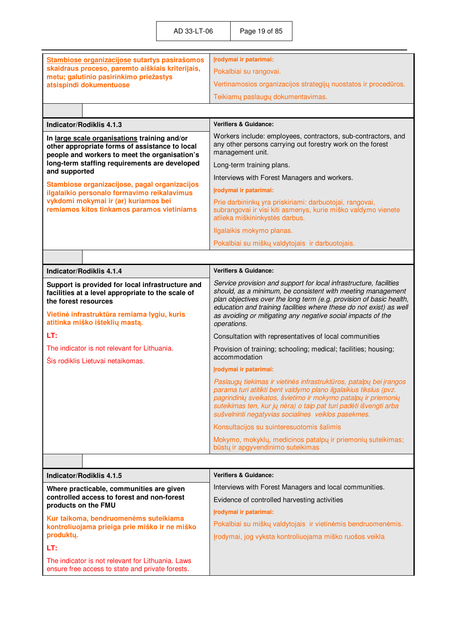|                                                                                                                                                                                                                | Įrodymai ir patarimai:                                                                                                                                                                                                                                                                                                                                         |
|----------------------------------------------------------------------------------------------------------------------------------------------------------------------------------------------------------------|----------------------------------------------------------------------------------------------------------------------------------------------------------------------------------------------------------------------------------------------------------------------------------------------------------------------------------------------------------------|
| Stambiose organizacijose sutartys pasirašomos<br>skaidraus proceso, paremto aiškiais kriterijais,<br>metu; galutinio pasirinkimo priežastys<br>atsispindi dokumentuose                                         | Pokalbiai su rangovai.                                                                                                                                                                                                                                                                                                                                         |
|                                                                                                                                                                                                                | Vertinamosios organizacijos strategijų nuostatos ir procedūros.                                                                                                                                                                                                                                                                                                |
|                                                                                                                                                                                                                |                                                                                                                                                                                                                                                                                                                                                                |
|                                                                                                                                                                                                                | Teikiamų paslaugų dokumentavimas.                                                                                                                                                                                                                                                                                                                              |
|                                                                                                                                                                                                                |                                                                                                                                                                                                                                                                                                                                                                |
| Indicator/Rodiklis 4.1.3                                                                                                                                                                                       | <b>Verifiers &amp; Guidance:</b>                                                                                                                                                                                                                                                                                                                               |
| In large scale organisations training and/or<br>other appropriate forms of assistance to local<br>people and workers to meet the organisation's                                                                | Workers include: employees, contractors, sub-contractors, and<br>any other persons carrying out forestry work on the forest<br>management unit.                                                                                                                                                                                                                |
| long-term staffing requirements are developed<br>and supported                                                                                                                                                 | Long-term training plans.                                                                                                                                                                                                                                                                                                                                      |
|                                                                                                                                                                                                                | Interviews with Forest Managers and workers.                                                                                                                                                                                                                                                                                                                   |
| Stambiose organizacijose, pagal organizacijos<br>ilgalaikio personalo formavimo reikalavimus                                                                                                                   | Įrodymai ir patarimai:                                                                                                                                                                                                                                                                                                                                         |
| vykdomi mokymai ir (ar) kuriamos bei<br>remiamos kitos tinkamos paramos vietiniams                                                                                                                             | Prie darbininkų yra priskiriami: darbuotojai, rangovai,<br>subrangovai ir visi kiti asmenys, kurie miško valdymo vienete<br>atlieka miškininkystės darbus.                                                                                                                                                                                                     |
|                                                                                                                                                                                                                | Ilgalaikis mokymo planas.                                                                                                                                                                                                                                                                                                                                      |
|                                                                                                                                                                                                                | Pokalbiai su miškų valdytojais ir darbuotojais.                                                                                                                                                                                                                                                                                                                |
|                                                                                                                                                                                                                |                                                                                                                                                                                                                                                                                                                                                                |
| Indicator/Rodiklis 4.1.4                                                                                                                                                                                       | <b>Verifiers &amp; Guidance:</b>                                                                                                                                                                                                                                                                                                                               |
| Support is provided for local infrastructure and<br>facilities at a level appropriate to the scale of<br>the forest resources<br>Vietinė infrastruktūra remiama lygiu, kuris<br>atitinka miško išteklių mastą. | Service provision and support for local infrastructure, facilities<br>should, as a minimum, be consistent with meeting management<br>plan objectives over the long term (e.g. provision of basic health,<br>education and training facilities where these do not exist) as well<br>as avoiding or mitigating any negative social impacts of the<br>operations. |
| LT:                                                                                                                                                                                                            | Consultation with representatives of local communities                                                                                                                                                                                                                                                                                                         |
| The indicator is not relevant for Lithuania.<br>Šis rodiklis Lietuvai netaikomas.                                                                                                                              | Provision of training; schooling; medical; facilities; housing;<br>accommodation                                                                                                                                                                                                                                                                               |
|                                                                                                                                                                                                                | Įrodymai ir patarimai:                                                                                                                                                                                                                                                                                                                                         |
|                                                                                                                                                                                                                | Paslaugų tiekimas ir vietinės infrastruktūros, patalpų bei įrangos<br>parama turi atitikti bent valdymo plano ilgalaikius tikslus (pvz.<br>pagrindinių sveikatos, švietimo ir mokymo patalpų ir priemonių<br>suteikimas ten, kur jų nėra) o taip pat turi padėti išvengti arba<br>sušvelninti negatyvias socialines veiklos pasekmes.                          |
|                                                                                                                                                                                                                | Konsultacijos su suinteresuotomis šalimis                                                                                                                                                                                                                                                                                                                      |
|                                                                                                                                                                                                                | Mokymo, mokyklų, medicinos patalpų ir priemonių suteikimas;<br>būstų ir apgyvendinimo suteikimas                                                                                                                                                                                                                                                               |
|                                                                                                                                                                                                                |                                                                                                                                                                                                                                                                                                                                                                |
| Indicator/Rodiklis 4.1.5                                                                                                                                                                                       | <b>Verifiers &amp; Guidance:</b>                                                                                                                                                                                                                                                                                                                               |
| Where practicable, communities are given                                                                                                                                                                       | Interviews with Forest Managers and local communities.                                                                                                                                                                                                                                                                                                         |
| controlled access to forest and non-forest                                                                                                                                                                     | Evidence of controlled harvesting activities                                                                                                                                                                                                                                                                                                                   |
| products on the FMU                                                                                                                                                                                            | Įrodymai ir patarimai:                                                                                                                                                                                                                                                                                                                                         |
| Kur taikoma, bendruomenėms suteikiama<br>kontroliuojama prieiga prie miško ir ne miško                                                                                                                         | Pokalbiai su miškų valdytojais ir vietinėmis bendruomenėmis.                                                                                                                                                                                                                                                                                                   |
| produktų.                                                                                                                                                                                                      | Įrodymai, jog vyksta kontroliuojama miško ruošos veikla                                                                                                                                                                                                                                                                                                        |
| LT:                                                                                                                                                                                                            |                                                                                                                                                                                                                                                                                                                                                                |
| The indicator is not relevant for Lithuania. Laws<br>ensure free access to state and private forests.                                                                                                          |                                                                                                                                                                                                                                                                                                                                                                |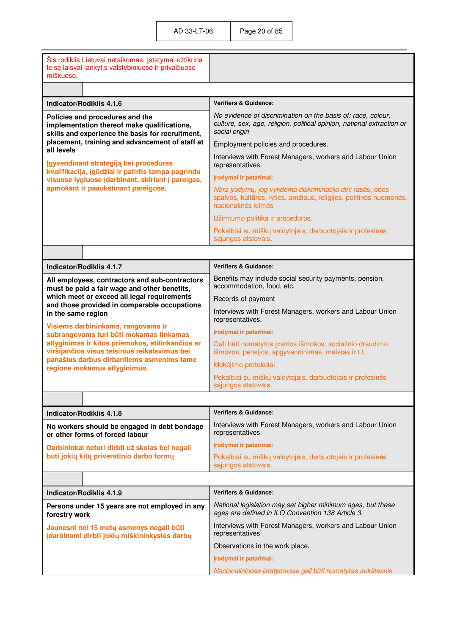| Šis rodiklis Lietuvai netaikomas. Įstatymai užtikrina<br>teisę laisvai lankytis valstybiniuose ir privačiuose<br>miškuose.                                                                                          |                                                                                                                                                         |
|---------------------------------------------------------------------------------------------------------------------------------------------------------------------------------------------------------------------|---------------------------------------------------------------------------------------------------------------------------------------------------------|
|                                                                                                                                                                                                                     |                                                                                                                                                         |
| Indicator/Rodiklis 4.1.6                                                                                                                                                                                            | <b>Verifiers &amp; Guidance:</b>                                                                                                                        |
| Policies and procedures and the<br>implementation thereof make qualifications,<br>skills and experience the basis for recruitment,                                                                                  | No evidence of discrimination on the basis of: race, colour,<br>culture, sex, age, religion, political opinion, national extraction or<br>social origin |
| placement, training and advancement of staff at                                                                                                                                                                     | Employment policies and procedures.                                                                                                                     |
| all levels<br>Igyvendinant strategiją bei procedūras                                                                                                                                                                | Interviews with Forest Managers, workers and Labour Union<br>representatives.                                                                           |
| kvalifikacija, įgūdžiai ir patirtis tampa pagrindu<br>visuose lygiuose įdarbinant, skiriant į pareigas,                                                                                                             | Įrodymai ir patarimai:                                                                                                                                  |
| apmokant ir paaukštinant pareigose.                                                                                                                                                                                 | Nėra įrodymų, jog vykdoma diskriminacija dėl: rasės, odos<br>spalvos, kultūros, lyties, amžiaus, religijos, politinės nuomonės,<br>nacionalinės kilmės  |
|                                                                                                                                                                                                                     | Užimtumo politika ir procedūros.                                                                                                                        |
|                                                                                                                                                                                                                     | Pokalbiai su miškų valdytojais, darbuotojais ir profesinės                                                                                              |
|                                                                                                                                                                                                                     | sąjungos atstovais.                                                                                                                                     |
|                                                                                                                                                                                                                     |                                                                                                                                                         |
| Indicator/Rodiklis 4.1.7                                                                                                                                                                                            | <b>Verifiers &amp; Guidance:</b>                                                                                                                        |
| All employees, contractors and sub-contractors<br>must be paid a fair wage and other benefits,<br>which meet or exceed all legal requirements<br>and those provided in comparable occupations<br>in the same region | Benefits may include social security payments, pension,<br>accommodation, food, etc.                                                                    |
|                                                                                                                                                                                                                     | Records of payment                                                                                                                                      |
|                                                                                                                                                                                                                     | Interviews with Forest Managers, workers and Labour Union<br>representatives.                                                                           |
| Visiems darbininkams, rangovams ir<br>subrangovams turi būti mokamas tinkamas                                                                                                                                       | Irodymai ir patarimai:                                                                                                                                  |
| atlyginimas ir kitos priemokos, atitinkančios ar<br>viršijančios visus teisinius reikalavimus bei                                                                                                                   | Gali būti numatytos įvairios išmokos: socialinio draudimo<br>išmokos, pensijos, apgyvendinimas, maistas ir t.t.                                         |
| panašius darbus dirbantiems asmenims tame<br>regione mokamus atlyginimus.                                                                                                                                           | Mokėjimo protokolai                                                                                                                                     |
|                                                                                                                                                                                                                     | Pokalbiai su miškų valdytojais, darbuotojais ir profesinės<br>sąjungos atstovais.                                                                       |
|                                                                                                                                                                                                                     |                                                                                                                                                         |
| Indicator/Rodiklis 4.1.8                                                                                                                                                                                            | <b>Verifiers &amp; Guidance:</b>                                                                                                                        |
| No workers should be engaged in debt bondage<br>or other forms of forced labour                                                                                                                                     | Interviews with Forest Managers, workers and Labour Union<br>representatives                                                                            |
| Darbininkai neturi dirbti už skolas bei negali                                                                                                                                                                      | Įrodymai ir patarimai:                                                                                                                                  |
| būti jokių kitų priverstinio darbo formų                                                                                                                                                                            | Pokalbiai su miškų valdytojais, darbuotojais ir profesinės<br>sajungos atstovais.                                                                       |
|                                                                                                                                                                                                                     |                                                                                                                                                         |
| <b>Indicator/Rodiklis 4.1.9</b>                                                                                                                                                                                     | <b>Verifiers &amp; Guidance:</b>                                                                                                                        |
| Persons under 15 years are not employed in any<br>forestry work                                                                                                                                                     | National legislation may set higher minimum ages, but these<br>ages are defined in ILO Convention 138 Article 3.                                        |
| Jaunesni nei 15 metų asmenys negali būti<br>įdarbinami dirbti jokių miškininkystės darbų                                                                                                                            | Interviews with Forest Managers, workers and Labour Union<br>representatives                                                                            |
|                                                                                                                                                                                                                     | Observations in the work place.                                                                                                                         |
|                                                                                                                                                                                                                     | Įrodymai ir patarimai:                                                                                                                                  |
|                                                                                                                                                                                                                     | Nacionaliniuose įstatymuose gali būti numatytas aukštesnis                                                                                              |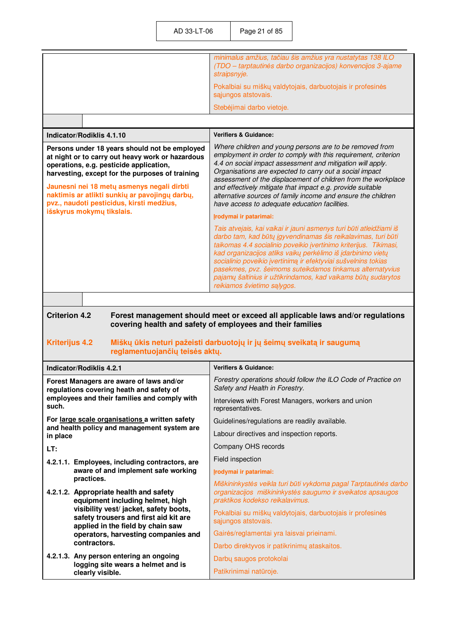| minimalus amžius, tačiau šis amžius yra nustatytas 138 ILO<br>(TDO - tarptautinės darbo organizacijos) konvencijos 3-ajame<br>straipsnyje. |
|--------------------------------------------------------------------------------------------------------------------------------------------|
| Pokalbiai su miškų valdytojais, darbuotojais ir profesinės<br>sąjungos atstovais.                                                          |
| Stebėjimai darbo vietoje.                                                                                                                  |
|                                                                                                                                            |

| Indicator/Rodiklis 4.1.10 | Verifiers & Guidance: |
|---------------------------|-----------------------|
|                           |                       |

| Persons under 18 years should not be employed<br>at night or to carry out heavy work or hazardous<br>operations, e.g. pesticide application,<br>harvesting, except for the purposes of training<br>Jaunesni nei 18 metu asmenys negali dirbti<br>naktimis ar atlikti sunkių ar pavojingų darbų,<br>pvz., naudoti pesticidus, kirsti medžius,<br>išskyrus mokymų tikslais. | Where children and young persons are to be removed from<br>employment in order to comply with this requirement, criterion<br>4.4 on social impact assessment and mitigation will apply.<br>Organisations are expected to carry out a social impact<br>assessment of the displacement of children from the workplace<br>and effectively mitigate that impact e.g. provide suitable<br>alternative sources of family income and ensure the children<br>have access to adequate education facilities.                                 |  |
|---------------------------------------------------------------------------------------------------------------------------------------------------------------------------------------------------------------------------------------------------------------------------------------------------------------------------------------------------------------------------|------------------------------------------------------------------------------------------------------------------------------------------------------------------------------------------------------------------------------------------------------------------------------------------------------------------------------------------------------------------------------------------------------------------------------------------------------------------------------------------------------------------------------------|--|
|                                                                                                                                                                                                                                                                                                                                                                           | Irodymai ir patarimai:<br>Tais atvejais, kai vaikai ir jauni asmenys turi būti atleidžiami iš<br>darbo tam, kad būtų įgyvendinamas šis reikalavimas, turi būti<br>taikomas 4.4 socialinio poveikio įvertinimo kriterijus. Tikimasi,<br>kad organizacijos atliks vaikų perkėlimo iš įdarbinimo vietų<br>socialinio poveikio įvertinimą ir efektyviai sušvelnins tokias<br>pasekmes, pvz. šeimoms suteikdamos tinkamus alternatyvius<br>pajamų šaltinius ir užtikrindamos, kad vaikams būtų sudarytos<br>reikiamos švietimo sąlygos. |  |

**Criterion 4.2 Forest management should meet or exceed all applicable laws and/or regulations covering health and safety of employees and their families** 

#### **Kriterijus 4.2 Miškų ūkis neturi pažeisti darbuotojų ir jų šeimų sveikatą ir saugumą reglamentuojančių teis÷s aktų.**

| <b>Indicator/Rodiklis 4.2.1</b>                                                                                                               | <b>Verifiers &amp; Guidance:</b>                                                                                                                                  |
|-----------------------------------------------------------------------------------------------------------------------------------------------|-------------------------------------------------------------------------------------------------------------------------------------------------------------------|
| Forest Managers are aware of laws and/or<br>regulations covering heath and safety of<br>employees and their families and comply with<br>such. | Forestry operations should follow the ILO Code of Practice on<br>Safety and Health in Forestry.                                                                   |
|                                                                                                                                               | Interviews with Forest Managers, workers and union<br>representatives.                                                                                            |
| For large scale organisations a written safety                                                                                                | Guidelines/regulations are readily available.                                                                                                                     |
| and health policy and management system are<br>in place                                                                                       | Labour directives and inspection reports.                                                                                                                         |
| LT:                                                                                                                                           | Company OHS records                                                                                                                                               |
| 4.2.1.1. Employees, including contractors, are                                                                                                | Field inspection                                                                                                                                                  |
| aware of and implement safe working                                                                                                           | Irodymai ir patarimai:                                                                                                                                            |
| practices.<br>4.2.1.2. Appropriate health and safety<br>equipment including helmet, high                                                      | Miškininkystės veikla turi būti vykdoma pagal Tarptautinės darbo<br>organizacijos miškininkystės saugumo ir sveikatos apsaugos<br>praktikos kodekso reikalavimus. |
| visibility vest/ jacket, safety boots,<br>safety trousers and first aid kit are<br>applied in the field by chain saw                          | Pokalbiai su miškų valdytojais, darbuotojais ir profesinės<br>sąjungos atstovais.                                                                                 |
| operators, harvesting companies and                                                                                                           | Gairės/reglamentai yra laisvai prieinami.                                                                                                                         |
| contractors.                                                                                                                                  | Darbo direktyvos ir patikrinimų ataskaitos.                                                                                                                       |
| 4.2.1.3. Any person entering an ongoing<br>logging site wears a helmet and is                                                                 | Darbų saugos protokolai                                                                                                                                           |
| clearly visible.                                                                                                                              | Patikrinimai natūroje.                                                                                                                                            |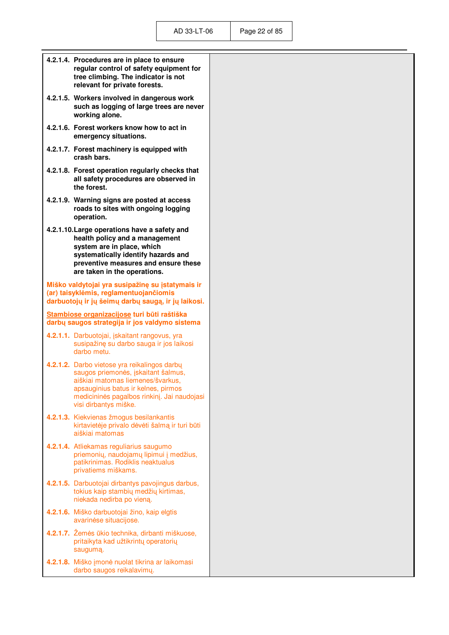| 4.2.1.4. Procedures are in place to ensure<br>regular control of safety equipment for<br>tree climbing. The indicator is not<br>relevant for private forests.                                                                                                                                                             |
|---------------------------------------------------------------------------------------------------------------------------------------------------------------------------------------------------------------------------------------------------------------------------------------------------------------------------|
| 4.2.1.5. Workers involved in dangerous work<br>such as logging of large trees are never<br>working alone.                                                                                                                                                                                                                 |
| 4.2.1.6. Forest workers know how to act in<br>emergency situations.                                                                                                                                                                                                                                                       |
| 4.2.1.7. Forest machinery is equipped with<br>crash bars.                                                                                                                                                                                                                                                                 |
| 4.2.1.8. Forest operation regularly checks that<br>all safety procedures are observed in<br>the forest.                                                                                                                                                                                                                   |
| 4.2.1.9. Warning signs are posted at access<br>roads to sites with ongoing logging<br>operation.                                                                                                                                                                                                                          |
| 4.2.1.10. Large operations have a safety and<br>health policy and a management<br>system are in place, which<br>systematically identify hazards and<br>preventive measures and ensure these<br>are taken in the operations.<br>Miško valdytojai yra susipažinę su įstatymais ir<br>(ar) taisyklėmis, reglamentuojančiomis |
| darbuotojų ir jų šeimų darbų saugą, ir jų laikosi.                                                                                                                                                                                                                                                                        |
| Stambiose organizacijose turi būti raštiška<br>darbų saugos strategija ir jos valdymo sistema                                                                                                                                                                                                                             |
| 4.2.1.1. Darbuotojai, įskaitant rangovus, yra<br>susipažinę su darbo sauga ir jos laikosi<br>darbo metu.                                                                                                                                                                                                                  |
| 4.2.1.2. Darbo vietose yra reikalingos darbų<br>saugos priemonės, įskaitant šalmus,<br>aiškiai matomas liemenes/švarkus,<br>apsauginius batus ir kelnes, pirmos                                                                                                                                                           |
| medicininės pagalbos rinkinį. Jai naudojasi<br>visi dirbantys miške.                                                                                                                                                                                                                                                      |
| 4.2.1.3. Kiekvienas žmogus besilankantis<br>kirtavietėje privalo dėvėti šalmą ir turi būti<br>aiškiai matomas                                                                                                                                                                                                             |
| 4.2.1.4. Atliekamas reguliarius saugumo<br>priemonių, naudojamų lipimui į medžius,<br>patikrinimas. Rodiklis neaktualus<br>privatiems miškams.                                                                                                                                                                            |
| 4.2.1.5. Darbuotojai dirbantys pavojingus darbus,<br>tokius kaip stambių medžių kirtimas,<br>niekada nedirba po vieną.                                                                                                                                                                                                    |
| 4.2.1.6. Miško darbuotojai žino, kaip elgtis<br>avarinėse situacijose.                                                                                                                                                                                                                                                    |
| 4.2.1.7. Žemės ūkio technika, dirbanti miškuose,<br>pritaikyta kad užtikrintų operatorių<br>saugumą.                                                                                                                                                                                                                      |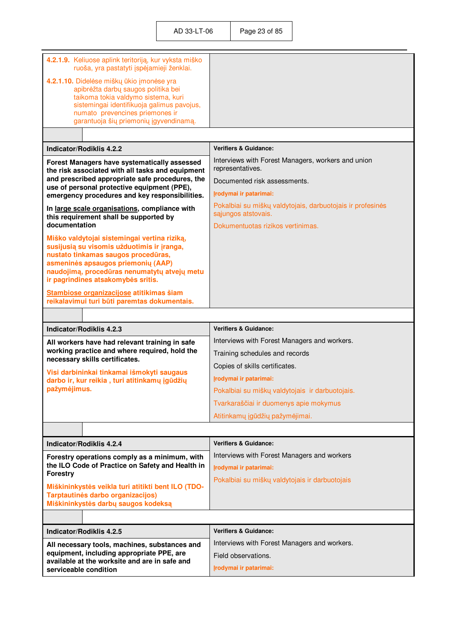| 4.2.1.9. Keliuose aplink teritoriją, kur vyksta miško<br>ruoša, yra pastatyti įspėjamieji ženklai.                                                                                                                                                 |                                                                                   |
|----------------------------------------------------------------------------------------------------------------------------------------------------------------------------------------------------------------------------------------------------|-----------------------------------------------------------------------------------|
| 4.2.1.10. Didelėse miškų ūkio įmonėse yra<br>apibrėžta darbų saugos politika bei<br>taikoma tokia valdymo sistema, kuri<br>sistemingai identifikuoja galimus pavojus,<br>numato prevencines priemones ir<br>garantuoja šių priemonių įgyvendinamą. |                                                                                   |
|                                                                                                                                                                                                                                                    |                                                                                   |
| Indicator/Rodiklis 4.2.2                                                                                                                                                                                                                           | <b>Verifiers &amp; Guidance:</b>                                                  |
| Forest Managers have systematically assessed<br>the risk associated with all tasks and equipment                                                                                                                                                   | Interviews with Forest Managers, workers and union<br>representatives.            |
| and prescribed appropriate safe procedures, the                                                                                                                                                                                                    | Documented risk assessments.                                                      |
| use of personal protective equipment (PPE),<br>emergency procedures and key responsibilities.                                                                                                                                                      | Įrodymai ir patarimai:                                                            |
| In large scale organisations, compliance with<br>this requirement shall be supported by                                                                                                                                                            | Pokalbiai su miškų valdytojais, darbuotojais ir profesinės<br>sąjungos atstovais. |
| documentation                                                                                                                                                                                                                                      | Dokumentuotas rizikos vertinimas.                                                 |
| Miško valdytojai sistemingai vertina riziką,<br>susijusią su visomis užduotimis ir įranga,<br>nustato tinkamas saugos procedūras,<br>asmeninės apsaugos priemonių (AAP)<br>naudojimą, procedūras nenumatytų atvejų metu                            |                                                                                   |
| ir pagrindines atsakomybės sritis.                                                                                                                                                                                                                 |                                                                                   |
| Stambiose organizacijose atitikimas šiam<br>reikalavimui turi būti paremtas dokumentais.                                                                                                                                                           |                                                                                   |
|                                                                                                                                                                                                                                                    |                                                                                   |
|                                                                                                                                                                                                                                                    |                                                                                   |
| Indicator/Rodiklis 4.2.3                                                                                                                                                                                                                           | <b>Verifiers &amp; Guidance:</b>                                                  |
| All workers have had relevant training in safe                                                                                                                                                                                                     | Interviews with Forest Managers and workers.                                      |
| working practice and where required, hold the                                                                                                                                                                                                      | Training schedules and records                                                    |
| necessary skills certificates.                                                                                                                                                                                                                     | Copies of skills certificates.                                                    |
| Visi darbininkai tinkamai išmokyti saugaus<br>darbo ir, kur reikia, turi atitinkamų įgūdžių                                                                                                                                                        | Įrodymai ir patarimai:                                                            |
| pažymėjimus.                                                                                                                                                                                                                                       | Pokalbiai su miškų valdytojais ir darbuotojais.                                   |
|                                                                                                                                                                                                                                                    | Tvarkaraščiai ir duomenys apie mokymus                                            |
|                                                                                                                                                                                                                                                    | Atitinkamų įgūdžių pažymėjimai.                                                   |
|                                                                                                                                                                                                                                                    |                                                                                   |
| <b>Indicator/Rodiklis 4.2.4</b>                                                                                                                                                                                                                    | <b>Verifiers &amp; Guidance:</b>                                                  |
| Forestry operations comply as a minimum, with                                                                                                                                                                                                      | Interviews with Forest Managers and workers                                       |
| the ILO Code of Practice on Safety and Health in<br><b>Forestry</b>                                                                                                                                                                                | Įrodymai ir patarimai:                                                            |
| Miškininkystės veikla turi atitikti bent ILO (TDO-<br>Tarptautinės darbo organizacijos)<br>Miškininkystės darbų saugos kodeksą                                                                                                                     | Pokalbiai su miškų valdytojais ir darbuotojais                                    |
|                                                                                                                                                                                                                                                    |                                                                                   |
| Indicator/Rodiklis 4.2.5                                                                                                                                                                                                                           | <b>Verifiers &amp; Guidance:</b>                                                  |
| All necessary tools, machines, substances and                                                                                                                                                                                                      | Interviews with Forest Managers and workers.                                      |
| equipment, including appropriate PPE, are<br>available at the worksite and are in safe and                                                                                                                                                         | Field observations.<br>Įrodymai ir patarimai:                                     |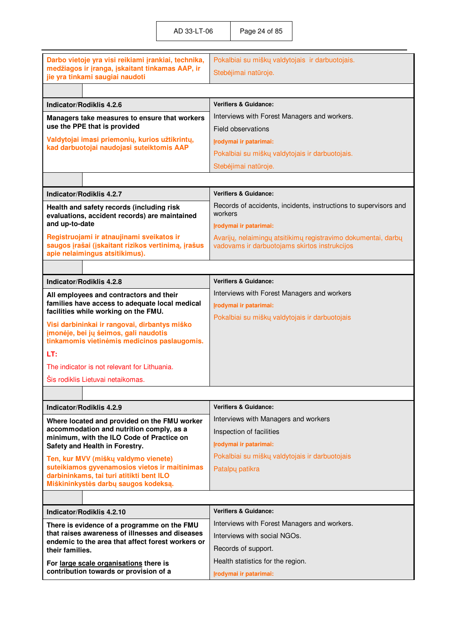| Darbo vietoje yra visi reikiami įrankiai, technika,                                                                               | Pokalbiai su miškų valdytojais ir darbuotojais.                                                                |
|-----------------------------------------------------------------------------------------------------------------------------------|----------------------------------------------------------------------------------------------------------------|
| medžiagos ir įranga, įskaitant tinkamas AAP, ir<br>jie yra tinkami saugiai naudoti                                                | Stebėjimai natūroje.                                                                                           |
|                                                                                                                                   |                                                                                                                |
| Indicator/Rodiklis 4.2.6                                                                                                          | <b>Verifiers &amp; Guidance:</b>                                                                               |
| Managers take measures to ensure that workers                                                                                     | Interviews with Forest Managers and workers.                                                                   |
| use the PPE that is provided                                                                                                      | Field observations                                                                                             |
| Valdytojai imasi priemonių, kurios užtikrintų,                                                                                    | Irodymai ir patarimai:                                                                                         |
| kad darbuotojai naudojasi suteiktomis AAP                                                                                         | Pokalbiai su miškų valdytojais ir darbuotojais.                                                                |
|                                                                                                                                   | Stebėjimai natūroje.                                                                                           |
|                                                                                                                                   |                                                                                                                |
| Indicator/Rodiklis 4.2.7                                                                                                          | <b>Verifiers &amp; Guidance:</b>                                                                               |
| Health and safety records (including risk<br>evaluations, accident records) are maintained                                        | Records of accidents, incidents, instructions to supervisors and<br>workers                                    |
| and up-to-date                                                                                                                    | Įrodymai ir patarimai:                                                                                         |
| Registruojami ir atnaujinami sveikatos ir<br>saugos įrašai (įskaitant rizikos vertinimą, įrašus<br>apie nelaimingus atsitikimus). | Avarijų, nelaimingų atsitikimų registravimo dokumentai, darbų<br>vadovams ir darbuotojams skirtos instrukcijos |
|                                                                                                                                   |                                                                                                                |
| Indicator/Rodiklis 4.2.8                                                                                                          | <b>Verifiers &amp; Guidance:</b>                                                                               |
| All employees and contractors and their                                                                                           | Interviews with Forest Managers and workers                                                                    |
| families have access to adequate local medical<br>facilities while working on the FMU.                                            | Irodymai ir patarimai:                                                                                         |
| Visi darbininkai ir rangovai, dirbantys miško                                                                                     | Pokalbiai su miškų valdytojais ir darbuotojais                                                                 |
| įmonėje, bei jų šeimos, gali naudotis<br>tinkamomis vietinėmis medicinos paslaugomis.                                             |                                                                                                                |
| LT:                                                                                                                               |                                                                                                                |
| The indicator is not relevant for Lithuania.                                                                                      |                                                                                                                |
| Šis rodiklis Lietuvai netaikomas.                                                                                                 |                                                                                                                |
|                                                                                                                                   |                                                                                                                |
| Indicator/Rodiklis 4.2.9                                                                                                          | <b>Verifiers &amp; Guidance:</b>                                                                               |
| Where located and provided on the FMU worker                                                                                      | Interviews with Managers and workers                                                                           |
| accommodation and nutrition comply, as a                                                                                          | Inspection of facilities                                                                                       |
| minimum, with the ILO Code of Practice on<br>Safety and Health in Forestry.                                                       | Irodymai ir patarimai:                                                                                         |
| Ten, kur MVV (miškų valdymo vienete)                                                                                              | Pokalbiai su miškų valdytojais ir darbuotojais                                                                 |
| suteikiamos gyvenamosios vietos ir maitinimas                                                                                     | Patalpy patikra                                                                                                |
| darbininkams, tai turi atitikti bent ILO<br>Miškininkystės darbų saugos kodeksą.                                                  |                                                                                                                |
|                                                                                                                                   |                                                                                                                |
| Indicator/Rodiklis 4.2.10                                                                                                         | <b>Verifiers &amp; Guidance:</b>                                                                               |
| There is evidence of a programme on the FMU                                                                                       | Interviews with Forest Managers and workers.                                                                   |
|                                                                                                                                   |                                                                                                                |
| that raises awareness of illnesses and diseases                                                                                   | Interviews with social NGOs.                                                                                   |
| endemic to the area that affect forest workers or<br>their families.                                                              | Records of support.                                                                                            |
| For large scale organisations there is                                                                                            | Health statistics for the region.                                                                              |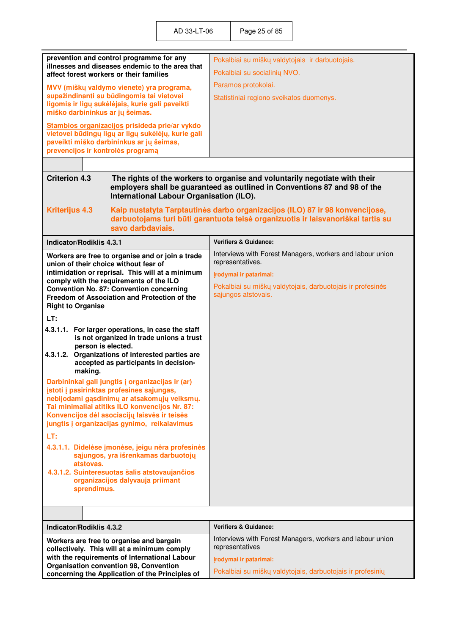|                                         | prevention and control programme for any<br>illnesses and diseases endemic to the area that    | Pokalbiai su miškų valdytojais ir darbuotojais.                                   |
|-----------------------------------------|------------------------------------------------------------------------------------------------|-----------------------------------------------------------------------------------|
| affect forest workers or their families |                                                                                                | Pokalbiai su socialinių NVO.                                                      |
|                                         | MVV (miškų valdymo vienete) yra programa,                                                      | Paramos protokolai.                                                               |
|                                         | supažindinanti su būdingomis tai vietovei<br>ligomis ir ligų sukėlėjais, kurie gali paveikti   | Statistiniai regiono sveikatos duomenys.                                          |
| miško darbininkus ar jų šeimas.         |                                                                                                |                                                                                   |
|                                         | Stambios organizacijos prisideda prie/ar vykdo                                                 |                                                                                   |
|                                         | vietovei būdingų ligų ar ligų sukėlėjų, kurie gali<br>paveikti miško darbininkus ar jų šeimas, |                                                                                   |
| prevencijos ir kontrolės programą       |                                                                                                |                                                                                   |
|                                         |                                                                                                |                                                                                   |
| <b>Criterion 4.3</b>                    |                                                                                                | The rights of the workers to organise and voluntarily negotiate with their        |
|                                         | International Labour Organisation (ILO).                                                       | employers shall be guaranteed as outlined in Conventions 87 and 98 of the         |
| <b>Kriterijus 4.3</b>                   |                                                                                                | Kaip nustatyta Tarptautinės darbo organizacijos (ILO) 87 ir 98 konvencijose,      |
|                                         | savo darbdaviais.                                                                              | darbuotojams turi būti garantuota teisė organizuotis ir laisvanoriškai tartis su  |
|                                         |                                                                                                |                                                                                   |
| <b>Indicator/Rodiklis 4.3.1</b>         |                                                                                                | <b>Verifiers &amp; Guidance:</b>                                                  |
| union of their choice without fear of   | Workers are free to organise and or join a trade                                               | Interviews with Forest Managers, workers and labour union<br>representatives.     |
|                                         | intimidation or reprisal. This will at a minimum<br>comply with the requirements of the ILO    | Įrodymai ir patarimai:                                                            |
|                                         | <b>Convention No. 87: Convention concerning</b>                                                | Pokalbiai su miškų valdytojais, darbuotojais ir profesinės<br>sąjungos atstovais. |
| <b>Right to Organise</b>                | Freedom of Association and Protection of the                                                   |                                                                                   |
| LT:                                     |                                                                                                |                                                                                   |
|                                         | 4.3.1.1. For larger operations, in case the staff                                              |                                                                                   |
|                                         | is not organized in trade unions a trust                                                       |                                                                                   |
| person is elected.                      | 4.3.1.2. Organizations of interested parties are                                               |                                                                                   |
|                                         | accepted as participants in decision-                                                          |                                                                                   |
| making.                                 | Darbininkai gali jungtis į organizacijas ir (ar)                                               |                                                                                   |
|                                         | įstoti į pasirinktas profesines sąjungas,                                                      |                                                                                   |
|                                         | nebijodami gąsdinimų ar atsakomųjų veiksmų.<br>Tai minimaliai atitiks ILO konvencijos Nr. 87:  |                                                                                   |
|                                         | Konvencijos dėl asociacijų laisvės ir teisės                                                   |                                                                                   |
|                                         | jungtis į organizacijas gynimo, reikalavimus                                                   |                                                                                   |
| LT:                                     |                                                                                                |                                                                                   |
|                                         | 4.3.1.1. Didelėse įmonėse, jeigu nėra profesinės<br>sąjungos, yra išrenkamas darbuotojų        |                                                                                   |
| atstovas.                               |                                                                                                |                                                                                   |
|                                         | 4.3.1.2. Suinteresuotas šalis atstovaujančios                                                  |                                                                                   |
| sprendimus.                             | organizacijos dalyvauja priimant                                                               |                                                                                   |
|                                         |                                                                                                |                                                                                   |
|                                         |                                                                                                |                                                                                   |
| <b>Indicator/Rodiklis 4.3.2</b>         |                                                                                                | <b>Verifiers &amp; Guidance:</b>                                                  |
|                                         | Workers are free to organise and bargain                                                       | Interviews with Forest Managers, workers and labour union                         |
|                                         | collectively. This will at a minimum comply                                                    | representatives                                                                   |
|                                         | with the requirements of International Labour<br>Organisation convention 98, Convention        | Įrodymai ir patarimai:                                                            |
|                                         | concerning the Application of the Principles of                                                | Pokalbiai su miškų valdytojais, darbuotojais ir profesinių                        |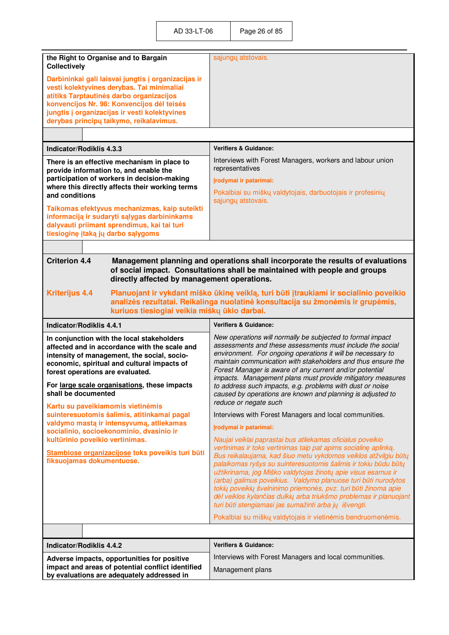| the Right to Organise and to Bargain<br><b>Collectively</b>                                                                                                                                                                                                                                                                                                                                     | sąjungų atstovais.                                                                                                                                                                                                                                                                                                                                                                                                                                                                                                                                                                                                                                                                                 |
|-------------------------------------------------------------------------------------------------------------------------------------------------------------------------------------------------------------------------------------------------------------------------------------------------------------------------------------------------------------------------------------------------|----------------------------------------------------------------------------------------------------------------------------------------------------------------------------------------------------------------------------------------------------------------------------------------------------------------------------------------------------------------------------------------------------------------------------------------------------------------------------------------------------------------------------------------------------------------------------------------------------------------------------------------------------------------------------------------------------|
| Darbininkai gali laisvai jungtis į organizacijas ir<br>vesti kolektyvines derybas. Tai minimaliai<br>atitiks Tarptautinės darbo organizacijos<br>konvencijos Nr. 98: Konvencijos dėl teisės<br>jungtis į organizacijas ir vesti kolektyvines<br>derybas principų taikymo, reikalavimus.                                                                                                         |                                                                                                                                                                                                                                                                                                                                                                                                                                                                                                                                                                                                                                                                                                    |
|                                                                                                                                                                                                                                                                                                                                                                                                 |                                                                                                                                                                                                                                                                                                                                                                                                                                                                                                                                                                                                                                                                                                    |
| Indicator/Rodiklis 4.3.3                                                                                                                                                                                                                                                                                                                                                                        | <b>Verifiers &amp; Guidance:</b>                                                                                                                                                                                                                                                                                                                                                                                                                                                                                                                                                                                                                                                                   |
| There is an effective mechanism in place to<br>provide information to, and enable the<br>participation of workers in decision-making<br>where this directly affects their working terms<br>and conditions<br>Taikomas efektyvus mechanizmas, kaip suteikti<br>informaciją ir sudaryti sąlygas darbininkams<br>dalyvauti priimant sprendimus, kai tai turi<br>tiesioginę įtaką jų darbo sąlygoms | Interviews with Forest Managers, workers and labour union<br>representatives<br>Įrodymai ir patarimai:<br>Pokalbiai su miškų valdytojais, darbuotojais ir profesinių<br>sąjungų atstovais.                                                                                                                                                                                                                                                                                                                                                                                                                                                                                                         |
|                                                                                                                                                                                                                                                                                                                                                                                                 |                                                                                                                                                                                                                                                                                                                                                                                                                                                                                                                                                                                                                                                                                                    |
| <b>Criterion 4.4</b><br>directly affected by management operations.                                                                                                                                                                                                                                                                                                                             | Management planning and operations shall incorporate the results of evaluations<br>of social impact. Consultations shall be maintained with people and groups                                                                                                                                                                                                                                                                                                                                                                                                                                                                                                                                      |
| <b>Kriterijus 4.4</b><br>kuriuos tiesiogiai veikia miškų ūkio darbai.                                                                                                                                                                                                                                                                                                                           | Planuojant ir vykdant miško ūkinę veiklą, turi būti įtraukiami ir socialinio poveikio<br>analizės rezultatai. Reikalinga nuolatinė konsultacija su žmonėmis ir grupėmis,                                                                                                                                                                                                                                                                                                                                                                                                                                                                                                                           |
|                                                                                                                                                                                                                                                                                                                                                                                                 |                                                                                                                                                                                                                                                                                                                                                                                                                                                                                                                                                                                                                                                                                                    |
| <b>Indicator/Rodiklis 4.4.1</b>                                                                                                                                                                                                                                                                                                                                                                 | <b>Verifiers &amp; Guidance:</b>                                                                                                                                                                                                                                                                                                                                                                                                                                                                                                                                                                                                                                                                   |
| In conjunction with the local stakeholders<br>affected and in accordance with the scale and<br>intensity of management, the social, socio-<br>economic, spiritual and cultural impacts of<br>forest operations are evaluated.<br>For large scale organisations, these impacts<br>shall be documented                                                                                            | New operations will normally be subjected to formal impact<br>assessments and these assessments must include the social<br>environment. For ongoing operations it will be necessary to<br>maintain communication with stakeholders and thus ensure the<br>Forest Manager is aware of any current and/or potential<br>impacts. Management plans must provide mitigatory measures<br>to address such impacts, e.g. problems with dust or noise<br>caused by operations are known and planning is adjusted to                                                                                                                                                                                         |
| Kartu su paveikiamomis vietinėmis                                                                                                                                                                                                                                                                                                                                                               | reduce or negate such                                                                                                                                                                                                                                                                                                                                                                                                                                                                                                                                                                                                                                                                              |
| suinteresuotomis šalimis, atitinkamai pagal                                                                                                                                                                                                                                                                                                                                                     | Interviews with Forest Managers and local communities.                                                                                                                                                                                                                                                                                                                                                                                                                                                                                                                                                                                                                                             |
| valdymo mastą ir intensyvumą, atliekamas<br>socialinio, socioekonominio, dvasinio ir<br>kultūrinio poveikio vertinimas.<br>Stambiose organizacijose toks poveikis turi būti<br>fiksuojamas dokumentuose.                                                                                                                                                                                        | Irodymai ir patarimai:<br>Naujai veiklai paprastai bus atliekamas oficialus poveikio<br>vertinimas ir toks vertinimas taip pat apims socialinę aplinką.<br>Bus reikalaujama, kad šiuo metu vykdomos veiklos atžvilgiu būtų<br>palaikomas ryšys su suinteresuotomis šalimis ir tokiu būdu būtų<br>užtikrinama, jog Miško valdytojas žinotų apie visus esamus ir<br>(arba) galimus poveikius. Valdymo planuose turi būti nurodytos<br>tokių poveikių švelninimo priemonės, pvz. turi būti žinoma apie<br>dėl veiklos kylančias dulkių arba triukšmo problemas ir planuojant<br>turi būti stengiamasi jas sumažinti arba jų išvengti.<br>Pokalbiai su miškų valdytojais ir vietinėmis bendruomenėmis. |
|                                                                                                                                                                                                                                                                                                                                                                                                 |                                                                                                                                                                                                                                                                                                                                                                                                                                                                                                                                                                                                                                                                                                    |
| <b>Indicator/Rodiklis 4.4.2</b>                                                                                                                                                                                                                                                                                                                                                                 | <b>Verifiers &amp; Guidance:</b>                                                                                                                                                                                                                                                                                                                                                                                                                                                                                                                                                                                                                                                                   |
| Adverse impacts, opportunities for positive<br>impact and areas of potential conflict identified                                                                                                                                                                                                                                                                                                | Interviews with Forest Managers and local communities.                                                                                                                                                                                                                                                                                                                                                                                                                                                                                                                                                                                                                                             |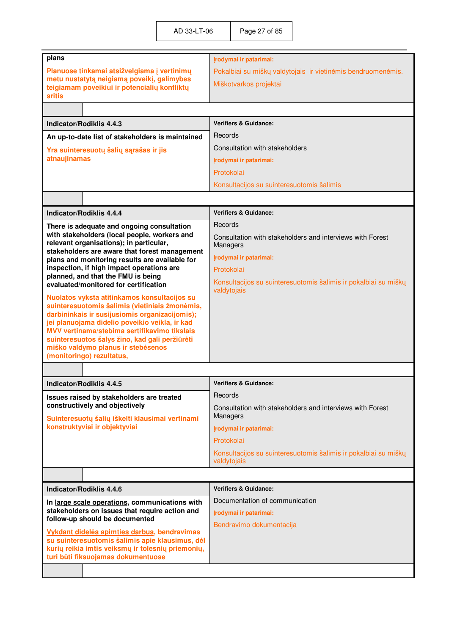| plans                                                                                           | Irodymai ir patarimai:                                                         |
|-------------------------------------------------------------------------------------------------|--------------------------------------------------------------------------------|
| Planuose tinkamai atsižvelgiama į vertinimų                                                     | Pokalbiai su miškų valdytojais ir vietinėmis bendruomenėmis.                   |
| metu nustatytą neigiamą poveikį, galimybes<br>teigiamam poveikiui ir potencialių konfliktų      | Miškotvarkos projektai                                                         |
| <b>sritis</b>                                                                                   |                                                                                |
|                                                                                                 |                                                                                |
| Indicator/Rodiklis 4.4.3                                                                        | <b>Verifiers &amp; Guidance:</b>                                               |
| An up-to-date list of stakeholders is maintained                                                | Records                                                                        |
| Yra suinteresuotų šalių sąrašas ir jis                                                          | Consultation with stakeholders                                                 |
| atnaujinamas                                                                                    | Irodymai ir patarimai:                                                         |
|                                                                                                 | Protokolai                                                                     |
|                                                                                                 | Konsultacijos su suinteresuotomis šalimis                                      |
|                                                                                                 |                                                                                |
| Indicator/Rodiklis 4.4.4                                                                        | <b>Verifiers &amp; Guidance:</b>                                               |
| There is adequate and ongoing consultation                                                      | Records                                                                        |
| with stakeholders (local people, workers and<br>relevant organisations); in particular,         | Consultation with stakeholders and interviews with Forest<br>Managers          |
| stakeholders are aware that forest management<br>plans and monitoring results are available for | Irodymai ir patarimai:                                                         |
| inspection, if high impact operations are                                                       | Protokolai                                                                     |
| planned, and that the FMU is being<br>evaluated/monitored for certification                     | Konsultacijos su suinteresuotomis šalimis ir pokalbiai su miškų<br>valdytojais |
| Nuolatos vyksta atitinkamos konsultacijos su<br>suinteresuotomis šalimis (vietiniais žmonėmis,  |                                                                                |
| darbininkais ir susijusiomis organizacijomis);                                                  |                                                                                |
| jei planuojama didelio poveikio veikla, ir kad<br>MVV vertinama/stebima sertifikavimo tikslais  |                                                                                |
| suinteresuotos šalys žino, kad gali peržiūrėti                                                  |                                                                                |
| miško valdymo planus ir stebėsenos<br>(monitoringo) rezultatus,                                 |                                                                                |
|                                                                                                 |                                                                                |
|                                                                                                 | <b>Verifiers &amp; Guidance:</b>                                               |
| Indicator/Rodiklis 4.4.5                                                                        | Records                                                                        |
| Issues raised by stakeholders are treated<br>constructively and objectively                     | Consultation with stakeholders and interviews with Forest                      |
| Suinteresuotų šalių iškelti klausimai vertinami                                                 | Managers                                                                       |
| konstruktyviai ir objektyviai                                                                   | Irodymai ir patarimai:                                                         |
|                                                                                                 | Protokolai                                                                     |
|                                                                                                 | Konsultacijos su suinteresuotomis šalimis ir pokalbiai su miškų<br>valdytojais |
|                                                                                                 |                                                                                |
| Indicator/Rodiklis 4.4.6                                                                        | <b>Verifiers &amp; Guidance:</b>                                               |
| In large scale operations, communications with                                                  | Documentation of communication                                                 |
| stakeholders on issues that require action and                                                  | Irodymai ir patarimai:                                                         |
| follow-up should be documented                                                                  | Bendravimo dokumentacija                                                       |
| Vykdant didelės apimties darbus, bendravimas<br>su suinteresuotomis šalimis apie klausimus, dėl |                                                                                |
| kurių reikia imtis veiksmų ir tolesnių priemonių,                                               |                                                                                |
|                                                                                                 |                                                                                |
| turi būti fiksuojamas dokumentuose                                                              |                                                                                |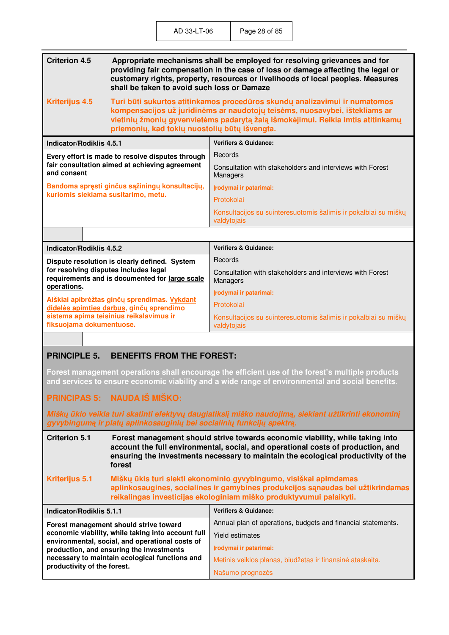| <b>Criterion 4.5</b><br>Appropriate mechanisms shall be employed for resolving grievances and for<br>providing fair compensation in the case of loss or damage affecting the legal or<br>customary rights, property, resources or livelihoods of local peoples. Measures<br>shall be taken to avoid such loss or Damaze |                                                                                                                                                                                                                                                                                               |                                                                                |
|-------------------------------------------------------------------------------------------------------------------------------------------------------------------------------------------------------------------------------------------------------------------------------------------------------------------------|-----------------------------------------------------------------------------------------------------------------------------------------------------------------------------------------------------------------------------------------------------------------------------------------------|--------------------------------------------------------------------------------|
| <b>Kriterijus 4.5</b>                                                                                                                                                                                                                                                                                                   | Turi būti sukurtos atitinkamos procedūros skundų analizavimui ir numatomos<br>kompensacijos už juridinėms ar naudotojų teisėms, nuosavybei, ištekliams ar<br>vietinių žmonių gyvenvietėms padarytą žalą išmokėjimui. Reikia imtis atitinkamų<br>priemonių, kad tokių nuostolių būtų išvengta. |                                                                                |
| <b>Indicator/Rodiklis 4.5.1</b>                                                                                                                                                                                                                                                                                         |                                                                                                                                                                                                                                                                                               | <b>Verifiers &amp; Guidance:</b>                                               |
| Every effort is made to resolve disputes through                                                                                                                                                                                                                                                                        |                                                                                                                                                                                                                                                                                               | Records                                                                        |
| and consent                                                                                                                                                                                                                                                                                                             | fair consultation aimed at achieving agreement                                                                                                                                                                                                                                                | Consultation with stakeholders and interviews with Forest<br>Managers          |
| Bandoma spręsti ginčus sąžiningų konsultacijų,                                                                                                                                                                                                                                                                          |                                                                                                                                                                                                                                                                                               | Irodymai ir patarimai:                                                         |
|                                                                                                                                                                                                                                                                                                                         | kuriomis siekiama susitarimo, metu.                                                                                                                                                                                                                                                           | Protokolai                                                                     |
|                                                                                                                                                                                                                                                                                                                         |                                                                                                                                                                                                                                                                                               | Konsultacijos su suinteresuotomis šalimis ir pokalbiai su miškų<br>valdytojais |
|                                                                                                                                                                                                                                                                                                                         |                                                                                                                                                                                                                                                                                               |                                                                                |
| <b>Indicator/Rodiklis 4.5.2</b>                                                                                                                                                                                                                                                                                         |                                                                                                                                                                                                                                                                                               | <b>Verifiers &amp; Guidance:</b>                                               |
|                                                                                                                                                                                                                                                                                                                         | Dispute resolution is clearly defined. System                                                                                                                                                                                                                                                 | Records                                                                        |
| operations.                                                                                                                                                                                                                                                                                                             | for resolving disputes includes legal<br>requirements and is documented for large scale                                                                                                                                                                                                       | Consultation with stakeholders and interviews with Forest<br>Managers          |
|                                                                                                                                                                                                                                                                                                                         |                                                                                                                                                                                                                                                                                               | Irodymai ir patarimai:                                                         |
|                                                                                                                                                                                                                                                                                                                         | Aiškiai apibrėžtas ginčų sprendimas. Vykdant<br>didelės apimties darbus, ginčų sprendimo                                                                                                                                                                                                      | Protokolai                                                                     |
| fiksuojama dokumentuose.                                                                                                                                                                                                                                                                                                | sistema apima teisinius reikalavimus ir                                                                                                                                                                                                                                                       | Konsultacijos su suinteresuotomis šalimis ir pokalbiai su miškų<br>valdytojais |

## **PRINCIPLE 5. BENEFITS FROM THE FOREST:**

**Forest management operations shall encourage the efficient use of the forest's multiple products and services to ensure economic viability and a wide range of environmental and social benefits.** 

## **PRINCIPAS 5: NAUDA IŠ MIŠKO:**

**necessary to maintain ecological functions and** 

**productivity of the forest.** 

*Miškų ūkio veikla turi skatinti efektyvų daugiatikslį miško naudojimą, siekiant užtikrinti ekonominį gyvybingumą ir platų aplinkosauginių bei socialinių funkcijų spektrą.*

| <b>Criterion 5.1</b>                                                                                  | Forest management should strive towards economic viability, while taking into<br>account the full environmental, social, and operational costs of production, and<br>ensuring the investments necessary to maintain the ecological productivity of the<br>forest |                                                              |
|-------------------------------------------------------------------------------------------------------|------------------------------------------------------------------------------------------------------------------------------------------------------------------------------------------------------------------------------------------------------------------|--------------------------------------------------------------|
| <b>Kriterijus 5.1</b>                                                                                 | Miškų ūkis turi siekti ekonominio gyvybingumo, visiškai apimdamas<br>aplinkosaugines, socialines ir gamybines produkcijos sąnaudas bei užtikrindamas<br>reikalingas investicijas ekologiniam miško produktyvumui palaikyti.                                      |                                                              |
| Indicator/Rodiklis 5.1.1                                                                              |                                                                                                                                                                                                                                                                  | <b>Verifiers &amp; Guidance:</b>                             |
| Forest management should strive toward                                                                |                                                                                                                                                                                                                                                                  | Annual plan of operations, budgets and financial statements. |
| economic viability, while taking into account full<br>environmental, social, and operational costs of | Yield estimates                                                                                                                                                                                                                                                  |                                                              |
|                                                                                                       | production, and ensuring the investments                                                                                                                                                                                                                         | Irodymai ir patarimai:                                       |

Našumo prognozės

Metinis veiklos planas, biudžetas ir finansinė ataskaita.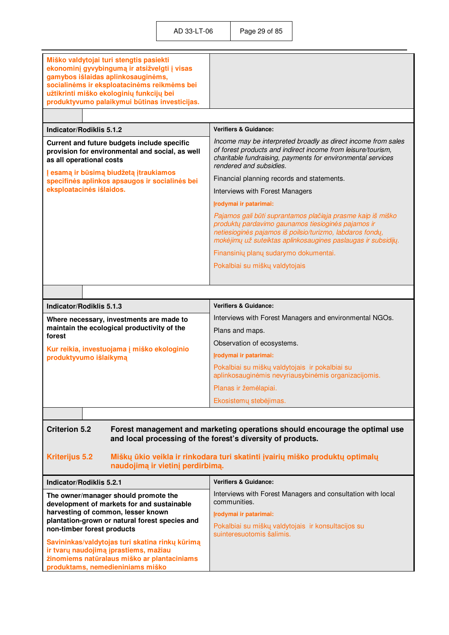| Miško valdytojai turi stengtis pasiekti<br>ekonominį gyvybingumą ir atsižvelgti į visas<br>gamybos išlaidas aplinkosauginėms,<br>socialinėms ir eksploatacinėms reikmėms bei<br>užtikrinti miško ekologinių funkcijų bei<br>produktyvumo palaikymui būtinas investicijas. |                                                                                                                                                                                                                                                 |
|---------------------------------------------------------------------------------------------------------------------------------------------------------------------------------------------------------------------------------------------------------------------------|-------------------------------------------------------------------------------------------------------------------------------------------------------------------------------------------------------------------------------------------------|
|                                                                                                                                                                                                                                                                           |                                                                                                                                                                                                                                                 |
| Indicator/Rodiklis 5.1.2                                                                                                                                                                                                                                                  | <b>Verifiers &amp; Guidance:</b>                                                                                                                                                                                                                |
| Current and future budgets include specific<br>provision for environmental and social, as well<br>as all operational costs                                                                                                                                                | Income may be interpreted broadly as direct income from sales<br>of forest products and indirect income from leisure/tourism,<br>charitable fundraising, payments for environmental services<br>rendered and subsidies.                         |
| Į esamą ir būsimą biudžetą įtraukiamos<br>specifinės aplinkos apsaugos ir socialinės bei                                                                                                                                                                                  | Financial planning records and statements.                                                                                                                                                                                                      |
| eksploatacinės išlaidos.                                                                                                                                                                                                                                                  | Interviews with Forest Managers                                                                                                                                                                                                                 |
|                                                                                                                                                                                                                                                                           | Įrodymai ir patarimai:                                                                                                                                                                                                                          |
|                                                                                                                                                                                                                                                                           | Pajamos gali būti suprantamos plačiąja prasme kaip iš miško<br>produktų pardavimo gaunamos tiesioginės pajamos ir<br>netiesioginės pajamos iš poilsio/turizmo, labdaros fondų,<br>mokėjimų už suteiktas aplinkosaugines paslaugas ir subsidijų. |
|                                                                                                                                                                                                                                                                           | Finansinių planų sudarymo dokumentai.                                                                                                                                                                                                           |
|                                                                                                                                                                                                                                                                           | Pokalbiai su miškų valdytojais                                                                                                                                                                                                                  |
|                                                                                                                                                                                                                                                                           |                                                                                                                                                                                                                                                 |
|                                                                                                                                                                                                                                                                           |                                                                                                                                                                                                                                                 |
| Indicator/Rodiklis 5.1.3                                                                                                                                                                                                                                                  | <b>Verifiers &amp; Guidance:</b>                                                                                                                                                                                                                |
| Where necessary, investments are made to<br>maintain the ecological productivity of the                                                                                                                                                                                   | Interviews with Forest Managers and environmental NGOs.                                                                                                                                                                                         |
| forest                                                                                                                                                                                                                                                                    | Plans and maps.                                                                                                                                                                                                                                 |
| Kur reikia, investuojama į miško ekologinio                                                                                                                                                                                                                               | Observation of ecosystems.                                                                                                                                                                                                                      |
| produktyvumo išlaikymą                                                                                                                                                                                                                                                    | Įrodymai ir patarimai:                                                                                                                                                                                                                          |
|                                                                                                                                                                                                                                                                           | Pokalbiai su miškų valdytojais ir pokalbiai su<br>aplinkosauginėmis nevyriausybinėmis organizacijomis.                                                                                                                                          |
|                                                                                                                                                                                                                                                                           | Planas ir žemėlapiai.                                                                                                                                                                                                                           |
|                                                                                                                                                                                                                                                                           | Ekosistemų stebėjimas.                                                                                                                                                                                                                          |
|                                                                                                                                                                                                                                                                           |                                                                                                                                                                                                                                                 |
| <b>Criterion 5.2</b><br>Forest management and marketing operations should encourage the optimal use<br>and local processing of the forest's diversity of products.                                                                                                        |                                                                                                                                                                                                                                                 |
| <b>Kriterijus 5.2</b><br>Miškų ūkio veikla ir rinkodara turi skatinti įvairių miško produktų optimalų<br>naudojimą ir vietinį perdirbimą.                                                                                                                                 |                                                                                                                                                                                                                                                 |
| Indicator/Rodiklis 5.2.1                                                                                                                                                                                                                                                  | <b>Verifiers &amp; Guidance:</b>                                                                                                                                                                                                                |
| The owner/manager should promote the<br>development of markets for and sustainable                                                                                                                                                                                        | Interviews with Forest Managers and consultation with local<br>communities.                                                                                                                                                                     |
| harvesting of common, lesser known<br>plantation-grown or natural forest species and                                                                                                                                                                                      | Įrodymai ir patarimai:                                                                                                                                                                                                                          |
| non-timber forest products                                                                                                                                                                                                                                                | Pokalbiai su miškų valdytojais ir konsultacijos su<br>suinteresuotomis šalimis.                                                                                                                                                                 |
| Savininkas/valdytojas turi skatina rinkų kūrimą                                                                                                                                                                                                                           |                                                                                                                                                                                                                                                 |
| ir tvarų naudojimą įprastiems, mažiau<br>žinomiems natūralaus miško ar plantaciniams                                                                                                                                                                                      |                                                                                                                                                                                                                                                 |
| produktams, nemedieniniams miško                                                                                                                                                                                                                                          |                                                                                                                                                                                                                                                 |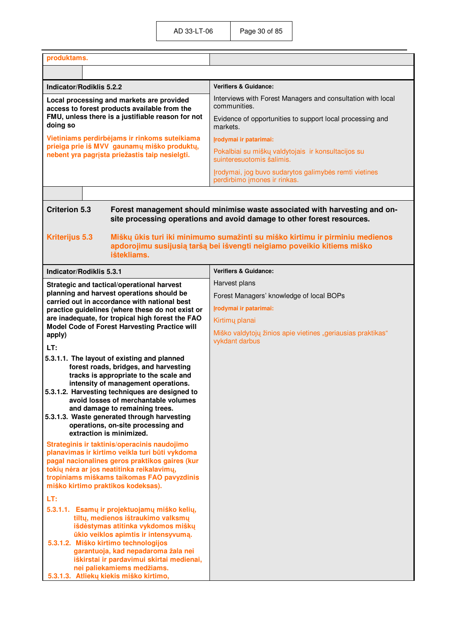| produktams.                                                                                                                                                                                                                                                                                                                                                                                                        |                                                                                       |
|--------------------------------------------------------------------------------------------------------------------------------------------------------------------------------------------------------------------------------------------------------------------------------------------------------------------------------------------------------------------------------------------------------------------|---------------------------------------------------------------------------------------|
|                                                                                                                                                                                                                                                                                                                                                                                                                    |                                                                                       |
| Indicator/Rodiklis 5.2.2                                                                                                                                                                                                                                                                                                                                                                                           | <b>Verifiers &amp; Guidance:</b>                                                      |
| Local processing and markets are provided<br>access to forest products available from the                                                                                                                                                                                                                                                                                                                          | Interviews with Forest Managers and consultation with local<br>communities.           |
| FMU, unless there is a justifiable reason for not<br>doing so                                                                                                                                                                                                                                                                                                                                                      | Evidence of opportunities to support local processing and<br>markets.                 |
| Vietiniams perdirbėjams ir rinkoms suteikiama                                                                                                                                                                                                                                                                                                                                                                      | Įrodymai ir patarimai:                                                                |
| prieiga prie iš MVV gaunamų miško produktų,<br>nebent yra pagrįsta priežastis taip nesielgti.                                                                                                                                                                                                                                                                                                                      | Pokalbiai su miškų valdytojais ir konsultacijos su<br>suinteresuotomis šalimis.       |
|                                                                                                                                                                                                                                                                                                                                                                                                                    | Įrodymai, jog buvo sudarytos galimybės remti vietines<br>perdirbimo įmones ir rinkas. |
|                                                                                                                                                                                                                                                                                                                                                                                                                    |                                                                                       |
| <b>Criterion 5.3</b><br>Forest management should minimise waste associated with harvesting and on-<br>site processing operations and avoid damage to other forest resources.<br><b>Kriterijus 5.3</b><br>Miškų ūkis turi iki minimumo sumažinti su miško kirtimu ir pirminiu medienos<br>apdorojimu susijusią taršą bei išvengti neigiamo poveikio kitiems miško<br>ištekliams.                                    |                                                                                       |
| Indicator/Rodiklis 5.3.1                                                                                                                                                                                                                                                                                                                                                                                           | <b>Verifiers &amp; Guidance:</b>                                                      |
| Strategic and tactical/operational harvest                                                                                                                                                                                                                                                                                                                                                                         | Harvest plans                                                                         |
| planning and harvest operations should be<br>carried out in accordance with national best                                                                                                                                                                                                                                                                                                                          | Forest Managers' knowledge of local BOPs                                              |
| practice guidelines (where these do not exist or                                                                                                                                                                                                                                                                                                                                                                   | Irodymai ir patarimai:                                                                |
| are inadequate, for tropical high forest the FAO<br>Model Code of Forest Harvesting Practice will                                                                                                                                                                                                                                                                                                                  | Kirtimų planai                                                                        |
| apply)                                                                                                                                                                                                                                                                                                                                                                                                             | Miško valdytojų žinios apie vietines "geriausias praktikas"<br>vykdant darbus         |
| LT:                                                                                                                                                                                                                                                                                                                                                                                                                |                                                                                       |
| 5.3.1.1. The layout of existing and planned<br>forest roads, bridges, and harvesting<br>tracks is appropriate to the scale and<br>intensity of management operations.<br>5.3.1.2. Harvesting techniques are designed to<br>avoid losses of merchantable volumes<br>and damage to remaining trees.<br>5.3.1.3. Waste generated through harvesting<br>operations, on-site processing and<br>extraction is minimized. |                                                                                       |
| Strateginis ir taktinis/operacinis naudojimo<br>planavimas ir kirtimo veikla turi būti vykdoma<br>pagal nacionalines geros praktikos gaires (kur<br>tokių nėra ar jos neatitinka reikalavimų,<br>tropiniams miškams taikomas FAO pavyzdinis<br>miško kirtimo praktikos kodeksas).                                                                                                                                  |                                                                                       |
| LT:<br>5.3.1.1. Esamų ir projektuojamų miško kelių,<br>tiltų, medienos ištraukimo valksmų<br>išdėstymas atitinka vykdomos miškų<br>ūkio veiklos apimtis ir intensyvumą.<br>5.3.1.2. Miško kirtimo technologijos<br>garantuoja, kad nepadaroma žala nei<br>iškirstai ir pardavimui skirtai medienai,<br>nei paliekamiems medžiams.<br>5.3.1.3. Atliekų kiekis miško kirtimo,                                        |                                                                                       |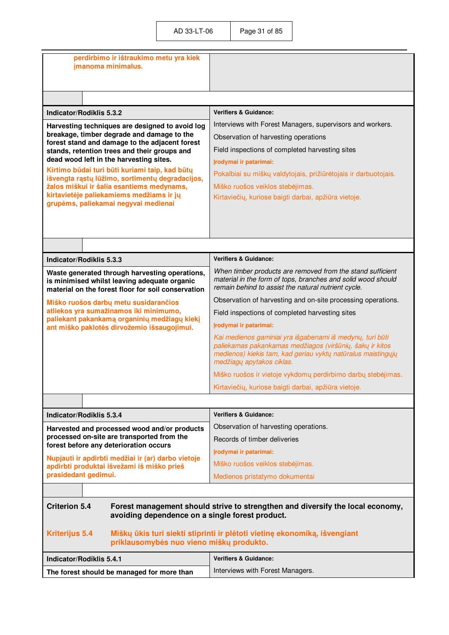| perdirbimo ir ištraukimo metu yra kiek<br>jmanoma minimalus.                                                                                                                                                                               |                                                                                                                                                                                                                    |
|--------------------------------------------------------------------------------------------------------------------------------------------------------------------------------------------------------------------------------------------|--------------------------------------------------------------------------------------------------------------------------------------------------------------------------------------------------------------------|
|                                                                                                                                                                                                                                            |                                                                                                                                                                                                                    |
|                                                                                                                                                                                                                                            |                                                                                                                                                                                                                    |
| Indicator/Rodiklis 5.3.2                                                                                                                                                                                                                   | <b>Verifiers &amp; Guidance:</b>                                                                                                                                                                                   |
| Harvesting techniques are designed to avoid log<br>breakage, timber degrade and damage to the<br>forest stand and damage to the adjacent forest<br>stands, retention trees and their groups and<br>dead wood left in the harvesting sites. | Interviews with Forest Managers, supervisors and workers.<br>Observation of harvesting operations<br>Field inspections of completed harvesting sites<br>Įrodymai ir patarimai:                                     |
| Kirtimo būdai turi būti kuriami taip, kad būtų<br>išvengta rąstų lūžimo, sortimentų degradacijos,<br>žalos miškui ir šalia esantiems medynams,<br>kirtavietėje paliekamiems medžiams ir jų<br>grupėms, paliekamai negyvai medienai         | Pokalbiai su miškų valdytojais, prižiūrėtojais ir darbuotojais.<br>Miško ruošos veiklos stebėjimas.<br>Kirtaviečių, kuriose baigti darbai, apžiūra vietoje.                                                        |
|                                                                                                                                                                                                                                            |                                                                                                                                                                                                                    |
| Indicator/Rodiklis 5.3.3                                                                                                                                                                                                                   | <b>Verifiers &amp; Guidance:</b>                                                                                                                                                                                   |
| Waste generated through harvesting operations,<br>is minimised whilst leaving adequate organic<br>material on the forest floor for soil conservation                                                                                       | When timber products are removed from the stand sufficient<br>material in the form of tops, branches and solid wood should<br>remain behind to assist the natural nutrient cycle.                                  |
| Miško ruošos darbų metu susidarančios                                                                                                                                                                                                      | Observation of harvesting and on-site processing operations.                                                                                                                                                       |
| atliekos yra sumažinamos iki minimumo,<br>paliekant pakankamą organinių medžiagų kiekį                                                                                                                                                     | Field inspections of completed harvesting sites                                                                                                                                                                    |
| ant miško paklotės dirvožemio išsaugojimui.                                                                                                                                                                                                | Įrodymai ir patarimai:                                                                                                                                                                                             |
|                                                                                                                                                                                                                                            | Kai medienos gaminiai yra išgabenami iš medynų, turi būti<br>paliekamas pakankamas medžiagos (viršūnių, šakų ir kitos<br>medienos) kiekis tam, kad geriau vyktų natūralus maistingųjų<br>medžiagų apytakos ciklas. |
|                                                                                                                                                                                                                                            | Miško ruošos ir vietoje vykdomų perdirbimo darbų stebėjimas.                                                                                                                                                       |
|                                                                                                                                                                                                                                            | Kirtaviečių, kuriose baigti darbai, apžiūra vietoje.                                                                                                                                                               |
|                                                                                                                                                                                                                                            |                                                                                                                                                                                                                    |
| Indicator/Rodiklis 5.3.4                                                                                                                                                                                                                   | <b>Verifiers &amp; Guidance:</b>                                                                                                                                                                                   |
| Harvested and processed wood and/or products                                                                                                                                                                                               | Observation of harvesting operations.                                                                                                                                                                              |
| processed on-site are transported from the<br>forest before any deterioration occurs                                                                                                                                                       | Records of timber deliveries                                                                                                                                                                                       |
| Nupjauti ir apdirbti medžiai ir (ar) darbo vietoje                                                                                                                                                                                         | Įrodymai ir patarimai:                                                                                                                                                                                             |
| apdirbti produktai išvežami iš miško prieš                                                                                                                                                                                                 | Miško ruošos veiklos stebėjimas.                                                                                                                                                                                   |
| prasidedant gedimui.                                                                                                                                                                                                                       | Medienos pristatymo dokumentai                                                                                                                                                                                     |
|                                                                                                                                                                                                                                            |                                                                                                                                                                                                                    |
| <b>Criterion 5.4</b><br>avoiding dependence on a single forest product.                                                                                                                                                                    | Forest management should strive to strengthen and diversify the local economy,                                                                                                                                     |
| <b>Kriterijus 5.4</b><br>priklausomybės nuo vieno miškų produkto.                                                                                                                                                                          | Miškų ūkis turi siekti stiprinti ir plėtoti vietinę ekonomiką, išvengiant                                                                                                                                          |
| Indicator/Rodiklis 5.4.1                                                                                                                                                                                                                   | <b>Verifiers &amp; Guidance:</b>                                                                                                                                                                                   |
| The forest should be managed for more than                                                                                                                                                                                                 | Interviews with Forest Managers.                                                                                                                                                                                   |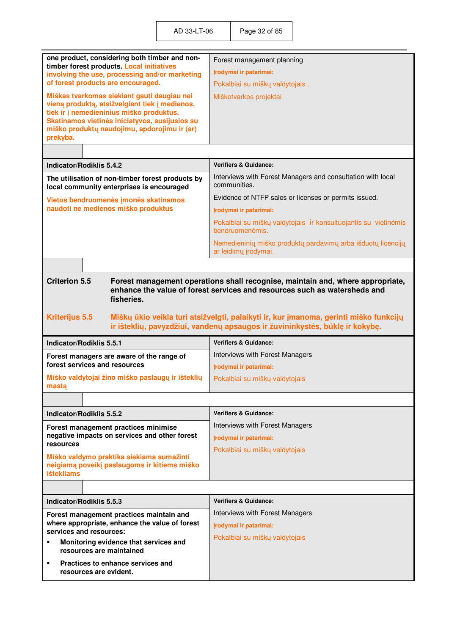| one product, considering both timber and non-<br>timber forest products. Local initiatives    | Forest management planning                                                                                                                                            |  |
|-----------------------------------------------------------------------------------------------|-----------------------------------------------------------------------------------------------------------------------------------------------------------------------|--|
| involving the use, processing and/or marketing                                                | Įrodymai ir patarimai:                                                                                                                                                |  |
| of forest products are encouraged.                                                            | Pokalbiai su miškų valdytojais.                                                                                                                                       |  |
| Miškas tvarkomas siekiant gauti daugiau nei                                                   | Miškotvarkos projektai                                                                                                                                                |  |
| vieną produktą, atsižvelgiant tiek į medienos,<br>tiek ir į nemedieninius miško produktus.    |                                                                                                                                                                       |  |
| Skatinamos vietinės iniciatyvos, susijusios su                                                |                                                                                                                                                                       |  |
| miško produktų naudojimu, apdorojimu ir (ar)                                                  |                                                                                                                                                                       |  |
| prekyba.                                                                                      |                                                                                                                                                                       |  |
|                                                                                               |                                                                                                                                                                       |  |
| Indicator/Rodiklis 5.4.2                                                                      | <b>Verifiers &amp; Guidance:</b>                                                                                                                                      |  |
| The utilisation of non-timber forest products by<br>local community enterprises is encouraged | Interviews with Forest Managers and consultation with local<br>communities.                                                                                           |  |
| Vietos bendruomenės įmonės skatinamos                                                         | Evidence of NTFP sales or licenses or permits issued.                                                                                                                 |  |
| naudoti ne medienos miško produktus                                                           | Irodymai ir patarimai:                                                                                                                                                |  |
|                                                                                               | Pokalbiai su miškų valdytojais ir konsultuojantis su vietinėmis<br>bendruomenėmis.                                                                                    |  |
|                                                                                               | Nemedieninių miško produktų pardavimų arba išduotų licencijų<br>ar leidimų įrodymai.                                                                                  |  |
|                                                                                               |                                                                                                                                                                       |  |
| <b>Criterion 5.5</b>                                                                          | Forest management operations shall recognise, maintain and, where appropriate,                                                                                        |  |
|                                                                                               | enhance the value of forest services and resources such as watersheds and                                                                                             |  |
| fisheries.                                                                                    |                                                                                                                                                                       |  |
|                                                                                               |                                                                                                                                                                       |  |
|                                                                                               |                                                                                                                                                                       |  |
| <b>Kriterijus 5.5</b>                                                                         | Miškų ūkio veikla turi atsižvelgti, palaikyti ir, kur įmanoma, gerinti miško funkcijų<br>ir išteklių, pavyzdžiui, vandenų apsaugos ir žuvininkystės, būklę ir kokybę. |  |
|                                                                                               |                                                                                                                                                                       |  |
| Indicator/Rodiklis 5.5.1                                                                      | <b>Verifiers &amp; Guidance:</b>                                                                                                                                      |  |
| Forest managers are aware of the range of                                                     | Interviews with Forest Managers                                                                                                                                       |  |
| forest services and resources                                                                 | Įrodymai ir patarimai:                                                                                                                                                |  |
| Miško valdytojai žino miško paslaugų ir išteklių<br>masta                                     | Pokalbiai su miškų valdytojais                                                                                                                                        |  |
|                                                                                               |                                                                                                                                                                       |  |
| Indicator/Rodiklis 5.5.2                                                                      | <b>Verifiers &amp; Guidance:</b>                                                                                                                                      |  |
| Forest management practices minimise                                                          | Interviews with Forest Managers                                                                                                                                       |  |
| negative impacts on services and other forest                                                 | Įrodymai ir patarimai:                                                                                                                                                |  |
| resources                                                                                     | Pokalbiai su miškų valdytojais                                                                                                                                        |  |
| Miško valdymo praktika siekiama sumažinti                                                     |                                                                                                                                                                       |  |
| neigiamą poveikį paslaugoms ir kitiems miško<br><b>ištekliams</b>                             |                                                                                                                                                                       |  |
|                                                                                               |                                                                                                                                                                       |  |
| Indicator/Rodiklis 5.5.3                                                                      | <b>Verifiers &amp; Guidance:</b>                                                                                                                                      |  |
|                                                                                               | Interviews with Forest Managers                                                                                                                                       |  |
| Forest management practices maintain and<br>where appropriate, enhance the value of forest    | Įrodymai ir patarimai:                                                                                                                                                |  |
| services and resources:                                                                       | Pokalbiai su miškų valdytojais                                                                                                                                        |  |
| Monitoring evidence that services and<br>٠<br>resources are maintained                        |                                                                                                                                                                       |  |
| Practices to enhance services and<br>٠                                                        |                                                                                                                                                                       |  |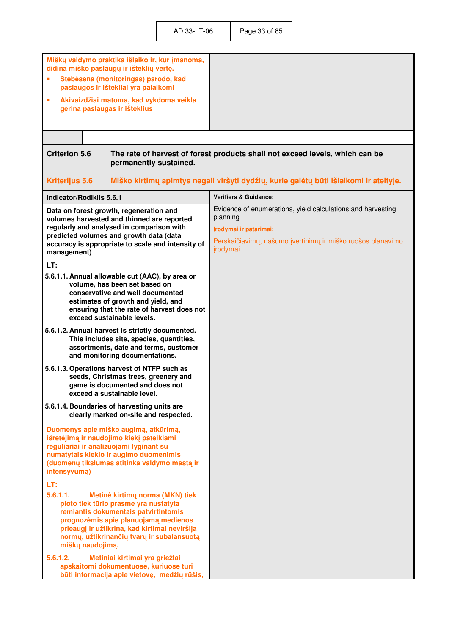| Miškų valdymo praktika išlaiko ir, kur įmanoma,<br>didina miško paslaugų ir išteklių vertę.<br>Stebėsena (monitoringas) parodo, kad<br>×<br>paslaugos ir ištekliai yra palaikomi<br>×<br>Akivaizdžiai matoma, kad vykdoma veikla<br>gerina paslaugas ir išteklius<br><b>Criterion 5.6</b><br>permanently sustained. | The rate of harvest of forest products shall not exceed levels, which can be                                                                                                 |  |
|---------------------------------------------------------------------------------------------------------------------------------------------------------------------------------------------------------------------------------------------------------------------------------------------------------------------|------------------------------------------------------------------------------------------------------------------------------------------------------------------------------|--|
| <b>Kriterijus 5.6</b><br>Miško kirtimų apimtys negali viršyti dydžių, kurie galėtų būti išlaikomi ir ateityje.                                                                                                                                                                                                      |                                                                                                                                                                              |  |
| Indicator/Rodiklis 5.6.1                                                                                                                                                                                                                                                                                            | <b>Verifiers &amp; Guidance:</b>                                                                                                                                             |  |
| Data on forest growth, regeneration and<br>volumes harvested and thinned are reported<br>regularly and analysed in comparison with<br>predicted volumes and growth data (data<br>accuracy is appropriate to scale and intensity of<br>management)                                                                   | Evidence of enumerations, yield calculations and harvesting<br>planning<br>Irodymai ir patarimai:<br>Perskaičiavimų, našumo įvertinimų ir miško ruošos planavimo<br>jrodymai |  |
| LT:                                                                                                                                                                                                                                                                                                                 |                                                                                                                                                                              |  |
| 5.6.1.1. Annual allowable cut (AAC), by area or<br>volume, has been set based on<br>conservative and well documented<br>estimates of growth and yield, and<br>ensuring that the rate of harvest does not<br>exceed sustainable levels.                                                                              |                                                                                                                                                                              |  |
| 5.6.1.2. Annual harvest is strictly documented.<br>This includes site, species, quantities,<br>assortments, date and terms, customer<br>and monitoring documentations.                                                                                                                                              |                                                                                                                                                                              |  |
| 5.6.1.3. Operations harvest of NTFP such as<br>seeds, Christmas trees, greenery and<br>game is documented and does not<br>exceed a sustainable level.                                                                                                                                                               |                                                                                                                                                                              |  |
| 5.6.1.4. Boundaries of harvesting units are<br>clearly marked on-site and respected.                                                                                                                                                                                                                                |                                                                                                                                                                              |  |
| Duomenys apie miško augimą, atkūrimą,<br>išretėjimą ir naudojimo kiekį pateikiami<br>reguliariai ir analizuojami lyginant su<br>numatytais kiekio ir augimo duomenimis<br>(duomenų tikslumas atitinka valdymo mastą ir<br>intensyvumą)<br>LT:<br>5.6.1.1.<br>Metinė kirtimų norma (MKN) tiek                        |                                                                                                                                                                              |  |
| ploto tiek tūrio prasme yra nustatyta<br>remiantis dokumentais patvirtintomis<br>prognozėmis apie planuojamą medienos<br>prieaugį ir užtikrina, kad kirtimai neviršija<br>normų, užtikrinančių tvarų ir subalansuotą<br>miškų naudojimą.<br>5.6.1.2.<br>Metiniai kirtimai yra griežtai                              |                                                                                                                                                                              |  |
| apskaitomi dokumentuose, kuriuose turi<br>būti informacija apie vietovę, medžių rūšis,                                                                                                                                                                                                                              |                                                                                                                                                                              |  |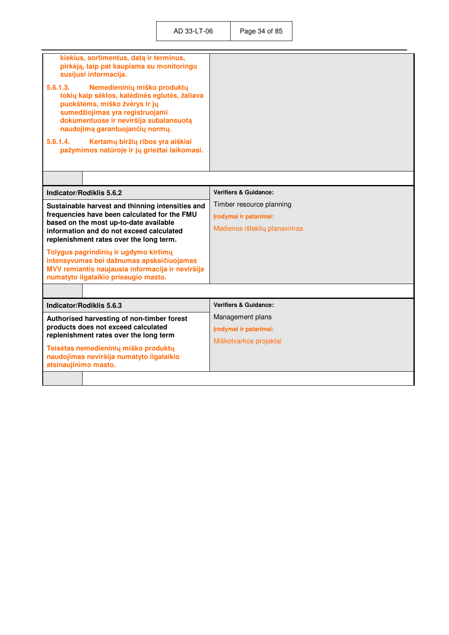| kiekius, sortimentus, datą ir terminus,<br>pirkėją, taip pat kaupiama su monitoringu<br>susijusi informacija.<br>5.6.1.3.<br>Nemedieninių miško produktų<br>tokių kaip sėklos, kalėdinės eglutės, žaliava<br>puokštėms, miško žvėrys ir jų<br>sumedžiojimas yra registruojami<br>dokumentuose ir neviršija subalansuotą<br>naudojimą garantuojančių normų.<br>5.6.1.4.<br>Kertamų biržių ribos yra aiškiai<br>pažymimos natūroje ir jų griežtai laikomasi. |                                                                                    |
|------------------------------------------------------------------------------------------------------------------------------------------------------------------------------------------------------------------------------------------------------------------------------------------------------------------------------------------------------------------------------------------------------------------------------------------------------------|------------------------------------------------------------------------------------|
|                                                                                                                                                                                                                                                                                                                                                                                                                                                            |                                                                                    |
| Indicator/Rodiklis 5.6.2                                                                                                                                                                                                                                                                                                                                                                                                                                   | <b>Verifiers &amp; Guidance:</b>                                                   |
| Sustainable harvest and thinning intensities and<br>frequencies have been calculated for the FMU<br>based on the most up-to-date available<br>information and do not exceed calculated<br>replenishment rates over the long term.<br>Tolygus pagrindinių ir ugdymo kirtimų<br>intensyvumas bei dažnumas apskaičiuojamas<br>MVV remiantis naujausia informacija ir neviršija<br>numatyto ilgalaikio prieaugio masto.                                        | Timber resource planning<br>Irodymai ir patarimai:<br>Medienos išteklių planavimas |
|                                                                                                                                                                                                                                                                                                                                                                                                                                                            |                                                                                    |
| Indicator/Rodiklis 5.6.3                                                                                                                                                                                                                                                                                                                                                                                                                                   | <b>Verifiers &amp; Guidance:</b>                                                   |
| Authorised harvesting of non-timber forest<br>products does not exceed calculated<br>replenishment rates over the long term<br>Teisėtas nemedieninių miško produktų<br>naudojimas neviršija numatyto ilgalaikio<br>atsinaujinimo masto.                                                                                                                                                                                                                    | Management plans<br>Irodymai ir patarimai:<br>Miškotvarkos projektai               |
|                                                                                                                                                                                                                                                                                                                                                                                                                                                            |                                                                                    |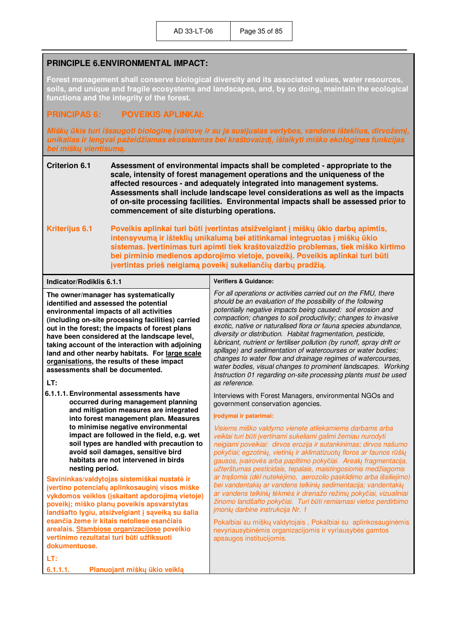#### **PRINCIPLE 6.ENVIRONMENTAL IMPACT:**

**Forest management shall conserve biological diversity and its associated values, water resources, soils, and unique and fragile ecosystems and landscapes, and, by so doing, maintain the ecological functions and the integrity of the forest.** 

#### **PRINCIPAS 6: POVEIKIS APLINKAI:**

*Miškų ūkis turi išsaugoti biologinę įvairovę ir su ja susijusias vertybes, vandens išteklius, dirvožemį, unikalias ir lengvai pažeidžiamas ekosistemas bei kraštovaizdį, išlaikyti miško ekologines funkcijas bei miškų vientisumą.*

- **Criterion 6.1 Assessment of environmental impacts shall be completed appropriate to the scale, intensity of forest management operations and the uniqueness of the affected resources - and adequately integrated into management systems. Assessments shall include landscape level considerations as well as the impacts of on-site processing facilities. Environmental impacts shall be assessed prior to commencement of site disturbing operations.**
- **Kriterijus 6.1 Poveikis aplinkai turi būti įvertintas atsižvelgiant į miškų ūkio darbų apimtis, intensyvumą ir išteklių unikalumą bei atitinkamai integruotas į miškų ūkio sistemas. Įvertinimas turi apimti tiek kraštovaizdžio problemas, tiek miško kirtimo bei pirminio medienos apdorojimo vietoje, poveikį. Poveikis aplinkai turi būti įvertintas prieš neigiamą poveikį sukeliančių darbų pradžią.**

| Indicator/Rodiklis 6.1.1                                                                                                                                                                                                                                                                                                                                                                                                                                                        | <b>Verifiers &amp; Guidance:</b>                                                                                                                                                                                                                                                                                                                                                                                                                                                                                                                                                                                                                                                                                                                                                                                                                              |
|---------------------------------------------------------------------------------------------------------------------------------------------------------------------------------------------------------------------------------------------------------------------------------------------------------------------------------------------------------------------------------------------------------------------------------------------------------------------------------|---------------------------------------------------------------------------------------------------------------------------------------------------------------------------------------------------------------------------------------------------------------------------------------------------------------------------------------------------------------------------------------------------------------------------------------------------------------------------------------------------------------------------------------------------------------------------------------------------------------------------------------------------------------------------------------------------------------------------------------------------------------------------------------------------------------------------------------------------------------|
| The owner/manager has systematically<br>identified and assessed the potential<br>environmental impacts of all activities<br>(including on-site processing facilities) carried<br>out in the forest; the impacts of forest plans<br>have been considered at the landscape level,<br>taking account of the interaction with adjoining<br>land and other nearby habitats. For large scale<br>organisations, the results of these impact<br>assessments shall be documented.<br>LT: | For all operations or activities carried out on the FMU, there<br>should be an evaluation of the possibility of the following<br>potentially negative impacts being caused: soil erosion and<br>compaction; changes to soil productivity; changes to invasive<br>exotic, native or naturalised flora or fauna species abundance,<br>diversity or distribution. Habitat fragmentation, pesticide,<br>lubricant, nutrient or fertiliser pollution (by runoff, spray drift or<br>spillage) and sedimentation of watercourses or water bodies;<br>changes to water flow and drainage regimes of watercourses,<br>water bodies, visual changes to prominent landscapes. Working<br>Instruction 01 regarding on-site processing plants must be used<br>as reference.                                                                                                |
| 6.1.1.1. Environmental assessments have<br>occurred during management planning<br>and mitigation measures are integrated<br>into forest management plan. Measures<br>to minimise negative environmental<br>impact are followed in the field, e.g. wet<br>soil types are handled with precaution to<br>avoid soil damages, sensitive bird<br>habitats are not intervened in birds<br>nesting period.                                                                             | Interviews with Forest Managers, environmental NGOs and<br>government conservation agencies.<br>Irodymai ir patarimai:<br>Visiems miško valdymo vienete atliekamiems darbams arba<br>veiklai turi būti įvertinami sukeliami galimi žemiau nurodyti<br>neigiami poveikiai: dirvos erozija ir sutankinimas; dirvos našumo<br>pokyčiai; egzotinių, vietinių ir aklimatizuotų floros ar faunos rūšių<br>gausos, įvairovės arba paplitimo pokyčiai. Arealų fragmentacija,<br>užterštumas pesticidais, tepalais, maistingosiomis medžiagomis<br>ar trąšomis (dėl nutekėjimo, aerozolio pasklidimo arba išsiliejimo)<br>bei vandentakių ar vandens telkinių sedimentacija; vandentakių<br>ar vandens telkinių tėkmės ir drenažo režimų pokyčiai, vizualiniai<br>žinomo landšafto pokyčiai. Turi būti remiamasi vietos perdirbimo<br>jmonių darbine instrukcija Nr. 1 |
| Savininkas/valdytojas sistemiškai nustatė ir<br>įvertino potencialų aplinkosauginį visos miške<br>vykdomos veiklos (įskaitant apdorojimą vietoje)<br>poveikį; miško planų poveikis apsvarstytas<br>landšafto lygiu, atsižvelgiant į sąveiką su šalia                                                                                                                                                                                                                            |                                                                                                                                                                                                                                                                                                                                                                                                                                                                                                                                                                                                                                                                                                                                                                                                                                                               |
| esančia žeme ir kitais netoliese esančiais<br>arealais. Stambiose organizacijose poveikio<br>vertinimo rezultatai turi būti užfiksuoti<br>dokumentuose.                                                                                                                                                                                                                                                                                                                         | Pokalbiai su miškų valdytojais, Pokalbiai su aplinkosauginėmis<br>nevyriausybinėmis organizacijomis ir vyriausybės gamtos<br>apsaugos institucijomis.                                                                                                                                                                                                                                                                                                                                                                                                                                                                                                                                                                                                                                                                                                         |
| LT:                                                                                                                                                                                                                                                                                                                                                                                                                                                                             |                                                                                                                                                                                                                                                                                                                                                                                                                                                                                                                                                                                                                                                                                                                                                                                                                                                               |
| 6.1.1.1.<br>Planuojant miškų ūkio veiklą                                                                                                                                                                                                                                                                                                                                                                                                                                        |                                                                                                                                                                                                                                                                                                                                                                                                                                                                                                                                                                                                                                                                                                                                                                                                                                                               |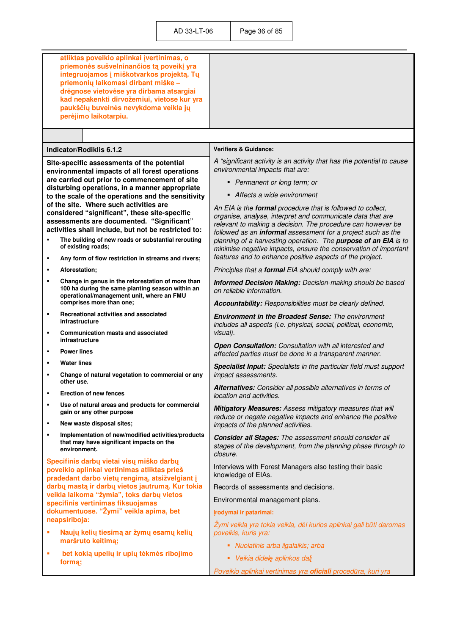|        | atliktas poveikio aplinkai įvertinimas, o<br>priemonės sušvelninančios tą poveikį yra<br>integruojamos į miškotvarkos projektą. Tų<br>priemonių laikomasi dirbant miške -<br>drėgnose vietovėse yra dirbama atsargiai<br>kad nepakenkti dirvožemiui, vietose kur yra<br>paukščių buveinės nevykdoma veikla jų<br>perėjimo laikotarpiu.                                                        |                                                                                                                                                                                                                                                                                                                                                                       |
|--------|-----------------------------------------------------------------------------------------------------------------------------------------------------------------------------------------------------------------------------------------------------------------------------------------------------------------------------------------------------------------------------------------------|-----------------------------------------------------------------------------------------------------------------------------------------------------------------------------------------------------------------------------------------------------------------------------------------------------------------------------------------------------------------------|
|        | Indicator/Rodiklis 6.1.2                                                                                                                                                                                                                                                                                                                                                                      | <b>Verifiers &amp; Guidance:</b>                                                                                                                                                                                                                                                                                                                                      |
|        | Site-specific assessments of the potential<br>environmental impacts of all forest operations<br>are carried out prior to commencement of site<br>disturbing operations, in a manner appropriate<br>to the scale of the operations and the sensitivity<br>of the site. Where such activities are<br>considered "significant", these site-specific<br>assessments are documented. "Significant" | A "significant activity is an activity that has the potential to cause<br>environmental impacts that are:<br>• Permanent or long term; or<br>• Affects a wide environment<br>An EIA is the formal procedure that is followed to collect,<br>organise, analyse, interpret and communicate data that are<br>relevant to making a decision. The procedure can however be |
| ٠      | activities shall include, but not be restricted to:<br>The building of new roads or substantial rerouting                                                                                                                                                                                                                                                                                     | followed as an informal assessment for a project such as the<br>planning of a harvesting operation. The purpose of an EIA is to                                                                                                                                                                                                                                       |
|        | of existing roads;                                                                                                                                                                                                                                                                                                                                                                            | minimise negative impacts, ensure the conservation of important                                                                                                                                                                                                                                                                                                       |
| ٠<br>٠ | Any form of flow restriction in streams and rivers;<br>Aforestation:                                                                                                                                                                                                                                                                                                                          | features and to enhance positive aspects of the project.<br>Principles that a formal EIA should comply with are:                                                                                                                                                                                                                                                      |
| ٠      | Change in genus in the reforestation of more than                                                                                                                                                                                                                                                                                                                                             | Informed Decision Making: Decision-making should be based                                                                                                                                                                                                                                                                                                             |
|        | 100 ha during the same planting season within an<br>operational/management unit, where an FMU                                                                                                                                                                                                                                                                                                 | on reliable information.                                                                                                                                                                                                                                                                                                                                              |
|        | comprises more than one;                                                                                                                                                                                                                                                                                                                                                                      | Accountability: Responsibilities must be clearly defined.                                                                                                                                                                                                                                                                                                             |
| ٠<br>п | Recreational activities and associated<br>infrastructure<br><b>Communication masts and associated</b>                                                                                                                                                                                                                                                                                         | <b>Environment in the Broadest Sense:</b> The environment<br>includes all aspects (i.e. physical, social, political, economic,<br>visual).                                                                                                                                                                                                                            |
| ٠      | infrastructure<br><b>Power lines</b>                                                                                                                                                                                                                                                                                                                                                          | Open Consultation: Consultation with all interested and<br>affected parties must be done in a transparent manner.                                                                                                                                                                                                                                                     |
| ٠      | <b>Water lines</b>                                                                                                                                                                                                                                                                                                                                                                            | Specialist Input: Specialists in the particular field must support                                                                                                                                                                                                                                                                                                    |
| п      | Change of natural vegetation to commercial or any<br>other use.                                                                                                                                                                                                                                                                                                                               | impact assessments.                                                                                                                                                                                                                                                                                                                                                   |
| ٠      | <b>Erection of new fences</b>                                                                                                                                                                                                                                                                                                                                                                 | Alternatives: Consider all possible alternatives in terms of<br>location and activities.                                                                                                                                                                                                                                                                              |
| ٠      | Use of natural areas and products for commercial<br>gain or any other purpose                                                                                                                                                                                                                                                                                                                 | <b>Mitigatory Measures: Assess mitigatory measures that will</b><br>reduce or negate negative impacts and enhance the positive                                                                                                                                                                                                                                        |
| ٠<br>٠ | New waste disposal sites;                                                                                                                                                                                                                                                                                                                                                                     | impacts of the planned activities.                                                                                                                                                                                                                                                                                                                                    |
|        | Implementation of new/modified activities/products<br>that may have significant impacts on the<br>environment.                                                                                                                                                                                                                                                                                | <b>Consider all Stages:</b> The assessment should consider all<br>stages of the development, from the planning phase through to<br>closure.                                                                                                                                                                                                                           |
|        | Specifinis darbų vietai visų miško darbų<br>poveikio aplinkai vertinimas atliktas prieš<br>pradedant darbo vietų rengimą, atsižvelgiant į                                                                                                                                                                                                                                                     | Interviews with Forest Managers also testing their basic<br>knowledge of EIAs.                                                                                                                                                                                                                                                                                        |
|        | darbų mastą ir darbų vietos jautrumą. Kur tokia                                                                                                                                                                                                                                                                                                                                               | Records of assessments and decisions.                                                                                                                                                                                                                                                                                                                                 |
|        | veikla laikoma "žymia", toks darbų vietos<br>specifinis vertinimas fiksuojamas                                                                                                                                                                                                                                                                                                                | Environmental management plans.                                                                                                                                                                                                                                                                                                                                       |
|        | dokumentuose. "Žymi" veikla apima, bet<br>neapsiriboja:                                                                                                                                                                                                                                                                                                                                       | Įrodymai ir patarimai:                                                                                                                                                                                                                                                                                                                                                |
| ٠      | Naujų kelių tiesimą ar žymų esamų kelių                                                                                                                                                                                                                                                                                                                                                       | Žymi veikla yra tokia veikla, dėl kurios aplinkai gali būti daromas<br>poveikis, kuris yra:                                                                                                                                                                                                                                                                           |
|        | maršruto keitimą;                                                                                                                                                                                                                                                                                                                                                                             | Nuolatinis arba ilgalaikis; arba                                                                                                                                                                                                                                                                                                                                      |
| n,     | bet kokią upelių ir upių tėkmės ribojimo<br>formą;                                                                                                                                                                                                                                                                                                                                            | • Veikia didelę aplinkos dalį                                                                                                                                                                                                                                                                                                                                         |
|        |                                                                                                                                                                                                                                                                                                                                                                                               | Poveikio aplinkai vertinimas yra oficiali procedūra, kuri yra                                                                                                                                                                                                                                                                                                         |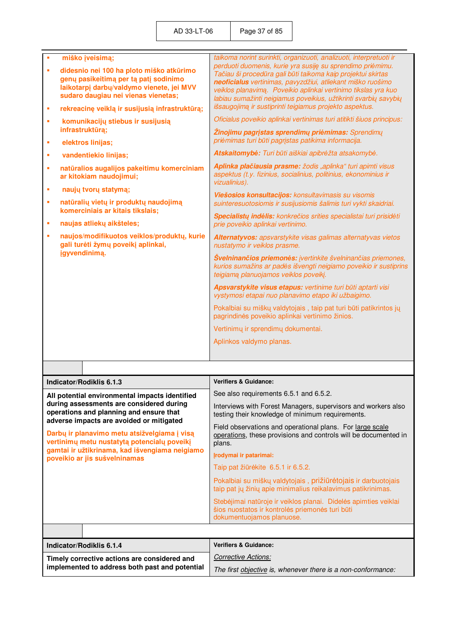| Î,<br>à,<br>×<br>Ì,<br>×<br>×<br>×<br>×<br>Ì,<br>×<br>×                                                                                                                                                                    | miško įveisimą;<br>didesnio nei 100 ha ploto miško atkūrimo<br>genų pasikeitimą per tą patį sodinimo<br>laikotarpį darbų/valdymo vienete, jei MVV<br>sudaro daugiau nei vienas vienetas;<br>rekreacinę veiklą ir susijusią infrastruktūrą;<br>komunikacijų stiebus ir susijusią<br>infrastruktūrą;<br>elektros linijas;<br>vandentiekio linijas;<br>natūralios augalijos pakeitimu komerciniam<br>ar kitokiam naudojimui;<br>naujų tvorų statymą;<br>natūralių vietų ir produktų naudojimą<br>komerciniais ar kitais tikslais;<br>naujas atliekų aikšteles;<br>naujos/modifikuotos veiklos/produktų, kurie<br>gali turėti žymų poveikį aplinkai,<br>jgyvendinimą. | taikoma norint surinkti, organizuoti, analizuoti, interpretuoti ir<br>perduoti duomenis, kurie yra susiję su sprendimo priėmimu.<br>Tačiau ši procedūra gali būti taikoma kaip projektui skirtas<br>neoficialus vertinimas, pavyzdžiui, atliekant miško ruošimo<br>veiklos planavimą. Poveikio aplinkai vertinimo tikslas yra kuo<br>labiau sumažinti neigiamus poveikius, užtikrinti svarbių savybių<br>išsaugojimą ir sustiprinti teigiamus projekto aspektus.<br>Oficialus poveikio aplinkai vertinimas turi atitikti šiuos principus:<br><b>Žinojimu pagrįstas sprendimų priėmimas:</b> Sprendimų<br>priėmimas turi būti pagrįstas patikima informacija.<br>Atskaitomybė: Turi būti aiškiai apibrėžta atsakomybė.<br>Aplinka plačiausia prasme: žodis "aplinka" turi apimti visus<br>aspektus (t.y. fizinius, socialinius, politinius, ekonominius ir<br>vizualinius).<br>Viešosios konsultacijos: konsultavimasis su visomis<br>suinteresuotosiomis ir susijusiomis šalimis turi vykti skaidriai.<br>Specialistų indėlis: konkrečios srities specialistai turi prisidėti<br>prie poveikio aplinkai vertinimo.<br>Alternatyvos: apsvarstykite visas galimas alternatyvas vietos<br>nustatymo ir veiklos prasme.<br>Svelninančios priemonės: įvertinkite švelninančias priemones,<br>kurios sumažins ar padės išvengti neigiamo poveikio ir sustiprins<br>teigiamą planuojamos veiklos poveikį. |  |
|----------------------------------------------------------------------------------------------------------------------------------------------------------------------------------------------------------------------------|-------------------------------------------------------------------------------------------------------------------------------------------------------------------------------------------------------------------------------------------------------------------------------------------------------------------------------------------------------------------------------------------------------------------------------------------------------------------------------------------------------------------------------------------------------------------------------------------------------------------------------------------------------------------|----------------------------------------------------------------------------------------------------------------------------------------------------------------------------------------------------------------------------------------------------------------------------------------------------------------------------------------------------------------------------------------------------------------------------------------------------------------------------------------------------------------------------------------------------------------------------------------------------------------------------------------------------------------------------------------------------------------------------------------------------------------------------------------------------------------------------------------------------------------------------------------------------------------------------------------------------------------------------------------------------------------------------------------------------------------------------------------------------------------------------------------------------------------------------------------------------------------------------------------------------------------------------------------------------------------------------------------------------------------------------------------------------|--|
|                                                                                                                                                                                                                            |                                                                                                                                                                                                                                                                                                                                                                                                                                                                                                                                                                                                                                                                   |                                                                                                                                                                                                                                                                                                                                                                                                                                                                                                                                                                                                                                                                                                                                                                                                                                                                                                                                                                                                                                                                                                                                                                                                                                                                                                                                                                                                    |  |
|                                                                                                                                                                                                                            |                                                                                                                                                                                                                                                                                                                                                                                                                                                                                                                                                                                                                                                                   | Apsvarstykite visus etapus: vertinime turi būti aptarti visi<br>vystymosi etapai nuo planavimo etapo iki užbaigimo.                                                                                                                                                                                                                                                                                                                                                                                                                                                                                                                                                                                                                                                                                                                                                                                                                                                                                                                                                                                                                                                                                                                                                                                                                                                                                |  |
|                                                                                                                                                                                                                            |                                                                                                                                                                                                                                                                                                                                                                                                                                                                                                                                                                                                                                                                   | Pokalbiai su miškų valdytojais, taip pat turi būti patikrintos jų<br>pagrindinės poveikio aplinkai vertinimo žinios.                                                                                                                                                                                                                                                                                                                                                                                                                                                                                                                                                                                                                                                                                                                                                                                                                                                                                                                                                                                                                                                                                                                                                                                                                                                                               |  |
|                                                                                                                                                                                                                            |                                                                                                                                                                                                                                                                                                                                                                                                                                                                                                                                                                                                                                                                   | Vertinimų ir sprendimų dokumentai.                                                                                                                                                                                                                                                                                                                                                                                                                                                                                                                                                                                                                                                                                                                                                                                                                                                                                                                                                                                                                                                                                                                                                                                                                                                                                                                                                                 |  |
|                                                                                                                                                                                                                            |                                                                                                                                                                                                                                                                                                                                                                                                                                                                                                                                                                                                                                                                   | Aplinkos valdymo planas.                                                                                                                                                                                                                                                                                                                                                                                                                                                                                                                                                                                                                                                                                                                                                                                                                                                                                                                                                                                                                                                                                                                                                                                                                                                                                                                                                                           |  |
|                                                                                                                                                                                                                            |                                                                                                                                                                                                                                                                                                                                                                                                                                                                                                                                                                                                                                                                   |                                                                                                                                                                                                                                                                                                                                                                                                                                                                                                                                                                                                                                                                                                                                                                                                                                                                                                                                                                                                                                                                                                                                                                                                                                                                                                                                                                                                    |  |
|                                                                                                                                                                                                                            |                                                                                                                                                                                                                                                                                                                                                                                                                                                                                                                                                                                                                                                                   |                                                                                                                                                                                                                                                                                                                                                                                                                                                                                                                                                                                                                                                                                                                                                                                                                                                                                                                                                                                                                                                                                                                                                                                                                                                                                                                                                                                                    |  |
|                                                                                                                                                                                                                            | Indicator/Rodiklis 6.1.3                                                                                                                                                                                                                                                                                                                                                                                                                                                                                                                                                                                                                                          | Verifiers & Guidance:                                                                                                                                                                                                                                                                                                                                                                                                                                                                                                                                                                                                                                                                                                                                                                                                                                                                                                                                                                                                                                                                                                                                                                                                                                                                                                                                                                              |  |
|                                                                                                                                                                                                                            | All potential environmental impacts identified                                                                                                                                                                                                                                                                                                                                                                                                                                                                                                                                                                                                                    | See also requirements 6.5.1 and 6.5.2.                                                                                                                                                                                                                                                                                                                                                                                                                                                                                                                                                                                                                                                                                                                                                                                                                                                                                                                                                                                                                                                                                                                                                                                                                                                                                                                                                             |  |
|                                                                                                                                                                                                                            | during assessments are considered during<br>operations and planning and ensure that                                                                                                                                                                                                                                                                                                                                                                                                                                                                                                                                                                               | Interviews with Forest Managers, supervisors and workers also<br>testing their knowledge of minimum requirements.                                                                                                                                                                                                                                                                                                                                                                                                                                                                                                                                                                                                                                                                                                                                                                                                                                                                                                                                                                                                                                                                                                                                                                                                                                                                                  |  |
| adverse impacts are avoided or mitigated<br>Darbų ir planavimo metu atsižvelgiama į visą<br>vertinimų metu nustatytą potencialų poveikį<br>gamtai ir užtikrinama, kad išvengiama neigiamo<br>poveikio ar jis sušvelninamas |                                                                                                                                                                                                                                                                                                                                                                                                                                                                                                                                                                                                                                                                   | Field observations and operational plans. For large scale<br>operations, these provisions and controls will be documented in<br>plans.                                                                                                                                                                                                                                                                                                                                                                                                                                                                                                                                                                                                                                                                                                                                                                                                                                                                                                                                                                                                                                                                                                                                                                                                                                                             |  |
|                                                                                                                                                                                                                            |                                                                                                                                                                                                                                                                                                                                                                                                                                                                                                                                                                                                                                                                   | Įrodymai ir patarimai:                                                                                                                                                                                                                                                                                                                                                                                                                                                                                                                                                                                                                                                                                                                                                                                                                                                                                                                                                                                                                                                                                                                                                                                                                                                                                                                                                                             |  |
|                                                                                                                                                                                                                            |                                                                                                                                                                                                                                                                                                                                                                                                                                                                                                                                                                                                                                                                   | Taip pat žiūrėkite 6.5.1 ir 6.5.2.                                                                                                                                                                                                                                                                                                                                                                                                                                                                                                                                                                                                                                                                                                                                                                                                                                                                                                                                                                                                                                                                                                                                                                                                                                                                                                                                                                 |  |
|                                                                                                                                                                                                                            |                                                                                                                                                                                                                                                                                                                                                                                                                                                                                                                                                                                                                                                                   | Pokalbiai su miškų valdytojais, prižiūrėtojais ir darbuotojais<br>taip pat jų žinių apie minimalius reikalavimus patikrinimas.                                                                                                                                                                                                                                                                                                                                                                                                                                                                                                                                                                                                                                                                                                                                                                                                                                                                                                                                                                                                                                                                                                                                                                                                                                                                     |  |
|                                                                                                                                                                                                                            |                                                                                                                                                                                                                                                                                                                                                                                                                                                                                                                                                                                                                                                                   | Stebėjimai natūroje ir veiklos planai. Didelės apimties veiklai<br>šios nuostatos ir kontrolės priemonės turi būti<br>dokumentuojamos planuose.                                                                                                                                                                                                                                                                                                                                                                                                                                                                                                                                                                                                                                                                                                                                                                                                                                                                                                                                                                                                                                                                                                                                                                                                                                                    |  |
|                                                                                                                                                                                                                            |                                                                                                                                                                                                                                                                                                                                                                                                                                                                                                                                                                                                                                                                   |                                                                                                                                                                                                                                                                                                                                                                                                                                                                                                                                                                                                                                                                                                                                                                                                                                                                                                                                                                                                                                                                                                                                                                                                                                                                                                                                                                                                    |  |
|                                                                                                                                                                                                                            | Indicator/Rodiklis 6.1.4                                                                                                                                                                                                                                                                                                                                                                                                                                                                                                                                                                                                                                          | <b>Verifiers &amp; Guidance:</b>                                                                                                                                                                                                                                                                                                                                                                                                                                                                                                                                                                                                                                                                                                                                                                                                                                                                                                                                                                                                                                                                                                                                                                                                                                                                                                                                                                   |  |

| Indicator/Rodiklis 6.1.4                       | <b>Verifiers &amp; Guidance:</b>                             |
|------------------------------------------------|--------------------------------------------------------------|
| Timely corrective actions are considered and   | Corrective Actions:                                          |
| implemented to address both past and potential | The first objective is, whenever there is a non-conformance: |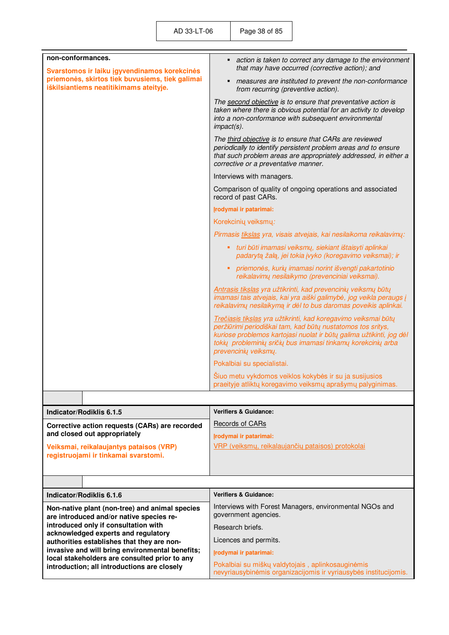| non-conformances.<br>Svarstomos ir laiku įgyvendinamos korekcinės                                | action is taken to correct any damage to the environment<br>п<br>that may have occurred (corrective action); and                                                                                                                                                                              |
|--------------------------------------------------------------------------------------------------|-----------------------------------------------------------------------------------------------------------------------------------------------------------------------------------------------------------------------------------------------------------------------------------------------|
| priemonės, skirtos tiek buvusiems, tiek galimai<br>iškilsiantiems neatitikimams ateityje.        | measures are instituted to prevent the non-conformance<br>from recurring (preventive action).                                                                                                                                                                                                 |
|                                                                                                  | The second objective is to ensure that preventative action is<br>taken where there is obvious potential for an activity to develop<br>into a non-conformance with subsequent environmental<br>$impact(s)$ .                                                                                   |
|                                                                                                  | The third objective is to ensure that CARs are reviewed<br>periodically to identify persistent problem areas and to ensure<br>that such problem areas are appropriately addressed, in either a<br>corrective or a preventative manner.                                                        |
|                                                                                                  | Interviews with managers.                                                                                                                                                                                                                                                                     |
|                                                                                                  | Comparison of quality of ongoing operations and associated<br>record of past CARs.                                                                                                                                                                                                            |
|                                                                                                  | Irodymai ir patarimai:                                                                                                                                                                                                                                                                        |
|                                                                                                  | Korekcinių veiksmų:                                                                                                                                                                                                                                                                           |
|                                                                                                  | Pirmasis tikslas yra, visais atvejais, kai nesilaikoma reikalavimų:                                                                                                                                                                                                                           |
|                                                                                                  | • turi būti imamasi veiksmų, siekiant ištaisyti aplinkai<br>padarytą žalą, jei tokia įvyko (koregavimo veiksmai); ir                                                                                                                                                                          |
|                                                                                                  | ٠<br>priemonės, kurių imamasi norint išvengti pakartotinio<br>reikalavimų nesilaikymo (prevenciniai veiksmai).                                                                                                                                                                                |
|                                                                                                  | Antrasis tikslas yra užtikrinti, kad prevencinių veiksmų būtų<br>imamasi tais atvejais, kai yra aiški galimybė, jog veikla peraugs į<br>reikalavimų nesilaikymą ir dėl to bus daromas poveikis aplinkai.                                                                                      |
|                                                                                                  | Trečiasis tikslas yra užtikrinti, kad koregavimo veiksmai būtų<br>peržiūrimi periodiškai tam, kad būtų nustatomos tos sritys,<br>kuriose problemos kartojasi nuolat ir būtų galima užtikinti, jog dėl<br>tokių probleminių sričių bus imamasi tinkamų korekcinių arba<br>prevencinių veiksmų. |
|                                                                                                  | Pokalbiai su specialistai.                                                                                                                                                                                                                                                                    |
|                                                                                                  | Šiuo metu vykdomos veiklos kokybės ir su ja susijusios<br>praeityje atliktų koregavimo veiksmų aprašymų palyginimas.                                                                                                                                                                          |
|                                                                                                  |                                                                                                                                                                                                                                                                                               |
| Indicator/Rodiklis 6.1.5                                                                         | <b>Verifiers &amp; Guidance:</b>                                                                                                                                                                                                                                                              |
| Corrective action requests (CARs) are recorded                                                   | Records of CARs                                                                                                                                                                                                                                                                               |
| and closed out appropriately                                                                     | Įrodymai ir patarimai:                                                                                                                                                                                                                                                                        |
| Veiksmai, reikalaujantys pataisos (VRP)<br>registruojami ir tinkamai svarstomi.                  | VRP (veiksmų, reikalaujančių pataisos) protokolai                                                                                                                                                                                                                                             |
|                                                                                                  |                                                                                                                                                                                                                                                                                               |
|                                                                                                  | <b>Verifiers &amp; Guidance:</b>                                                                                                                                                                                                                                                              |
| Indicator/Rodiklis 6.1.6                                                                         | Interviews with Forest Managers, environmental NGOs and                                                                                                                                                                                                                                       |
| Non-native plant (non-tree) and animal species<br>are introduced and/or native species re-       | government agencies.                                                                                                                                                                                                                                                                          |
| introduced only if consultation with<br>acknowledged experts and regulatory                      | Research briefs.                                                                                                                                                                                                                                                                              |
| authorities establishes that they are non-                                                       | Licences and permits.                                                                                                                                                                                                                                                                         |
| invasive and will bring environmental benefits;<br>local stakeholders are consulted prior to any | Irodymai ir patarimai:                                                                                                                                                                                                                                                                        |
| introduction; all introductions are closely                                                      | Pokalbiai su miškų valdytojais, aplinkosauginėmis<br>nevyriausybinėmis organizacijomis ir vyriausybės institucijomis.                                                                                                                                                                         |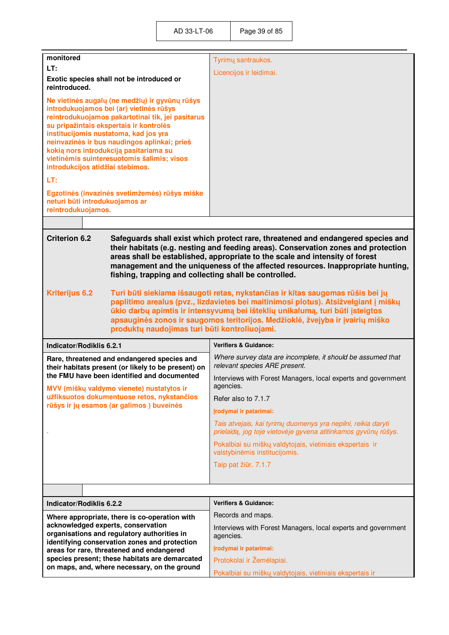| monitored                                                                                                                                                                                                                                                                                                                                                                                                             |                                                                                                    | Tyrimų santraukos.                                                                                                                                                                                                                                                                                                                        |
|-----------------------------------------------------------------------------------------------------------------------------------------------------------------------------------------------------------------------------------------------------------------------------------------------------------------------------------------------------------------------------------------------------------------------|----------------------------------------------------------------------------------------------------|-------------------------------------------------------------------------------------------------------------------------------------------------------------------------------------------------------------------------------------------------------------------------------------------------------------------------------------------|
| LT:                                                                                                                                                                                                                                                                                                                                                                                                                   |                                                                                                    | Licencijos ir leidimai.                                                                                                                                                                                                                                                                                                                   |
| Exotic species shall not be introduced or<br>reintroduced.                                                                                                                                                                                                                                                                                                                                                            |                                                                                                    |                                                                                                                                                                                                                                                                                                                                           |
| Ne vietinės augalų (ne medžių) ir gyvūnų rūšys<br>introdukuojamos bei (ar) vietinės rūšys<br>reintrodukuojamos pakartotinai tik, jei pasitarus<br>su pripažintais ekspertais ir kontrolės<br>institucijomis nustatoma, kad jos yra<br>neinvazinės ir bus naudingos aplinkai; prieš<br>kokia nors introdukciją pasitariama su<br>vietinėmis suinteresuotomis šalimis; visos<br>introdukcijos atidžiai stebimos.<br>LT: |                                                                                                    |                                                                                                                                                                                                                                                                                                                                           |
| Egzotinės (invazinės svetimžemės) rūšys miške<br>neturi būti introdukuojamos ar<br>reintrodukuojamos.                                                                                                                                                                                                                                                                                                                 |                                                                                                    |                                                                                                                                                                                                                                                                                                                                           |
|                                                                                                                                                                                                                                                                                                                                                                                                                       |                                                                                                    |                                                                                                                                                                                                                                                                                                                                           |
| <b>Criterion 6.2</b><br>fishing, trapping and collecting shall be controlled.                                                                                                                                                                                                                                                                                                                                         |                                                                                                    | Safeguards shall exist which protect rare, threatened and endangered species and<br>their habitats (e.g. nesting and feeding areas). Conservation zones and protection<br>areas shall be established, appropriate to the scale and intensity of forest<br>management and the uniqueness of the affected resources. Inappropriate hunting, |
| <b>Kriterijus 6.2</b><br>produktų naudojimas turi būti kontroliuojami.                                                                                                                                                                                                                                                                                                                                                |                                                                                                    | Turi būti siekiama išsaugoti retas, nykstančias ir kitas saugomas rūšis bei jų<br>paplitimo arealus (pvz., lizdavietes bei maitinimosi plotus). Atsižvelgiant į miškų<br>ūkio darbų apimtis ir intensyvumą bei išteklių unikalumą, turi būti įsteigtos<br>apsauginės zonos ir saugomos teritorijos. Medžioklė, žvejyba ir įvairių miško   |
| Indicator/Rodiklis 6.2.1                                                                                                                                                                                                                                                                                                                                                                                              |                                                                                                    | <b>Verifiers &amp; Guidance:</b>                                                                                                                                                                                                                                                                                                          |
|                                                                                                                                                                                                                                                                                                                                                                                                                       | Rare, threatened and endangered species and<br>their habitats present (or likely to be present) on | Where survey data are incomplete, it should be assumed that<br>relevant species ARE present.                                                                                                                                                                                                                                              |
| the FMU have been identified and documented<br>MVV (miškų valdymo vienete) nustatytos ir                                                                                                                                                                                                                                                                                                                              |                                                                                                    | Interviews with Forest Managers, local experts and government<br>agencies.                                                                                                                                                                                                                                                                |
|                                                                                                                                                                                                                                                                                                                                                                                                                       | užfiksuotos dokumentuose retos, nykstančios                                                        | Refer also to 7.1.7                                                                                                                                                                                                                                                                                                                       |
|                                                                                                                                                                                                                                                                                                                                                                                                                       | rūšys ir jų esamos (ar galimos) buveinės                                                           | Įrodymai ir patarimai:                                                                                                                                                                                                                                                                                                                    |
|                                                                                                                                                                                                                                                                                                                                                                                                                       |                                                                                                    | Tais atvejais, kai tyrimų duomenys yra nepilni, reikia daryti<br>prielaidą, jog toje vietovėje gyvena atitinkamos gyvūnų rūšys.                                                                                                                                                                                                           |
|                                                                                                                                                                                                                                                                                                                                                                                                                       |                                                                                                    | Pokalbiai su miškų valdytojais, vietiniais ekspertais ir<br>valstybinėmis institucijomis.                                                                                                                                                                                                                                                 |
|                                                                                                                                                                                                                                                                                                                                                                                                                       |                                                                                                    | Taip pat žiūr. 7.1.7                                                                                                                                                                                                                                                                                                                      |
|                                                                                                                                                                                                                                                                                                                                                                                                                       |                                                                                                    |                                                                                                                                                                                                                                                                                                                                           |
|                                                                                                                                                                                                                                                                                                                                                                                                                       |                                                                                                    |                                                                                                                                                                                                                                                                                                                                           |
| Indicator/Rodiklis 6.2.2                                                                                                                                                                                                                                                                                                                                                                                              |                                                                                                    | <b>Verifiers &amp; Guidance:</b>                                                                                                                                                                                                                                                                                                          |
| acknowledged experts, conservation                                                                                                                                                                                                                                                                                                                                                                                    | Where appropriate, there is co-operation with                                                      | Records and maps.                                                                                                                                                                                                                                                                                                                         |
|                                                                                                                                                                                                                                                                                                                                                                                                                       | organisations and regulatory authorities in                                                        | Interviews with Forest Managers, local experts and government<br>agencies.                                                                                                                                                                                                                                                                |
| identifying conservation zones and protection<br>areas for rare, threatened and endangered<br>species present; these habitats are demarcated<br>on maps, and, where necessary, on the ground                                                                                                                                                                                                                          |                                                                                                    | Įrodymai ir patarimai:                                                                                                                                                                                                                                                                                                                    |
|                                                                                                                                                                                                                                                                                                                                                                                                                       |                                                                                                    | Protokolai ir Žemėlapiai.                                                                                                                                                                                                                                                                                                                 |
|                                                                                                                                                                                                                                                                                                                                                                                                                       |                                                                                                    | Pokalbiai su miškų valdytojais, vietiniais ekspertais ir                                                                                                                                                                                                                                                                                  |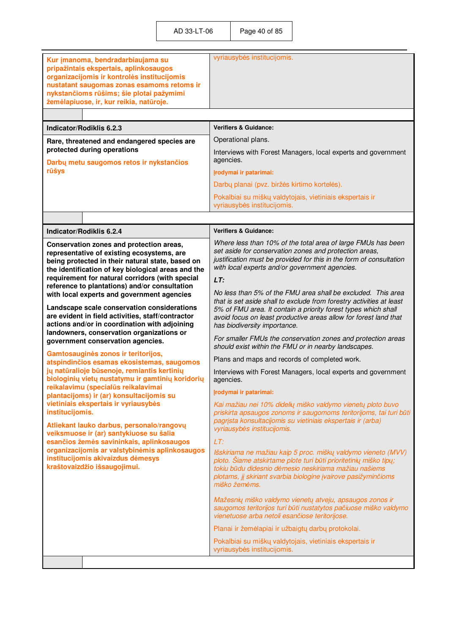| Kur įmanoma, bendradarbiaujama su<br>pripažintais ekspertais, aplinkosaugos<br>organizacijomis ir kontrolės institucijomis<br>nustatant saugomas zonas esamoms retoms ir<br>nykstančioms rūšims; šie plotai pažymimi<br>žemėlapiuose, ir, kur reikia, natūroje. | vyriausybės institucijomis.                                                                                                                                                                                                                                                                                |  |  |
|-----------------------------------------------------------------------------------------------------------------------------------------------------------------------------------------------------------------------------------------------------------------|------------------------------------------------------------------------------------------------------------------------------------------------------------------------------------------------------------------------------------------------------------------------------------------------------------|--|--|
|                                                                                                                                                                                                                                                                 |                                                                                                                                                                                                                                                                                                            |  |  |
| Indicator/Rodiklis 6.2.3                                                                                                                                                                                                                                        | <b>Verifiers &amp; Guidance:</b>                                                                                                                                                                                                                                                                           |  |  |
| Rare, threatened and endangered species are                                                                                                                                                                                                                     | Operational plans.                                                                                                                                                                                                                                                                                         |  |  |
| protected during operations<br>Darbų metu saugomos retos ir nykstančios                                                                                                                                                                                         | Interviews with Forest Managers, local experts and government<br>agencies.                                                                                                                                                                                                                                 |  |  |
| rūšys                                                                                                                                                                                                                                                           | Įrodymai ir patarimai:                                                                                                                                                                                                                                                                                     |  |  |
|                                                                                                                                                                                                                                                                 | Darbų planai (pvz. biržės kirtimo kortelės).                                                                                                                                                                                                                                                               |  |  |
|                                                                                                                                                                                                                                                                 | Pokalbiai su miškų valdytojais, vietiniais ekspertais ir<br>vyriausybės institucijomis.                                                                                                                                                                                                                    |  |  |
|                                                                                                                                                                                                                                                                 |                                                                                                                                                                                                                                                                                                            |  |  |
| Indicator/Rodiklis 6.2.4                                                                                                                                                                                                                                        | <b>Verifiers &amp; Guidance:</b>                                                                                                                                                                                                                                                                           |  |  |
| Conservation zones and protection areas,<br>representative of existing ecosystems, are<br>being protected in their natural state, based on<br>the identification of key biological areas and the                                                                | Where less than 10% of the total area of large FMUs has been<br>set aside for conservation zones and protection areas,<br>justification must be provided for this in the form of consultation<br>with local experts and/or government agencies.                                                            |  |  |
| requirement for natural corridors (with special<br>reference to plantations) and/or consultation                                                                                                                                                                | LT:                                                                                                                                                                                                                                                                                                        |  |  |
| with local experts and government agencies<br>Landscape scale conservation considerations<br>are evident in field activities, staff/contractor<br>actions and/or in coordination with adjoining<br>landowners, conservation organizations or                    | No less than 5% of the FMU area shall be excluded. This area<br>that is set aside shall to exclude from forestry activities at least<br>5% of FMU area. It contain a priority forest types which shall<br>avoid focus on least productive areas allow for forest land that<br>has biodiversity importance. |  |  |
| government conservation agencies.                                                                                                                                                                                                                               | For smaller FMUs the conservation zones and protection areas<br>should exist within the FMU or in nearby landscapes.                                                                                                                                                                                       |  |  |
| Gamtosauginės zonos ir teritorijos,<br>atspindinčios esamas ekosistemas, saugomos                                                                                                                                                                               | Plans and maps and records of completed work.                                                                                                                                                                                                                                                              |  |  |
| jų natūralioje būsenoje, remiantis kertinių<br>biologinių vietų nustatymu ir gamtinių koridorių                                                                                                                                                                 | Interviews with Forest Managers, local experts and government<br>agencies.                                                                                                                                                                                                                                 |  |  |
| reikalavimu (specialūs reikalavimai<br>plantacijoms) ir (ar) konsultacijomis su                                                                                                                                                                                 | Irodymai ir patarimai:                                                                                                                                                                                                                                                                                     |  |  |
| vietiniais ekspertais ir vyriausybės<br>institucijomis.<br>Atliekant lauko darbus, personalo/rangovų<br>veiksmuose ir (ar) santykiuose su šalia                                                                                                                 | Kai mažiau nei 10% didelių miško valdymo vienetų ploto buvo<br>priskirta apsaugos zonoms ir saugomoms teritorijoms, tai turi būti<br>pagrista konsultacijomis su vietiniais ekspertais ir (arba)<br>vyriausybės institucijomis.                                                                            |  |  |
| esančios žemės savininkais, aplinkosaugos                                                                                                                                                                                                                       | LT:                                                                                                                                                                                                                                                                                                        |  |  |
| organizacijomis ar valstybinėmis aplinkosaugos<br>institucijomis akivaizdus dėmesys<br>kraštovaizdžio išsaugojimui.                                                                                                                                             | Išskiriama ne mažiau kaip 5 proc. mišky valdymo vieneto (MVV)<br>ploto. Šiame atskirtame plote turi būti prioritetinių miško tipų;<br>tokiu būdu didesnio dėmesio neskiriama mažiau našiems<br>plotams, jį skiriant svarbia biologine įvairove pasižyminčioms<br>miško žemėms.                             |  |  |
|                                                                                                                                                                                                                                                                 | Mažesnių miško valdymo vienetų atveju, apsaugos zonos ir<br>saugomos teritorijos turi būti nustatytos pačiuose miško valdymo<br>vienetuose arba netoli esančiose teritorijose.                                                                                                                             |  |  |
|                                                                                                                                                                                                                                                                 | Planai ir žemėlapiai ir užbaigtų darbų protokolai.                                                                                                                                                                                                                                                         |  |  |
|                                                                                                                                                                                                                                                                 | Pokalbiai su miškų valdytojais, vietiniais ekspertais ir<br>vyriausybės institucijomis.                                                                                                                                                                                                                    |  |  |
|                                                                                                                                                                                                                                                                 |                                                                                                                                                                                                                                                                                                            |  |  |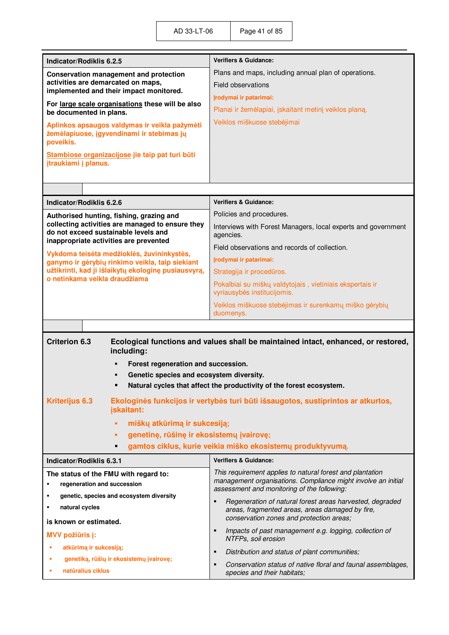| Indicator/Rodiklis 6.2.5                                                                                                           | <b>Verifiers &amp; Guidance:</b>                                                                                                                        |  |  |
|------------------------------------------------------------------------------------------------------------------------------------|---------------------------------------------------------------------------------------------------------------------------------------------------------|--|--|
| <b>Conservation management and protection</b>                                                                                      | Plans and maps, including annual plan of operations.                                                                                                    |  |  |
| activities are demarcated on maps,<br>implemented and their impact monitored.                                                      | Field observations                                                                                                                                      |  |  |
| For large scale organisations these will be also                                                                                   | Irodymai ir patarimai:                                                                                                                                  |  |  |
| be documented in plans.                                                                                                            | Planai ir žemėlapiai, įskaitant metinį veiklos planą.                                                                                                   |  |  |
| Aplinkos apsaugos valdymas ir veikla pažymėti<br>žemėlapiuose, įgyvendinami ir stebimas jų<br>poveikis.                            | Veiklos miškuose stebėjimai                                                                                                                             |  |  |
| Stambiose organizacijose jie taip pat turi būti<br>įtraukiami į planus.                                                            |                                                                                                                                                         |  |  |
|                                                                                                                                    |                                                                                                                                                         |  |  |
| Indicator/Rodiklis 6.2.6                                                                                                           | <b>Verifiers &amp; Guidance:</b>                                                                                                                        |  |  |
| Authorised hunting, fishing, grazing and                                                                                           | Policies and procedures.                                                                                                                                |  |  |
| collecting activities are managed to ensure they<br>do not exceed sustainable levels and<br>inappropriate activities are prevented | Interviews with Forest Managers, local experts and government<br>agencies.                                                                              |  |  |
| Vykdoma teisėta medžioklės, žuvininkystės,                                                                                         | Field observations and records of collection.                                                                                                           |  |  |
| ganymo ir gėrybių rinkimo veikla, taip siekiant                                                                                    | Irodymai ir patarimai:                                                                                                                                  |  |  |
| užtikrinti, kad ji išlaikytų ekologinę pusiausvyrą,<br>o netinkama veikla draudžiama                                               | Strategija ir procedūros.                                                                                                                               |  |  |
|                                                                                                                                    | Pokalbiai su miškų valdytojais, vietiniais ekspertais ir<br>vyriausybės institucijomis.                                                                 |  |  |
|                                                                                                                                    | Veiklos miškuose stebėjimas ir surenkamų miško gėrybių                                                                                                  |  |  |
|                                                                                                                                    | duomenys.                                                                                                                                               |  |  |
|                                                                                                                                    |                                                                                                                                                         |  |  |
| <b>Criterion 6.3</b><br>including:                                                                                                 | Ecological functions and values shall be maintained intact, enhanced, or restored,                                                                      |  |  |
| Forest regeneration and succession.                                                                                                |                                                                                                                                                         |  |  |
| Genetic species and ecosystem diversity.                                                                                           |                                                                                                                                                         |  |  |
|                                                                                                                                    | Natural cycles that affect the productivity of the forest ecosystem.                                                                                    |  |  |
| <b>Kriterijus 6.3</b><br>jskaitant:                                                                                                | Ekologinės funkcijos ir vertybės turi būti išsaugotos, sustiprintos ar atkurtos,                                                                        |  |  |
| miškų atkūrimą ir sukcesiją;<br>ä,                                                                                                 |                                                                                                                                                         |  |  |
| genetinę, rūšinę ir ekosistemų įvairovę;<br>٠                                                                                      |                                                                                                                                                         |  |  |
| п                                                                                                                                  | gamtos ciklus, kurie veikia miško ekosistemų produktyvumą.                                                                                              |  |  |
| Indicator/Rodiklis 6.3.1                                                                                                           | <b>Verifiers &amp; Guidance:</b>                                                                                                                        |  |  |
| The status of the FMU with regard to:<br>regeneration and succession<br>٠                                                          | This requirement applies to natural forest and plantation<br>management organisations. Compliance might involve an initial                              |  |  |
| genetic, species and ecosystem diversity<br>٠                                                                                      | assessment and monitoring of the following:                                                                                                             |  |  |
| natural cycles<br>٠                                                                                                                | Regeneration of natural forest areas harvested, degraded<br>areas, fragmented areas, areas damaged by fire,<br>conservation zones and protection areas; |  |  |
| is known or estimated.<br><b>MVV požiūris j:</b>                                                                                   | Impacts of past management e.g. logging, collection of<br>٠<br>NTFPs, soil erosion                                                                      |  |  |
| atkūrimą ir sukcesiją;<br>٠                                                                                                        | Distribution and status of plant communities;<br>$\blacksquare$                                                                                         |  |  |
| genetiką, rūšių ir ekosistemų įvairovę;                                                                                            | $\blacksquare$                                                                                                                                          |  |  |
| natūralius ciklus                                                                                                                  | Conservation status of native floral and faunal assemblages,<br>species and their habitats;                                                             |  |  |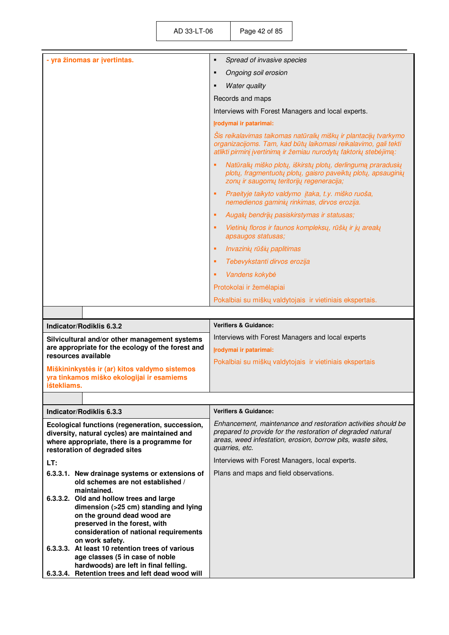| - yra žinomas ar įvertintas.                                                                                                                                                                              | $\blacksquare$<br>Spread of invasive species                                                                                                                                                                  |
|-----------------------------------------------------------------------------------------------------------------------------------------------------------------------------------------------------------|---------------------------------------------------------------------------------------------------------------------------------------------------------------------------------------------------------------|
|                                                                                                                                                                                                           | Ongoing soil erosion<br>п                                                                                                                                                                                     |
|                                                                                                                                                                                                           | <b>Water quality</b><br>п                                                                                                                                                                                     |
|                                                                                                                                                                                                           | Records and maps                                                                                                                                                                                              |
|                                                                                                                                                                                                           | Interviews with Forest Managers and local experts.                                                                                                                                                            |
|                                                                                                                                                                                                           | Irodymai ir patarimai:                                                                                                                                                                                        |
|                                                                                                                                                                                                           | Šis reikalavimas taikomas natūralių miškų ir plantacijų tvarkymo<br>organizacijoms. Tam, kad būtų laikomasi reikalavimo, gali tekti<br>atlikti pirminį įvertinimą ir žemiau nurodytų faktorių stebėjimą:      |
|                                                                                                                                                                                                           | Natūralių miško plotų, iškirstų plotų, derlingumą praradusių<br>plotų, fragmentuotų plotų, gaisro paveiktų plotų, apsauginių<br>zonų ir saugomų teritorijų regeneracija;                                      |
|                                                                                                                                                                                                           | Praeityje taikyto valdymo įtaka, t.y. miško ruoša,<br>٠<br>nemedienos gaminių rinkimas, dirvos erozija.                                                                                                       |
|                                                                                                                                                                                                           | Augalų bendrijų pasiskirstymas ir statusas;<br>٠                                                                                                                                                              |
|                                                                                                                                                                                                           | Vietinių floros ir faunos kompleksų, rūšių ir jų arealų<br>٠<br>apsaugos statusas;                                                                                                                            |
|                                                                                                                                                                                                           | Invazinių rūšių paplitimas<br>٠                                                                                                                                                                               |
|                                                                                                                                                                                                           | Tebevykstanti dirvos erozija<br>٠                                                                                                                                                                             |
|                                                                                                                                                                                                           | Vandens kokybė<br>٠                                                                                                                                                                                           |
|                                                                                                                                                                                                           | Protokolai ir žemėlapiai                                                                                                                                                                                      |
|                                                                                                                                                                                                           | Pokalbiai su miškų valdytojais ir vietiniais ekspertais.                                                                                                                                                      |
|                                                                                                                                                                                                           |                                                                                                                                                                                                               |
|                                                                                                                                                                                                           |                                                                                                                                                                                                               |
| Indicator/Rodiklis 6.3.2                                                                                                                                                                                  | <b>Verifiers &amp; Guidance:</b>                                                                                                                                                                              |
| Silvicultural and/or other management systems                                                                                                                                                             | Interviews with Forest Managers and local experts                                                                                                                                                             |
| are appropriate for the ecology of the forest and<br>resources available                                                                                                                                  | Įrodymai ir patarimai:                                                                                                                                                                                        |
| Miškininkystės ir (ar) kitos valdymo sistemos<br>yra tinkamos miško ekologijai ir esamiems<br>ištekliams.                                                                                                 | Pokalbiai su miškų valdytojais ir vietiniais ekspertais                                                                                                                                                       |
|                                                                                                                                                                                                           |                                                                                                                                                                                                               |
| Indicator/Rodiklis 6.3.3                                                                                                                                                                                  | <b>Verifiers &amp; Guidance:</b>                                                                                                                                                                              |
| Ecological functions (regeneration, succession,<br>diversity, natural cycles) are maintained and<br>where appropriate, there is a programme for<br>restoration of degraded sites                          | Enhancement, maintenance and restoration activities should be<br>prepared to provide for the restoration of degraded natural<br>areas, weed infestation, erosion, borrow pits, waste sites,<br>quarries, etc. |
| LT:                                                                                                                                                                                                       | Interviews with Forest Managers, local experts.                                                                                                                                                               |
| 6.3.3.1. New drainage systems or extensions of<br>old schemes are not established /                                                                                                                       | Plans and maps and field observations.                                                                                                                                                                        |
| maintained.<br>6.3.3.2. Old and hollow trees and large<br>dimension (>25 cm) standing and lying<br>on the ground dead wood are<br>preserved in the forest, with<br>consideration of national requirements |                                                                                                                                                                                                               |
| on work safety.<br>6.3.3.3. At least 10 retention trees of various<br>age classes (5 in case of noble<br>hardwoods) are left in final felling.<br>6.3.3.4. Retention trees and left dead wood will        |                                                                                                                                                                                                               |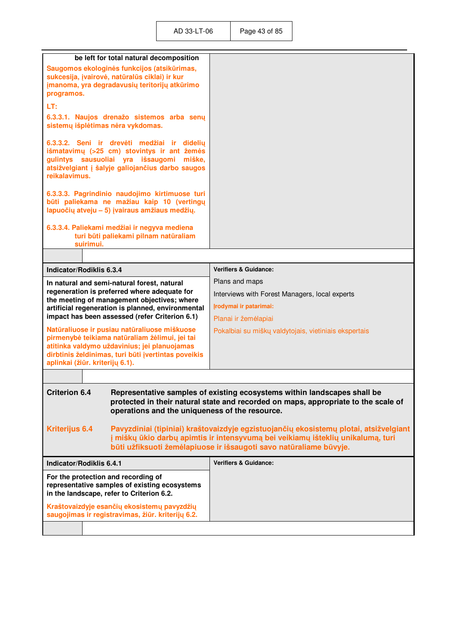|                                                                                                                                                                                                            | be left for total natural decomposition                                                                                                       |                                                                                                                                                                                                                                                |
|------------------------------------------------------------------------------------------------------------------------------------------------------------------------------------------------------------|-----------------------------------------------------------------------------------------------------------------------------------------------|------------------------------------------------------------------------------------------------------------------------------------------------------------------------------------------------------------------------------------------------|
|                                                                                                                                                                                                            | Saugomos ekologinės funkcijos (atsikūrimas,                                                                                                   |                                                                                                                                                                                                                                                |
| sukcesija, įvairovė, natūralūs ciklai) ir kur<br>įmanoma, yra degradavusių teritorijų atkūrimo                                                                                                             |                                                                                                                                               |                                                                                                                                                                                                                                                |
| programos.                                                                                                                                                                                                 |                                                                                                                                               |                                                                                                                                                                                                                                                |
| LT:                                                                                                                                                                                                        |                                                                                                                                               |                                                                                                                                                                                                                                                |
| 6.3.3.1. Naujos drenažo sistemos arba senų<br>sistemų išplėtimas nėra vykdomas.                                                                                                                            |                                                                                                                                               |                                                                                                                                                                                                                                                |
| 6.3.3.2. Seni ir drevėti medžiai ir didelių<br>išmatavimų (>25 cm) stovintys ir ant žemės<br>gulintys sausuoliai yra išsaugomi miške,<br>atsižvelgiant į šalyje galiojančius darbo saugos<br>reikalavimus. |                                                                                                                                               |                                                                                                                                                                                                                                                |
|                                                                                                                                                                                                            | 6.3.3.3. Pagrindinio naudojimo kirtimuose turi<br>būti paliekama ne mažiau kaip 10 (vertingų<br>Iapuočių atveju - 5) įvairaus amžiaus medžių. |                                                                                                                                                                                                                                                |
| 6.3.3.4. Paliekami medžiai ir negyva mediena<br>turi būti paliekami pilnam natūraliam<br>suirimui.                                                                                                         |                                                                                                                                               |                                                                                                                                                                                                                                                |
|                                                                                                                                                                                                            |                                                                                                                                               |                                                                                                                                                                                                                                                |
| Indicator/Rodiklis 6.3.4                                                                                                                                                                                   |                                                                                                                                               | <b>Verifiers &amp; Guidance:</b>                                                                                                                                                                                                               |
|                                                                                                                                                                                                            | In natural and semi-natural forest, natural                                                                                                   | Plans and maps                                                                                                                                                                                                                                 |
|                                                                                                                                                                                                            | regeneration is preferred where adequate for                                                                                                  | Interviews with Forest Managers, local experts                                                                                                                                                                                                 |
|                                                                                                                                                                                                            | the meeting of management objectives; where<br>artificial regeneration is planned, environmental                                              | Įrodymai ir patarimai:                                                                                                                                                                                                                         |
|                                                                                                                                                                                                            | impact has been assessed (refer Criterion 6.1)                                                                                                | Planai ir žemėlapiai                                                                                                                                                                                                                           |
|                                                                                                                                                                                                            | Natūraliuose ir pusiau natūraliuose miškuose                                                                                                  | Pokalbiai su miškų valdytojais, vietiniais ekspertais                                                                                                                                                                                          |
|                                                                                                                                                                                                            | pirmenybė teikiama natūraliam žėlimui, jei tai                                                                                                |                                                                                                                                                                                                                                                |
|                                                                                                                                                                                                            | atitinka valdymo uždavinius; jei planuojamas                                                                                                  |                                                                                                                                                                                                                                                |
| aplinkai (žiūr. kriterijų 6.1).                                                                                                                                                                            | dirbtinis želdinimas, turi būti įvertintas poveikis                                                                                           |                                                                                                                                                                                                                                                |
|                                                                                                                                                                                                            |                                                                                                                                               |                                                                                                                                                                                                                                                |
|                                                                                                                                                                                                            |                                                                                                                                               |                                                                                                                                                                                                                                                |
| <b>Criterion 6.4</b><br>operations and the uniqueness of the resource.                                                                                                                                     |                                                                                                                                               | Representative samples of existing ecosystems within landscapes shall be<br>protected in their natural state and recorded on maps, appropriate to the scale of                                                                                 |
| <b>Kriterijus 6.4</b>                                                                                                                                                                                      |                                                                                                                                               | Pavyzdiniai (tipiniai) kraštovaizdyje egzistuojančių ekosistemų plotai, atsižvelgiant<br>j miškų ūkio darbų apimtis ir intensyvumą bei veikiamų išteklių unikalumą, turi<br>būti užfiksuoti žemėlapiuose ir išsaugoti savo natūraliame būvyje. |
| Indicator/Rodiklis 6.4.1                                                                                                                                                                                   |                                                                                                                                               | <b>Verifiers &amp; Guidance:</b>                                                                                                                                                                                                               |
| For the protection and recording of<br>representative samples of existing ecosystems<br>in the landscape, refer to Criterion 6.2.                                                                          |                                                                                                                                               |                                                                                                                                                                                                                                                |
| Kraštovaizdyje esančių ekosistemų pavyzdžių<br>saugojimas ir registravimas, žiūr. kriterijų 6.2.                                                                                                           |                                                                                                                                               |                                                                                                                                                                                                                                                |
|                                                                                                                                                                                                            |                                                                                                                                               |                                                                                                                                                                                                                                                |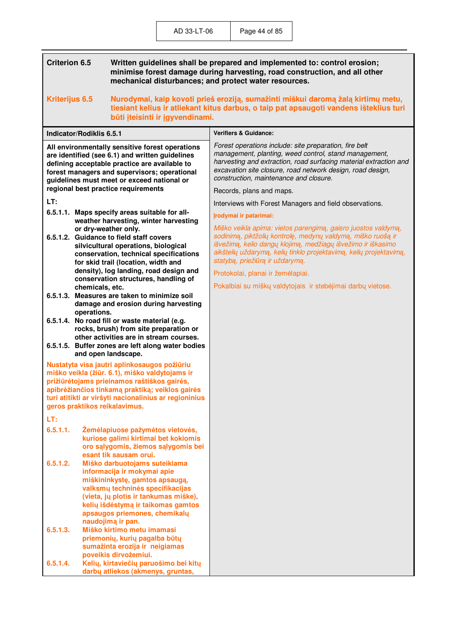| <b>Criterion 6.5</b>                                                                                                                                                                                                                                                                                              |                          | Written guidelines shall be prepared and implemented to: control erosion;<br>minimise forest damage during harvesting, road construction, and all other<br>mechanical disturbances; and protect water resources.                                                        |                                                                                                                                                                                                                                                                                                        |
|-------------------------------------------------------------------------------------------------------------------------------------------------------------------------------------------------------------------------------------------------------------------------------------------------------------------|--------------------------|-------------------------------------------------------------------------------------------------------------------------------------------------------------------------------------------------------------------------------------------------------------------------|--------------------------------------------------------------------------------------------------------------------------------------------------------------------------------------------------------------------------------------------------------------------------------------------------------|
| Kriterijus 6.5<br>būti įteisinti ir įgyvendinami.                                                                                                                                                                                                                                                                 |                          |                                                                                                                                                                                                                                                                         | Nurodymai, kaip kovoti prieš eroziją, sumažinti miškui daromą žalą kirtimų metu,<br>tiesiant kelius ir atliekant kitus darbus, o taip pat apsaugoti vandens išteklius turi                                                                                                                             |
|                                                                                                                                                                                                                                                                                                                   | Indicator/Rodiklis 6.5.1 |                                                                                                                                                                                                                                                                         | <b>Verifiers &amp; Guidance:</b>                                                                                                                                                                                                                                                                       |
| All environmentally sensitive forest operations<br>are identified (see 6.1) and written guidelines<br>defining acceptable practice are available to<br>forest managers and supervisors; operational<br>guidelines must meet or exceed national or                                                                 |                          |                                                                                                                                                                                                                                                                         | Forest operations include: site preparation, fire belt<br>management, planting, weed control, stand management,<br>harvesting and extraction, road surfacing material extraction and<br>excavation site closure, road network design, road design,<br>construction, maintenance and closure.           |
|                                                                                                                                                                                                                                                                                                                   |                          | regional best practice requirements                                                                                                                                                                                                                                     | Records, plans and maps.                                                                                                                                                                                                                                                                               |
| LT:                                                                                                                                                                                                                                                                                                               |                          |                                                                                                                                                                                                                                                                         | Interviews with Forest Managers and field observations.                                                                                                                                                                                                                                                |
|                                                                                                                                                                                                                                                                                                                   |                          | 6.5.1.1. Maps specify areas suitable for all-<br>weather harvesting, winter harvesting                                                                                                                                                                                  | Įrodymai ir patarimai:                                                                                                                                                                                                                                                                                 |
| or dry-weather only.<br>6.5.1.2. Guidance to field staff covers<br>silvicultural operations, biological<br>conservation, technical specifications<br>for skid trail (location, width and                                                                                                                          |                          |                                                                                                                                                                                                                                                                         | Miško veikla apima: vietos parengimą, gaisro juostos valdymą,<br>sodinimą, piktžolių kontrolę, medynų valdymą, miško ruošą ir<br>išvežimą, kelio dangų klojimą, medžiagų išvežimo ir iškasimo<br>aikštelių uždarymą, kelių tinklo projektavimą, kelių projektavimą,<br>statybą, priežiūrą ir uždarymą. |
|                                                                                                                                                                                                                                                                                                                   |                          | density), log landing, road design and<br>conservation structures, handling of                                                                                                                                                                                          | Protokolai, planai ir žemėlapiai.                                                                                                                                                                                                                                                                      |
|                                                                                                                                                                                                                                                                                                                   | chemicals, etc.          |                                                                                                                                                                                                                                                                         | Pokalbiai su miškų valdytojais ir stebėjimai darbų vietose.                                                                                                                                                                                                                                            |
|                                                                                                                                                                                                                                                                                                                   | operations.              | 6.5.1.3. Measures are taken to minimize soil<br>damage and erosion during harvesting                                                                                                                                                                                    |                                                                                                                                                                                                                                                                                                        |
|                                                                                                                                                                                                                                                                                                                   |                          | 6.5.1.4. No road fill or waste material (e.g.<br>rocks, brush) from site preparation or<br>other activities are in stream courses.<br>6.5.1.5. Buffer zones are left along water bodies                                                                                 |                                                                                                                                                                                                                                                                                                        |
| and open landscape.<br>Nustatyta visa jautri aplinkosaugos požiūriu<br>miško veikla (žiūr. 6.1), miško valdytojams ir<br>prižiūrėtojams prieinamos raštiškos gairės,<br>apibrėžiančios tinkamą praktiką; veiklos gairės<br>turi atitikti ar viršyti nacionalinius ar regioninius<br>geros praktikos reikalavimus. |                          |                                                                                                                                                                                                                                                                         |                                                                                                                                                                                                                                                                                                        |
| LT:                                                                                                                                                                                                                                                                                                               |                          |                                                                                                                                                                                                                                                                         |                                                                                                                                                                                                                                                                                                        |
| 6.5.1.1.                                                                                                                                                                                                                                                                                                          |                          | Žemėlapiuose pažymėtos vietovės,<br>kuriose galimi kirtimai bet kokiomis<br>oro sąlygomis, žiemos sąlygomis bei<br>esant tik sausam orui.                                                                                                                               |                                                                                                                                                                                                                                                                                                        |
| 6.5.1.2.                                                                                                                                                                                                                                                                                                          |                          | Miško darbuotojams suteikiama<br>informacija ir mokymai apie<br>miškininkystę, gamtos apsaugą,<br>valksmų techninės specifikacijas<br>(vieta, jų plotis ir tankumas miške),<br>kelių išdėstymą ir taikomas gamtos<br>apsaugos priemones, chemikalų<br>naudojimą ir pan. |                                                                                                                                                                                                                                                                                                        |
| 6.5.1.3.                                                                                                                                                                                                                                                                                                          |                          | Miško kirtimo metu imamasi<br>priemonių, kurių pagalba būtų<br>sumažinta erozija ir neigiamas<br>poveikis dirvožemiui.                                                                                                                                                  |                                                                                                                                                                                                                                                                                                        |
| 6.5.1.4.                                                                                                                                                                                                                                                                                                          |                          | Kelių, kirtaviečių paruošimo bei kitų<br>darbų atliekos (akmenys, gruntas,                                                                                                                                                                                              |                                                                                                                                                                                                                                                                                                        |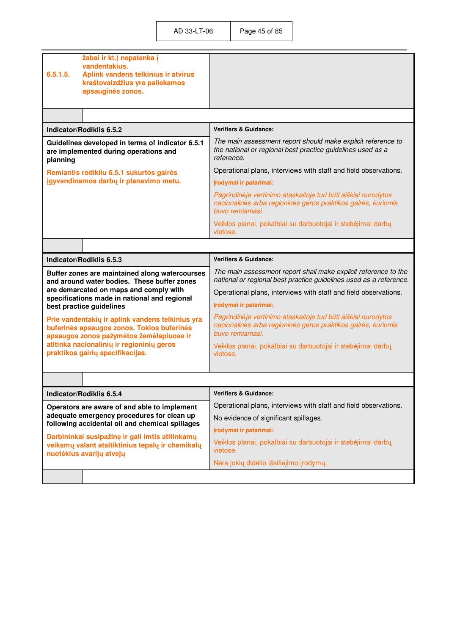| žabai ir kt.) nepatenka į<br>vandentakius.                                                                                                 |                                                                                                                                                    |
|--------------------------------------------------------------------------------------------------------------------------------------------|----------------------------------------------------------------------------------------------------------------------------------------------------|
| 6.5.1.5.<br>Aplink vandens telkinius ir atvirus<br>kraštovaizdžius yra paliekamos<br>apsauginės zonos.                                     |                                                                                                                                                    |
|                                                                                                                                            |                                                                                                                                                    |
| Indicator/Rodiklis 6.5.2                                                                                                                   | <b>Verifiers &amp; Guidance:</b>                                                                                                                   |
| Guidelines developed in terms of indicator 6.5.1<br>are implemented during operations and<br>planning                                      | The main assessment report should make explicit reference to<br>the national or regional best practice guidelines used as a<br>reference.          |
| Remiantis rodikliu 6.5.1 sukurtos gairės                                                                                                   | Operational plans, interviews with staff and field observations.                                                                                   |
| igyvendinamos darbų ir planavimo metu.                                                                                                     | Įrodymai ir patarimai:                                                                                                                             |
|                                                                                                                                            | Pagrindinėje vertinimo ataskaitoje turi būti aiškiai nurodytos<br>nacionalinės arba regioninės geros praktikos gairės, kuriomis<br>buvo remiamasi. |
|                                                                                                                                            | Veiklos planai, pokalbiai su darbuotojai ir stebėjimai darbų<br>vietose.                                                                           |
|                                                                                                                                            |                                                                                                                                                    |
| Indicator/Rodiklis 6.5.3                                                                                                                   | <b>Verifiers &amp; Guidance:</b>                                                                                                                   |
| Buffer zones are maintained along watercourses<br>and around water bodies. These buffer zones                                              | The main assessment report shall make explicit reference to the<br>national or regional best practice guidelines used as a reference.              |
| are demarcated on maps and comply with<br>specifications made in national and regional                                                     | Operational plans, interviews with staff and field observations.                                                                                   |
| best practice guidelines                                                                                                                   | Įrodymai ir patarimai:                                                                                                                             |
| Prie vandentakių ir aplink vandens telkinius yra<br>buferinės apsaugos zonos. Tokios buferinės<br>apsaugos zonos pažymėtos žemėlapiuose ir | Pagrindinėje vertinimo ataskaitoje turi būti aiškiai nurodytos<br>nacionalinės arba regioninės geros praktikos gairės, kuriomis<br>buvo remiamasi. |
| atitinka nacionalinių ir regioninių geros<br>praktikos gairių specifikacijas.                                                              | Veiklos planai, pokalbiai su darbuotojai ir stebėjimai darbų<br>vietose.                                                                           |
|                                                                                                                                            |                                                                                                                                                    |
| <b>Verifiers &amp; Guidance:</b><br>Indicator/Rodiklis 6.5.4                                                                               |                                                                                                                                                    |
| Operators are aware of and able to implement                                                                                               | Operational plans, interviews with staff and field observations.                                                                                   |
| adequate emergency procedures for clean up<br>following accidental oil and chemical spillages                                              | No evidence of significant spillages.                                                                                                              |
| Darbininkai susipažinę ir gali imtis atitinkamų                                                                                            | Įrodymai ir patarimai:                                                                                                                             |
| veiksmų valant atsitiktinius tepalų ir chemikalų<br>nuotėkius avarijų atvejų                                                               | Veiklos planai, pokalbiai su darbuotojai ir stebėjimai darbų<br>vietose.                                                                           |
|                                                                                                                                            | Nėra jokių didelio išsiliejimo įrodymų.                                                                                                            |
|                                                                                                                                            |                                                                                                                                                    |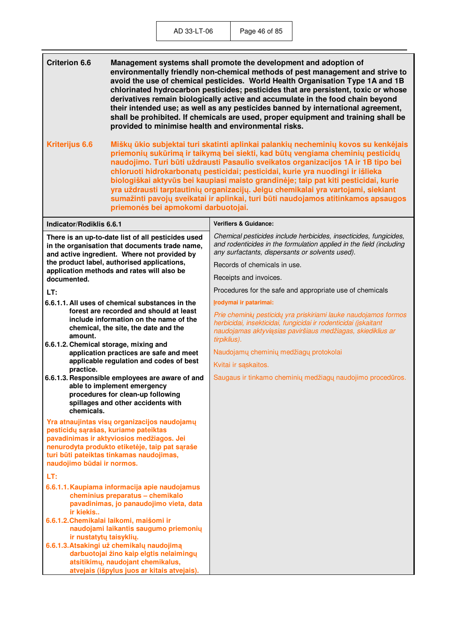**Criterion 6.6 Management systems shall promote the development and adoption of environmentally friendly non-chemical methods of pest management and strive to avoid the use of chemical pesticides. World Health Organisation Type 1A and 1B chlorinated hydrocarbon pesticides; pesticides that are persistent, toxic or whose derivatives remain biologically active and accumulate in the food chain beyond their intended use; as well as any pesticides banned by international agreement, shall be prohibited. If chemicals are used, proper equipment and training shall be provided to minimise health and environmental risks. Kriterijus 6.6 Miškų ūkio subjektai turi skatinti aplinkai palankių necheminių kovos su kenk÷jais priemonių sukūrimą ir taikymą bei siekti, kad būtų vengiama cheminių pesticidų naudojimo. Turi būti uždrausti Pasaulio sveikatos organizacijos 1A ir 1B tipo bei chloruoti hidrokarbonatų pesticidai; pesticidai, kurie yra nuodingi ir išlieka biologiškai aktyvūs bei kaupiasi maisto grandin÷je; taip pat kiti pesticidai, kurie yra uždrausti tarptautinių organizacijų. Jeigu chemikalai yra vartojami, siekiant sumažinti pavojų sveikatai ir aplinkai, turi būti naudojamos atitinkamos apsaugos priemon÷s bei apmokomi darbuotojai. Indicator/Rodiklis 6.6.1 Verifiers & Guidance:**  *Chemical pesticides include herbicides, insecticides, fungicides, and rodenticides in the formulation applied in the field (including any surfactants, dispersants or solvents used).*  Records of chemicals in use. Receipts and invoices. Procedures for the safe and appropriate use of chemicals **Įrodymai ir patarimai:**  *Prie cheminių pesticidų yra priskiriami lauke naudojamos formos herbicidai, insekticidai, fungicidai ir rodenticidai (įskaitant naudojamas aktyviąsias paviršiaus medžiagas, skiediklius ar tirpiklius).*  Naudojamų cheminių medžiagų protokolai Kvitai ir sąskaitos. Saugaus ir tinkamo cheminių medžiagų naudojimo procedūros. **There is an up-to-date list of all pesticides used in the organisation that documents trade name, and active ingredient. Where not provided by the product label, authorised applications, application methods and rates will also be documented. LT: 6.6.1.1. All uses of chemical substances in the forest are recorded and should at least include information on the name of the chemical, the site, the date and the amount. 6.6.1.2. Chemical storage, mixing and application practices are safe and meet applicable regulation and codes of best practice. 6.6.1.3. Responsible employees are aware of and able to implement emergency procedures for clean-up following spillages and other accidents with chemicals. Yra atnaujintas visų organizacijos naudojamų pesticidų sąrašas, kuriame pateiktas pavadinimas ir aktyviosios medžiagos. Jei nenurodyta produkto etiket÷je, taip pat sąraše turi būti pateiktas tinkamas naudojimas, naudojimo būdai ir normos. LT: 6.6.1.1. Kaupiama informacija apie naudojamus cheminius preparatus – chemikalo pavadinimas, jo panaudojimo vieta, data ir kiekis.. 6.6.1.2. Chemikalai laikomi, maišomi ir naudojami laikantis saugumo priemonių ir nustatytų taisyklių. 6.6.1.3. Atsakingi už chemikalų naudojimą darbuotojai žino kaip elgtis nelaimingų atsitikimų, naudojant chemikalus, atvejais (išpylus juos ar kitais atvejais).**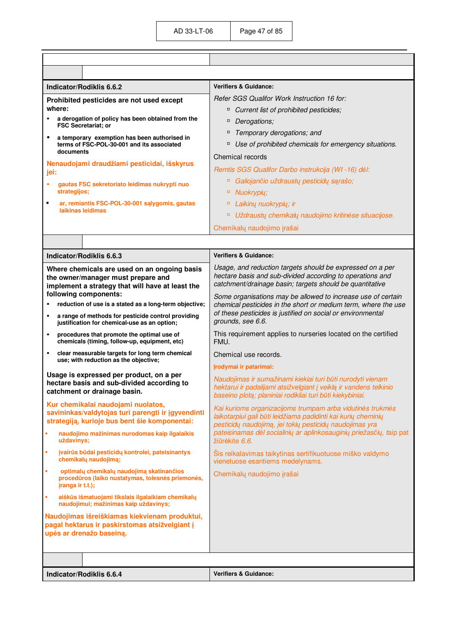| Indicator/Rodiklis 6.6.2                                                                                                                                                       | <b>Verifiers &amp; Guidance:</b>                                                                                                                                                      |
|--------------------------------------------------------------------------------------------------------------------------------------------------------------------------------|---------------------------------------------------------------------------------------------------------------------------------------------------------------------------------------|
| Prohibited pesticides are not used except<br>where:                                                                                                                            | Refer SGS Qualifor Work Instruction 16 for:                                                                                                                                           |
| a derogation of policy has been obtained from the                                                                                                                              | α<br>Current list of prohibited pesticides;<br>Derogations;<br>α                                                                                                                      |
| <b>FSC Secretariat: or</b>                                                                                                                                                     | Temporary derogations; and<br>α                                                                                                                                                       |
| ٠<br>a temporary exemption has been authorised in<br>terms of FSC-POL-30-001 and its associated                                                                                | α<br>Use of prohibited chemicals for emergency situations.                                                                                                                            |
| documents                                                                                                                                                                      | Chemical records                                                                                                                                                                      |
| Nenaudojami draudžiami pesticidai, išskyrus                                                                                                                                    | Remtis SGS Qualifor Darbo instrukcija (WI-16) dėl:                                                                                                                                    |
| jei:<br>à,                                                                                                                                                                     | Galiojančio uždraustų pesticidų sąrašo;<br>α,                                                                                                                                         |
| gautas FSC sekretoriato leidimas nukrypti nuo<br>strategijos;                                                                                                                  | Nuokrypių;<br>$\Box$                                                                                                                                                                  |
| ٠<br>ar, remiantis FSC-POL-30-001 salygomis, gautas                                                                                                                            | Laikinų nuokrypių; ir<br>о                                                                                                                                                            |
| laikinas leidimas                                                                                                                                                              | Uždraustų chemikalų naudojimo kritinėse situacijose.<br>о                                                                                                                             |
|                                                                                                                                                                                | Chemikalų naudojimo įrašai                                                                                                                                                            |
|                                                                                                                                                                                |                                                                                                                                                                                       |
| Indicator/Rodiklis 6.6.3                                                                                                                                                       | <b>Verifiers &amp; Guidance:</b>                                                                                                                                                      |
| Where chemicals are used on an ongoing basis<br>the owner/manager must prepare and<br>implement a strategy that will have at least the                                         | Usage, and reduction targets should be expressed on a per<br>hectare basis and sub-divided according to operations and<br>catchment/drainage basin; targets should be quantitative    |
| following components:                                                                                                                                                          | Some organisations may be allowed to increase use of certain                                                                                                                          |
| reduction of use is a stated as a long-term objective;<br>a range of methods for pesticide control providing<br>$\blacksquare$<br>justification for chemical-use as an option; | chemical pesticides in the short or medium term, where the use<br>of these pesticides is justified on social or environmental<br>grounds, see 6.6.                                    |
| procedures that promote the optimal use of<br>$\blacksquare$<br>chemicals (timing, follow-up, equipment, etc)                                                                  | This requirement applies to nurseries located on the certified<br>FMU.                                                                                                                |
| clear measurable targets for long term chemical<br>٠<br>use; with reduction as the objective;                                                                                  | Chemical use records.<br>Įrodymai ir patarimai:                                                                                                                                       |
| Usage is expressed per product, on a per                                                                                                                                       | Naudojimas ir sumažinami kiekiai turi būti nurodyti vienam                                                                                                                            |
| hectare basis and sub-divided according to<br>catchment or drainage basin.                                                                                                     | hektarui ir padalijami atsižvelgiant į veiklą ir vandens telkinio<br>baseino plotą; planiniai rodikliai turi būti kiekybiniai.                                                        |
| Kur chemikalai naudojami nuolatos,<br>savininkas/valdytojas turi parengti ir įgyvendinti<br>strategiją, kurioje bus bent šie komponentai:                                      | Kai kurioms organizacijoms trumpam arba vidutinės trukmės<br>laikotarpiui gali būti leidžiama padidinti kai kurių cheminių<br>pesticidų naudojimą, jei tokių pesticidų naudojimas yra |
| naudojimo mažinimas nurodomas kaip ilgalaikis<br>×<br>uždavinys;                                                                                                               | pateisinamas dėl socialinių ar aplinkosauginių priežasčių, taip pat<br>žiūrėkite 6.6.                                                                                                 |
| įvairūs būdai pesticidų kontrolei, pateisinantys<br>à,<br>chemikalų naudojimą;                                                                                                 | Šis reikalavimas taikytinas sertifikuotuose miško valdymo<br>vienetuose esantiems medelynams.                                                                                         |
| optimalų chemikalų naudojimą skatinančios<br>×<br>procedūros (laiko nustatymas, tolesnės priemonės,<br>jranga ir t.t.);                                                        | Chemikalų naudojimo įrašai                                                                                                                                                            |
| aiškūs išmatuojami tikslais ilgalaikiam chemikalų<br>×<br>naudojimui; mažinimas kaip uždavinys;                                                                                |                                                                                                                                                                                       |
| Naudojimas išreiškiamas kiekvienam produktui,<br>pagal hektarus ir paskirstomas atsižvelgiant į<br>upės ar drenažo baseiną.                                                    |                                                                                                                                                                                       |
|                                                                                                                                                                                |                                                                                                                                                                                       |
|                                                                                                                                                                                |                                                                                                                                                                                       |

**Indicator/Rodiklis 6.6.4** *Verifiers & Guidance:* **Verifiers & Guidance:**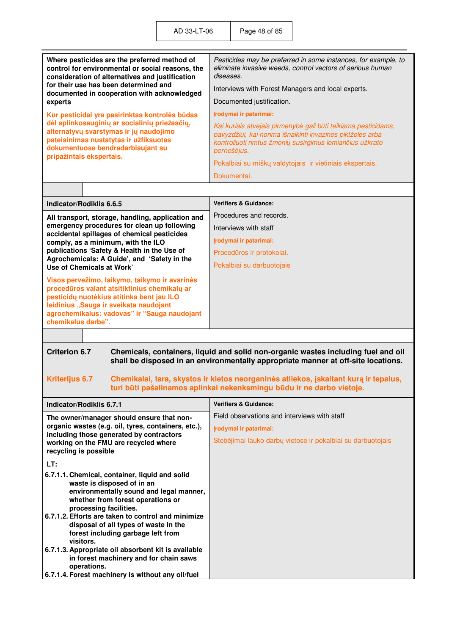| Where pesticides are the preferred method of<br>control for environmental or social reasons, the<br>consideration of alternatives and justification                                                                                                                                                                                                                                      | Pesticides may be preferred in some instances, for example, to<br>eliminate invasive weeds, control vectors of serious human<br>diseases.                                                               |  |  |  |
|------------------------------------------------------------------------------------------------------------------------------------------------------------------------------------------------------------------------------------------------------------------------------------------------------------------------------------------------------------------------------------------|---------------------------------------------------------------------------------------------------------------------------------------------------------------------------------------------------------|--|--|--|
| for their use has been determined and<br>documented in cooperation with acknowledged                                                                                                                                                                                                                                                                                                     | Interviews with Forest Managers and local experts.                                                                                                                                                      |  |  |  |
| experts                                                                                                                                                                                                                                                                                                                                                                                  | Documented justification.                                                                                                                                                                               |  |  |  |
| Kur pesticidai yra pasirinktas kontrolės būdas                                                                                                                                                                                                                                                                                                                                           | Irodymai ir patarimai:                                                                                                                                                                                  |  |  |  |
| dėl aplinkosauginių ar socialinių priežasčių,<br>alternatyvų svarstymas ir jų naudojimo<br>pateisinimas nustatytas ir užfiksuotas<br>dokumentuose bendradarbiaujant su<br>pripažintais ekspertais.                                                                                                                                                                                       | Kai kuriais atvejais pirmenybė gali būti teikiama pesticidams,<br>pavyzdžiui, kai norima išnaikinti invazines piktžoles arba<br>kontroliuoti rimtus žmonių susirgimus lemiančius užkrato<br>pernešėjus. |  |  |  |
|                                                                                                                                                                                                                                                                                                                                                                                          | Pokalbiai su miškų valdytojais ir vietiniais ekspertais.                                                                                                                                                |  |  |  |
|                                                                                                                                                                                                                                                                                                                                                                                          | Dokumentai.                                                                                                                                                                                             |  |  |  |
|                                                                                                                                                                                                                                                                                                                                                                                          |                                                                                                                                                                                                         |  |  |  |
| Indicator/Rodiklis 6.6.5                                                                                                                                                                                                                                                                                                                                                                 | <b>Verifiers &amp; Guidance:</b>                                                                                                                                                                        |  |  |  |
| All transport, storage, handling, application and                                                                                                                                                                                                                                                                                                                                        | Procedures and records.                                                                                                                                                                                 |  |  |  |
| emergency procedures for clean up following                                                                                                                                                                                                                                                                                                                                              | Interviews with staff                                                                                                                                                                                   |  |  |  |
| accidental spillages of chemical pesticides<br>comply, as a minimum, with the ILO                                                                                                                                                                                                                                                                                                        | Įrodymai ir patarimai:                                                                                                                                                                                  |  |  |  |
| publications 'Safety & Health in the Use of                                                                                                                                                                                                                                                                                                                                              | Procedūros ir protokolai.                                                                                                                                                                               |  |  |  |
| Agrochemicals: A Guide', and 'Safety in the<br>Use of Chemicals at Work'                                                                                                                                                                                                                                                                                                                 | Pokalbiai su darbuotojais                                                                                                                                                                               |  |  |  |
| Visos pervežimo, laikymo, taikymo ir avarinės<br>procedūros valant atsitiktinius chemikalų ar<br>pesticidų nuotėkius atitinka bent jau ILO<br>leidinius "Sauga ir sveikata naudojant<br>agrochemikalus: vadovas" ir "Sauga naudojant<br>chemikalus darbe".                                                                                                                               |                                                                                                                                                                                                         |  |  |  |
|                                                                                                                                                                                                                                                                                                                                                                                          |                                                                                                                                                                                                         |  |  |  |
| <b>Criterion 6.7</b><br>Chemicals, containers, liquid and solid non-organic wastes including fuel and oil<br>shall be disposed in an environmentally appropriate manner at off-site locations.<br><b>Kriterijus 6.7</b><br>Chemikalai, tara, skystos ir kietos neorganinės atliekos, įskaitant kurą ir tepalus,<br>turi būti pašalinamos aplinkai nekenksmingu būdu ir ne darbo vietoje. |                                                                                                                                                                                                         |  |  |  |
| Indicator/Rodiklis 6.7.1                                                                                                                                                                                                                                                                                                                                                                 | <b>Verifiers &amp; Guidance:</b>                                                                                                                                                                        |  |  |  |
| The owner/manager should ensure that non-                                                                                                                                                                                                                                                                                                                                                | Field observations and interviews with staff                                                                                                                                                            |  |  |  |
| organic wastes (e.g. oil, tyres, containers, etc.),                                                                                                                                                                                                                                                                                                                                      | Irodymai ir patarimai:                                                                                                                                                                                  |  |  |  |
| including those generated by contractors<br>working on the FMU are recycled where<br>recycling is possible                                                                                                                                                                                                                                                                               | Stebėjimai lauko darbų vietose ir pokalbiai su darbuotojais                                                                                                                                             |  |  |  |
| LT:                                                                                                                                                                                                                                                                                                                                                                                      |                                                                                                                                                                                                         |  |  |  |
| 6.7.1.1. Chemical, container, liquid and solid<br>waste is disposed of in an<br>environmentally sound and legal manner,<br>whether from forest operations or<br>processing facilities.<br>6.7.1.2. Efforts are taken to control and minimize<br>disposal of all types of waste in the                                                                                                    |                                                                                                                                                                                                         |  |  |  |
| forest including garbage left from<br>visitors.                                                                                                                                                                                                                                                                                                                                          |                                                                                                                                                                                                         |  |  |  |

**6.7.1.3. Appropriate oil absorbent kit is available in forest machinery and for chain saws operations.** 

**6.7.1.4. Forest machinery is without any oil/fuel**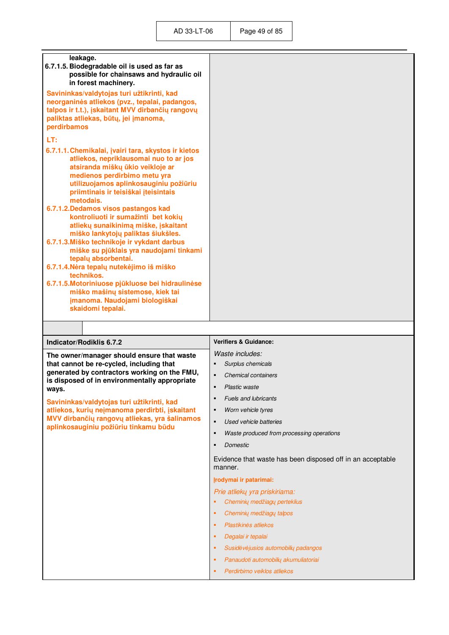| leakage.<br>6.7.1.5. Biodegradable oil is used as far as<br>possible for chainsaws and hydraulic oil<br>in forest machinery.                                                                                                                                                                                                                                                                                                                                                                                                                                                                                                                                                                                                                            |                                                                       |
|---------------------------------------------------------------------------------------------------------------------------------------------------------------------------------------------------------------------------------------------------------------------------------------------------------------------------------------------------------------------------------------------------------------------------------------------------------------------------------------------------------------------------------------------------------------------------------------------------------------------------------------------------------------------------------------------------------------------------------------------------------|-----------------------------------------------------------------------|
| Savininkas/valdytojas turi užtikrinti, kad<br>neorganinės atliekos (pvz., tepalai, padangos,<br>talpos ir t.t.), įskaitant MVV dirbančių rangovų<br>paliktas atliekas, būtų, jei įmanoma,<br>perdirbamos                                                                                                                                                                                                                                                                                                                                                                                                                                                                                                                                                |                                                                       |
| LT:                                                                                                                                                                                                                                                                                                                                                                                                                                                                                                                                                                                                                                                                                                                                                     |                                                                       |
| 6.7.1.1. Chemikalai, įvairi tara, skystos ir kietos<br>atliekos, nepriklausomai nuo to ar jos<br>atsiranda miškų ūkio veikloje ar<br>medienos perdirbimo metu yra<br>utilizuojamos aplinkosauginiu požiūriu<br>priimtinais ir teisiškai įteisintais<br>metodais.<br>6.7.1.2. Dedamos visos pastangos kad<br>kontroliuoti ir sumažinti bet kokių<br>atliekų sunaikinimą miške, įskaitant<br>miško lankytojų paliktas šiukšles.<br>6.7.1.3. Miško technikoje ir vykdant darbus<br>miške su pjūklais yra naudojami tinkami<br>tepalų absorbentai.<br>6.7.1.4. Nėra tepalų nutekėjimo iš miško<br>technikos.<br>6.7.1.5. Motoriniuose pjūkluose bei hidraulinėse<br>miško mašinų sistemose, kiek tai<br>jmanoma. Naudojami biologiškai<br>skaidomi tepalai. |                                                                       |
|                                                                                                                                                                                                                                                                                                                                                                                                                                                                                                                                                                                                                                                                                                                                                         |                                                                       |
| Indicator/Rodiklis 6.7.2                                                                                                                                                                                                                                                                                                                                                                                                                                                                                                                                                                                                                                                                                                                                | <b>Verifiers &amp; Guidance:</b>                                      |
| The owner/manager should ensure that waste                                                                                                                                                                                                                                                                                                                                                                                                                                                                                                                                                                                                                                                                                                              | Waste includes:                                                       |
| that cannot be re-cycled, including that                                                                                                                                                                                                                                                                                                                                                                                                                                                                                                                                                                                                                                                                                                                | Surplus chemicals<br>$\blacksquare$                                   |
| generated by contractors working on the FMU,                                                                                                                                                                                                                                                                                                                                                                                                                                                                                                                                                                                                                                                                                                            | <b>Chemical containers</b><br>$\blacksquare$                          |
| is disposed of in environmentally appropriate<br>ways.                                                                                                                                                                                                                                                                                                                                                                                                                                                                                                                                                                                                                                                                                                  | Plastic waste                                                         |
| Savininkas/valdytojas turi užtikrinti, kad                                                                                                                                                                                                                                                                                                                                                                                                                                                                                                                                                                                                                                                                                                              | <b>Fuels and lubricants</b><br>$\blacksquare$                         |
| atliekos, kurių neįmanoma perdirbti, įskaitant                                                                                                                                                                                                                                                                                                                                                                                                                                                                                                                                                                                                                                                                                                          |                                                                       |
| MVV dirbančių rangovų atliekas, yra šalinamos                                                                                                                                                                                                                                                                                                                                                                                                                                                                                                                                                                                                                                                                                                           | Worn vehicle tyres<br>٠                                               |
|                                                                                                                                                                                                                                                                                                                                                                                                                                                                                                                                                                                                                                                                                                                                                         | Used vehicle batteries<br>٠                                           |
| aplinkosauginiu požiūriu tinkamu būdu                                                                                                                                                                                                                                                                                                                                                                                                                                                                                                                                                                                                                                                                                                                   | Waste produced from processing operations<br>$\blacksquare$           |
|                                                                                                                                                                                                                                                                                                                                                                                                                                                                                                                                                                                                                                                                                                                                                         | Domestic<br>$\blacksquare$                                            |
|                                                                                                                                                                                                                                                                                                                                                                                                                                                                                                                                                                                                                                                                                                                                                         | Evidence that waste has been disposed off in an acceptable<br>manner. |
|                                                                                                                                                                                                                                                                                                                                                                                                                                                                                                                                                                                                                                                                                                                                                         | Irodymai ir patarimai:                                                |
|                                                                                                                                                                                                                                                                                                                                                                                                                                                                                                                                                                                                                                                                                                                                                         | Prie atliekų yra priskiriama:                                         |
|                                                                                                                                                                                                                                                                                                                                                                                                                                                                                                                                                                                                                                                                                                                                                         | Cheminių medžiagų perteklius<br>٠                                     |
|                                                                                                                                                                                                                                                                                                                                                                                                                                                                                                                                                                                                                                                                                                                                                         | Cheminių medžiagų talpos<br>٠                                         |
|                                                                                                                                                                                                                                                                                                                                                                                                                                                                                                                                                                                                                                                                                                                                                         | Plastikinės atliekos<br>٠                                             |
|                                                                                                                                                                                                                                                                                                                                                                                                                                                                                                                                                                                                                                                                                                                                                         | Degalai ir tepalai<br>л                                               |
|                                                                                                                                                                                                                                                                                                                                                                                                                                                                                                                                                                                                                                                                                                                                                         | Susidėvėjusios automobilių padangos<br>٠                              |

*Perdirbimo veiklos atliekos*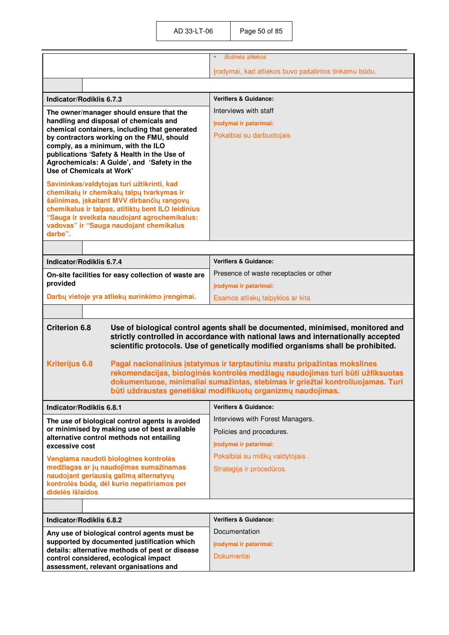|                                                                                                                                                                                                                                                                                                                                         | <b>Buitinés atliekos</b>                             |  |
|-----------------------------------------------------------------------------------------------------------------------------------------------------------------------------------------------------------------------------------------------------------------------------------------------------------------------------------------|------------------------------------------------------|--|
|                                                                                                                                                                                                                                                                                                                                         |                                                      |  |
|                                                                                                                                                                                                                                                                                                                                         | Įrodymai, kad atliekos buvo pašalintos tinkamu būdu. |  |
|                                                                                                                                                                                                                                                                                                                                         |                                                      |  |
| Indicator/Rodiklis 6.7.3                                                                                                                                                                                                                                                                                                                | <b>Verifiers &amp; Guidance:</b>                     |  |
| The owner/manager should ensure that the                                                                                                                                                                                                                                                                                                | Interviews with staff                                |  |
| handling and disposal of chemicals and<br>chemical containers, including that generated                                                                                                                                                                                                                                                 | Irodymai ir patarimai:                               |  |
| by contractors working on the FMU, should                                                                                                                                                                                                                                                                                               | Pokalbiai su darbuotojais                            |  |
| comply, as a minimum, with the ILO<br>publications 'Safety & Health in the Use of                                                                                                                                                                                                                                                       |                                                      |  |
| Agrochemicals: A Guide', and 'Safety in the                                                                                                                                                                                                                                                                                             |                                                      |  |
| Use of Chemicals at Work'                                                                                                                                                                                                                                                                                                               |                                                      |  |
| Savininkas/valdytojas turi užtikrinti, kad<br>chemikalų ir chemikalų talpų tvarkymas ir                                                                                                                                                                                                                                                 |                                                      |  |
| šalinimas, įskaitant MVV dirbančių rangovų                                                                                                                                                                                                                                                                                              |                                                      |  |
| chemikalus ir talpas, atitiktų bent ILO leidinius<br>"Sauga ir sveikata naudojant agrochemikalus:                                                                                                                                                                                                                                       |                                                      |  |
| vadovas" ir "Sauga naudojant chemikalus                                                                                                                                                                                                                                                                                                 |                                                      |  |
| darbe".                                                                                                                                                                                                                                                                                                                                 |                                                      |  |
|                                                                                                                                                                                                                                                                                                                                         |                                                      |  |
| Indicator/Rodiklis 6.7.4                                                                                                                                                                                                                                                                                                                | <b>Verifiers &amp; Guidance:</b>                     |  |
| On-site facilities for easy collection of waste are                                                                                                                                                                                                                                                                                     | Presence of waste receptacles or other               |  |
| provided                                                                                                                                                                                                                                                                                                                                | Irodymai ir patarimai:                               |  |
| Darbų vietoje yra atliekų surinkimo įrengimai.                                                                                                                                                                                                                                                                                          | Esamos atliekų talpyklos ar kita                     |  |
|                                                                                                                                                                                                                                                                                                                                         |                                                      |  |
| <b>Criterion 6.8</b><br>Use of biological control agents shall be documented, minimised, monitored and<br>strictly controlled in accordance with national laws and internationally accepted<br>scientific protocols. Use of genetically modified organisms shall be prohibited.                                                         |                                                      |  |
| <b>Kriterijus 6.8</b><br>Pagal nacionalinius įstatymus ir tarptautiniu mastu pripažintas mokslines<br>rekomendacijas, biologinės kontrolės medžiagų naudojimas turi būti užfiksuotas<br>dokumentuose, minimaliai sumažintas, stebimas ir griežtai kontroliuojamas. Turi<br>būti uždraustas genetiškai modifikuotų organizmų naudojimas. |                                                      |  |
| <b>Indicator/Rodiklis 6.8.1</b>                                                                                                                                                                                                                                                                                                         | <b>Verifiers &amp; Guidance:</b>                     |  |
| The use of biological control agents is avoided                                                                                                                                                                                                                                                                                         | Interviews with Forest Managers.                     |  |
| or minimised by making use of best available<br>alternative control methods not entailing                                                                                                                                                                                                                                               | Policies and procedures.                             |  |
| excessive cost                                                                                                                                                                                                                                                                                                                          | Irodymai ir patarimai:                               |  |
| Vengiama naudoti biologines kontrolės                                                                                                                                                                                                                                                                                                   | Pokalbiai su miškų valdytojais.                      |  |
| medžiagas ar jų naudojimas sumažinamas<br>naudojant geriausią galimą alternatyvų                                                                                                                                                                                                                                                        | Strategija ir procedūros.                            |  |
| kontrolės būdą, dėl kurio nepatiriamos per                                                                                                                                                                                                                                                                                              |                                                      |  |
| didelės išlaidos                                                                                                                                                                                                                                                                                                                        |                                                      |  |
|                                                                                                                                                                                                                                                                                                                                         |                                                      |  |
| Indicator/Rodiklis 6.8.2                                                                                                                                                                                                                                                                                                                | <b>Verifiers &amp; Guidance:</b>                     |  |
| Any use of biological control agents must be                                                                                                                                                                                                                                                                                            | Documentation                                        |  |
| supported by documented justification which<br>details: alternative methods of pest or disease                                                                                                                                                                                                                                          | Irodymai ir patarimai:                               |  |
|                                                                                                                                                                                                                                                                                                                                         |                                                      |  |
| control considered, ecological impact<br>assessment, relevant organisations and                                                                                                                                                                                                                                                         | <b>Dokumentai</b>                                    |  |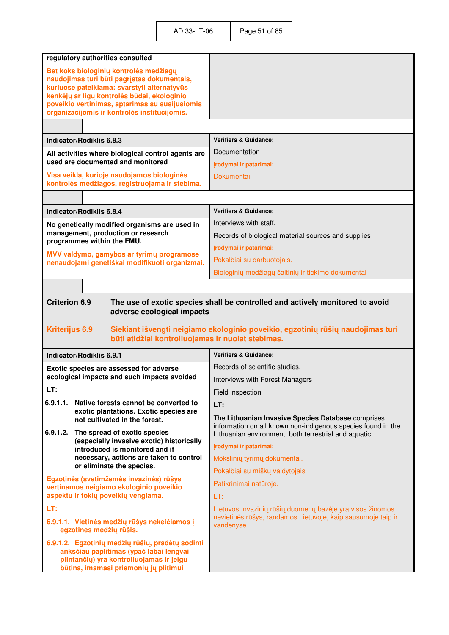| regulatory authorities consulted<br>Bet koks biologinių kontrolės medžiagų                                                                                                                                                                  |                                                                                                                                                                             |
|---------------------------------------------------------------------------------------------------------------------------------------------------------------------------------------------------------------------------------------------|-----------------------------------------------------------------------------------------------------------------------------------------------------------------------------|
|                                                                                                                                                                                                                                             |                                                                                                                                                                             |
| naudojimas turi būti pagrįstas dokumentais,<br>kuriuose pateikiama: svarstyti alternatyvūs<br>kenkėjų ar ligų kontrolės būdai, ekologinio<br>poveikio vertinimas, aptarimas su susijusiomis<br>organizacijomis ir kontrolės institucijomis. |                                                                                                                                                                             |
|                                                                                                                                                                                                                                             |                                                                                                                                                                             |
| Indicator/Rodiklis 6.8.3                                                                                                                                                                                                                    | <b>Verifiers &amp; Guidance:</b>                                                                                                                                            |
| All activities where biological control agents are                                                                                                                                                                                          | Documentation                                                                                                                                                               |
| used are documented and monitored                                                                                                                                                                                                           | Irodymai ir patarimai:                                                                                                                                                      |
| Visa veikla, kurioje naudojamos biologinės<br>kontrolės medžiagos, registruojama ir stebima.                                                                                                                                                | <b>Dokumentai</b>                                                                                                                                                           |
|                                                                                                                                                                                                                                             |                                                                                                                                                                             |
| Indicator/Rodiklis 6.8.4                                                                                                                                                                                                                    | <b>Verifiers &amp; Guidance:</b>                                                                                                                                            |
| No genetically modified organisms are used in                                                                                                                                                                                               | Interviews with staff.                                                                                                                                                      |
| management, production or research<br>programmes within the FMU.                                                                                                                                                                            | Records of biological material sources and supplies                                                                                                                         |
| MVV valdymo, gamybos ar tyrimų programose                                                                                                                                                                                                   | Įrodymai ir patarimai:                                                                                                                                                      |
| nenaudojami genetiškai modifikuoti organizmai.                                                                                                                                                                                              | Pokalbiai su darbuotojais.                                                                                                                                                  |
|                                                                                                                                                                                                                                             | Biologinių medžiagų šaltinių ir tiekimo dokumentai                                                                                                                          |
|                                                                                                                                                                                                                                             |                                                                                                                                                                             |
| <b>Kriterijus 6.9</b><br>būti atidžiai kontroliuojamas ir nuolat stebimas.                                                                                                                                                                  | Siekiant išvengti neigiamo ekologinio poveikio, egzotinių rūšių naudojimas turi                                                                                             |
| Indicator/Rodiklis 6.9.1                                                                                                                                                                                                                    |                                                                                                                                                                             |
|                                                                                                                                                                                                                                             | <b>Verifiers &amp; Guidance:</b>                                                                                                                                            |
| Exotic species are assessed for adverse                                                                                                                                                                                                     | Records of scientific studies.                                                                                                                                              |
| ecological impacts and such impacts avoided                                                                                                                                                                                                 | Interviews with Forest Managers                                                                                                                                             |
| LT:                                                                                                                                                                                                                                         | Field inspection                                                                                                                                                            |
| 6.9.1.1.<br>Native forests cannot be converted to<br>exotic plantations. Exotic species are                                                                                                                                                 | LT:                                                                                                                                                                         |
| not cultivated in the forest.<br>6.9.1.2.<br>The spread of exotic species                                                                                                                                                                   | The Lithuanian Invasive Species Database comprises<br>information on all known non-indigenous species found in the<br>Lithuanian environment, both terrestrial and aquatic. |
| (especially invasive exotic) historically                                                                                                                                                                                                   | Irodymai ir patarimai:                                                                                                                                                      |
| introduced is monitored and if<br>necessary, actions are taken to control                                                                                                                                                                   | Mokslinių tyrimų dokumentai.                                                                                                                                                |
| or eliminate the species.                                                                                                                                                                                                                   | Pokalbiai su miškų valdytojais                                                                                                                                              |
| Egzotinės (svetimžemės invazinės) rūšys                                                                                                                                                                                                     | Patikrinimai natūroje.                                                                                                                                                      |
| vertinamos neigiamo ekologinio poveikio<br>aspektu ir tokių poveikių vengiama.                                                                                                                                                              | LT:                                                                                                                                                                         |
| LT:                                                                                                                                                                                                                                         | Lietuvos Invazinių rūšių duomenų bazėje yra visos žinomos                                                                                                                   |
| 6.9.1.1. Vietinės medžių rūšys nekeičiamos į<br>egzotines medžių rūšis.                                                                                                                                                                     | nevietinės rūšys, randamos Lietuvoje, kaip sausumoje taip ir<br>vandenyse.                                                                                                  |
| 6.9.1.2. Egzotinių medžių rūšių, pradėtų sodinti<br>anksčiau paplitimas (ypač labai lengvai<br>plintančių) yra kontroliuojamas ir jeigu                                                                                                     |                                                                                                                                                                             |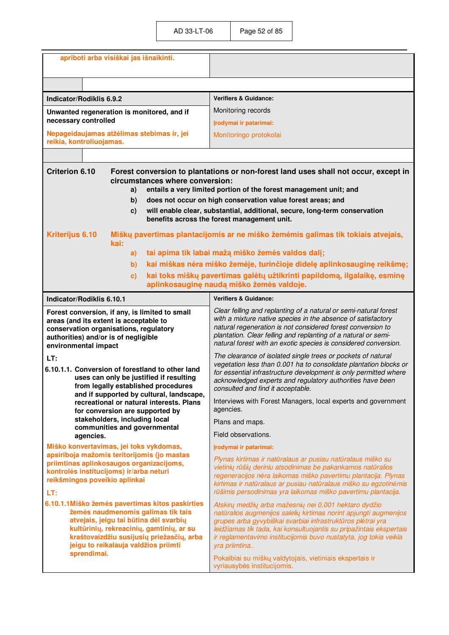|                                                                                                                                                                                                    | apriboti arba visiškai jas išnaikinti.                                                                                                                                                                                                                           |                                                                                                                                                                                                                                                                                                                                                                                                                    |
|----------------------------------------------------------------------------------------------------------------------------------------------------------------------------------------------------|------------------------------------------------------------------------------------------------------------------------------------------------------------------------------------------------------------------------------------------------------------------|--------------------------------------------------------------------------------------------------------------------------------------------------------------------------------------------------------------------------------------------------------------------------------------------------------------------------------------------------------------------------------------------------------------------|
|                                                                                                                                                                                                    |                                                                                                                                                                                                                                                                  |                                                                                                                                                                                                                                                                                                                                                                                                                    |
|                                                                                                                                                                                                    |                                                                                                                                                                                                                                                                  |                                                                                                                                                                                                                                                                                                                                                                                                                    |
| Indicator/Rodiklis 6.9.2                                                                                                                                                                           |                                                                                                                                                                                                                                                                  | <b>Verifiers &amp; Guidance:</b>                                                                                                                                                                                                                                                                                                                                                                                   |
|                                                                                                                                                                                                    | Unwanted regeneration is monitored, and if                                                                                                                                                                                                                       | Monitoring records                                                                                                                                                                                                                                                                                                                                                                                                 |
| necessary controlled                                                                                                                                                                               |                                                                                                                                                                                                                                                                  | Įrodymai ir patarimai:                                                                                                                                                                                                                                                                                                                                                                                             |
| reikia, kontroliuojamas.                                                                                                                                                                           | Nepageidaujamas atžėlimas stebimas ir, jei                                                                                                                                                                                                                       | Monitoringo protokolai                                                                                                                                                                                                                                                                                                                                                                                             |
|                                                                                                                                                                                                    |                                                                                                                                                                                                                                                                  |                                                                                                                                                                                                                                                                                                                                                                                                                    |
| <b>Criterion 6.10</b>                                                                                                                                                                              |                                                                                                                                                                                                                                                                  | Forest conversion to plantations or non-forest land uses shall not occur, except in                                                                                                                                                                                                                                                                                                                                |
|                                                                                                                                                                                                    | circumstances where conversion:                                                                                                                                                                                                                                  |                                                                                                                                                                                                                                                                                                                                                                                                                    |
|                                                                                                                                                                                                    | a)                                                                                                                                                                                                                                                               | entails a very limited portion of the forest management unit; and                                                                                                                                                                                                                                                                                                                                                  |
|                                                                                                                                                                                                    | b)                                                                                                                                                                                                                                                               | does not occur on high conservation value forest areas; and<br>will enable clear, substantial, additional, secure, long-term conservation                                                                                                                                                                                                                                                                          |
|                                                                                                                                                                                                    | $\mathbf{c}$                                                                                                                                                                                                                                                     | benefits across the forest management unit.                                                                                                                                                                                                                                                                                                                                                                        |
| Kriterijus 6.10                                                                                                                                                                                    | kai:                                                                                                                                                                                                                                                             | Miškų pavertimas plantacijomis ar ne miško žemėmis galimas tik tokiais atvejais,                                                                                                                                                                                                                                                                                                                                   |
|                                                                                                                                                                                                    | a)                                                                                                                                                                                                                                                               | tai apima tik labai mažą miško žemės valdos dalį;                                                                                                                                                                                                                                                                                                                                                                  |
|                                                                                                                                                                                                    | b)                                                                                                                                                                                                                                                               | kai miškas nėra miško žemėje, turinčioje didelę aplinkosauginę reikšmę;                                                                                                                                                                                                                                                                                                                                            |
|                                                                                                                                                                                                    | $\mathbf{c})$                                                                                                                                                                                                                                                    | kai toks miškų pavertimas galėtų užtikrinti papildomą, ilgalaikę, esminę<br>aplinkosauginę naudą miško žemės valdoje.                                                                                                                                                                                                                                                                                              |
| Indicator/Rodiklis 6.10.1                                                                                                                                                                          |                                                                                                                                                                                                                                                                  | <b>Verifiers &amp; Guidance:</b>                                                                                                                                                                                                                                                                                                                                                                                   |
| Forest conversion, if any, is limited to small<br>areas (and its extent is acceptable to<br>conservation organisations, regulatory<br>authorities) and/or is of negligible<br>environmental impact |                                                                                                                                                                                                                                                                  | Clear felling and replanting of a natural or semi-natural forest<br>with a mixture native species in the absence of satisfactory<br>natural regeneration is not considered forest conversion to<br>plantation. Clear felling and replanting of a natural or semi-<br>natural forest with an exotic species is considered conversion.                                                                               |
| LT:                                                                                                                                                                                                |                                                                                                                                                                                                                                                                  | The clearance of isolated single trees or pockets of natural                                                                                                                                                                                                                                                                                                                                                       |
| 6.10.1.1. Conversion of forestland to other land<br>uses can only be justified if resulting<br>from legally established procedures<br>and if supported by cultural, landscape,                     |                                                                                                                                                                                                                                                                  | vegetation less than 0.001 ha to consolidate plantation blocks or<br>for essential infrastructure development is only permitted where<br>acknowledged experts and regulatory authorities have been<br>consulted and find it acceptable.                                                                                                                                                                            |
|                                                                                                                                                                                                    | recreational or natural interests. Plans<br>for conversion are supported by                                                                                                                                                                                      | Interviews with Forest Managers, local experts and government<br>agencies.                                                                                                                                                                                                                                                                                                                                         |
|                                                                                                                                                                                                    | stakeholders, including local<br>communities and governmental                                                                                                                                                                                                    | Plans and maps.                                                                                                                                                                                                                                                                                                                                                                                                    |
| agencies.                                                                                                                                                                                          |                                                                                                                                                                                                                                                                  | Field observations.                                                                                                                                                                                                                                                                                                                                                                                                |
|                                                                                                                                                                                                    | Miško konvertavimas, jei toks vykdomas,<br>apsiriboja mažomis teritorijomis (jo mastas                                                                                                                                                                           | Irodymai ir patarimai:                                                                                                                                                                                                                                                                                                                                                                                             |
| reikšmingos poveikio aplinkai<br>LT:                                                                                                                                                               | priimtinas aplinkosaugos organizacijoms,<br>kontrolės institucijoms) ir/arba neturi                                                                                                                                                                              | Plynas kirtimas ir natūralaus ar pusiau natūralaus miško su<br>vietinių rūšių deriniu atsodinimas be pakankamos natūralios<br>regeneracijos nėra laikomas miško pavertimu plantacija. Plynas<br>kirtimas ir natūralaus ar pusiau natūralaus miško su egzotinėmis<br>rūšimis persodinimas yra laikomas miško pavertimu plantacija.                                                                                  |
| sprendimai.                                                                                                                                                                                        | 6.10.1.1Miško žemės pavertimas kitos paskirties<br>žemės naudmenomis galimas tik tais<br>atvejais, jeigu tai būtina dėl svarbių<br>kultūrinių, rekreacinių, gamtinių, ar su<br>kraštovaizdžiu susijusių priežasčių, arba<br>jeigu to reikalauja valdžios priimti | Atskirų medžių arba mažesnių nei 0,001 hektaro dydžio<br>natūralios augmenijos salelių kirtimas norint apjungti augmenijos<br>grupes arba gyvybiškai svarbiai infrastruktūros plėtrai yra<br>leidžiamas tik tada, kai konsultuojantis su pripažintais ekspertais<br>ir reglamentavimo institucijomis buvo nustatyta, jog tokia veikla<br>yra priimtina<br>Pokalbiai su miškų valdytojais, vietiniais ekspertais ir |
|                                                                                                                                                                                                    |                                                                                                                                                                                                                                                                  | vyriausybės institucijomis.                                                                                                                                                                                                                                                                                                                                                                                        |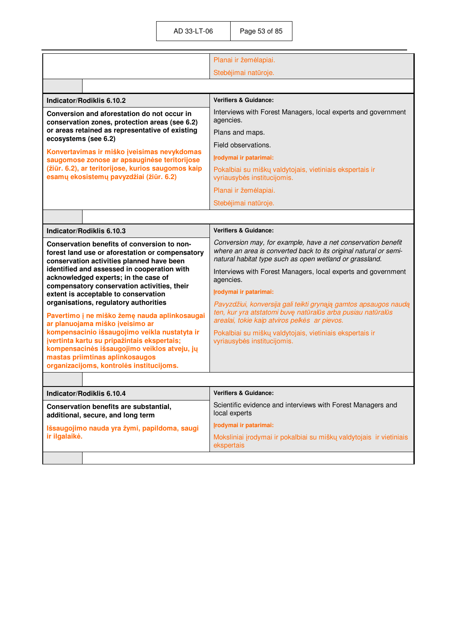|                                                                                                                                                                                                                             | Planai ir žemėlapiai.                                                                                                                                                                       |
|-----------------------------------------------------------------------------------------------------------------------------------------------------------------------------------------------------------------------------|---------------------------------------------------------------------------------------------------------------------------------------------------------------------------------------------|
|                                                                                                                                                                                                                             | Stebėjimai natūroje.                                                                                                                                                                        |
|                                                                                                                                                                                                                             |                                                                                                                                                                                             |
| Indicator/Rodiklis 6.10.2                                                                                                                                                                                                   | <b>Verifiers &amp; Guidance:</b>                                                                                                                                                            |
| Conversion and aforestation do not occur in<br>conservation zones, protection areas (see 6.2)                                                                                                                               | Interviews with Forest Managers, local experts and government<br>agencies.                                                                                                                  |
| or areas retained as representative of existing<br>ecosystems (see 6.2)                                                                                                                                                     | Plans and maps.                                                                                                                                                                             |
| Konvertavimas ir miško įveisimas nevykdomas                                                                                                                                                                                 | Field observations.                                                                                                                                                                         |
| saugomose zonose ar apsauginėse teritorijose                                                                                                                                                                                | Įrodymai ir patarimai:                                                                                                                                                                      |
| (žiūr. 6.2), ar teritorijose, kurios saugomos kaip<br>esamų ekosistemų pavyzdžiai (žiūr. 6.2)                                                                                                                               | Pokalbiai su miškų valdytojais, vietiniais ekspertais ir<br>vyriausybės institucijomis.                                                                                                     |
|                                                                                                                                                                                                                             | Planai ir žemėlapiai.                                                                                                                                                                       |
|                                                                                                                                                                                                                             | Stebėjimai natūroje.                                                                                                                                                                        |
|                                                                                                                                                                                                                             |                                                                                                                                                                                             |
| Indicator/Rodiklis 6.10.3                                                                                                                                                                                                   | <b>Verifiers &amp; Guidance:</b>                                                                                                                                                            |
| Conservation benefits of conversion to non-<br>forest land use or aforestation or compensatory<br>conservation activities planned have been                                                                                 | Conversion may, for example, have a net conservation benefit<br>where an area is converted back to its original natural or semi-<br>natural habitat type such as open wetland or grassland. |
| identified and assessed in cooperation with<br>acknowledged experts; in the case of<br>compensatory conservation activities, their                                                                                          | Interviews with Forest Managers, local experts and government<br>agencies.                                                                                                                  |
| extent is acceptable to conservation                                                                                                                                                                                        | Įrodymai ir patarimai:                                                                                                                                                                      |
| organisations, regulatory authorities                                                                                                                                                                                       | Pavyzdžiui, konversija gali teikti grynąją gamtos apsaugos naudą                                                                                                                            |
| Pavertimo į ne miško žemę nauda aplinkosaugai<br>ar planuojama miško įveisimo ar                                                                                                                                            | ten, kur yra atstatomi buvę natūralūs arba pusiau natūralūs<br>arealai, tokie kaip atviros pelkės ar pievos.                                                                                |
| kompensacinio išsaugojimo veikla nustatyta ir<br>jvertinta kartu su pripažintais ekspertais;<br>kompensacinės išsaugojimo veiklos atveju, jų<br>mastas priimtinas aplinkosaugos<br>organizacijoms, kontrolės institucijoms. | Pokalbiai su miškų valdytojais, vietiniais ekspertais ir<br>vyriausybės institucijomis.                                                                                                     |
|                                                                                                                                                                                                                             |                                                                                                                                                                                             |
| Indicator/Rodiklis 6.10.4                                                                                                                                                                                                   | <b>Verifiers &amp; Guidance:</b>                                                                                                                                                            |
| Conservation benefits are substantial,<br>additional, secure, and long term                                                                                                                                                 | Scientific evidence and interviews with Forest Managers and<br>local experts                                                                                                                |
| Išsaugojimo nauda yra žymi, papildoma, saugi                                                                                                                                                                                | Įrodymai ir patarimai:                                                                                                                                                                      |
| ir ilgalaikė.                                                                                                                                                                                                               | Moksliniai įrodymai ir pokalbiai su miškų valdytojais ir vietiniais<br>ekspertais                                                                                                           |
|                                                                                                                                                                                                                             |                                                                                                                                                                                             |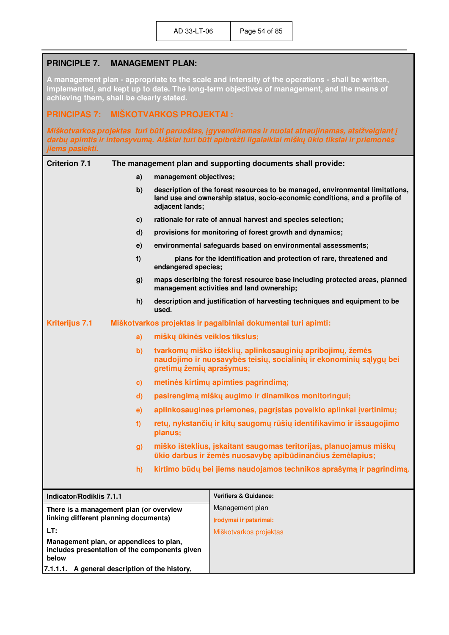# **PRINCIPLE 7. MANAGEMENT PLAN:**

**A management plan - appropriate to the scale and intensity of the operations - shall be written, implemented, and kept up to date. The long-term objectives of management, and the means of achieving them, shall be clearly stated.** 

## **PRINCIPAS 7: MIŠKOTVARKOS PROJEKTAI :**

*Miškotvarkos projektas turi būti paruoštas, įgyvendinamas ir nuolat atnaujinamas, atsižvelgiant į darbų apimtis ir intensyvumą. Aiškiai turi būti apibr÷žti ilgalaikiai miškų ūkio tikslai ir priemon÷s jiems pasiekti.*

| <b>Criterion 7.1</b><br>The management plan and supporting documents shall provide:               |              |                                                                                                                                                               |                                                                                                                                                             |
|---------------------------------------------------------------------------------------------------|--------------|---------------------------------------------------------------------------------------------------------------------------------------------------------------|-------------------------------------------------------------------------------------------------------------------------------------------------------------|
|                                                                                                   | a)           | management objectives;                                                                                                                                        |                                                                                                                                                             |
|                                                                                                   | b)           | adjacent lands;                                                                                                                                               | description of the forest resources to be managed, environmental limitations,<br>land use and ownership status, socio-economic conditions, and a profile of |
|                                                                                                   | c)           |                                                                                                                                                               | rationale for rate of annual harvest and species selection;                                                                                                 |
|                                                                                                   | d)           |                                                                                                                                                               | provisions for monitoring of forest growth and dynamics;                                                                                                    |
|                                                                                                   | e)           |                                                                                                                                                               | environmental safeguards based on environmental assessments;                                                                                                |
|                                                                                                   | f)           | endangered species;                                                                                                                                           | plans for the identification and protection of rare, threatened and                                                                                         |
|                                                                                                   | g)           |                                                                                                                                                               | maps describing the forest resource base including protected areas, planned<br>management activities and land ownership;                                    |
|                                                                                                   | h)           | used.                                                                                                                                                         | description and justification of harvesting techniques and equipment to be                                                                                  |
| <b>Kriterijus 7.1</b>                                                                             |              | Miškotvarkos projektas ir pagalbiniai dokumentai turi apimti:                                                                                                 |                                                                                                                                                             |
|                                                                                                   | a)           | miškų ūkinės veiklos tikslus;                                                                                                                                 |                                                                                                                                                             |
|                                                                                                   | $\mathbf{b}$ | tvarkomų miško išteklių, aplinkosauginių apribojimų, žemės<br>naudojimo ir nuosavybės teisių, socialinių ir ekonominių sąlygų bei<br>gretimų žemių aprašymus; |                                                                                                                                                             |
|                                                                                                   | c)           |                                                                                                                                                               | metinės kirtimų apimties pagrindimą;                                                                                                                        |
|                                                                                                   | $\mathbf{d}$ |                                                                                                                                                               | pasirengimą miškų augimo ir dinamikos monitoringui;                                                                                                         |
|                                                                                                   | e)           |                                                                                                                                                               | aplinkosaugines priemones, pagrįstas poveikio aplinkai įvertinimu;                                                                                          |
| f<br>g)                                                                                           |              | planus;                                                                                                                                                       | retų, nykstančių ir kitų saugomų rūšių identifikavimo ir išsaugojimo                                                                                        |
|                                                                                                   |              |                                                                                                                                                               | miško išteklius, įskaitant saugomas teritorijas, planuojamus miškų<br>ūkio darbus ir žemės nuosavybę apibūdinančius žemėlapius;                             |
|                                                                                                   | h)           |                                                                                                                                                               | kirtimo būdų bei jiems naudojamos technikos aprašymą ir pagrindimą.                                                                                         |
| Indicator/Rodiklis 7.1.1                                                                          |              |                                                                                                                                                               | <b>Verifiers &amp; Guidance:</b>                                                                                                                            |
| There is a management plan (or overview                                                           |              |                                                                                                                                                               | Management plan                                                                                                                                             |
| linking different planning documents)                                                             |              |                                                                                                                                                               | Įrodymai ir patarimai:                                                                                                                                      |
| LT:                                                                                               |              |                                                                                                                                                               | Miškotvarkos projektas                                                                                                                                      |
| Management plan, or appendices to plan,<br>includes presentation of the components given<br>below |              |                                                                                                                                                               |                                                                                                                                                             |
| 7.1.1.1. A general description of the history,                                                    |              |                                                                                                                                                               |                                                                                                                                                             |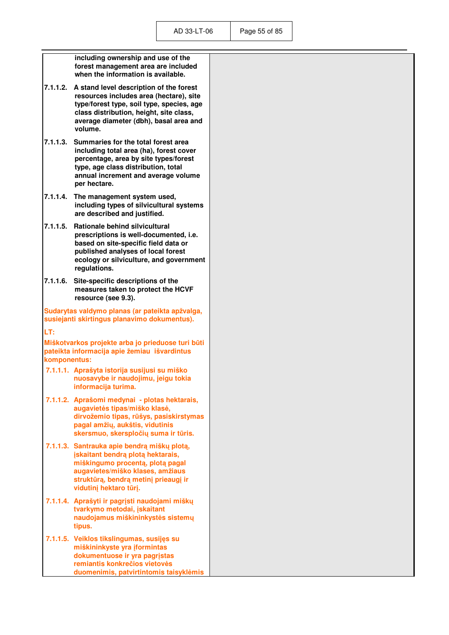|              | including ownership and use of the<br>forest management area are included<br>when the information is available.                                                                                                                 |
|--------------|---------------------------------------------------------------------------------------------------------------------------------------------------------------------------------------------------------------------------------|
| 7.1.1.2.     | A stand level description of the forest<br>resources includes area (hectare), site<br>type/forest type, soil type, species, age<br>class distribution, height, site class,<br>average diameter (dbh), basal area and<br>volume. |
| 7.1.1.3.     | Summaries for the total forest area<br>including total area (ha), forest cover<br>percentage, area by site types/forest<br>type, age class distribution, total<br>annual increment and average volume<br>per hectare.           |
| 7.1.1.4.     | The management system used,<br>including types of silvicultural systems<br>are described and justified.                                                                                                                         |
| 7.1.1.5.     | <b>Rationale behind silvicultural</b><br>prescriptions is well-documented, i.e.<br>based on site-specific field data or<br>published analyses of local forest<br>ecology or silviculture, and government<br>regulations.        |
| 7.1.1.6.     | Site-specific descriptions of the<br>measures taken to protect the HCVF<br>resource (see 9.3).                                                                                                                                  |
|              | Sudarytas valdymo planas (ar pateikta apžvalga,<br>susiejanti skirtingus planavimo dokumentus).                                                                                                                                 |
| LT:          |                                                                                                                                                                                                                                 |
| komponentus: | Miškotvarkos projekte arba jo prieduose turi būti<br>pateikta informacija apie žemiau išvardintus                                                                                                                               |
|              | 7.1.1.1. Aprašyta istorija susijusi su miško<br>nuosavybe ir naudojimu, jeigu tokia<br>informacija turima.                                                                                                                      |
|              | 7.1.1.2. Aprašomi medynai - plotas hektarais,<br>augavietės tipas/miško klasė,<br>dirvožemio tipas, rūšys, pasiskirstymas<br>pagal amžių, aukštis, vidutinis<br>skersmuo, skerspločių suma ir tūris.                            |
|              | 7.1.1.3. Santrauka apie bendrą miškų plotą,<br>įskaitant bendrą plotą hektarais,<br>miškingumo procentą, plotą pagal<br>augavietes/miško klases, amžiaus<br>struktūrą, bendrą metinį prieaugį ir<br>vidutinį hektaro tūrį.      |
|              | 7.1.1.4. Aprašyti ir pagrįsti naudojami miškų<br>tvarkymo metodai, įskaitant<br>naudojamus miškininkystės sistemų<br>tipus.                                                                                                     |
|              | 7.1.1.5. Veiklos tikslingumas, susijęs su<br>miškininkyste yra įformintas<br>dokumentuose ir yra pagrįstas<br>remiantis konkrečios vietovės                                                                                     |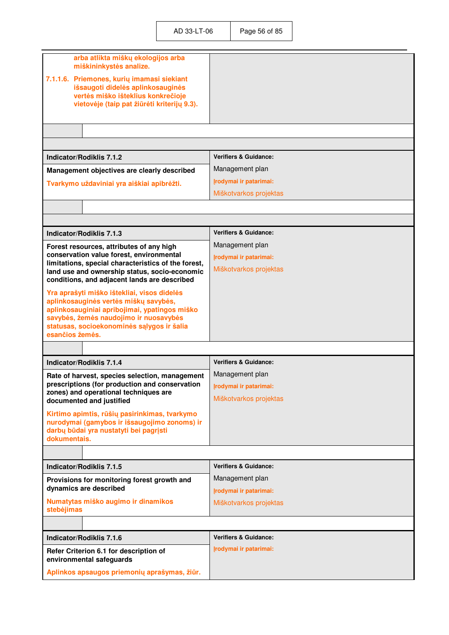| arba atlikta miškų ekologijos arba<br>miškininkystės analize.<br>7.1.1.6. Priemones, kurių imamasi siekiant<br>išsaugoti didelės aplinkosauginės<br>vertės miško išteklius konkrečioje<br>vietovėje (taip pat žiūrėti kriterijų 9.3). |                                  |
|---------------------------------------------------------------------------------------------------------------------------------------------------------------------------------------------------------------------------------------|----------------------------------|
|                                                                                                                                                                                                                                       |                                  |
|                                                                                                                                                                                                                                       |                                  |
| Indicator/Rodiklis 7.1.2                                                                                                                                                                                                              | <b>Verifiers &amp; Guidance:</b> |
| Management objectives are clearly described                                                                                                                                                                                           | Management plan                  |
| Tvarkymo uždaviniai yra aiškiai apibrėžti.                                                                                                                                                                                            | Irodymai ir patarimai:           |
|                                                                                                                                                                                                                                       | Miškotvarkos projektas           |
|                                                                                                                                                                                                                                       |                                  |
|                                                                                                                                                                                                                                       |                                  |
| Indicator/Rodiklis 7.1.3                                                                                                                                                                                                              | <b>Verifiers &amp; Guidance:</b> |
| Forest resources, attributes of any high                                                                                                                                                                                              | Management plan                  |
| conservation value forest, environmental                                                                                                                                                                                              | Įrodymai ir patarimai:           |
| limitations, special characteristics of the forest,<br>land use and ownership status, socio-economic<br>conditions, and adjacent lands are described                                                                                  | Miškotvarkos projektas           |
| Yra aprašyti miško ištekliai, visos didelės                                                                                                                                                                                           |                                  |
| aplinkosauginės vertės miškų savybės,<br>aplinkosauginiai apribojimai, ypatingos miško                                                                                                                                                |                                  |
| savybės, žemės naudojimo ir nuosavybės                                                                                                                                                                                                |                                  |
| statusas, socioekonominės sąlygos ir šalia<br>esančios žemės.                                                                                                                                                                         |                                  |
|                                                                                                                                                                                                                                       |                                  |
| <b>Indicator/Rodiklis 7.1.4</b>                                                                                                                                                                                                       | <b>Verifiers &amp; Guidance:</b> |
|                                                                                                                                                                                                                                       | Management plan                  |
| Rate of harvest, species selection, management<br>prescriptions (for production and conservation                                                                                                                                      | Irodymai ir patarimai:           |
| zones) and operational techniques are<br>documented and justified                                                                                                                                                                     | Miškotvarkos projektas           |
|                                                                                                                                                                                                                                       |                                  |
| Kirtimo apimtis, rūšių pasirinkimas, tvarkymo<br>nurodymai (gamybos ir išsaugojimo zonoms) ir                                                                                                                                         |                                  |
| darbų būdai yra nustatyti bei pagrįsti                                                                                                                                                                                                |                                  |
| dokumentais.                                                                                                                                                                                                                          |                                  |
|                                                                                                                                                                                                                                       |                                  |
| Indicator/Rodiklis 7.1.5                                                                                                                                                                                                              | <b>Verifiers &amp; Guidance:</b> |
| Provisions for monitoring forest growth and<br>dynamics are described                                                                                                                                                                 | Management plan                  |
| Numatytas miško augimo ir dinamikos                                                                                                                                                                                                   | Įrodymai ir patarimai:           |
| stebėjimas                                                                                                                                                                                                                            | Miškotvarkos projektas           |
|                                                                                                                                                                                                                                       |                                  |
| Indicator/Rodiklis 7.1.6                                                                                                                                                                                                              | <b>Verifiers &amp; Guidance:</b> |
| Refer Criterion 6.1 for description of<br>environmental safeguards                                                                                                                                                                    | Irodymai ir patarimai:           |
| Aplinkos apsaugos priemonių aprašymas, žiūr.                                                                                                                                                                                          |                                  |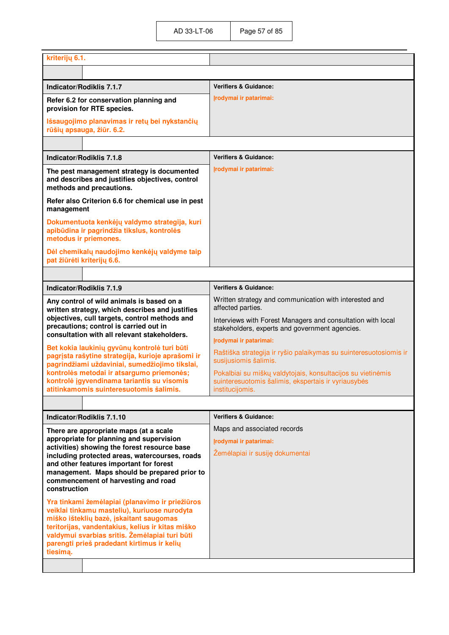| kriterijų 6.1.                                                                                                                                                                                                                                                                                                                                                                                                                                                                                                                                                                                                                                       |                                                                                                                                                                                                                                                               |
|------------------------------------------------------------------------------------------------------------------------------------------------------------------------------------------------------------------------------------------------------------------------------------------------------------------------------------------------------------------------------------------------------------------------------------------------------------------------------------------------------------------------------------------------------------------------------------------------------------------------------------------------------|---------------------------------------------------------------------------------------------------------------------------------------------------------------------------------------------------------------------------------------------------------------|
|                                                                                                                                                                                                                                                                                                                                                                                                                                                                                                                                                                                                                                                      |                                                                                                                                                                                                                                                               |
| Indicator/Rodiklis 7.1.7                                                                                                                                                                                                                                                                                                                                                                                                                                                                                                                                                                                                                             | <b>Verifiers &amp; Guidance:</b>                                                                                                                                                                                                                              |
| Refer 6.2 for conservation planning and<br>provision for RTE species.                                                                                                                                                                                                                                                                                                                                                                                                                                                                                                                                                                                | Irodymai ir patarimai:                                                                                                                                                                                                                                        |
| Išsaugojimo planavimas ir retų bei nykstančių<br>rūšių apsauga, žiūr. 6.2.                                                                                                                                                                                                                                                                                                                                                                                                                                                                                                                                                                           |                                                                                                                                                                                                                                                               |
|                                                                                                                                                                                                                                                                                                                                                                                                                                                                                                                                                                                                                                                      |                                                                                                                                                                                                                                                               |
| Indicator/Rodiklis 7.1.8                                                                                                                                                                                                                                                                                                                                                                                                                                                                                                                                                                                                                             | <b>Verifiers &amp; Guidance:</b>                                                                                                                                                                                                                              |
| The pest management strategy is documented<br>and describes and justifies objectives, control<br>methods and precautions.                                                                                                                                                                                                                                                                                                                                                                                                                                                                                                                            | Irodymai ir patarimai:                                                                                                                                                                                                                                        |
| Refer also Criterion 6.6 for chemical use in pest<br>management                                                                                                                                                                                                                                                                                                                                                                                                                                                                                                                                                                                      |                                                                                                                                                                                                                                                               |
| Dokumentuota kenkėjų valdymo strategija, kuri<br>apibūdina ir pagrindžia tikslus, kontrolės<br>metodus ir priemones.                                                                                                                                                                                                                                                                                                                                                                                                                                                                                                                                 |                                                                                                                                                                                                                                                               |
| Dėl chemikalų naudojimo kenkėjų valdyme taip<br>pat žiūrėti kriterijų 6.6.                                                                                                                                                                                                                                                                                                                                                                                                                                                                                                                                                                           |                                                                                                                                                                                                                                                               |
|                                                                                                                                                                                                                                                                                                                                                                                                                                                                                                                                                                                                                                                      |                                                                                                                                                                                                                                                               |
| <b>Indicator/Rodiklis 7.1.9</b>                                                                                                                                                                                                                                                                                                                                                                                                                                                                                                                                                                                                                      | <b>Verifiers &amp; Guidance:</b>                                                                                                                                                                                                                              |
| Any control of wild animals is based on a<br>written strategy, which describes and justifies<br>objectives, cull targets, control methods and<br>precautions; control is carried out in<br>consultation with all relevant stakeholders.                                                                                                                                                                                                                                                                                                                                                                                                              | Written strategy and communication with interested and<br>affected parties.<br>Interviews with Forest Managers and consultation with local<br>stakeholders, experts and government agencies.                                                                  |
| Bet kokia laukinių gyvūnų kontrolė turi būti<br>pagrįsta rašytine strategija, kurioje aprašomi ir<br>pagrindžiami uždaviniai, sumedžiojimo tikslai,<br>kontrolės metodai ir atsargumo priemonės;<br>kontrolė įgyvendinama tariantis su visomis<br>atitinkamomis suinteresuotomis šalimis.                                                                                                                                                                                                                                                                                                                                                            | Irodymai ir patarimai:<br>Raštiška strategija ir ryšio palaikymas su suinteresuotosiomis ir<br>susijusiomis šalimis.<br>Pokalbiai su miškų valdytojais, konsultacijos su vietinėmis<br>suinteresuotomis šalimis, ekspertais ir vyriausybės<br>institucijomis. |
|                                                                                                                                                                                                                                                                                                                                                                                                                                                                                                                                                                                                                                                      |                                                                                                                                                                                                                                                               |
| Indicator/Rodiklis 7.1.10                                                                                                                                                                                                                                                                                                                                                                                                                                                                                                                                                                                                                            | <b>Verifiers &amp; Guidance:</b>                                                                                                                                                                                                                              |
| There are appropriate maps (at a scale<br>appropriate for planning and supervision<br>activities) showing the forest resource base<br>including protected areas, watercourses, roads<br>and other features important for forest<br>management. Maps should be prepared prior to<br>commencement of harvesting and road<br>construction<br>Yra tinkami žemėlapiai (planavimo ir priežiūros<br>veiklai tinkamu masteliu), kuriuose nurodyta<br>miško išteklių bazė, įskaitant saugomas<br>teritorijas, vandentakius, kelius ir kitas miško<br>valdymui svarbias sritis. Žemėlapiai turi būti<br>parengti prieš pradedant kirtimus ir kelių<br>tiesima. | Maps and associated records<br>Irodymai ir patarimai:<br>Žemėlapiai ir susiję dokumentai                                                                                                                                                                      |
|                                                                                                                                                                                                                                                                                                                                                                                                                                                                                                                                                                                                                                                      |                                                                                                                                                                                                                                                               |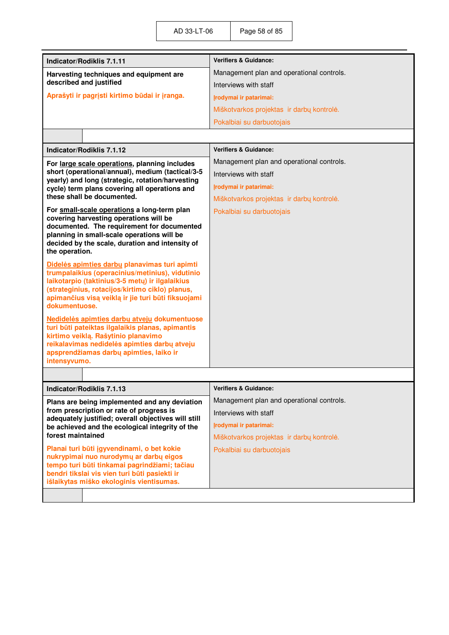| <b>Indicator/Rodiklis 7.1.11</b>                                                                       | <b>Verifiers &amp; Guidance:</b>          |  |  |
|--------------------------------------------------------------------------------------------------------|-------------------------------------------|--|--|
| Harvesting techniques and equipment are                                                                | Management plan and operational controls. |  |  |
| described and justified                                                                                | Interviews with staff                     |  |  |
| Aprašyti ir pagrįsti kirtimo būdai ir įranga.                                                          | Irodymai ir patarimai:                    |  |  |
|                                                                                                        | Miškotvarkos projektas ir darbų kontrolė. |  |  |
|                                                                                                        | Pokalbiai su darbuotojais                 |  |  |
|                                                                                                        |                                           |  |  |
| Indicator/Rodiklis 7.1.12                                                                              | <b>Verifiers &amp; Guidance:</b>          |  |  |
| For large scale operations, planning includes                                                          | Management plan and operational controls. |  |  |
| short (operational/annual), medium (tactical/3-5<br>yearly) and long (strategic, rotation/harvesting   | Interviews with staff                     |  |  |
| cycle) term plans covering all operations and                                                          | Įrodymai ir patarimai:                    |  |  |
| these shall be documented.                                                                             | Miškotvarkos projektas ir darbų kontrolė. |  |  |
| For small-scale operations a long-term plan                                                            | Pokalbiai su darbuotojais                 |  |  |
| covering harvesting operations will be<br>documented. The requirement for documented                   |                                           |  |  |
| planning in small-scale operations will be                                                             |                                           |  |  |
| decided by the scale, duration and intensity of<br>the operation.                                      |                                           |  |  |
| Didelės apimties darbų planavimas turi apimti                                                          |                                           |  |  |
| trumpalaikius (operacinius/metinius), vidutinio                                                        |                                           |  |  |
| laikotarpio (taktinius/3-5 metų) ir ilgalaikius<br>(strateginius, rotacijos/kirtimo ciklo) planus,     |                                           |  |  |
| apimančius visą veiklą ir jie turi būti fiksuojami                                                     |                                           |  |  |
| dokumentuose.                                                                                          |                                           |  |  |
| Nedidelės apimties darbų atveju dokumentuose<br>turi būti pateiktas ilgalaikis planas, apimantis       |                                           |  |  |
| kirtimo veiklą. Rašytinio planavimo                                                                    |                                           |  |  |
| reikalavimas nedidelės apimties darbų atveju                                                           |                                           |  |  |
| apsprendžiamas darbų apimties, laiko ir<br>intensyvumo.                                                |                                           |  |  |
|                                                                                                        |                                           |  |  |
| Indicator/Rodiklis 7.1.13                                                                              | <b>Verifiers &amp; Guidance:</b>          |  |  |
| Plans are being implemented and any deviation                                                          | Management plan and operational controls. |  |  |
| from prescription or rate of progress is                                                               | Interviews with staff                     |  |  |
| adequately justified; overall objectives will still<br>be achieved and the ecological integrity of the | Įrodymai ir patarimai:                    |  |  |
| forest maintained                                                                                      | Miškotvarkos projektas ir darbų kontrolė. |  |  |
| Planai turi būti įgyvendinami, o bet kokie                                                             | Pokalbiai su darbuotojais                 |  |  |
| nukrypimai nuo nurodymų ar darbų eigos<br>tempo turi būti tinkamai pagrindžiami; tačiau                |                                           |  |  |
| bendri tikslai vis vien turi būti pasiekti ir                                                          |                                           |  |  |
| išlaikytas miško ekologinis vientisumas.                                                               |                                           |  |  |
|                                                                                                        |                                           |  |  |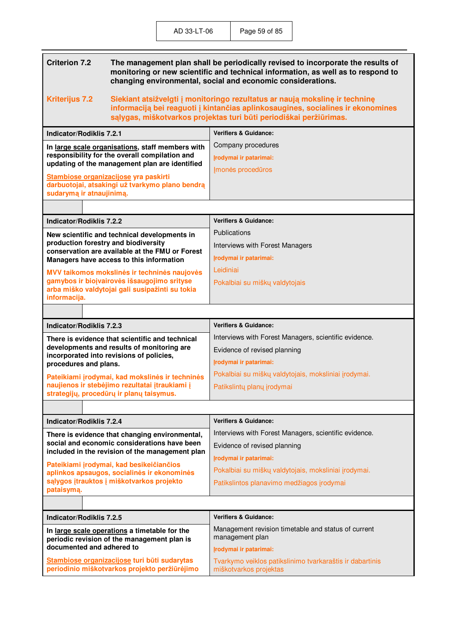| <b>Criterion 7.2</b>                                                                                                 | The management plan shall be periodically revised to incorporate the results of<br>monitoring or new scientific and technical information, as well as to respond to<br>changing environmental, social and economic considerations.   |                                                                        |  |
|----------------------------------------------------------------------------------------------------------------------|--------------------------------------------------------------------------------------------------------------------------------------------------------------------------------------------------------------------------------------|------------------------------------------------------------------------|--|
| <b>Kriterijus 7.2</b>                                                                                                | Siekiant atsižvelgti į monitoringo rezultatus ar naują mokslinę ir techninę<br>informaciją bei reaguoti į kintančias aplinkosaugines, socialines ir ekonomines<br>sąlygas, miškotvarkos projektas turi būti periodiškai peržiūrimas. |                                                                        |  |
| <b>Indicator/Rodiklis 7.2.1</b>                                                                                      |                                                                                                                                                                                                                                      | <b>Verifiers &amp; Guidance:</b>                                       |  |
|                                                                                                                      | In large scale organisations, staff members with                                                                                                                                                                                     | Company procedures                                                     |  |
|                                                                                                                      | responsibility for the overall compilation and<br>updating of the management plan are identified                                                                                                                                     | Irodymai ir patarimai:                                                 |  |
|                                                                                                                      |                                                                                                                                                                                                                                      | Imonės procedūros                                                      |  |
| Stambiose organizacijose yra paskirti<br>darbuotojai, atsakingi už tvarkymo plano bendrą<br>sudarymą ir atnaujinimą. |                                                                                                                                                                                                                                      |                                                                        |  |
|                                                                                                                      |                                                                                                                                                                                                                                      |                                                                        |  |
| <b>Indicator/Rodiklis 7.2.2</b>                                                                                      |                                                                                                                                                                                                                                      | <b>Verifiers &amp; Guidance:</b>                                       |  |
|                                                                                                                      | New scientific and technical developments in                                                                                                                                                                                         | <b>Publications</b>                                                    |  |
| production forestry and biodiversity                                                                                 | conservation are available at the FMU or Forest                                                                                                                                                                                      | Interviews with Forest Managers                                        |  |
|                                                                                                                      | Managers have access to this information                                                                                                                                                                                             | Irodymai ir patarimai:                                                 |  |
|                                                                                                                      | MVV taikomos mokslinės ir techninės naujovės                                                                                                                                                                                         | I eidiniai                                                             |  |
| gamybos ir biojvairovės išsaugojimo srityse<br>arba miško valdytojai gali susipažinti su tokia<br>informacija.       | Pokalbiai su miškų valdytojais                                                                                                                                                                                                       |                                                                        |  |
|                                                                                                                      |                                                                                                                                                                                                                                      |                                                                        |  |
| <b>Indicator/Rodiklis 7.2.3</b>                                                                                      |                                                                                                                                                                                                                                      | <b>Verifiers &amp; Guidance:</b>                                       |  |
|                                                                                                                      | There is evidence that scientific and technical                                                                                                                                                                                      | Interviews with Forest Managers, scientific evidence.                  |  |
|                                                                                                                      | developments and results of monitoring are                                                                                                                                                                                           | Evidence of revised planning                                           |  |
| procedures and plans.                                                                                                | incorporated into revisions of policies,                                                                                                                                                                                             | Irodymai ir patarimai:                                                 |  |
|                                                                                                                      |                                                                                                                                                                                                                                      |                                                                        |  |
|                                                                                                                      |                                                                                                                                                                                                                                      | Pokalbiai su miškų valdytojais, moksliniai įrodymai.                   |  |
|                                                                                                                      | Pateikiami įrodymai, kad mokslinės ir techninės<br>naujienos ir stebėjimo rezultatai įtraukiami į                                                                                                                                    | Patikslintų planų įrodymai                                             |  |
|                                                                                                                      | strategijų, procedūrų ir planų taisymus.                                                                                                                                                                                             |                                                                        |  |
|                                                                                                                      |                                                                                                                                                                                                                                      |                                                                        |  |
| Indicator/Rodiklis 7.2.4                                                                                             |                                                                                                                                                                                                                                      | <b>Verifiers &amp; Guidance:</b>                                       |  |
|                                                                                                                      | There is evidence that changing environmental,                                                                                                                                                                                       | Interviews with Forest Managers, scientific evidence.                  |  |
|                                                                                                                      | social and economic considerations have been<br>included in the revision of the management plan                                                                                                                                      | Evidence of revised planning                                           |  |
|                                                                                                                      | Pateikiami įrodymai, kad besikeičiančios                                                                                                                                                                                             | Irodymai ir patarimai:                                                 |  |
|                                                                                                                      | aplinkos apsaugos, socialinės ir ekonominės                                                                                                                                                                                          | Pokalbiai su miškų valdytojais, moksliniai įrodymai.                   |  |
| pataisymą.                                                                                                           | sąlygos įtrauktos į miškotvarkos projekto                                                                                                                                                                                            | Patikslintos planavimo medžiagos įrodymai                              |  |
|                                                                                                                      |                                                                                                                                                                                                                                      |                                                                        |  |
| Indicator/Rodiklis 7.2.5                                                                                             |                                                                                                                                                                                                                                      | <b>Verifiers &amp; Guidance:</b>                                       |  |
|                                                                                                                      | In large scale operations a timetable for the<br>periodic revision of the management plan is                                                                                                                                         | Management revision timetable and status of current<br>management plan |  |
| documented and adhered to                                                                                            | Stambiose organizacijose turi būti sudarytas                                                                                                                                                                                         | Irodymai ir patarimai:                                                 |  |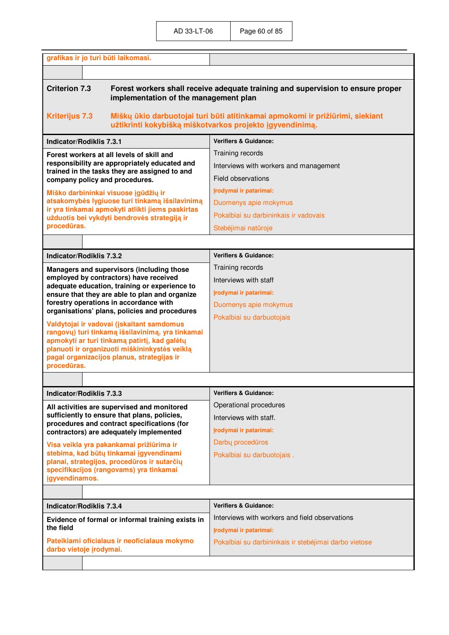| grafikas ir jo turi būti laikomasi.                                                                                                              |                                                                                                                                           |  |
|--------------------------------------------------------------------------------------------------------------------------------------------------|-------------------------------------------------------------------------------------------------------------------------------------------|--|
|                                                                                                                                                  |                                                                                                                                           |  |
| <b>Criterion 7.3</b><br>Forest workers shall receive adequate training and supervision to ensure proper<br>implementation of the management plan |                                                                                                                                           |  |
| <b>Kriterijus 7.3</b>                                                                                                                            | Miškų ūkio darbuotojai turi būti atitinkamai apmokomi ir prižiūrimi, siekiant<br>užtikrinti kokybišką miškotvarkos projekto įgyvendinimą. |  |
| <b>Indicator/Rodiklis 7.3.1</b>                                                                                                                  | <b>Verifiers &amp; Guidance:</b>                                                                                                          |  |
| Forest workers at all levels of skill and                                                                                                        | Training records                                                                                                                          |  |
| responsibility are appropriately educated and<br>trained in the tasks they are assigned to and                                                   | Interviews with workers and management                                                                                                    |  |
| company policy and procedures.                                                                                                                   | Field observations                                                                                                                        |  |
| Miško darbininkai visuose įgūdžių ir                                                                                                             | Irodymai ir patarimai:                                                                                                                    |  |
| atsakomybės lygiuose turi tinkamą išsilavinimą<br>ir yra tinkamai apmokyti atlikti jiems paskirtas                                               | Duomenys apie mokymus                                                                                                                     |  |
| užduotis bei vykdyti bendrovės strategiją ir                                                                                                     | Pokalbiai su darbininkais ir vadovais                                                                                                     |  |
| procedūras.                                                                                                                                      | Stebėjimai natūroje                                                                                                                       |  |
|                                                                                                                                                  |                                                                                                                                           |  |
| <b>Indicator/Rodiklis 7.3.2</b>                                                                                                                  | <b>Verifiers &amp; Guidance:</b>                                                                                                          |  |
| Managers and supervisors (including those                                                                                                        | Training records                                                                                                                          |  |
| employed by contractors) have received<br>adequate education, training or experience to                                                          | Interviews with staff                                                                                                                     |  |
| ensure that they are able to plan and organize                                                                                                   | Įrodymai ir patarimai:                                                                                                                    |  |
| forestry operations in accordance with<br>organisations' plans, policies and procedures                                                          | Duomenys apie mokymus                                                                                                                     |  |
| Valdytojai ir vadovai (įskaitant samdomus                                                                                                        | Pokalbiai su darbuotojais                                                                                                                 |  |
| rangovų) turi tinkamą išsilavinimą, yra tinkamai                                                                                                 |                                                                                                                                           |  |
| apmokyti ar turi tinkamą patirtį, kad galėtų<br>planuoti ir organizuoti miškininkystės veiklą                                                    |                                                                                                                                           |  |
| pagal organizacijos planus, strategijas ir                                                                                                       |                                                                                                                                           |  |
| procedūras.                                                                                                                                      |                                                                                                                                           |  |
|                                                                                                                                                  |                                                                                                                                           |  |
| <b>Indicator/Rodiklis 7.3.3</b>                                                                                                                  | <b>Verifiers &amp; Guidance:</b>                                                                                                          |  |
| All activities are supervised and monitored                                                                                                      | Operational procedures                                                                                                                    |  |
| sufficiently to ensure that plans, policies,<br>procedures and contract specifications (for                                                      | Interviews with staff.                                                                                                                    |  |
| contractors) are adequately implemented                                                                                                          | Irodymai ir patarimai:                                                                                                                    |  |
| Visa veikla yra pakankamai prižiūrima ir                                                                                                         | Darby proceduros                                                                                                                          |  |
| stebima, kad būtų tinkamai įgyvendinami<br>planai, strategijos, procedūros ir sutarčių                                                           | Pokalbiai su darbuotojais.                                                                                                                |  |
| specifikacijos (rangovams) yra tinkamai                                                                                                          |                                                                                                                                           |  |
| igyvendinamos.                                                                                                                                   |                                                                                                                                           |  |
|                                                                                                                                                  |                                                                                                                                           |  |
| <b>Indicator/Rodiklis 7.3.4</b>                                                                                                                  | <b>Verifiers &amp; Guidance:</b>                                                                                                          |  |
| Evidence of formal or informal training exists in<br>the field                                                                                   | Interviews with workers and field observations                                                                                            |  |
|                                                                                                                                                  | Įrodymai ir patarimai:                                                                                                                    |  |
| Pateikiami oficialaus ir neoficialaus mokymo<br>darbo vietoje įrodymai.                                                                          | Pokalbiai su darbininkais ir stebėjimai darbo vietose                                                                                     |  |
|                                                                                                                                                  |                                                                                                                                           |  |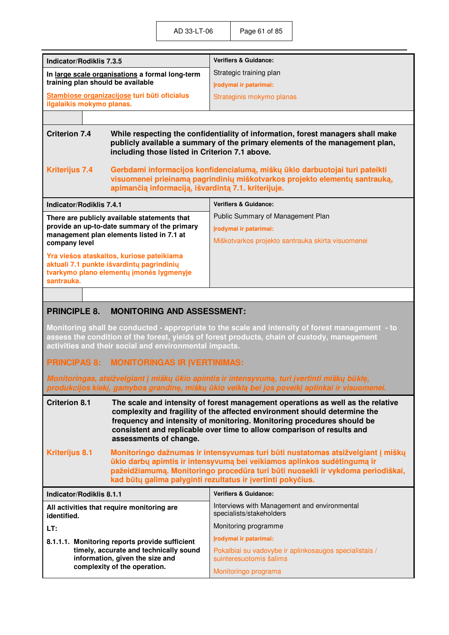| Indicator/Rodiklis 7.3.5                                                                                                                                                                                                                                                                                                                                                                                                                                                               |  | <b>Verifiers &amp; Guidance:</b>                                                  |
|----------------------------------------------------------------------------------------------------------------------------------------------------------------------------------------------------------------------------------------------------------------------------------------------------------------------------------------------------------------------------------------------------------------------------------------------------------------------------------------|--|-----------------------------------------------------------------------------------|
| In large scale organisations a formal long-term                                                                                                                                                                                                                                                                                                                                                                                                                                        |  | Strategic training plan                                                           |
| training plan should be available                                                                                                                                                                                                                                                                                                                                                                                                                                                      |  | Irodymai ir patarimai:                                                            |
| Stambiose organizacijose turi būti oficialus<br>ilgalaikis mokymo planas.                                                                                                                                                                                                                                                                                                                                                                                                              |  | Strateginis mokymo planas                                                         |
|                                                                                                                                                                                                                                                                                                                                                                                                                                                                                        |  |                                                                                   |
| <b>Criterion 7.4</b><br>While respecting the confidentiality of information, forest managers shall make<br>publicly available a summary of the primary elements of the management plan,<br>including those listed in Criterion 7.1 above.<br><b>Kriterijus 7.4</b><br>Gerbdami informacijos konfidencialumą, miškų ūkio darbuotojai turi pateikti<br>visuomenei prieinamą pagrindinių miškotvarkos projekto elementų santrauką,<br>apimančią informaciją, išvardintą 7.1. kriterijuje. |  |                                                                                   |
| <b>Indicator/Rodiklis 7.4.1</b>                                                                                                                                                                                                                                                                                                                                                                                                                                                        |  | <b>Verifiers &amp; Guidance:</b>                                                  |
| There are publicly available statements that                                                                                                                                                                                                                                                                                                                                                                                                                                           |  | Public Summary of Management Plan                                                 |
| provide an up-to-date summary of the primary                                                                                                                                                                                                                                                                                                                                                                                                                                           |  | Irodymai ir patarimai:                                                            |
| management plan elements listed in 7.1 at<br>company level                                                                                                                                                                                                                                                                                                                                                                                                                             |  | Miškotvarkos projekto santrauka skirta visuomenei                                 |
| Yra viešos ataskaitos, kuriose pateikiama<br>aktuali 7.1 punkte išvardintų pagrindinių<br>tvarkymo plano elementų įmonės lygmenyje<br>santrauka.                                                                                                                                                                                                                                                                                                                                       |  |                                                                                   |
|                                                                                                                                                                                                                                                                                                                                                                                                                                                                                        |  |                                                                                   |
| <b>PRINCIPLE 8.</b><br><b>MONITORING AND ASSESSMENT:</b>                                                                                                                                                                                                                                                                                                                                                                                                                               |  |                                                                                   |
| Monitoring shall be conducted - appropriate to the scale and intensity of forest management - to<br>assess the condition of the forest, yields of forest products, chain of custody, management<br>activities and their social and environmental impacts.                                                                                                                                                                                                                              |  |                                                                                   |
| <b>MONITORINGAS IR IVERTINIMAS:</b><br><b>PRINCIPAS 8:</b>                                                                                                                                                                                                                                                                                                                                                                                                                             |  |                                                                                   |
| Monitoringas, atsižvelgiant į miškų ūkio apimtis ir intensyvumą, turi įvertinti miškų būklę,<br>produkcijos kiekį, gamybos grandinę, miškų ūkio veiklą bei jos poveikį aplinkai ir visuomenei.                                                                                                                                                                                                                                                                                         |  |                                                                                   |
| <b>Criterion 8.1</b><br>The scale and intensity of forest management operations as well as the relative<br>complexity and fragility of the affected environment should determine the<br>frequency and intensity of monitoring. Monitoring procedures should be<br>consistent and replicable over time to allow comparison of results and<br>assessments of change.                                                                                                                     |  |                                                                                   |
| <b>Kriterijus 8.1</b><br>Monitoringo dažnumas ir intensyvumas turi būti nustatomas atsižvelgiant į miškų<br>ūkio darbų apimtis ir intensyvumą bei veikiamos aplinkos sudėtingumą ir<br>pažeidžiamumą. Monitoringo procedūra turi būti nuosekli ir vykdoma periodiškai,<br>kad būtų galima palyginti rezultatus ir įvertinti pokyčius.                                                                                                                                                  |  |                                                                                   |
| Indicator/Rodiklis 8.1.1                                                                                                                                                                                                                                                                                                                                                                                                                                                               |  | <b>Verifiers &amp; Guidance:</b>                                                  |
|                                                                                                                                                                                                                                                                                                                                                                                                                                                                                        |  | Interviews with Management and environmental                                      |
| All activities that require monitoring are<br>identified.                                                                                                                                                                                                                                                                                                                                                                                                                              |  | specialists/stakeholders                                                          |
| LT:                                                                                                                                                                                                                                                                                                                                                                                                                                                                                    |  | Monitoring programme                                                              |
| 8.1.1.1. Monitoring reports provide sufficient                                                                                                                                                                                                                                                                                                                                                                                                                                         |  | Irodymai ir patarimai:                                                            |
| timely, accurate and technically sound<br>information, given the size and<br>complexity of the operation.                                                                                                                                                                                                                                                                                                                                                                              |  | Pokalbiai su vadovybe ir aplinkosaugos specialistais /<br>suinteresuotomis šalims |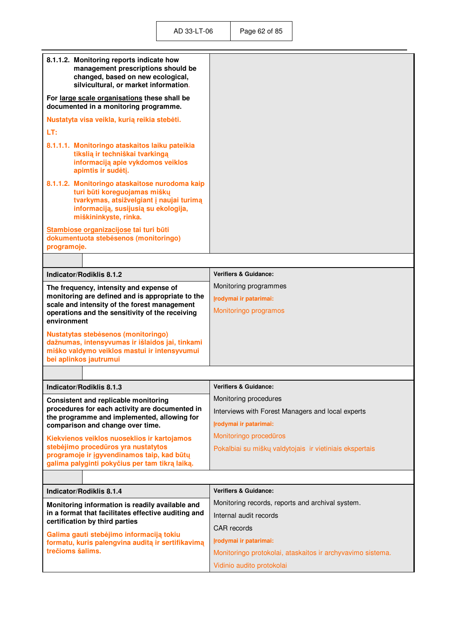| 8.1.1.2. Monitoring reports indicate how<br>management prescriptions should be<br>changed, based on new ecological,<br>silvicultural, or market information.                                |                                                                            |
|---------------------------------------------------------------------------------------------------------------------------------------------------------------------------------------------|----------------------------------------------------------------------------|
| For large scale organisations these shall be<br>documented in a monitoring programme.                                                                                                       |                                                                            |
| Nustatyta visa veikla, kurią reikia stebėti.                                                                                                                                                |                                                                            |
| LT:                                                                                                                                                                                         |                                                                            |
| 8.1.1.1. Monitoringo ataskaitos laiku pateikia<br>tikslią ir techniškai tvarkingą<br>informaciją apie vykdomos veiklos<br>apimtis ir sudėtį.                                                |                                                                            |
| 8.1.1.2. Monitoringo ataskaitose nurodoma kaip<br>turi būti koreguojamas miškų<br>tvarkymas, atsižvelgiant į naujai turimą<br>informaciją, susijusią su ekologija,<br>miškininkyste, rinka. |                                                                            |
| Stambiose organizacijose tai turi būti<br>dokumentuota stebėsenos (monitoringo)<br>programoje.                                                                                              |                                                                            |
|                                                                                                                                                                                             |                                                                            |
| Indicator/Rodiklis 8.1.2                                                                                                                                                                    | <b>Verifiers &amp; Guidance:</b>                                           |
| The frequency, intensity and expense of                                                                                                                                                     | Monitoring programmes                                                      |
| monitoring are defined and is appropriate to the                                                                                                                                            | Irodymai ir patarimai:                                                     |
| scale and intensity of the forest management<br>operations and the sensitivity of the receiving                                                                                             | Monitoringo programos                                                      |
| environment                                                                                                                                                                                 |                                                                            |
| <b>Nustatytas stebėsenos (monitoringo)</b><br>dažnumas, intensyvumas ir išlaidos jai, tinkami                                                                                               |                                                                            |
| miško valdymo veiklos mastui ir intensyvumui                                                                                                                                                |                                                                            |
| bei aplinkos jautrumui                                                                                                                                                                      |                                                                            |
|                                                                                                                                                                                             |                                                                            |
| Indicator/Rodiklis 8.1.3                                                                                                                                                                    | <b>Verifiers &amp; Guidance:</b>                                           |
| <b>Consistent and replicable monitoring</b><br>procedures for each activity are documented in                                                                                               | Monitoring procedures                                                      |
| the programme and implemented, allowing for                                                                                                                                                 | Interviews with Forest Managers and local experts                          |
| comparison and change over time.                                                                                                                                                            | Įrodymai ir patarimai:<br>Monitoringo procedūros                           |
| Kiekvienos veiklos nuoseklios ir kartojamos<br>stebėjimo procedūros yra nustatytos                                                                                                          | Pokalbiai su miškų valdytojais ir vietiniais ekspertais                    |
| programoje ir įgyvendinamos taip, kad būtų                                                                                                                                                  |                                                                            |
| galima palyginti pokyčius per tam tikrą laiką.                                                                                                                                              |                                                                            |
|                                                                                                                                                                                             |                                                                            |
| Indicator/Rodiklis 8.1.4                                                                                                                                                                    | <b>Verifiers &amp; Guidance:</b>                                           |
| Monitoring information is readily available and<br>in a format that facilitates effective auditing and                                                                                      | Monitoring records, reports and archival system.<br>Internal audit records |
| certification by third parties                                                                                                                                                              | <b>CAR</b> records                                                         |
| Galima gauti stebėjimo informaciją tokiu<br>formatu, kuris palengvina auditą ir sertifikavimą                                                                                               | Įrodymai ir patarimai:                                                     |
| trečioms šalims.                                                                                                                                                                            | Monitoringo protokolai, ataskaitos ir archyvavimo sistema.                 |
|                                                                                                                                                                                             | Vidinio audito protokolai                                                  |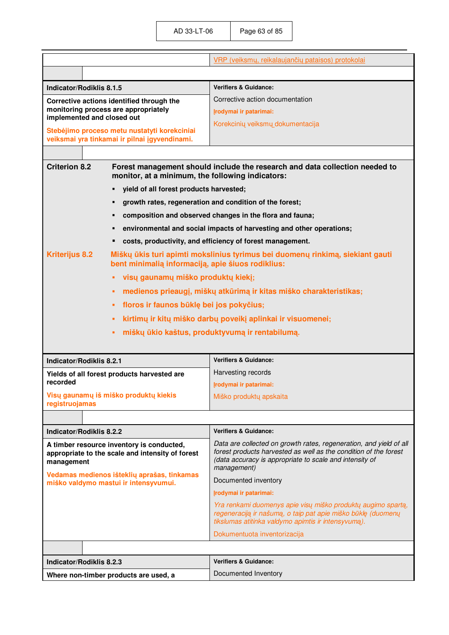|                                                                                                                                                             | VRP (veiksmų, reikalaujančių pataisos) protokolai                                                                                                                                   |
|-------------------------------------------------------------------------------------------------------------------------------------------------------------|-------------------------------------------------------------------------------------------------------------------------------------------------------------------------------------|
|                                                                                                                                                             |                                                                                                                                                                                     |
| Indicator/Rodiklis 8.1.5                                                                                                                                    | <b>Verifiers &amp; Guidance:</b>                                                                                                                                                    |
| Corrective actions identified through the                                                                                                                   | Corrective action documentation                                                                                                                                                     |
| monitoring process are appropriately<br>implemented and closed out                                                                                          | Irodymai ir patarimai:                                                                                                                                                              |
| Stebėjimo proceso metu nustatyti korekciniai                                                                                                                | Korekcinių veiksmų dokumentacija                                                                                                                                                    |
| veiksmai yra tinkamai ir pilnai įgyvendinami.                                                                                                               |                                                                                                                                                                                     |
|                                                                                                                                                             |                                                                                                                                                                                     |
| <b>Criterion 8.2</b><br>monitor, at a minimum, the following indicators:                                                                                    | Forest management should include the research and data collection needed to                                                                                                         |
| yield of all forest products harvested;<br>п                                                                                                                |                                                                                                                                                                                     |
| growth rates, regeneration and condition of the forest;<br>п                                                                                                |                                                                                                                                                                                     |
| п                                                                                                                                                           | composition and observed changes in the flora and fauna;                                                                                                                            |
| environmental and social impacts of harvesting and other operations;<br>п                                                                                   |                                                                                                                                                                                     |
|                                                                                                                                                             | costs, productivity, and efficiency of forest management.                                                                                                                           |
| <b>Kriterijus 8.2</b><br>Miškų ūkis turi apimti mokslinius tyrimus bei duomenų rinkimą, siekiant gauti<br>bent minimalią informaciją, apie šiuos rodiklius: |                                                                                                                                                                                     |
| visų gaunamų miško produktų kiekį;<br>٠                                                                                                                     |                                                                                                                                                                                     |
| medienos prieaugį, miškų atkūrimą ir kitas miško charakteristikas;<br>٠                                                                                     |                                                                                                                                                                                     |
| floros ir faunos būklę bei jos pokyčius;<br>٠                                                                                                               |                                                                                                                                                                                     |
| kirtimų ir kitų miško darbų poveikį aplinkai ir visuomenei;<br>٠                                                                                            |                                                                                                                                                                                     |
| miškų ūkio kaštus, produktyvumą ir rentabilumą.<br>п                                                                                                        |                                                                                                                                                                                     |
|                                                                                                                                                             |                                                                                                                                                                                     |
| <b>Indicator/Rodiklis 8.2.1</b>                                                                                                                             | <b>Verifiers &amp; Guidance:</b>                                                                                                                                                    |
| Yields of all forest products harvested are                                                                                                                 | Harvesting records                                                                                                                                                                  |
| recorded                                                                                                                                                    | Irodymai ir patarimai:                                                                                                                                                              |
| Visų gaunamų iš miško produktų kiekis<br>registruojamas                                                                                                     | Miško produktų apskaita                                                                                                                                                             |
|                                                                                                                                                             |                                                                                                                                                                                     |
|                                                                                                                                                             |                                                                                                                                                                                     |
| Indicator/Rodiklis 8.2.2                                                                                                                                    | <b>Verifiers &amp; Guidance:</b><br>Data are collected on growth rates, regeneration, and yield of all                                                                              |
| A timber resource inventory is conducted,<br>appropriate to the scale and intensity of forest<br>management                                                 | forest products harvested as well as the condition of the forest<br>(data accuracy is appropriate to scale and intensity of<br>management)                                          |
| Vedamas medienos išteklių aprašas, tinkamas<br>miško valdymo mastui ir intensyvumui.                                                                        | Documented inventory                                                                                                                                                                |
|                                                                                                                                                             | Irodymai ir patarimai:                                                                                                                                                              |
|                                                                                                                                                             | Yra renkami duomenys apie visų miško produktų augimo spartą,<br>regeneraciją ir našumą, o taip pat apie miško būklę (duomenų<br>tikslumas atitinka valdymo apimtis ir intensyvumą). |
|                                                                                                                                                             | Dokumentuota inventorizacija                                                                                                                                                        |
|                                                                                                                                                             |                                                                                                                                                                                     |
| Indicator/Rodiklis 8.2.3                                                                                                                                    | <b>Verifiers &amp; Guidance:</b>                                                                                                                                                    |
| Where non-timber products are used, a                                                                                                                       | Documented Inventory                                                                                                                                                                |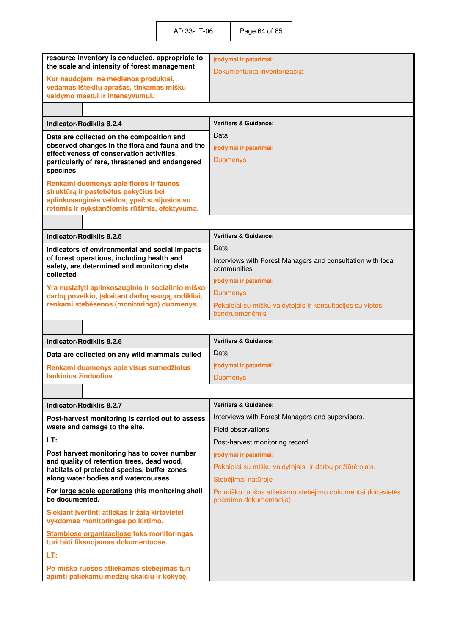| resource inventory is conducted, appropriate to<br>the scale and intensity of forest management                                                      | Irodymai ir patarimai:<br>Dokumentuota inventorizacija                                 |
|------------------------------------------------------------------------------------------------------------------------------------------------------|----------------------------------------------------------------------------------------|
| Kur naudojami ne medienos produktai,<br>vedamas išteklių aprašas, tinkamas miškų                                                                     |                                                                                        |
| valdymo mastui ir intensyvumui.                                                                                                                      |                                                                                        |
|                                                                                                                                                      |                                                                                        |
| Indicator/Rodiklis 8.2.4                                                                                                                             | <b>Verifiers &amp; Guidance:</b>                                                       |
| Data are collected on the composition and                                                                                                            | Data                                                                                   |
| observed changes in the flora and fauna and the<br>effectiveness of conservation activities,                                                         | Irodymai ir patarimai:                                                                 |
| particularly of rare, threatened and endangered<br>specines                                                                                          | <b>Duomenys</b>                                                                        |
| Renkami duomenys apie floros ir faunos                                                                                                               |                                                                                        |
| struktūrą ir pastebėtus pokyčius bei                                                                                                                 |                                                                                        |
| aplinkosauginės veiklos, ypač susijusios su<br>retomis ir nykstančiomis rūšimis, efektyvumą.                                                         |                                                                                        |
|                                                                                                                                                      |                                                                                        |
| Indicator/Rodiklis 8.2.5                                                                                                                             | <b>Verifiers &amp; Guidance:</b>                                                       |
| Indicators of environmental and social impacts                                                                                                       | Data                                                                                   |
| of forest operations, including health and<br>safety, are determined and monitoring data<br>collected                                                | Interviews with Forest Managers and consultation with local<br>communities             |
|                                                                                                                                                      | Įrodymai ir patarimai:                                                                 |
| Yra nustatyti aplinkosauginio ir socialinio miško<br>darbų poveikio, įskaitant darbų saugą, rodikliai,<br>renkami stebėsenos (monitoringo) duomenys. | <b>Duomenys</b>                                                                        |
|                                                                                                                                                      | Pokalbiai su miškų valdytojais ir konsultacijos su vietos<br>bendruomenėmis            |
|                                                                                                                                                      |                                                                                        |
|                                                                                                                                                      |                                                                                        |
| Indicator/Rodiklis 8.2.6                                                                                                                             | <b>Verifiers &amp; Guidance:</b>                                                       |
| Data are collected on any wild mammals culled                                                                                                        | Data                                                                                   |
| Renkami duomenys apie visus sumedžiotus                                                                                                              | Įrodymai ir patarimai:                                                                 |
| laukinius žinduolius.                                                                                                                                | <b>Duomenys</b>                                                                        |
|                                                                                                                                                      |                                                                                        |
| Indicator/Rodiklis 8.2.7                                                                                                                             | <b>Verifiers &amp; Guidance:</b>                                                       |
| Post-harvest monitoring is carried out to assess                                                                                                     | Interviews with Forest Managers and supervisors.                                       |
| waste and damage to the site.                                                                                                                        | Field observations                                                                     |
| LT:                                                                                                                                                  | Post-harvest monitoring record                                                         |
| Post harvest monitoring has to cover number                                                                                                          | Irodymai ir patarimai:                                                                 |
| and quality of retention trees, dead wood,<br>habitats of protected species, buffer zones                                                            | Pokalbiai su miškų valdytojais ir darbų prižiūrėtojais.                                |
| along water bodies and watercourses.                                                                                                                 | Stebėjimai natūroje                                                                    |
| For large scale operations this monitoring shall<br>be documented.                                                                                   | Po miško ruošos atliekamo stebėjimo dokumentai (kirtavietės<br>priėmimo dokumentacija) |
| Siekiant įvertinti atliekas ir žalą kirtavietei<br>vykdomas monitoringas po kirtimo.                                                                 |                                                                                        |
| Stambiose organizacijose toks monitoringas<br>turi būti fiksuojamas dokumentuose.                                                                    |                                                                                        |
| LT:                                                                                                                                                  |                                                                                        |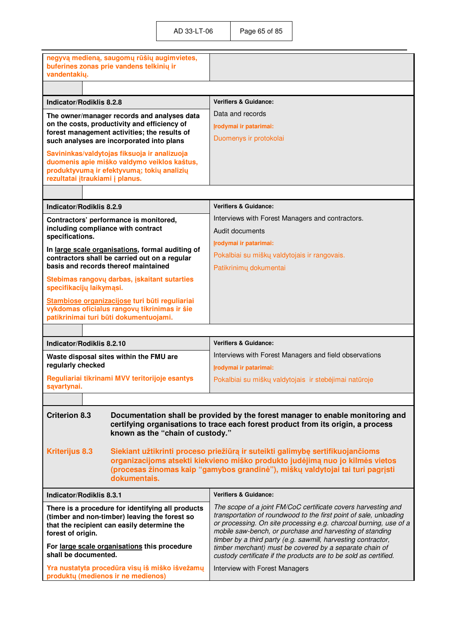| negyvą medieną, saugomų rūšių augimvietes,<br>buferines zonas prie vandens telkinių ir<br>vandentakių. |                                                                                                                                    |
|--------------------------------------------------------------------------------------------------------|------------------------------------------------------------------------------------------------------------------------------------|
|                                                                                                        |                                                                                                                                    |
| Indicator/Rodiklis 8.2.8                                                                               | <b>Verifiers &amp; Guidance:</b>                                                                                                   |
| The owner/manager records and analyses data                                                            | Data and records                                                                                                                   |
| on the costs, productivity and efficiency of                                                           | Įrodymai ir patarimai:                                                                                                             |
| forest management activities; the results of<br>such analyses are incorporated into plans              | Duomenys ir protokolai                                                                                                             |
| Savininkas/valdytojas fiksuoja ir analizuoja                                                           |                                                                                                                                    |
| duomenis apie miško valdymo veiklos kaštus,                                                            |                                                                                                                                    |
| produktyvumą ir efektyvumą; tokių analizių<br>rezultatai įtraukiami į planus.                          |                                                                                                                                    |
|                                                                                                        |                                                                                                                                    |
|                                                                                                        |                                                                                                                                    |
| Indicator/Rodiklis 8.2.9                                                                               | <b>Verifiers &amp; Guidance:</b>                                                                                                   |
| Contractors' performance is monitored,<br>including compliance with contract                           | Interviews with Forest Managers and contractors.                                                                                   |
| specifications.                                                                                        | Audit documents                                                                                                                    |
| In large scale organisations, formal auditing of                                                       | Irodymai ir patarimai:                                                                                                             |
| contractors shall be carried out on a regular<br>basis and records thereof maintained                  | Pokalbiai su miškų valdytojais ir rangovais.                                                                                       |
|                                                                                                        | Patikrinimų dokumentai                                                                                                             |
| Stebimas rangovų darbas, įskaitant sutarties<br>specifikacijų laikymąsi.                               |                                                                                                                                    |
| Stambiose organizacijose turi būti reguliariai                                                         |                                                                                                                                    |
| vykdomas oficialus rangovų tikrinimas ir šie<br>patikrinimai turi būti dokumentuojami.                 |                                                                                                                                    |
|                                                                                                        |                                                                                                                                    |
| Indicator/Rodiklis 8.2.10                                                                              | <b>Verifiers &amp; Guidance:</b>                                                                                                   |
| Waste disposal sites within the FMU are                                                                | Interviews with Forest Managers and field observations                                                                             |
| regularly checked                                                                                      | Irodymai ir patarimai:                                                                                                             |
| Reguliariai tikrinami MVV teritorijoje esantys                                                         | Pokalbiai su miškų valdytojais ir stebėjimai natūroje                                                                              |
| sąvartynai.                                                                                            |                                                                                                                                    |
|                                                                                                        |                                                                                                                                    |
| <b>Criterion 8.3</b>                                                                                   | Documentation shall be provided by the forest manager to enable monitoring and                                                     |
|                                                                                                        | certifying organisations to trace each forest product from its origin, a process                                                   |
| known as the "chain of custody."                                                                       |                                                                                                                                    |
| <b>Kriterijus 8.3</b>                                                                                  | Siekiant užtikrinti proceso priežiūrą ir suteikti galimybę sertifikuojančioms                                                      |
|                                                                                                        | organizacijoms atsekti kiekvieno miško produkto judėjimą nuo jo kilmės vietos                                                      |
| dokumentais.                                                                                           | (procesas žinomas kaip "gamybos grandinė"), miškų valdytojai tai turi pagrįsti                                                     |
|                                                                                                        |                                                                                                                                    |
| Indicator/Rodiklis 8.3.1                                                                               | <b>Verifiers &amp; Guidance:</b>                                                                                                   |
| There is a procedure for identifying all products<br>(timber and non-timber) leaving the forest so     | The scope of a joint FM/CoC certificate covers harvesting and<br>transportation of roundwood to the first point of sale, unloading |
| that the recipient can easily determine the                                                            | or processing. On site processing e.g. charcoal burning, use of a                                                                  |
| forest of origin.                                                                                      | mobile saw-bench, or purchase and harvesting of standing<br>timber by a third party (e.g. sawmill, harvesting contractor,          |
| For large scale organisations this procedure<br>shall be documented.                                   | timber merchant) must be covered by a separate chain of                                                                            |
| Yra nustatyta procedūra visų iš miško išvežamų                                                         | custody certificate if the products are to be sold as certified.<br>Interview with Forest Managers                                 |
|                                                                                                        |                                                                                                                                    |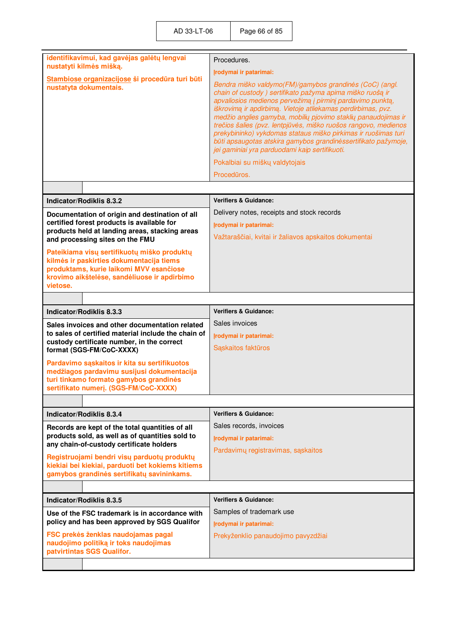| identifikavimui, kad gavėjas galėtų lengvai<br>nustatyti kilmės mišką.                                                                                                                         | Procedures.                                                                                                                                                                                                                                                                                                                                                                             |
|------------------------------------------------------------------------------------------------------------------------------------------------------------------------------------------------|-----------------------------------------------------------------------------------------------------------------------------------------------------------------------------------------------------------------------------------------------------------------------------------------------------------------------------------------------------------------------------------------|
| Stambiose organizacijose ši procedūra turi būti<br>nustatyta dokumentais.                                                                                                                      | Irodymai ir patarimai:<br>Bendra miško valdymo(FM)/gamybos grandinės (CoC) (angl.<br>chain of custody) sertifikato pažyma apima miško ruošą ir<br>apvaliosios medienos pervežimą į pirminį pardavimo punktą,                                                                                                                                                                            |
|                                                                                                                                                                                                | iškrovimą ir apdirbimą. Vietoje atliekamas perdirbimas, pvz.<br>medžio anglies gamyba, mobilių pjovimo staklių panaudojimas ir<br>trečios šalies (pvz. lentpjūvės, miško ruošos rangovo, medienos<br>prekybininko) vykdomas stataus miško pirkimas ir ruošimas turi<br>būti apsaugotas atskira gamybos grandinėssertifikato pažymoje,<br>jei gaminiai yra parduodami kaip sertifikuoti. |
|                                                                                                                                                                                                | Pokalbiai su miškų valdytojais                                                                                                                                                                                                                                                                                                                                                          |
|                                                                                                                                                                                                | Procedūros.                                                                                                                                                                                                                                                                                                                                                                             |
|                                                                                                                                                                                                |                                                                                                                                                                                                                                                                                                                                                                                         |
| Indicator/Rodiklis 8.3.2                                                                                                                                                                       | <b>Verifiers &amp; Guidance:</b>                                                                                                                                                                                                                                                                                                                                                        |
| Documentation of origin and destination of all                                                                                                                                                 | Delivery notes, receipts and stock records                                                                                                                                                                                                                                                                                                                                              |
| certified forest products is available for<br>products held at landing areas, stacking areas                                                                                                   | Irodymai ir patarimai:                                                                                                                                                                                                                                                                                                                                                                  |
| and processing sites on the FMU                                                                                                                                                                | Važtaraščiai, kvitai ir žaliavos apskaitos dokumentai                                                                                                                                                                                                                                                                                                                                   |
| Pateikiama visų sertifikuotų miško produktų<br>kilmės ir paskirties dokumentacija tiems<br>produktams, kurie laikomi MVV esančiose<br>krovimo aikštelėse, sandėliuose ir apdirbimo<br>vietose. |                                                                                                                                                                                                                                                                                                                                                                                         |
|                                                                                                                                                                                                |                                                                                                                                                                                                                                                                                                                                                                                         |
| Indicator/Rodiklis 8.3.3                                                                                                                                                                       | <b>Verifiers &amp; Guidance:</b>                                                                                                                                                                                                                                                                                                                                                        |
| Sales invoices and other documentation related                                                                                                                                                 | Sales invoices                                                                                                                                                                                                                                                                                                                                                                          |
| to sales of certified material include the chain of<br>custody certificate number, in the correct                                                                                              | Įrodymai ir patarimai:                                                                                                                                                                                                                                                                                                                                                                  |
| format (SGS-FM/CoC-XXXX)                                                                                                                                                                       | Sąskaitos faktūros                                                                                                                                                                                                                                                                                                                                                                      |
| Pardavimo sąskaitos ir kita su sertifikuotos<br>medžiagos pardavimu susijusi dokumentacija                                                                                                     |                                                                                                                                                                                                                                                                                                                                                                                         |
| turi tinkamo formato gamybos grandinės                                                                                                                                                         |                                                                                                                                                                                                                                                                                                                                                                                         |
|                                                                                                                                                                                                |                                                                                                                                                                                                                                                                                                                                                                                         |
| sertifikato numerį. (SGS-FM/CoC-XXXX)                                                                                                                                                          |                                                                                                                                                                                                                                                                                                                                                                                         |
|                                                                                                                                                                                                |                                                                                                                                                                                                                                                                                                                                                                                         |
| Indicator/Rodiklis 8.3.4                                                                                                                                                                       | <b>Verifiers &amp; Guidance:</b>                                                                                                                                                                                                                                                                                                                                                        |
| Records are kept of the total quantities of all                                                                                                                                                | Sales records, invoices                                                                                                                                                                                                                                                                                                                                                                 |
| products sold, as well as of quantities sold to<br>any chain-of-custody certificate holders                                                                                                    | Irodymai ir patarimai:                                                                                                                                                                                                                                                                                                                                                                  |
|                                                                                                                                                                                                | Pardavimų registravimas, sąskaitos                                                                                                                                                                                                                                                                                                                                                      |
| Registruojami bendri visų parduotų produktų<br>kiekiai bei kiekiai, parduoti bet kokiems kitiems<br>gamybos grandinės sertifikatų savininkams.                                                 |                                                                                                                                                                                                                                                                                                                                                                                         |
|                                                                                                                                                                                                |                                                                                                                                                                                                                                                                                                                                                                                         |
| Indicator/Rodiklis 8.3.5                                                                                                                                                                       | <b>Verifiers &amp; Guidance:</b>                                                                                                                                                                                                                                                                                                                                                        |
| Use of the FSC trademark is in accordance with<br>policy and has been approved by SGS Qualifor                                                                                                 | Samples of trademark use<br>Irodymai ir patarimai:                                                                                                                                                                                                                                                                                                                                      |
| FSC prekės ženklas naudojamas pagal<br>naudojimo politiką ir toks naudojimas<br>patvirtintas SGS Qualifor.                                                                                     | Prekyženklio panaudojimo pavyzdžiai                                                                                                                                                                                                                                                                                                                                                     |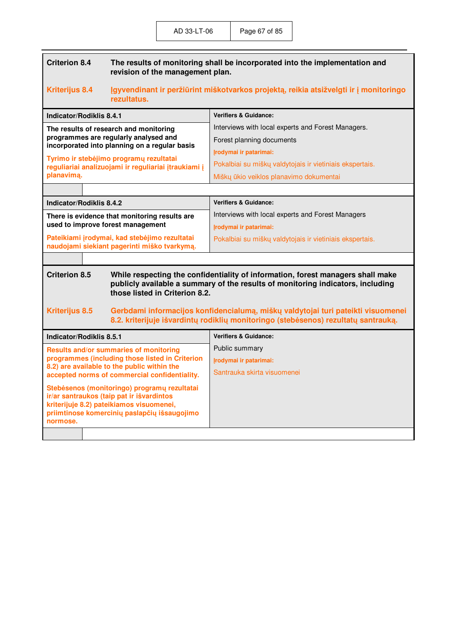| <b>Criterion 8.4</b> | The results of monitoring shall be incorporated into the implementation and |
|----------------------|-----------------------------------------------------------------------------|
|                      | revision of the management plan.                                            |

## **Kriterijus 8.4 Įgyvendinant ir peržiūrint miškotvarkos projektą, reikia atsižvelgti ir į monitoringo rezultatus.**

| Indicator/Rodiklis 8.4.1                                                                        | <b>Verifiers &amp; Guidance:</b>                         |
|-------------------------------------------------------------------------------------------------|----------------------------------------------------------|
| The results of research and monitoring                                                          | Interviews with local experts and Forest Managers.       |
| programmes are regularly analysed and<br>incorporated into planning on a regular basis          | Forest planning documents                                |
|                                                                                                 | Irodymai ir patarimai:                                   |
| Tyrimo ir stebėjimo programų rezultatai<br>reguliariai analizuojami ir reguliariai įtraukiami į | Pokalbiai su miškų valdytojais ir vietiniais ekspertais. |
| planavima.                                                                                      | Miškų ūkio veiklos planavimo dokumentai                  |
|                                                                                                 |                                                          |

| Indicator/Rodiklis 8.4.2                                                                      | <b>Verifiers &amp; Guidance:</b>                         |
|-----------------------------------------------------------------------------------------------|----------------------------------------------------------|
| There is evidence that monitoring results are<br>used to improve forest management            | Interviews with local experts and Forest Managers        |
|                                                                                               | Irodymai ir patarimai:                                   |
| Pateikiami įrodymai, kad stebėjimo rezultatai<br>naudojami siekiant pagerinti miško tvarkymą. | Pokalbiai su miškų valdytojais ir vietiniais ekspertais. |

#### **Criterion 8.5 While respecting the confidentiality of information, forest managers shall make publicly available a summary of the results of monitoring indicators, including those listed in Criterion 8.2.**

### **Kriterijus 8.5 Gerbdami informacijos konfidencialumą, miškų valdytojai turi pateikti visuomenei 8.2. kriterijuje išvardintų rodiklių monitoringo (steb÷senos) rezultatų santrauką.**

| Indicator/Rodiklis 8.5.1                                                                                                                                                                          | <b>Verifiers &amp; Guidance:</b> |
|---------------------------------------------------------------------------------------------------------------------------------------------------------------------------------------------------|----------------------------------|
| Results and/or summaries of monitoring<br>programmes (including those listed in Criterion                                                                                                         | Public summary                   |
|                                                                                                                                                                                                   | Irodymai ir patarimai:           |
| 8.2) are available to the public within the<br>accepted norms of commercial confidentiality.                                                                                                      | Santrauka skirta visuomenei      |
| Stebėsenos (monitoringo) programų rezultatai<br>ir/ar santraukos (taip pat ir išvardintos<br>kriterijuje 8.2) pateikiamos visuomenei,<br>priimtinose komercinių paslapčių išsaugojimo<br>normose. |                                  |
|                                                                                                                                                                                                   |                                  |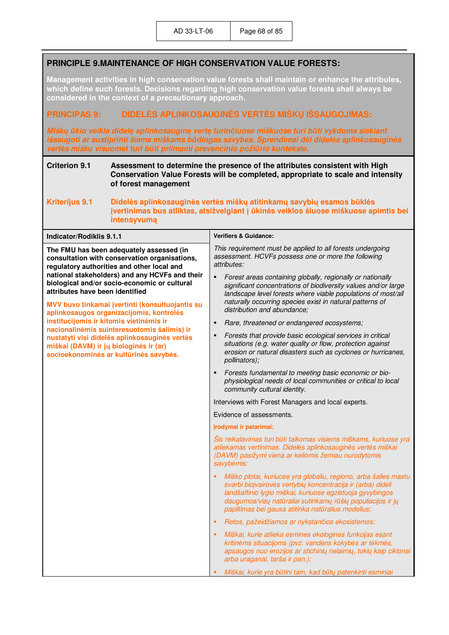# **PRINCIPLE 9.MAINTENANCE OF HIGH CONSERVATION VALUE FORESTS:**

**Management activities in high conservation value forests shall maintain or enhance the attributes, which define such forests. Decisions regarding high conservation value forests shall always be considered in the context of a precautionary approach.** 

## **PRINCIPAS 9: DIDELöS APLINKOSAUGINöS VERTöS MIŠKŲ IŠSAUGOJIMAS:**

*Miškų ūkio veikla didelę aplinkosauginę vertę turinčiuose miškuose turi būti vykdoma siekiant išsaugoti ar sustiprinti šiems miškams būdingas savybes. Sprendimai d÷l didel÷s aplinkosaugin÷s vert÷s miškų visuomet turi būti priimami prevencinio požiūrio kontekste***.**

#### **Criterion 9.1 Assessment to determine the presence of the attributes consistent with High Conservation Value Forests will be completed, appropriate to scale and intensity of forest management**

**Kriterijus 9.1 Didel÷s aplinkosaugin÷s vert÷s miškų atitinkamų savybių esamos būkl÷s įvertinimas bus atliktas, atsižvelgiant į ūkin÷s veiklos šiuose miškuose apimtis bei intensyvumą**

| <b>Indicator/Rodiklis 9.1.1</b>                                                                                                                                                                                                                                                                                                                                                                                                                                 | <b>Verifiers &amp; Guidance:</b>                                                                                                                                                                                                                                                                                                                |
|-----------------------------------------------------------------------------------------------------------------------------------------------------------------------------------------------------------------------------------------------------------------------------------------------------------------------------------------------------------------------------------------------------------------------------------------------------------------|-------------------------------------------------------------------------------------------------------------------------------------------------------------------------------------------------------------------------------------------------------------------------------------------------------------------------------------------------|
| The FMU has been adequately assessed (in<br>consultation with conservation organisations,<br>regulatory authorities and other local and                                                                                                                                                                                                                                                                                                                         | This requirement must be applied to all forests undergoing<br>assessment. HCVFs possess one or more the following<br>attributes:                                                                                                                                                                                                                |
| national stakeholders) and any HCVFs and their<br>biological and/or socio-economic or cultural<br>attributes have been identified<br>MVV buvo tinkamai įvertinti (konsultuojantis su<br>aplinkosaugos organizacijomis, kontrolės<br>institucijomis ir kitomis vietinėmis ir<br>nacionalinėmis suinteresuotomis šalimis) ir<br>nustatyti visi didelės aplinkosauginės vertės<br>miškai (DAVM) ir jų biologinės ir (ar)<br>socioekonominės ar kultūrinės savybės. | Forest areas containing globally, regionally or nationally<br>٠<br>significant concentrations of biodiversity values and/or large<br>landscape level forests where viable populations of most/all<br>naturally occurring species exist in natural patterns of<br>distribution and abundance;<br>Rare, threatened or endangered ecosystems;<br>п |
|                                                                                                                                                                                                                                                                                                                                                                                                                                                                 | Forests that provide basic ecological services in critical<br>п<br>situations (e.g. water quality or flow, protection against<br>erosion or natural disasters such as cyclones or hurricanes,<br>pollinators);                                                                                                                                  |
|                                                                                                                                                                                                                                                                                                                                                                                                                                                                 | Forests fundamental to meeting basic economic or bio-<br>٠<br>physiological needs of local communities or critical to local<br>community cultural identity.                                                                                                                                                                                     |
|                                                                                                                                                                                                                                                                                                                                                                                                                                                                 | Interviews with Forest Managers and local experts.                                                                                                                                                                                                                                                                                              |
|                                                                                                                                                                                                                                                                                                                                                                                                                                                                 | Evidence of assessments.                                                                                                                                                                                                                                                                                                                        |
|                                                                                                                                                                                                                                                                                                                                                                                                                                                                 | Įrodymai ir patarimai:                                                                                                                                                                                                                                                                                                                          |
|                                                                                                                                                                                                                                                                                                                                                                                                                                                                 | Šis reikalavimas turi būti taikomas visiems miškams, kuriuose yra<br>atliekamas vertinimas. Didelės aplinkosauginės vertės miškai<br>(DAVM) pasižymi viena ar keliomis žemiau nurodytomis<br>savybėmis:                                                                                                                                         |
|                                                                                                                                                                                                                                                                                                                                                                                                                                                                 | Miško plotai, kuriuose yra globaliu, regiono, arba šalies mastu<br>svarbi biojvairovės vertybių koncentracija ir (arba) dideli<br>landšaftinio lygio miškai, kuriuose egzistuoja gyvybingos<br>daugumos/visų natūraliai sutinkamų rūšių populiacijos ir jų<br>paplitimas bei gausa atitinka natūralius modelius;                                |
|                                                                                                                                                                                                                                                                                                                                                                                                                                                                 | Retos, pažeidžiamos ar nykstančios ekosistemos;<br>٠                                                                                                                                                                                                                                                                                            |
|                                                                                                                                                                                                                                                                                                                                                                                                                                                                 | Miškai, kurie atlieka esmines ekologines funkcijas esant<br>٠<br>kritinėms situacijoms (pvz. vandens kokybės ar tėkmės,<br>apsaugos nuo erozijos ar stichinių nelaimių, tokių kaip ciklonai<br>arba uraganai, tarša ir pan.);                                                                                                                   |
|                                                                                                                                                                                                                                                                                                                                                                                                                                                                 | Miškai, kurie yra būtini tam, kad būtų patenkinti esminiai                                                                                                                                                                                                                                                                                      |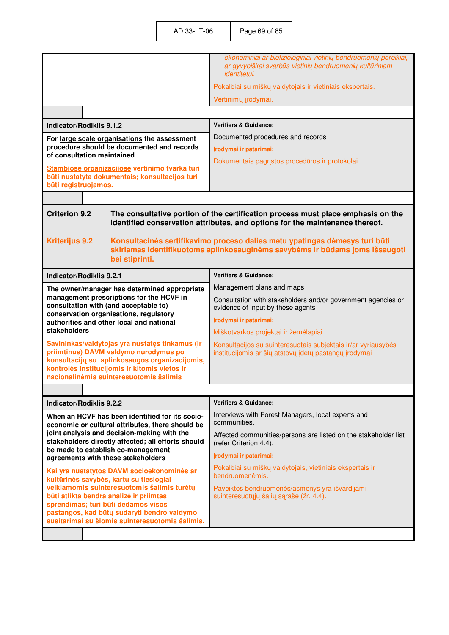|                                                                                                   | ekonominiai ar biofiziologiniai vietinių bendruomenių poreikiai,<br>ar gyvybiškai svarbūs vietinių bendruomenių kultūriniam<br><i>identitetui.</i>               |
|---------------------------------------------------------------------------------------------------|------------------------------------------------------------------------------------------------------------------------------------------------------------------|
|                                                                                                   | Pokalbiai su miškų valdytojais ir vietiniais ekspertais.                                                                                                         |
|                                                                                                   | Vertinimų įrodymai.                                                                                                                                              |
|                                                                                                   |                                                                                                                                                                  |
| Indicator/Rodiklis 9.1.2                                                                          | <b>Verifiers &amp; Guidance:</b>                                                                                                                                 |
| For large scale organisations the assessment                                                      | Documented procedures and records                                                                                                                                |
| procedure should be documented and records<br>of consultation maintained                          | Irodymai ir patarimai:                                                                                                                                           |
| Stambiose organizacijose vertinimo tvarka turi                                                    | Dokumentais pagrįstos procedūros ir protokolai                                                                                                                   |
| būti nustatyta dokumentais; konsultacijos turi                                                    |                                                                                                                                                                  |
| būti registruojamos.                                                                              |                                                                                                                                                                  |
|                                                                                                   |                                                                                                                                                                  |
| <b>Criterion 9.2</b>                                                                              | The consultative portion of the certification process must place emphasis on the<br>identified conservation attributes, and options for the maintenance thereof. |
|                                                                                                   |                                                                                                                                                                  |
| <b>Kriterijus 9.2</b>                                                                             | Konsultacinės sertifikavimo proceso dalies metu ypatingas dėmesys turi būti<br>skiriamas identifikuotoms aplinkosauginėms savybėms ir būdams joms išsaugoti      |
| bei stiprinti.                                                                                    |                                                                                                                                                                  |
| <b>Indicator/Rodiklis 9.2.1</b>                                                                   | <b>Verifiers &amp; Guidance:</b>                                                                                                                                 |
| The owner/manager has determined appropriate                                                      | Management plans and maps                                                                                                                                        |
| management prescriptions for the HCVF in                                                          | Consultation with stakeholders and/or government agencies or                                                                                                     |
| consultation with (and acceptable to)<br>conservation organisations, regulatory                   | evidence of input by these agents                                                                                                                                |
| authorities and other local and national                                                          | Įrodymai ir patarimai:                                                                                                                                           |
| stakeholders                                                                                      | Miškotvarkos projektai ir žemėlapiai                                                                                                                             |
| Savininkas/valdytojas yra nustatęs tinkamus (ir<br>priimtinus) DAVM valdymo nurodymus po          | Konsultacijos su suinteresuotais subjektais ir/ar vyriausybės                                                                                                    |
| konsultacijų su aplinkosaugos organizacijomis,                                                    | institucijomis ar šių atstovų įdėtų pastangų įrodymai                                                                                                            |
| kontrolės institucijomis ir kitomis vietos ir<br>nacionalinėmis suinteresuotomis šalimis          |                                                                                                                                                                  |
|                                                                                                   |                                                                                                                                                                  |
| <b>Indicator/Rodiklis 9.2.2</b>                                                                   | <b>Verifiers &amp; Guidance:</b>                                                                                                                                 |
| When an HCVF has been identified for its socio-                                                   | Interviews with Forest Managers, local experts and                                                                                                               |
| economic or cultural attributes, there should be                                                  | communities.                                                                                                                                                     |
| joint analysis and decision-making with the<br>stakeholders directly affected; all efforts should | Affected communities/persons are listed on the stakeholder list<br>(refer Criterion 4.4).                                                                        |
| be made to establish co-management<br>agreements with these stakeholders                          | Įrodymai ir patarimai:                                                                                                                                           |
|                                                                                                   | Pokalbiai su miškų valdytojais, vietiniais ekspertais ir                                                                                                         |
| Kai yra nustatytos DAVM socioekonominės ar<br>kultūrinės savybės, kartu su tiesiogiai             | bendruomenėmis.                                                                                                                                                  |
| veikiamomis suinteresuotomis šalimis turėtų<br>būti atlikta bendra analizė ir priimtas            | Paveiktos bendruomenės/asmenys yra išvardijami<br>suinteresuotųjų šalių sąraše (žr. 4.4).                                                                        |
| sprendimas; turi būti dedamos visos                                                               |                                                                                                                                                                  |
| pastangos, kad būtų sudaryti bendro valdymo<br>susitarimai su šiomis suinteresuotomis šalimis.    |                                                                                                                                                                  |
|                                                                                                   |                                                                                                                                                                  |
|                                                                                                   |                                                                                                                                                                  |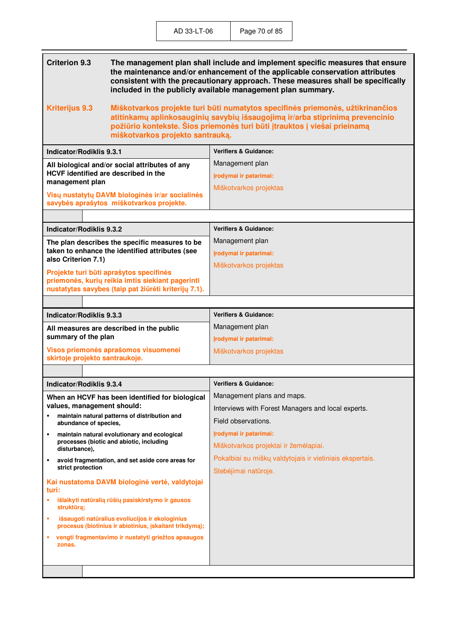| <b>Criterion 9.3</b><br>The management plan shall include and implement specific measures that ensure<br>the maintenance and/or enhancement of the applicable conservation attributes<br>consistent with the precautionary approach. These measures shall be specifically<br>included in the publicly available management plan summary. |                                                                                  |
|------------------------------------------------------------------------------------------------------------------------------------------------------------------------------------------------------------------------------------------------------------------------------------------------------------------------------------------|----------------------------------------------------------------------------------|
| <b>Kriterijus 9.3</b><br>Miškotvarkos projekte turi būti numatytos specifinės priemonės, užtikrinančios<br>atitinkamų aplinkosauginių savybių išsaugojimą ir/arba stiprinimą prevencinio<br>požiūrio kontekste. Šios priemonės turi būti įtrauktos į viešai prieinamą<br>miškotvarkos projekto santrauką.                                |                                                                                  |
| <b>Indicator/Rodiklis 9.3.1</b>                                                                                                                                                                                                                                                                                                          | <b>Verifiers &amp; Guidance:</b>                                                 |
| All biological and/or social attributes of any<br>HCVF identified are described in the<br>management plan                                                                                                                                                                                                                                | Management plan<br>Įrodymai ir patarimai:                                        |
| Visų nustatytų DAVM biologinės ir/ar socialinės<br>savybės aprašytos miškotvarkos projekte.                                                                                                                                                                                                                                              | Miškotvarkos projektas                                                           |
|                                                                                                                                                                                                                                                                                                                                          |                                                                                  |
| Indicator/Rodiklis 9.3.2                                                                                                                                                                                                                                                                                                                 | <b>Verifiers &amp; Guidance:</b>                                                 |
| The plan describes the specific measures to be<br>taken to enhance the identified attributes (see                                                                                                                                                                                                                                        | Management plan                                                                  |
| also Criterion 7.1)                                                                                                                                                                                                                                                                                                                      | Irodymai ir patarimai:                                                           |
| Projekte turi būti aprašytos specifinės                                                                                                                                                                                                                                                                                                  | Miškotvarkos projektas                                                           |
| priemonės, kurių reikia imtis siekiant pagerinti<br>nustatytas savybes (taip pat žiūrėti kriterijų 7.1).                                                                                                                                                                                                                                 |                                                                                  |
|                                                                                                                                                                                                                                                                                                                                          |                                                                                  |
| Indicator/Rodiklis 9.3.3                                                                                                                                                                                                                                                                                                                 | <b>Verifiers &amp; Guidance:</b>                                                 |
| All measures are described in the public                                                                                                                                                                                                                                                                                                 | Management plan                                                                  |
| summary of the plan                                                                                                                                                                                                                                                                                                                      | Įrodymai ir patarimai:                                                           |
| Visos priemonės aprašomos visuomenei<br>skirtoje projekto santraukoje.                                                                                                                                                                                                                                                                   | Miškotvarkos projektas                                                           |
|                                                                                                                                                                                                                                                                                                                                          |                                                                                  |
| Indicator/Rodiklis 9.3.4                                                                                                                                                                                                                                                                                                                 | <b>Verifiers &amp; Guidance:</b>                                                 |
| When an HCVF has been identified for biological                                                                                                                                                                                                                                                                                          | Management plans and maps.                                                       |
| values, management should:<br>maintain natural patterns of distribution and<br>٠                                                                                                                                                                                                                                                         | Interviews with Forest Managers and local experts.                               |
| abundance of species,                                                                                                                                                                                                                                                                                                                    | Field observations.                                                              |
| maintain natural evolutionary and ecological<br>٠<br>processes (biotic and abiotic, including<br>disturbance),                                                                                                                                                                                                                           | Įrodymai ir patarimai:                                                           |
|                                                                                                                                                                                                                                                                                                                                          | Miškotvarkos projektai ir žemėlapiai.                                            |
| avoid fragmentation, and set aside core areas for<br>٠<br>strict protection                                                                                                                                                                                                                                                              | Pokalbiai su miškų valdytojais ir vietiniais ekspertais.<br>Stebėjimai natūroje. |
| Kai nustatoma DAVM biologinė vertė, valdytojai<br>turi:                                                                                                                                                                                                                                                                                  |                                                                                  |
| išlaikyti natūralią rūšių pasiskirstymo ir gausos<br>×<br>struktūrą;                                                                                                                                                                                                                                                                     |                                                                                  |
| išsaugoti natūralius evoliucijos ir ekologinius<br>×<br>procesus (biotinius ir abiotinius, įskaitant trikdymą);                                                                                                                                                                                                                          |                                                                                  |
| vengti fragmentavimo ir nustatyti griežtos apsaugos<br>٠<br>zonas.                                                                                                                                                                                                                                                                       |                                                                                  |
|                                                                                                                                                                                                                                                                                                                                          |                                                                                  |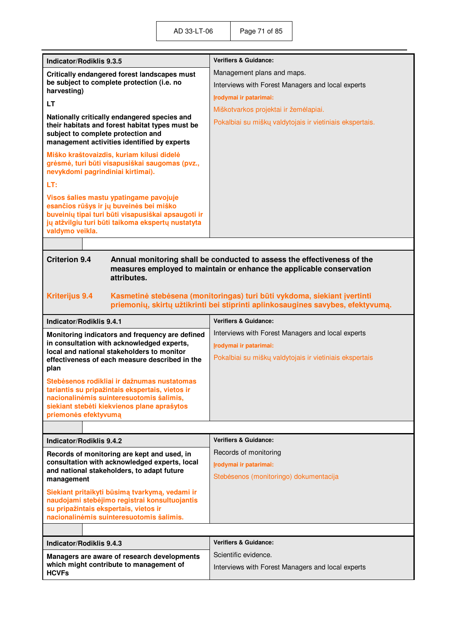| <b>Indicator/Rodiklis 9.3.5</b>                                                                                                                                                                                 | <b>Verifiers &amp; Guidance:</b>                         |  |
|-----------------------------------------------------------------------------------------------------------------------------------------------------------------------------------------------------------------|----------------------------------------------------------|--|
| Critically endangered forest landscapes must<br>be subject to complete protection (i.e. no<br>harvesting)                                                                                                       | Management plans and maps.                               |  |
|                                                                                                                                                                                                                 | Interviews with Forest Managers and local experts        |  |
| LT                                                                                                                                                                                                              | Irodymai ir patarimai:                                   |  |
| Nationally critically endangered species and                                                                                                                                                                    | Miškotvarkos projektai ir žemėlapiai.                    |  |
| their habitats and forest habitat types must be<br>subject to complete protection and<br>management activities identified by experts                                                                            | Pokalbiai su miškų valdytojais ir vietiniais ekspertais. |  |
| Miško kraštovaizdis, kuriam kilusi didelė<br>grėsmė, turi būti visapusiškai saugomas (pvz.,<br>nevykdomi pagrindiniai kirtimai).                                                                                |                                                          |  |
| LT:                                                                                                                                                                                                             |                                                          |  |
| Visos šalies mastu ypatingame pavojuje<br>esančios rūšys ir jų buveinės bei miško<br>buveinių tipai turi būti visapusiškai apsaugoti ir<br>jų atžvilgiu turi būti taikoma ekspertų nustatyta<br>valdymo veikla. |                                                          |  |
|                                                                                                                                                                                                                 |                                                          |  |
| <b>Criterion 9.4</b><br>Annual monitoring shall be conducted to assess the effectiveness of the<br>measures employed to maintain or enhance the applicable conservation<br>attributes.                          |                                                          |  |
| <b>Kriterijus 9.4</b><br>Kasmetinė stebėsena (monitoringas) turi būti vykdoma, siekiant įvertinti<br>priemonių, skirtų užtikrinti bei stiprinti aplinkosaugines savybes, efektyvumą.                            |                                                          |  |
| <b>Indicator/Rodiklis 9.4.1</b>                                                                                                                                                                                 | <b>Verifiers &amp; Guidance:</b>                         |  |
| Monitoring indicators and frequency are defined                                                                                                                                                                 | Interviews with Forest Managers and local experts        |  |
| in consultation with acknowledged experts,<br>local and national stakeholders to monitor                                                                                                                        | Irodymai ir patarimai:                                   |  |
| effectiveness of each measure described in the<br>plan                                                                                                                                                          | Pokalbiai su miškų valdytojais ir vietiniais ekspertais  |  |
| Stebėsenos rodikliai ir dažnumas nustatomas                                                                                                                                                                     |                                                          |  |
| tariantis su pripažintais ekspertais, vietos ir<br>nacionalinėmis suinteresuotomis šalimis,                                                                                                                     |                                                          |  |
| siekiant stebėti kiekvienos plane aprašytos                                                                                                                                                                     |                                                          |  |
| priemonės efektyvumą                                                                                                                                                                                            |                                                          |  |
|                                                                                                                                                                                                                 |                                                          |  |
| Indicator/Rodiklis 9.4.2                                                                                                                                                                                        | <b>Verifiers &amp; Guidance:</b>                         |  |
| Records of monitoring are kept and used, in                                                                                                                                                                     | Records of monitoring                                    |  |
| consultation with acknowledged experts, local<br>and national stakeholders, to adapt future<br>management                                                                                                       | Irodymai ir patarimai:                                   |  |
|                                                                                                                                                                                                                 | Stebėsenos (monitoringo) dokumentacija                   |  |
| Siekiant pritaikyti būsimą tvarkymą, vedami ir<br>naudojami stebėjimo registrai konsultuojantis<br>su pripažintais ekspertais, vietos ir<br>nacionalinėmis suinteresuotomis šalimis.                            |                                                          |  |
|                                                                                                                                                                                                                 |                                                          |  |
| Indicator/Rodiklis 9.4.3                                                                                                                                                                                        | <b>Verifiers &amp; Guidance:</b>                         |  |
| Managers are aware of research developments<br>which might contribute to management of<br><b>HCVFs</b>                                                                                                          | Scientific evidence.                                     |  |
|                                                                                                                                                                                                                 | Interviews with Forest Managers and local experts        |  |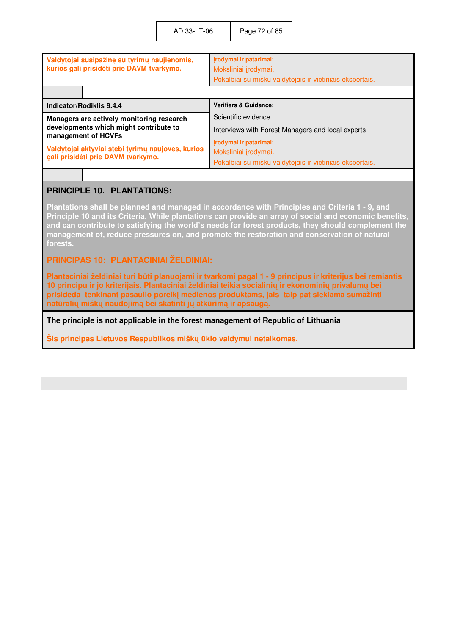| Valdytojai susipažinę su tyrimų naujienomis,<br>kurios gali prisidėti prie DAVM tvarkymo. | Irodymai ir patarimai:<br>Moksliniai įrodymai.<br>Pokalbiai su miškų valdytojais ir vietiniais ekspertais. |
|-------------------------------------------------------------------------------------------|------------------------------------------------------------------------------------------------------------|
| Indicator/Rodiklis 9.4.4                                                                  | <b>Verifiers &amp; Guidance:</b>                                                                           |
| Managers are actively monitoring research<br>developments which might contribute to       | Scientific evidence.<br>Interviews with Forest Managers and local experts                                  |
| management of HCVFs                                                                       | Irodymai ir patarimai:                                                                                     |
| Valdytojai aktyviai stebi tyrimų naujoves, kurios<br>gali prisidėti prie DAVM tvarkymo.   | Moksliniai įrodymai.                                                                                       |
|                                                                                           | Pokalbiai su miškų valdytojais ir vietiniais ekspertais.                                                   |

## **PRINCIPLE 10. PLANTATIONS:**

**Plantations shall be planned and managed in accordance with Principles and Criteria 1 - 9, and Principle 10 and its Criteria. While plantations can provide an array of social and economic benefits, and can contribute to satisfying the world's needs for forest products, they should complement the management of, reduce pressures on, and promote the restoration and conservation of natural forests.** 

### **PRINCIPAS 10: PLANTACINIAI ŽELDINIAI:**

**Plantaciniai želdiniai turi būti planuojami ir tvarkomi pagal 1 - 9 principus ir kriterijus bei remiantis 10 principu ir jo kriterijais. Plantaciniai želdiniai teikia socialinių ir ekonominių privalumų bei prisideda tenkinant pasaulio poreikį medienos produktams, jais taip pat siekiama sumažinti natūralių miškų naudojimą bei skatinti jų atkūrimą ir apsaugą.**

**The principle is not applicable in the forest management of Republic of Lithuania** 

**Šis principas Lietuvos Respublikos miškų ūkio valdymui netaikomas.**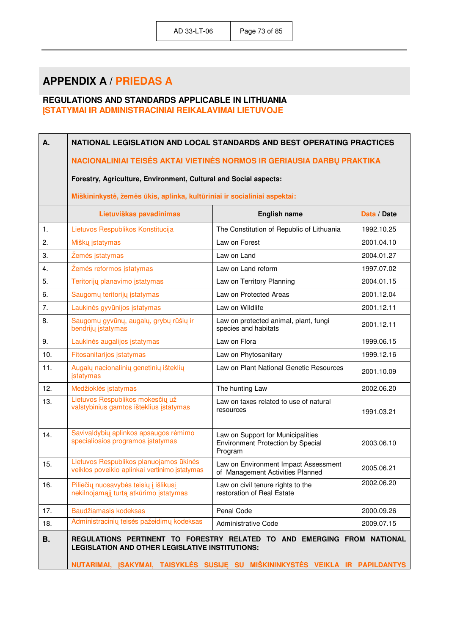## **APPENDIX A / PRIEDAS A**

## **REGULATIONS AND STANDARDS APPLICABLE IN LITHUANIA ĮSTATYMAI IR ADMINISTRACINIAI REIKALAVIMAI LIETUVOJE**

| Α.        | NATIONAL LEGISLATION AND LOCAL STANDARDS AND BEST OPERATING PRACTICES                                                                                                                                              |                                                                                          |             |
|-----------|--------------------------------------------------------------------------------------------------------------------------------------------------------------------------------------------------------------------|------------------------------------------------------------------------------------------|-------------|
|           | NACIONALINIAI TEISĖS AKTAI VIETINĖS NORMOS IR GERIAUSIA DARBŲ PRAKTIKA                                                                                                                                             |                                                                                          |             |
|           | Forestry, Agriculture, Environment, Cultural and Social aspects:                                                                                                                                                   |                                                                                          |             |
|           | Miškininkystė, žemės ūkis, aplinka, kultūriniai ir socialiniai aspektai:                                                                                                                                           |                                                                                          |             |
|           | Lietuviškas pavadinimas                                                                                                                                                                                            | <b>English name</b>                                                                      | Data / Date |
| 1.        | Lietuvos Respublikos Konstitucija                                                                                                                                                                                  | The Constitution of Republic of Lithuania                                                | 1992.10.25  |
| 2.        | Miškų įstatymas                                                                                                                                                                                                    | Law on Forest                                                                            | 2001.04.10  |
| 3.        | Žemės įstatymas                                                                                                                                                                                                    | Law on Land                                                                              | 2004.01.27  |
| 4.        | Žemės reformos įstatymas                                                                                                                                                                                           | Law on Land reform                                                                       | 1997.07.02  |
| 5.        | Teritorijų planavimo įstatymas                                                                                                                                                                                     | Law on Territory Planning                                                                | 2004.01.15  |
| 6.        | Saugomų teritorijų įstatymas                                                                                                                                                                                       | Law on Protected Areas                                                                   | 2001.12.04  |
| 7.        | Laukinės gyvūnijos įstatymas                                                                                                                                                                                       | Law on Wildlife                                                                          | 2001.12.11  |
| 8.        | Saugomų gyvūnų, augalų, grybų rūšių ir<br>bendrijų įstatymas                                                                                                                                                       | Law on protected animal, plant, fungi<br>species and habitats                            | 2001.12.11  |
| 9.        | Laukinės augalijos įstatymas                                                                                                                                                                                       | Law on Flora                                                                             | 1999.06.15  |
| 10.       | Fitosanitarijos įstatymas                                                                                                                                                                                          | Law on Phytosanitary                                                                     | 1999.12.16  |
| 11.       | Augalų nacionalinių genetinių išteklių<br>įstatymas                                                                                                                                                                | Law on Plant National Genetic Resources                                                  | 2001.10.09  |
| 12.       | Medžioklės įstatymas                                                                                                                                                                                               | The hunting Law                                                                          | 2002.06.20  |
| 13.       | Lietuvos Respublikos mokesčių už<br>valstybinius gamtos išteklius įstatymas                                                                                                                                        | Law on taxes related to use of natural<br>resources                                      | 1991.03.21  |
| 14.       | Savivaldybių aplinkos apsaugos rėmimo<br>specialiosios programos įstatymas                                                                                                                                         | Law on Support for Municipalities<br><b>Environment Protection by Special</b><br>Program | 2003.06.10  |
| 15.       | Lietuvos Respublikos planuojamos ūkinės<br>veiklos poveikio aplinkai vertinimo įstatymas                                                                                                                           | Law on Environment Impact Assessment<br>of Management Activities Planned                 | 2005.06.21  |
| 16.       | Piliečių nuosavybės teisių į išlikusį<br>nekilnojamąjį turtą atkūrimo įstatymas                                                                                                                                    | Law on civil tenure rights to the<br>restoration of Real Estate                          | 2002.06.20  |
| 17.       | Baudžiamasis kodeksas                                                                                                                                                                                              | Penal Code                                                                               | 2000.09.26  |
| 18.       | Administracinių teisės pažeidimų kodeksas                                                                                                                                                                          | <b>Administrative Code</b>                                                               | 2009.07.15  |
| <b>B.</b> | REGULATIONS PERTINENT TO FORESTRY RELATED TO AND EMERGING FROM NATIONAL<br><b>LEGISLATION AND OTHER LEGISLATIVE INSTITUTIONS:</b><br>NUTARIMAI, ĮSAKYMAI, TAISYKLĖS SUSIJĘ SU MIŠKININKYSTĖS VEIKLA IR PAPILDANTYS |                                                                                          |             |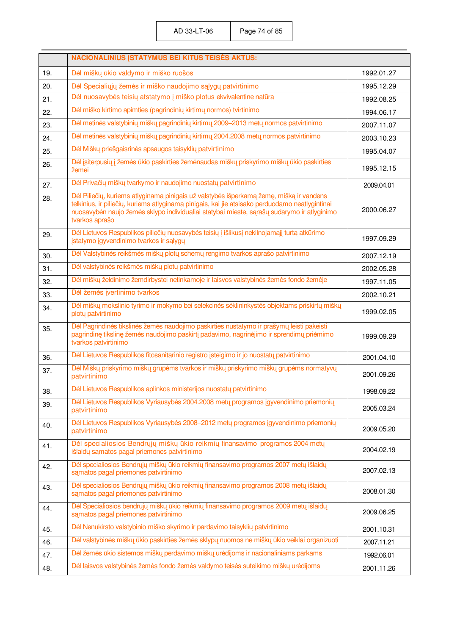|     | <b>NACIONALINIUS ISTATYMUS BEI KITUS TEISĖS AKTUS:</b>                                                                                                                                                                                                                                                     |            |
|-----|------------------------------------------------------------------------------------------------------------------------------------------------------------------------------------------------------------------------------------------------------------------------------------------------------------|------------|
| 19. | Dėl miškų ūkio valdymo ir miško ruošos                                                                                                                                                                                                                                                                     | 1992.01.27 |
| 20. | Dėl Specialiųjų žemės ir miško naudojimo sąlygų patvirtinimo                                                                                                                                                                                                                                               | 1995.12.29 |
| 21. | Dėl nuosavybės teisių atstatymo į miško plotus ekvivalentine natūra                                                                                                                                                                                                                                        | 1992.08.25 |
| 22. | Dėl miško kirtimo apimties (pagrindinių kirtimų normos) tvirtinimo                                                                                                                                                                                                                                         | 1994.06.17 |
| 23. | Dėl metinės valstybinių miškų pagrindinių kirtimų 2009–2013 metų normos patvirtinimo                                                                                                                                                                                                                       | 2007.11.07 |
| 24. | Dėl metinės valstybinių miškų pagrindinių kirtimų 2004.2008 metų normos patvirtinimo                                                                                                                                                                                                                       | 2003.10.23 |
| 25. | Dėl Miškų priešgaisrinės apsaugos taisyklių patvirtinimo                                                                                                                                                                                                                                                   | 1995.04.07 |
| 26. | Dėl įsiterpusių į žemės ūkio paskirties žemėnaudas miškų priskyrimo miškų ūkio paskirties<br>žemei                                                                                                                                                                                                         | 1995.12.15 |
| 27. | Dėl Privačių miškų tvarkymo ir naudojimo nuostatų patvirtinimo                                                                                                                                                                                                                                             | 2009.04.01 |
| 28. | Dėl Piliečių, kuriems atlyginama pinigais už valstybės išperkamą žemę, mišką ir vandens<br>telkinius, ir piliečių, kuriems atlyginama pinigais, kai jie atsisako perduodamo neatlygintinai<br>nuosavybėn naujo žemės sklypo individualiai statybai mieste, sąrašų sudarymo ir atlyginimo<br>tvarkos aprašo | 2000.06.27 |
| 29. | Dėl Lietuvos Respublikos piliečių nuosavybės teisių į išlikusį nekilnojamąjį turtą atkūrimo<br>įstatymo įgyvendinimo tvarkos ir sąlygų                                                                                                                                                                     | 1997.09.29 |
| 30. | Dėl Valstybinės reikšmės miškų plotų schemų rengimo tvarkos aprašo patvirtinimo                                                                                                                                                                                                                            | 2007.12.19 |
| 31. | Dėl valstybinės reikšmės miškų plotų patvirtinimo                                                                                                                                                                                                                                                          | 2002.05.28 |
| 32. | Dėl miškų želdinimo žemdirbystei netinkamoje ir laisvos valstybinės žemės fondo žemėje                                                                                                                                                                                                                     | 1997.11.05 |
| 33. | Dėl žemės įvertinimo tvarkos                                                                                                                                                                                                                                                                               | 2002.10.21 |
| 34. | Dėl miškų mokslinio tyrimo ir mokymo bei selekcinės sėklininkystės objektams priskirtų miškų<br>plotų patvirtinimo                                                                                                                                                                                         | 1999.02.05 |
| 35. | Dėl Pagrindinės tikslinės žemės naudojimo paskirties nustatymo ir prašymų leisti pakeisti<br>pagrindinę tikslinę žemės naudojimo paskirtį padavimo, nagrinėjimo ir sprendimų priėmimo<br>tvarkos patvirtinimo                                                                                              | 1999.09.29 |
| 36. | Dėl Lietuvos Respublikos fitosanitarinio registro įsteigimo ir jo nuostatų patvirtinimo                                                                                                                                                                                                                    | 2001.04.10 |
| 37. | Dėl Miškų priskyrimo miškų grupėms tvarkos ir miškų priskyrimo miškų grupėms normatyvų<br>patvirtinimo                                                                                                                                                                                                     | 2001.09.26 |
| 38. | Dėl Lietuvos Respublikos aplinkos ministerijos nuostatų patvirtinimo                                                                                                                                                                                                                                       | 1998.09.22 |
| 39. | Dėl Lietuvos Respublikos Vyriausybės 2004.2008 metų programos įgyvendinimo priemonių<br>patvirtinimo                                                                                                                                                                                                       | 2005.03.24 |
| 40. | Dėl Lietuvos Respublikos Vyriausybės 2008–2012 metų programos įgyvendinimo priemonių<br>patvirtinimo                                                                                                                                                                                                       | 2009.05.20 |
| 41. | Dėl specialiosios Bendrųjų miškų ūkio reikmių finansavimo programos 2004 metų<br>išlaidų sąmatos pagal priemones patvirtinimo                                                                                                                                                                              | 2004.02.19 |
| 42. | Dėl specialiosios Bendrųjų miškų ūkio reikmių finansavimo programos 2007 metų išlaidų<br>sąmatos pagal priemones patvirtinimo                                                                                                                                                                              | 2007.02.13 |
| 43. | Dėl specialiosios Bendrųjų miškų ūkio reikmių finansavimo programos 2008 metų išlaidų<br>samatos pagal priemones patvirtinimo                                                                                                                                                                              | 2008.01.30 |
| 44. | Dėl Specialiosios bendrųjų miškų ūkio reikmių finansavimo programos 2009 metų išlaidų<br>sąmatos pagal priemones patvirtinimo                                                                                                                                                                              | 2009.06.25 |
| 45. | Dėl Nenukirsto valstybinio miško skyrimo ir pardavimo taisyklių patvirtinimo                                                                                                                                                                                                                               | 2001.10.31 |
| 46. | Dėl valstybinės miškų ūkio paskirties žemės sklypų nuomos ne miškų ūkio veiklai organizuoti                                                                                                                                                                                                                | 2007.11.21 |
| 47. | Dėl žemės ūkio sistemos miškų perdavimo miškų urėdijoms ir nacionaliniams parkams                                                                                                                                                                                                                          | 1992.06.01 |
| 48. | Dėl laisvos valstybinės žemės fondo žemės valdymo teisės suteikimo miškų urėdijoms                                                                                                                                                                                                                         | 2001.11.26 |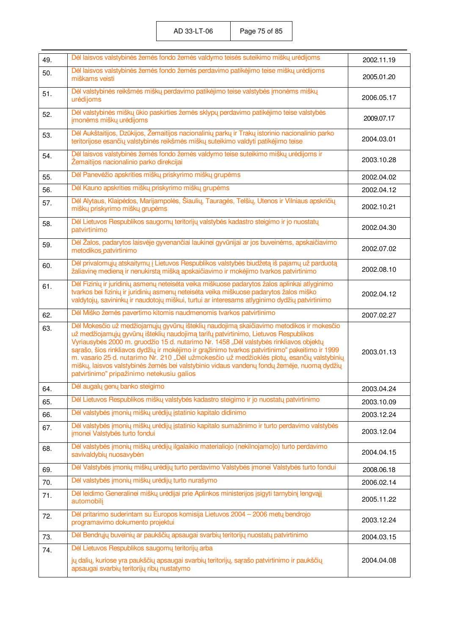AD 33-LT-06 Page 75 of 85

| 49. | Dėl laisvos valstybinės žemės fondo žemės valdymo teisės suteikimo miškų urėdijoms                                                                                                                                                                                                                                                                                                                                                                                                                                                                                                                                     | 2002.11.19 |
|-----|------------------------------------------------------------------------------------------------------------------------------------------------------------------------------------------------------------------------------------------------------------------------------------------------------------------------------------------------------------------------------------------------------------------------------------------------------------------------------------------------------------------------------------------------------------------------------------------------------------------------|------------|
| 50. | Dėl laisvos valstybinės žemės fondo žemės perdavimo patikėjimo teise miškų urėdijoms<br>miškams veisti                                                                                                                                                                                                                                                                                                                                                                                                                                                                                                                 | 2005.01.20 |
| 51. | Dėl valstybinės reikšmės miškų perdavimo patikėjimo teise valstybės įmonėms miškų<br>urėdijoms                                                                                                                                                                                                                                                                                                                                                                                                                                                                                                                         | 2006.05.17 |
| 52. | Dėl valstybinės miškų ūkio paskirties žemės sklypų perdavimo patikėjimo teise valstybės<br>įmonėms miškų urėdijoms                                                                                                                                                                                                                                                                                                                                                                                                                                                                                                     | 2009.07.17 |
| 53. | Dėl Aukštaitijos, Dzūkijos, Žemaitijos nacionalinių parkų ir Trakų istorinio nacionalinio parko<br>teritorijose esančių valstybinės reikšmės miškų suteikimo valdyti patikėjimo teise                                                                                                                                                                                                                                                                                                                                                                                                                                  | 2004.03.01 |
| 54. | Dėl laisvos valstybinės žemės fondo žemės valdymo teise suteikimo miškų urėdijoms ir<br>Žemaitijos nacionalinio parko direkcijai                                                                                                                                                                                                                                                                                                                                                                                                                                                                                       | 2003.10.28 |
| 55. | Dėl Panevėžio apskrities miškų priskyrimo miškų grupėms                                                                                                                                                                                                                                                                                                                                                                                                                                                                                                                                                                | 2002.04.02 |
| 56. | Dėl Kauno apskrities miškų priskyrimo miškų grupėms                                                                                                                                                                                                                                                                                                                                                                                                                                                                                                                                                                    | 2002.04.12 |
| 57. | Dėl Alytaus, Klaipėdos, Marijampolės, Šiaulių, Tauragės, Telšių, Utenos ir Vilniaus apskričių<br>miškų priskyrimo miškų grupėms                                                                                                                                                                                                                                                                                                                                                                                                                                                                                        | 2002.10.21 |
| 58. | Dėl Lietuvos Respublikos saugomų teritorijų valstybės kadastro steigimo ir jo nuostatų<br>patvirtinimo                                                                                                                                                                                                                                                                                                                                                                                                                                                                                                                 | 2002.04.30 |
| 59. | Dėl Žalos, padarytos laisvėje gyvenančiai laukinei gyvūnijai ar jos buveinėms, apskaičiavimo<br>metodikos patvirtinimo                                                                                                                                                                                                                                                                                                                                                                                                                                                                                                 | 2002.07.02 |
| 60. | Dėl privalomųjų atskaitymų į Lietuvos Respublikos valstybės biudžetą iš pajamų už parduotą<br>žaliavinę medieną ir nenukirstą mišką apskaičiavimo ir mokėjimo tvarkos patvirtinimo                                                                                                                                                                                                                                                                                                                                                                                                                                     | 2002.08.10 |
| 61. | Dėl Fizinių ir juridinių asmenų neteisėta veika miškuose padarytos žalos aplinkai atlyginimo<br>tvarkos bei fizinių ir juridinių asmenų neteisėta veika miškuose padarytos žalos miško<br>valdytojų, savininkų ir naudotojų miškui, turtui ar interesams atlyginimo dydžių patvirtinimo                                                                                                                                                                                                                                                                                                                                | 2002.04.12 |
| 62. | Dėl Miško žemės pavertimo kitomis naudmenomis tvarkos patvirtinimo                                                                                                                                                                                                                                                                                                                                                                                                                                                                                                                                                     | 2007.02.27 |
| 63. | Dėl Mokesčio už medžiojamųjų gyvūnų išteklių naudojimą skaičiavimo metodikos ir mokesčio<br>už medžiojamųjų gyvūnų išteklių naudojimą tarifų patvirtinimo, Lietuvos Respublikos<br>Vyriausybės 2000 m. gruodžio 15 d. nutarimo Nr. 1458 "Dėl valstybės rinkliavos objektų<br>sąrašo, šios rinkliavos dydžių ir mokėjimo ir grąžinimo tvarkos patvirtinimo" pakeitimo ir 1999<br>m. vasario 25 d. nutarimo Nr. 210 "Dėl užmokesčio už medžioklės plotų, esančių valstybinių<br>miškų, laisvos valstybinės žemės bei valstybinio vidaus vandenų fondų žemėje, nuomą dydžių<br>patvirtinimo" pripažinimo netekusiu galios | 2003.01.13 |
| 64. | Dėl augalų genų banko steigimo                                                                                                                                                                                                                                                                                                                                                                                                                                                                                                                                                                                         | 2003.04.24 |
| 65. | Dėl Lietuvos Respublikos miškų valstybės kadastro steigimo ir jo nuostatų patvirtinimo                                                                                                                                                                                                                                                                                                                                                                                                                                                                                                                                 | 2003.10.09 |
| 66. | Dėl valstybės įmonių miškų urėdijų įstatinio kapitalo didinimo                                                                                                                                                                                                                                                                                                                                                                                                                                                                                                                                                         | 2003.12.24 |
| 67. | Dėl valstybės įmonių miškų urėdijų įstatinio kapitalo sumažinimo ir turto perdavimo valstybės<br>jmonei Valstybės turto fondui                                                                                                                                                                                                                                                                                                                                                                                                                                                                                         | 2003.12.04 |
| 68. | Dėl valstybės įmonių miškų urėdijų ilgalaikio materialiojo (nekilnojamo]o) turto perdavimo<br>savivaldybių nuosavybėn                                                                                                                                                                                                                                                                                                                                                                                                                                                                                                  | 2004.04.15 |
| 69. | Dėl Valstybės įmonių miškų urėdijų turto perdavimo Valstybės įmonei Valstybės turto fondui                                                                                                                                                                                                                                                                                                                                                                                                                                                                                                                             | 2008.06.18 |
| 70. | Dėl valstybės įmonių miškų urėdijų turto nurašymo                                                                                                                                                                                                                                                                                                                                                                                                                                                                                                                                                                      | 2006.02.14 |
| 71. | Dėl leidimo Generalinei miškų urėdijai prie Aplinkos ministerijos įsigyti tarnybinį lengvąjį<br>automobilį                                                                                                                                                                                                                                                                                                                                                                                                                                                                                                             | 2005.11.22 |
| 72. | Dėl pritarimo suderintam su Europos komisija Lietuvos 2004 - 2006 metų bendrojo<br>programavimo dokumento projektui                                                                                                                                                                                                                                                                                                                                                                                                                                                                                                    | 2003.12.24 |
| 73. | Dėl Bendrųjų buveinių ar paukščių apsaugai svarbių teritorijų nuostatų patvirtinimo                                                                                                                                                                                                                                                                                                                                                                                                                                                                                                                                    | 2004.03.15 |
| 74. | Dėl Lietuvos Respublikos saugomų teritorijų arba                                                                                                                                                                                                                                                                                                                                                                                                                                                                                                                                                                       |            |
|     | jų dalių, kuriose yra paukščių apsaugai svarbių teritorijų, sąrašo patvirtinimo ir paukščių<br>apsaugai svarbių teritorijų ribų nustatymo                                                                                                                                                                                                                                                                                                                                                                                                                                                                              | 2004.04.08 |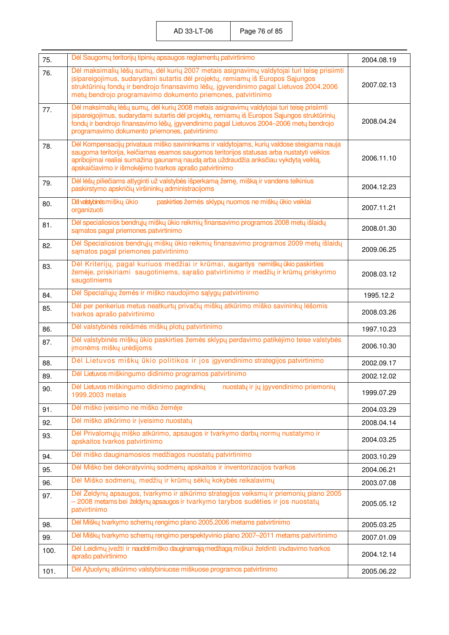| 75.  | Dėl Saugomų teritorijų tipinių apsaugos reglamentų patvirtinimo                                                                                                                                                                                                                                                                           | 2004.08.19 |
|------|-------------------------------------------------------------------------------------------------------------------------------------------------------------------------------------------------------------------------------------------------------------------------------------------------------------------------------------------|------------|
| 76.  | Dėl maksimalių lėšų sumų, dėl kurių 2007 metais asignavimų valdytojai turi teisę prisiimti<br>įsipareigojimus, sudarydami sutartis dėl projektų, remiamų iš Europos Sąjungos<br>struktūrinių fondų ir bendrojo finansavimo lėšų, įgyvendinimo pagal Lietuvos 2004.2006<br>metų bendrojo programavimo dokumento priemones, patvirtinimo    | 2007.02.13 |
| 77.  | Dėl maksimalių lėšų sumų, dėl kurių 2008 metais asignavimų valdytojai turi teisę prisiimti<br>įsipareigojimus, sudarydami sutartis dėl projektų, remiamų iš Europos Sąjungos struktūrinių<br>fondų ir bendrojo finansavimo lėšų, įgyvendinimo pagal Lietuvos 2004-2006 metų bendrojo<br>programavimo dokumento priemones, patvirtinimo    | 2008.04.24 |
| 78.  | Dėl Kompensacijų privataus miško savininkams ir valdytojams, kurių valdose steigiama nauja<br>saugoma teritorija, keičiamas esamos saugomos teritorijos statusas arba nustatyti veiklos<br>apribojimai realiai sumažina gaunamą naudą arba uždraudžia anksčiau vykdytą veiklą,<br>apskaičiavimo ir išmokėjimo tvarkos aprašo patvirtinimo | 2006.11.10 |
| 79.  | Dėl lėšų piliečiams atlyginti už valstybės išperkamą žemę, mišką ir vandens telkinius<br>paskirstymo apskričių viršininkų administracijoms                                                                                                                                                                                                | 2004.12.23 |
| 80.  | paskirties žemės sklypų nuomos ne miškų ūkio veiklai<br>Dá valstybinés mišky ūkio<br>organizuoti                                                                                                                                                                                                                                          | 2007.11.21 |
| 81.  | Dėl specialiosios bendrųjų miškų ūkio reikmių finansavimo programos 2008 metų išlaidų<br>samatos pagal priemones patvirtinimo                                                                                                                                                                                                             | 2008.01.30 |
| 82.  | Dėl Specialiosios bendrųjų miškų ūkio reikmių finansavimo programos 2009 metų išlaidų<br>samatos pagal priemones patvirtinimo                                                                                                                                                                                                             | 2009.06.25 |
| 83.  | Dėl Kriterijų, pagal kuriuos medžiai ir krūmai, augantys nemiškų ūkio paskirties<br>žemėje, priskiriami saugotiniems, sąrašo patvirtinimo ir medžių ir krūmų priskyrimo<br>saugotiniems                                                                                                                                                   | 2008.03.12 |
| 84.  | Dėl Specialiųjų žemės ir miško naudojimo sąlygų patvirtinimo                                                                                                                                                                                                                                                                              | 1995.12.2  |
| 85.  | Dėl per penkerius metus neatkurtų privačių miškų atkūrimo miško savininkų lėšomis<br>tvarkos aprašo patvirtinimo                                                                                                                                                                                                                          | 2008.03.26 |
| 86.  | Dėl valstybinės reikšmės miškų plotų patvirtinimo                                                                                                                                                                                                                                                                                         | 1997.10.23 |
| 87.  | Dėl valstybinės miškų ūkio paskirties žemės sklypų perdavimo patikėjimo teise valstybės<br>jmonėms miškų urėdijoms                                                                                                                                                                                                                        | 2006.10.30 |
| 88.  | Dėl Lietuvos miškų ūkio politikos ir jos įgyvendinimo strategijos patvirtinimo                                                                                                                                                                                                                                                            | 2002.09.17 |
| 89.  | Dėl Lietuvos miškingumo didinimo programos patvirtinimo                                                                                                                                                                                                                                                                                   | 2002.12.02 |
| 90.  | Dėl Lietuvos miškingumo didinimo pagrindinių<br>nuostatų ir jų įgyvendinimo priemonių<br>1999.2003 metais                                                                                                                                                                                                                                 | 1999.07.29 |
| 91.  | Dėl miško įveisimo ne miško žemėje                                                                                                                                                                                                                                                                                                        | 2004.03.29 |
| 92.  | Dėl miško atkūrimo ir įveisimo nuostatų                                                                                                                                                                                                                                                                                                   | 2008.04.14 |
| 93.  | Dėl Privalomųjų miško atkūrimo, apsaugos ir tvarkymo darbų normų nustatymo ir<br>apskaitos tvarkos patvirtinimo                                                                                                                                                                                                                           | 2004.03.25 |
| 94.  | Dėl miško dauginamosios medžiagos nuostatų patvirtinimo                                                                                                                                                                                                                                                                                   | 2003.10.29 |
| 95.  | Dėl Miško bei dekoratyvinių sodmenų apskaitos ir inventorizacijos tvarkos                                                                                                                                                                                                                                                                 | 2004.06.21 |
| 96.  | Dėl Miško sodmenų, medžių ir krūmų sėklų kokybės reikalavimų                                                                                                                                                                                                                                                                              | 2003.07.08 |
| 97.  | Dėl Želdynų apsaugos, tvarkymo ir atkūrimo strategijos veiksmų ir priemonių plano 2005<br>- 2008 metams bei želdynų apsaugos ir tvarkymo tarybos sudėties ir jos nuostatų<br>patvirtinimo                                                                                                                                                 | 2005.05.12 |
| 98.  | Dėl Miškų tvarkymo schemų rengimo plano 2005.2006 metams patvirtinimo                                                                                                                                                                                                                                                                     | 2005.03.25 |
| 99.  | Dėl Miškų tvarkymo schemų rengimo perspektyvinio plano 2007–2011 metams patvirtinimo                                                                                                                                                                                                                                                      | 2007.01.09 |
| 100. | Dėl Leidimų įvežti ir naudotimiško dauginamąją medžiagą miškui želdinti inbdavimo tvarkos<br>aprašo patvirtinimo                                                                                                                                                                                                                          | 2004.12.14 |
| 101. | Dėl Ąžuolynų atkūrimo valstybiniuose miškuose programos patvirtinimo                                                                                                                                                                                                                                                                      | 2005.06.22 |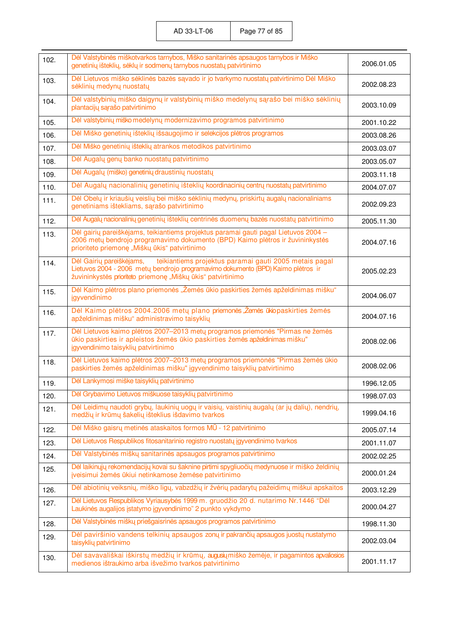| 102. | Dėl Valstybinės miškotvarkos tarnybos, Miško sanitarinės apsaugos tarnybos ir Miško<br>genetinių išteklių, sėklų ir sodmenų tarnybos nuostatų patvirtinimo                                                                            | 2006.01.05 |
|------|---------------------------------------------------------------------------------------------------------------------------------------------------------------------------------------------------------------------------------------|------------|
| 103. | Dėl Lietuvos miško sėklinės bazės sąvado ir jo tvarkymo nuostatų patvirtinimo Dėl Miško<br>sėklinių medynų nuostatų                                                                                                                   | 2002.08.23 |
| 104. | Dėl valstybinių miško daigynų ir valstybinių miško medelynų sąrašo bei miško sėklinių<br>plantacijų sąrašo patvirtinimo                                                                                                               | 2003.10.09 |
| 105. | Dėl valstybinių miško medelynų modernizavimo programos patvirtinimo                                                                                                                                                                   | 2001.10.22 |
| 106. | Dėl Miško genetinių išteklių išsaugojimo ir selekcijos plėtros programos                                                                                                                                                              | 2003.08.26 |
| 107. | Dėl Miško genetinių išteklių atrankos metodikos patvirtinimo                                                                                                                                                                          | 2003.03.07 |
| 108. | Dėl Augalų genų banko nuostatų patvirtinimo                                                                                                                                                                                           | 2003.05.07 |
| 109. | Dėl Augalų (miško) genetinių draustinių nuostatų                                                                                                                                                                                      | 2003.11.18 |
| 110. | Dėl Augalų nacionalinių genetinių išteklių koordinacinių centrų nuostatų patvirtinimo                                                                                                                                                 | 2004.07.07 |
| 111. | Dėl Obelų ir kriaušių veislių bei miško sėklinių medynų, priskirtų augalų nacionaliniams<br>genetiniams ištekliams, sąrašo patvirtinimo                                                                                               | 2002.09.23 |
| 112. | Dėl Augalų nacionalinių genetinių išteklių centrinės duomenų bazės nuostatų patvirtinimo                                                                                                                                              | 2005.11.30 |
| 113. | Dėl gairių pareiškėjams, teikiantiems projektus paramai gauti pagal Lietuvos 2004 -<br>2006 metų bendrojo programavimo dokumento (BPD) Kaimo plėtros ir žuvininkystės<br>prioriteto priemonę "Miškų ūkis" patvirtinimo                | 2004.07.16 |
| 114. | teikiantiems projektus paramai gauti 2005 metais pagal<br>Dėl Gairių pareiškėjams,<br>Lietuvos 2004 - 2006 metų bendrojo programavimo dokumento (BPD) Kaimo plėtros ir<br>žuvininkystės prioriteto priemonę "Miškų ūkis" patvirtinimo | 2005.02.23 |
| 115. | Dėl Kaimo plėtros plano priemonės "Žemės ūkio paskirties žemės apželdinimas mišku"<br>jgyvendinimo                                                                                                                                    | 2004.06.07 |
| 116. | Dėl Kaimo plėtros 2004.2006 metų plano priemonės "Žemės ūkiopaskirties žemės<br>apželdinimas mišku" administravimo taisyklių                                                                                                          | 2004.07.16 |
| 117. | Dėl Lietuvos kaimo plėtros 2007-2013 metų programos priemonės "Pirmas ne žemės<br>ūkio paskirties ir apleistos žemės ūkio paskirties žemės apželdinimas mišku"<br>įgyvendinimo taisyklių patvirtinimo                                 | 2008.02.06 |
| 118. | Dėl Lietuvos kaimo plėtros 2007-2013 metų programos priemonės "Pirmas žemės ūkio<br>paskirties žemės apželdinimas mišku" įgyvendinimo taisyklių patvirtinimo                                                                          | 2008.02.06 |
| 119. | Dėl Lankymosi miške taisyklių patvirtinimo                                                                                                                                                                                            | 1996.12.05 |
| 120. | Dėl Grybavimo Lietuvos miškuose taisyklių patvirtinimo                                                                                                                                                                                | 1998.07.03 |
| 121. | Dėl Leidimų naudoti grybų, laukinių uogų ir vaisių, vaistinių augalų (ar jų dalių), nendrių,<br>medžių ir krūmų šakelių išteklius išdavimo tvarkos                                                                                    | 1999.04.16 |
| 122. | Dėl Miško gaisrų metinės ataskaitos formos MŪ - 12 patvirtinimo                                                                                                                                                                       | 2005.07.14 |
| 123. | Dėl Lietuvos Respublikos fitosanitarinio registro nuostatų įgyvendinimo tvarkos                                                                                                                                                       | 2001.11.07 |
| 124. | Dėl Valstybinės miškų sanitarinės apsaugos programos patvirtinimo                                                                                                                                                                     | 2002.02.25 |
| 125. | Dėl laikinųjų rekomendacijų kovai su šaknine pirtimi spygliuočių medynuose ir miško želdinių<br>įveisimui žemės ūkiui netinkamose žemėse patvirtinimo                                                                                 | 2000.01.24 |
| 126. | Dėl abiotinių veiksnių, miško ligų, vabzdžių ir žvėrių padarytų pažeidimų miškui apskaitos                                                                                                                                            | 2003.12.29 |
| 127. | Dėl Lietuvos Respublikos Vyriausybės 1999 m. gruodžio 20 d. nutarimo Nr.1446 "Dėl<br>Laukinės augalijos įstatymo įgyvendinimo" 2 punkto vykdymo                                                                                       | 2000.04.27 |
| 128. | Dėl Valstybinės miškų priešgaisrinės apsaugos programos patvirtinimo                                                                                                                                                                  | 1998.11.30 |
| 129. | Dėl paviršinio vandens telkinių apsaugos zonų ir pakrančių apsaugos juostų nustatymo<br>taisyklių patvirtinimo                                                                                                                        | 2002.03.04 |
| 130. | Dėl savavališkai iškirstų medžių ir krūmų, augusių miško žemėje, ir pagamintos apvaliosios<br>medienos ištraukimo arba išvežimo tvarkos patvirtinimo                                                                                  | 2001.11.17 |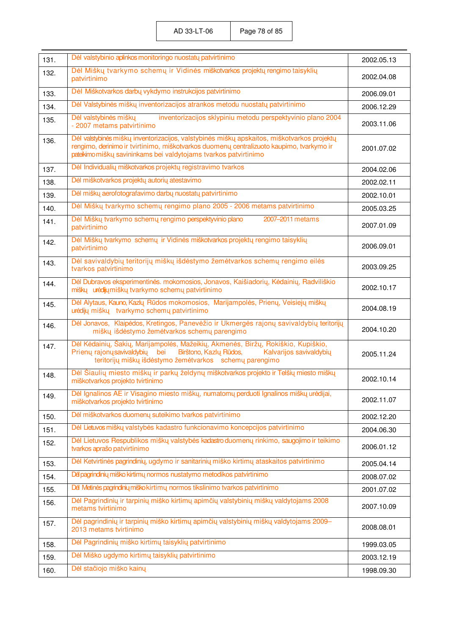| 131. | Dėl valstybinio aplinkos monitoringo nuostatų patvirtinimo                                                                                                                                                                                                 | 2002.05.13 |
|------|------------------------------------------------------------------------------------------------------------------------------------------------------------------------------------------------------------------------------------------------------------|------------|
| 132. | Dėl Miškų tvarkymo schemų ir Vidinės miškotvarkos projektų rengimo taisyklių<br>patvirtinimo                                                                                                                                                               | 2002.04.08 |
| 133. | Dėl Miškotvarkos darbų vykdymo instrukcijos patvirtinimo                                                                                                                                                                                                   | 2006.09.01 |
| 134. | Dėl Valstybinės miškų inventorizacijos atrankos metodu nuostatų patvirtinimo                                                                                                                                                                               | 2006.12.29 |
| 135. | inventorizacijos sklypiniu metodu perspektyvinio plano 2004<br>Dėl valstybinės miškų<br>- 2007 metams patvirtinimo                                                                                                                                         | 2003.11.06 |
| 136. | Dėl valstybinės miškų inventorizacijos, valstybinės miškų apskaitos, miškotvarkos projektų<br>rengimo, derinimo ir tvirtinimo, miškotvarkos duomenų centralizuoto kaupimo, tvarkymo ir<br>pateikimo miškų savininkams bei valdytojams tvarkos patvirtinimo | 2001.07.02 |
| 137. | Dėl Individualių miškotvarkos projektų registravimo tvarkos                                                                                                                                                                                                | 2004.02.06 |
| 138. | Dėl miškotvarkos projektų autorių atestavimo                                                                                                                                                                                                               | 2002.02.11 |
| 139. | Dėl miškų aerofotografavimo darbų nuostatų patvirtinimo                                                                                                                                                                                                    | 2002.10.01 |
| 140. | Dėl Miškų tvarkymo schemų rengimo plano 2005 - 2006 metams patvirtinimo                                                                                                                                                                                    | 2005.03.25 |
| 141. | Dėl Miškų tvarkymo schemų rengimo perspektyvinio plano<br>2007-2011 metams<br>patvirtinimo                                                                                                                                                                 | 2007.01.09 |
| 142. | Dėl Miškų tvarkymo schemų ir Vidinės miškotvarkos projektų rengimo taisyklių<br>patvirtinimo                                                                                                                                                               | 2006.09.01 |
| 143. | Dėl savivaldybių teritorijų miškų išdėstymo žemėtvarkos schemų rengimo eilės<br>tvarkos patvirtinimo                                                                                                                                                       | 2003.09.25 |
| 144. | Dėl Dubravos eksperimentinės. mokomosios, Jonavos, Kaišiadorių, Kėdainių, Radviliškio<br>miškų urėdijų miškų tvarkymo schemų patvirtinimo                                                                                                                  | 2002.10.17 |
| 145. | Dėl Alytaus, Kauno, Kazlų Rūdos mokomosios, Marijampolės, Prienų, Veisiejų miškų<br>urėdijų miškų tvarkymo schemų patvirtinimo                                                                                                                             | 2004.08.19 |
| 146. | Dėl Jonavos, Klaipėdos, Kretingos, Panevėžio ir Ukmergės rajonų savivaldybių teritorijų<br>miškų išdėstymo žemėtvarkos schemų parengimo                                                                                                                    | 2004.10.20 |
| 147. | Dėl Kėdainių, Šakių, Marijampolės, Mažeikių, Akmenės, Biržų, Rokiškio, Kupiškio,<br>Prienų rajonų savivaldybių<br>Birštono, Kazlų Rūdos,<br>Kalvarijos savivaldybių<br>bei<br>teritorijų miškų išdėstymo žemėtvarkos schemų parengimo                      | 2005.11.24 |
| 148. | Dėl Šiaulių miesto miškų ir parkų želdynų miškotvarkos projekto ir Telšių miesto miškų<br>miškotvarkos projekto tvirtinimo                                                                                                                                 | 2002.10.14 |
| 149. | Dėl Ignalinos AE ir Visagino miesto miškų, numatomų perduoti Ignalinos miškų urėdijai,<br>miškotvarkos projekto tvirtinimo                                                                                                                                 | 2002.11.07 |
| 150. | Dėl miškotvarkos duomenų suteikimo tvarkos patvirtinimo                                                                                                                                                                                                    | 2002.12.20 |
| 151. | Dėl Lietuvos miškų valstybės kadastro funkcionavimo koncepcijos patvirtinimo                                                                                                                                                                               | 2004.06.30 |
| 152. | Dėl Lietuvos Respublikos miškų valstybės kadastro duomenų rinkimo, saugojimo ir teikimo<br>tvarkos aprašo patvirtinimo                                                                                                                                     | 2006.01.12 |
| 153. | Dėl Ketvirtinės pagrindinių, ugdymo ir sanitarinių miško kirtimų ataskaitos patvirtinimo                                                                                                                                                                   | 2005.04.14 |
| 154. | Dė pagrindinių miško kirtimų normos nustatymo metodikos patvirtinimo                                                                                                                                                                                       | 2008.07.02 |
| 155. | Dėl Metinės pagrindinių miško kirtimų normos tikslinimo tvarkos patvirtinimo                                                                                                                                                                               | 2001.07.02 |
| 156. | Dėl Pagrindinių ir tarpinių miško kirtimų apimčių valstybinių miškų valdytojams 2008<br>metams tvirtinimo                                                                                                                                                  | 2007.10.09 |
| 157. | Dėl pagrindinių ir tarpinių miško kirtimų apimčių valstybinių miškų valdytojams 2009-<br>2013 metams tvirtinimo                                                                                                                                            | 2008.08.01 |
| 158. | Dėl Pagrindinių miško kirtimų taisyklių patvirtinimo                                                                                                                                                                                                       | 1999.03.05 |
| 159. | Dėl Miško ugdymo kirtimų taisyklių patvirtinimo                                                                                                                                                                                                            | 2003.12.19 |
| 160. | Dėl stačiojo miško kainų                                                                                                                                                                                                                                   | 1998.09.30 |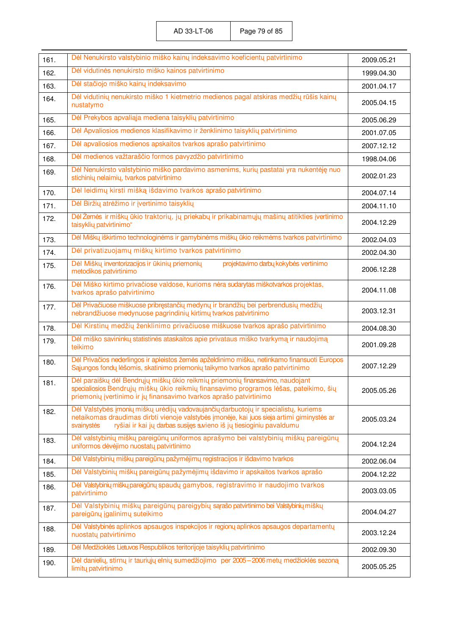|              | Dėl Nenukirsto valstybinio miško kainų indeksavimo koeficientų patvirtinimo                                                                                                                                                                                            |                          |
|--------------|------------------------------------------------------------------------------------------------------------------------------------------------------------------------------------------------------------------------------------------------------------------------|--------------------------|
| 161.<br>162. | Dėl vidutinės nenukirsto miško kainos patvirtinimo                                                                                                                                                                                                                     | 2009.05.21<br>1999.04.30 |
| 163.         | Dėl stačiojo miško kainų indeksavimo                                                                                                                                                                                                                                   | 2001.04.17               |
| 164.         | Dėl vidutinių nenukirsto miško 1 kietmetrio medienos pagal atskiras medžių rūšis kainų<br>nustatymo                                                                                                                                                                    | 2005.04.15               |
| 165.         | Dėl Prekybos apvaliąja mediena taisyklių patvirtinimo                                                                                                                                                                                                                  | 2005.06.29               |
| 166.         | Dėl Apvaliosios medienos klasifikavimo ir ženklinimo taisyklių patvirtinimo                                                                                                                                                                                            | 2001.07.05               |
| 167.         | Dėl apvaliosios medienos apskaitos tvarkos aprašo patvirtinimo                                                                                                                                                                                                         | 2007.12.12               |
| 168.         | Dėl medienos važtaraščio formos pavyzdžio patvirtinimo                                                                                                                                                                                                                 | 1998.04.06               |
| 169.         | Dėl Nenukirsto valstybinio miško pardavimo asmenims, kurių pastatai yra nukentėję nuo<br>stichinių nelaimių, tvarkos patvirtinimo                                                                                                                                      | 2002.01.23               |
| 170.         | Dėl leidimų kirsti mišką išdavimo tvarkos aprašo patvirtinimo                                                                                                                                                                                                          | 2004.07.14               |
| 171.         | Dėl Biržių atrėžimo ir įvertinimo taisyklių                                                                                                                                                                                                                            | 2004.11.10               |
| 172.         | Dėl Žemės ir miškų ūkio traktorių, jų priekabų ir prikabinamųjų mašinų atitikties įvertinimo<br>taisyklių patvirtinimo"                                                                                                                                                | 2004.12.29               |
| 173.         | Dėl Miškų iškirtimo technologinėms ir gamybinėms miškų ūkio reikmėms tvarkos patvirtinimo                                                                                                                                                                              | 2002.04.03               |
| 174.         | Dėl privatizuojamų miškų kirtimo tvarkos patvirtinimo                                                                                                                                                                                                                  | 2002.04.30               |
| 175.         | Dėl Miškų inventorizacijos ir ūkinių priemonių<br>projektavimo darbų kokybės vertinimo<br>metodikos patvirtinimo                                                                                                                                                       | 2006.12.28               |
| 176.         | Dėl Miško kirtimo privačiose valdose, kurioms nėra sudarytas miškotvarkos projektas,<br>tvarkos aprašo patvirtinimo                                                                                                                                                    | 2004.11.08               |
| 177.         | Dėl Privačiuose miškuose pribręstančių medynų ir brandžių bei perbrendusių medžių<br>nebrandžiuose medynuose pagrindinių kirtimų tvarkos patvirtinimo                                                                                                                  | 2003.12.31               |
| 178.         | Dėl Kirstinų medžių ženklinimo privačiuose miškuose tvarkos aprašo patvirtinimo                                                                                                                                                                                        | 2004.08.30               |
| 179.         | Dėl miško savininkų statistinės ataskaitos apie privataus miško tvarkymą ir naudojimą<br>teikimo                                                                                                                                                                       | 2001.09.28               |
| 180.         | Dėl Privačios nederlingos ir apleistos žemės apželdinimo mišku, netinkamo finansuoti Europos<br>Sąjungos fondų lėšomis, skatinimo priemonių taikymo tvarkos aprašo patvirtinimo                                                                                        | 2007.12.29               |
| 181.         | Dėl paraiškų dėl Bendrųjų miškų ūkio reikmių priemonių finansavimo, naudojant<br>specialiosios Bendrųjų miškų ūkio reikmių finansavimo programos lėšas, pateikimo, šių<br>priemonių įvertinimo ir jų finansavimo tvarkos aprašo patvirtinimo                           | 2005.05.26               |
| 182.         | Dėl Valstybės įmonių miškų urėdijų vadovaujančių darbuotojų ir specialistų, kuriems<br>netaikomas draudimas dirbti vienoje valstybės įmonėje, kai juos sieja artimi giminystės ar<br>ryšiai ir kai jų darbas susijęs suvieno iš jų tiesioginiu pavaldumu<br>svainystės | 2005.03.24               |
| 183.         | Dėl valstybinių miškų pareigūnų uniformos aprašymo bei valstybinių miškų pareigūnų<br>uniformos dėvėjimo nuostatų patvirtinimo                                                                                                                                         | 2004.12.24               |
| 184.         | Dėl Valstybinių miškų pareigūnų pažymėjimų registracijos ir išdavimo tvarkos                                                                                                                                                                                           | 2002.06.04               |
| 185.         | Dėl Valstybinių miškų pareigūnų pažymėjimų išdavimo ir apskaitos tvarkos aprašo                                                                                                                                                                                        | 2004.12.22               |
| 186.         | Dėl Valstybinių miškų pareigūnų spaudų gamybos, registravimo ir naudojimo tvarkos<br>patvirtinimo                                                                                                                                                                      | 2003.03.05               |
| 187.         | Dėl Valstybinių miškų pareigūnų pareigybių sąrašo patvirtinimo bei Valstybinių miškų<br>pareigūnų įgalinimų suteikimo                                                                                                                                                  | 2004.04.27               |
| 188.         | Dėl Valstybinės aplinkos apsaugos inspekcijos ir regionų aplinkos apsaugos departamentų<br>nuostatų patvirtinimo                                                                                                                                                       | 2003.12.24               |
| 189.         | Dėl Medžioklės Lietuvos Respublikos teritorijoje taisyklių patvirtinimo                                                                                                                                                                                                | 2002.09.30               |
| 190.         | Dėl danielių, stirnų ir tauriųjų elnių sumedžiojimo per 2005-2006 metų medžioklės sezoną<br>limity patvirtinimo                                                                                                                                                        | 2005.05.25               |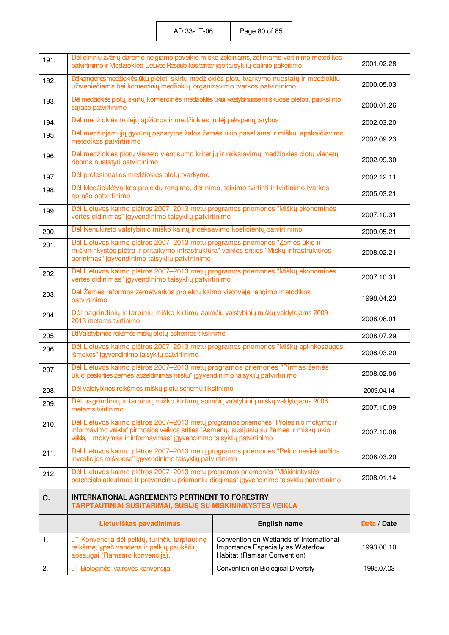| 191. | Dėl elninių žvėrių daromo neigiamo poveikio miško želdiniams, žėliniams vertinimo metodikos<br>patvirtinimo ir Medžioklės Lietuvos Respublikos teritorijoje taisyklių dalinio pakeitimo                                                                | 2001.02.28                                                                                                   |             |
|------|--------------------------------------------------------------------------------------------------------------------------------------------------------------------------------------------------------------------------------------------------------|--------------------------------------------------------------------------------------------------------------|-------------|
| 192. | Dėlkomercinės medžioklės ūkiui plėtoti skirtų medžioklės plotų tvarkymo nuostatų ir medžioklių<br>užsieniečiams bei komercinių medžioklių organizavimo tvarkos patvirtinimo                                                                            | 2000.05.03                                                                                                   |             |
| 193. | Dėl medžioklės plotų, skirtų komercinės medžioklės ūkiui valstybiniuose miškuose plėtoti, patikslinto<br>sarašo patvirtinimo                                                                                                                           | 2000.01.26                                                                                                   |             |
| 194. | Dėl medžioklės trofėjų apžiūros ir medžioklės trofėjų ekspertų tarybos                                                                                                                                                                                 |                                                                                                              | 2002.03.20  |
| 195. | Dėl medžiojamųjų gyvūnų padarytos žalos žemės ūkio pasėliams ir miškui apskaičiavimo<br>metodikos patvirtinimo                                                                                                                                         |                                                                                                              | 2002.09.23  |
| 196. | Dėl medžioklės plotų vieneto vientisumo kriterijų ir reikalavimų medžioklės plotų vienetų<br>riboms nustatyti patvirtinimo                                                                                                                             |                                                                                                              | 2002.09.30  |
| 197. | Dėl profesionalios medžioklės plotų tvarkymo                                                                                                                                                                                                           |                                                                                                              | 2002.12.11  |
| 198. | Dėl Medžioklėtvarkos projektų rengimo, derinimo, teikimo tvirtinti ir tvirtinimo tvarkos<br>aprašo patvirtinimo                                                                                                                                        |                                                                                                              | 2005.03.21  |
| 199. | Dėl Lietuvos kaimo plėtros 2007-2013 metų programos priemonės "Miškų ekonominės<br>vertės didinimas" įgyvendinimo taisyklių patvirtinimo                                                                                                               |                                                                                                              | 2007.10.31  |
| 200. | Dėl Nenukirsto valstybinio miško kainų indeksavimo koeficientų patvirtinimo                                                                                                                                                                            |                                                                                                              | 2009.05.21  |
| 201. | Dėl Lietuvos kaimo plėtros 2007-2013 metų programos priemonės "Žemės ūkio ir<br>miškininkystės plėtra ir pritaikymo infrastruktūra" veiklos srities "Miškų infrastruktūros<br>gerinimas" įgyvendinimo taisyklių patvirtinimo                           |                                                                                                              | 2008.02.21  |
| 202. | Dėl Lietuvos kaimo pletros 2007-2013 metų programos priemonės "Miškų ekonominės<br>vertės didinimas" įgyvendinimo taisyklių patvirtinimo                                                                                                               |                                                                                                              | 2007.10.31  |
| 203. | Dėl Žemės reformos žemėtvarkos projektų kaimo vietovėje rengimo metodikos<br>patvirtinimo                                                                                                                                                              |                                                                                                              | 1998.04.23  |
| 204. | Dėl pagrindinių ir tarpinių miško kirtimų apimčių valstybinių miškų valdytojams 2009-<br>2013 metams tvirtinimo                                                                                                                                        |                                                                                                              | 2008.08.01  |
| 205. | DaValstybinės reikšmės miškų plotų schemos tikslinimo                                                                                                                                                                                                  |                                                                                                              | 2008.07.29  |
| 206. | Dėl Lietuvos kaimo plėtros 2007–2013 metų programos priemonės "Miškų aplinkosaugos<br>išmokos" įgyvendinimo taisyklių patvirtinimo                                                                                                                     |                                                                                                              | 2008.03.20  |
| 207. | Dėl Lietuvos kaimo plėtros 2007-2013 metų programos priemonės "Pirmas žemės<br>ūkio paskirties žemės apželdinimas mišku" įgyvendinimo taisyklių patvirtinimo                                                                                           |                                                                                                              | 2008.02.06  |
| 208. | Dėl valstybinės reikšmės miškų plotų schemų tikslinimo                                                                                                                                                                                                 |                                                                                                              | 2009.04.14  |
| 209. | Dėl pagrindinių ir tarpinių miško kirtimų apimčių valstybinių miškų valdytojams 2008<br>metams tvirtinimo                                                                                                                                              |                                                                                                              | 2007.10.09  |
| 210. | Dėl Lietuvos kaimo plėtros 2007-2013 metų programos priemonės "Profesinio mokymo ir<br>informavimo veikla" pirmosios veiklos srities "Asmenų, susijusių su žemės ir miškų ūkio<br>veikla, mokymas ir informavimas" įgyvendinimo taisyklių patvirtinimo |                                                                                                              | 2007.10.08  |
| 211. | Dėl Lietuvos kaimo plėtros 2007–2013 metų programos priemonės "Pelno nesiekiančios<br>investicijos miškuose" įgyvendinimo taisyklių patvirtinimo                                                                                                       |                                                                                                              | 2008.03.20  |
| 212. | Dėl Lietuvos kaimo plėtros 2007-2013 metų programos priemonės "Miškininkystės<br>potencialo atkūrimas ir prevencinių priemonių įdiegimas" įgyvendinimo taisyklių patvirtinimo                                                                          |                                                                                                              | 2008.01.14  |
| C.   | <b>INTERNATIONAL AGREEMENTS PERTINENT TO FORESTRY</b><br>TARPTAUTINIAI SUSITARIMAI, SUSIJĘ SU MIŠKININKYSTĖS VEIKLA                                                                                                                                    |                                                                                                              |             |
|      | Lietuviškas pavadinimas                                                                                                                                                                                                                                | <b>English name</b>                                                                                          | Data / Date |
| 1.   | JT Konvencija dėl pelkių, turinčių tarptautinę<br>reikšmę, ypač vandens ir pelkių paukščių<br>apsaugai (Ramsaro konvencija).                                                                                                                           | Convention on Wetlands of International<br>Importance Especially as Waterfowl<br>Habitat (Ramsar Convention) | 1993.06.10  |
| 2.   | JT Biologinės įvairovės konvencija                                                                                                                                                                                                                     | Convention on Biological Diversity                                                                           | 1995.07.03  |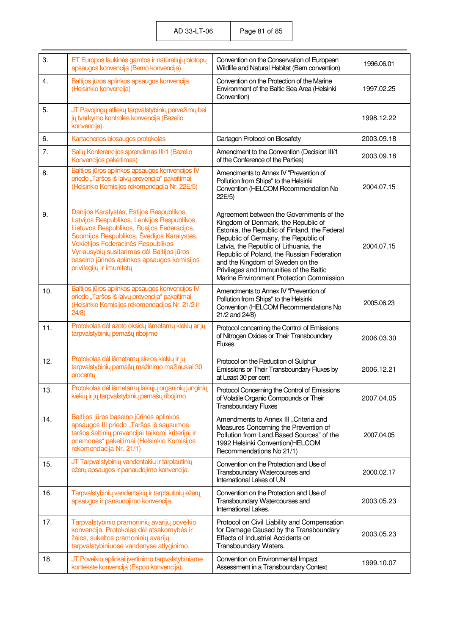AD 33-LT-06 Page 81 of 85

| 3.  | ET Europos laukinės gamtos ir natūraliųjų biotopų<br>apsaugos konvencija (Berno konvencija).                                                                                                                                                                                                                                                       | Convention on the Conservation of European<br>Wildlife and Natural Habitat (Bern convention)                                                                                                                                                                                                                                                                                                | 1996.06.01 |
|-----|----------------------------------------------------------------------------------------------------------------------------------------------------------------------------------------------------------------------------------------------------------------------------------------------------------------------------------------------------|---------------------------------------------------------------------------------------------------------------------------------------------------------------------------------------------------------------------------------------------------------------------------------------------------------------------------------------------------------------------------------------------|------------|
| 4.  | Baltijos jūros aplinkos apsaugos konvencija<br>(Helsinkio konvencija)                                                                                                                                                                                                                                                                              | Convention on the Protection of the Marine<br>Environment of the Baltic Sea Area (Helsinki<br>Convention)                                                                                                                                                                                                                                                                                   | 1997.02.25 |
| 5.  | JT Pavojingų atliekų tarpvalstybinių pervežimų bei<br>jų tvarkymo kontrolės konvencija (Bazelio<br>konvencija).                                                                                                                                                                                                                                    |                                                                                                                                                                                                                                                                                                                                                                                             | 1998.12.22 |
| 6.  | Kartachenos biosaugos protokolas                                                                                                                                                                                                                                                                                                                   | Cartagen Protocol on Biosafety                                                                                                                                                                                                                                                                                                                                                              | 2003.09.18 |
| 7.  | Salių Konferencijos sprendimas III/1 (Bazelio<br>Konvencijos pakeitimas)                                                                                                                                                                                                                                                                           | Amendment to the Convention (Decision III/1<br>of the Conference of the Parties)                                                                                                                                                                                                                                                                                                            | 2003.09.18 |
| 8.  | Baltijos jūros aplinkos apsaugos konvencijos IV<br>priedo "Taršos iš laivų prevencija" pakeitimai<br>(Helsinkio Komisijos rekomendacija Nr. 22E/5)                                                                                                                                                                                                 | Amendments to Annex IV "Prevention of<br>Pollution from Ships" to the Helsinki<br>Convention (HELCOM Recommendation No<br>22E/5)                                                                                                                                                                                                                                                            | 2004.07.15 |
| 9.  | Danijos Karalystės, Estijos Respublikos,<br>Latvijos Respublikos, Lenkijos Respublikos,<br>Lietuvos Respublikos, Rusijos Federacijos,<br>Suomijos Respublikos, Švedijos Karalystės,<br>Vokietijos Federacinės Respublikos<br>Vyriausybių susitarimas dėl Baltijos jūros<br>baseino jūrinės aplinkos apsaugos komisijos<br>privilegijų ir imunitetų | Agreement between the Governments of the<br>Kingdom of Denmark, the Republic of<br>Estonia, the Republic of Finland, the Federal<br>Republic of Germany, the Republic of<br>Latvia, the Republic of Lithuania, the<br>Republic of Poland, the Russian Federation<br>and the Kingdom of Sweden on the<br>Privileges and Immunities of the Baltic<br>Marine Environment Protection Commission | 2004.07.15 |
| 10. | Baltijos jūros aplinkos apsaugos konvencijos IV<br>priedo "Taršos iš laivų prevencija" pakeitimai<br>(Helsinkio Komisijos rekomendacijos Nr. 21/2 ir<br>24/8                                                                                                                                                                                       | Amendments to Annex IV "Prevention of<br>Pollution from Ships" to the Helsinki<br>Convention (HELCOM Recommendations No<br>21/2 and 24/8)                                                                                                                                                                                                                                                   | 2005.06.23 |
| 11. | Protokolas dėl azoto oksidų išmetamų kiekių ar jų<br>tarpvalstybinių pernašų ribojimo                                                                                                                                                                                                                                                              | Protocol concerning the Control of Emissions<br>of Nitrogen Oxides or Their Transboundary<br><b>Fluxes</b>                                                                                                                                                                                                                                                                                  | 2006.03.30 |
| 12. | Protokolas dėl išmetamų sieros kiekių ir jų<br>tarpvalstybinių pernašų mažinimo mažiausiai 30<br>procentų                                                                                                                                                                                                                                          | Protocol on the Reduction of Sulphur<br>Emissions or Their Transboundary Fluxes by<br>at Least 30 per cent                                                                                                                                                                                                                                                                                  | 2006.12.21 |
| 13. | Protokolas dėl išmetamų lakiųjų organinių junginių<br>kiekių ir jų tarpvalstybinių pernašų ribojimo                                                                                                                                                                                                                                                | Protocol Concerning the Control of Emissions<br>of Volatile Organic Compounds or Their<br><b>Transboundary Fluxes</b>                                                                                                                                                                                                                                                                       | 2007.04.05 |
| 14. | Baltijos jūros baseino jūrinės aplinkos<br>apsaugos III priedo "Taršos iš sausumos<br>taršos šaltinių prevencijai taikomi kriterijai ir<br>priemonės" pakeitimai (Helsinkio Komisijos<br>rekomendacija Nr. 21/1)                                                                                                                                   | Amendments to Annex III "Criteria and<br>Measures Concerning the Prevention of<br>Pollution from Land. Based Sources" of the<br>1992 Helsinki Convention(HELCOM<br>Recommendations No 21/1)                                                                                                                                                                                                 | 2007.04.05 |
| 15. | JT Tarpvalstybinių vandentakių ir tarptautinių<br>ežerų apsaugos ir panaudojimo konvencija.                                                                                                                                                                                                                                                        | Convention on the Protection and Use of<br>Transboundary Watercourses and<br>International Lakes of UN                                                                                                                                                                                                                                                                                      | 2000.02.17 |
| 16. | Tarpvalstybinių vandentakių ir tarptautinių ežerų<br>apsaugos ir panaudojimo konvencija.                                                                                                                                                                                                                                                           | Convention on the Protection and Use of<br>Transboundary Watercourses and<br>International Lakes.                                                                                                                                                                                                                                                                                           | 2003.05.23 |
| 17. | Tarpvalstybinio pramoninių avarijų poveikio<br>konvencija. Protokolas dėl atsakomybės ir<br>žalos, sukeltos pramoninių avarijų<br>tarpvalstybiniuose vandenyse atlyginimo.                                                                                                                                                                         | Protocol on Civil Liability and Compensation<br>for Damage Caused by the Transboundary<br>Effects of Industrial Accidents on<br>Transboundary Waters.                                                                                                                                                                                                                                       | 2003.05.23 |
| 18. | JT Poveikio aplinkai įvertinimo tarpvalstybiniame<br>kontekste konvencija (Espoo konvencija).                                                                                                                                                                                                                                                      | Convention on Environmental Impact<br>Assessment in a Transboundary Context                                                                                                                                                                                                                                                                                                                 | 1999.10.07 |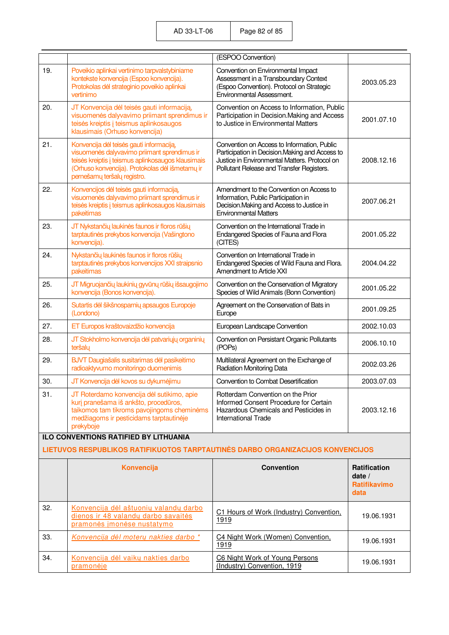|     |                                                                                                                                                                                                                                  | (ESPOO Convention)                                                                                                                                                                           |                                                                |
|-----|----------------------------------------------------------------------------------------------------------------------------------------------------------------------------------------------------------------------------------|----------------------------------------------------------------------------------------------------------------------------------------------------------------------------------------------|----------------------------------------------------------------|
| 19. | Poveikio aplinkai vertinimo tarpvalstybiniame<br>kontekste konvencija (Espoo konvencija).<br>Protokolas dėl strateginio poveikio aplinkai<br>vertinimo                                                                           | Convention on Environmental Impact<br>Assessment in a Transboundary Context<br>(Espoo Convention). Protocol on Strategic<br>Environmental Assessment.                                        | 2003.05.23                                                     |
| 20. | JT Konvencija dėl teisės gauti informaciją,<br>visuomenės dalyvavimo priimant sprendimus ir<br>teisės kreiptis į teismus aplinkosaugos<br>klausimais (Orhuso konvencija)                                                         | Convention on Access to Information, Public<br>Participation in Decision. Making and Access<br>to Justice in Environmental Matters                                                           | 2001.07.10                                                     |
| 21. | Konvencija dėl teisės gauti informaciją,<br>visuomenės dalyvavimo priimant sprendimus ir<br>teisės kreiptis į teismus aplinkosaugos klausimais<br>(Orhuso konvencija). Protokolas dėl išmetamų ir<br>pernešamų teršalų registro. | Convention on Access to Information, Public<br>Participation in Decision. Making and Access to<br>Justice in Environmental Matters. Protocol on<br>Pollutant Release and Transfer Registers. | 2008.12.16                                                     |
| 22. | Konvencijos dėl teisės gauti informaciją,<br>visuomenės dalyvavimo priimant sprendimus ir<br>teisės kreiptis į teismus aplinkosaugos klausimais<br>pakeitimas                                                                    | Amendment to the Convention on Access to<br>Information, Public Participation in<br>Decision. Making and Access to Justice in<br><b>Environmental Matters</b>                                | 2007.06.21                                                     |
| 23. | JT Nykstančių laukinės faunos ir floros rūšių<br>tarptautinės prekybos konvencija (Vašingtono<br>konvencija).                                                                                                                    | Convention on the International Trade in<br>Endangered Species of Fauna and Flora<br>(CITES)                                                                                                 | 2001.05.22                                                     |
| 24. | Nykstančių laukinės faunos ir floros rūšių<br>tarptautinės prekybos konvencijos XXI straipsnio<br>pakeitimas                                                                                                                     | Convention on International Trade in<br>Endangered Species of Wild Fauna and Flora.<br>Amendment to Article XXI                                                                              | 2004.04.22                                                     |
| 25. | JT Migruojančių laukinių gyvūnų rūšių išsaugojimo<br>konvencija (Bonos konvencija).                                                                                                                                              | Convention on the Conservation of Migratory<br>Species of Wild Animals (Bonn Convention)                                                                                                     | 2001.05.22                                                     |
| 26. | Sutartis dėl šikšnosparnių apsaugos Europoje<br>(Londono)                                                                                                                                                                        | Agreement on the Conservation of Bats in<br>Europe                                                                                                                                           | 2001.09.25                                                     |
| 27. | ET Europos kraštovaizdžio konvencija                                                                                                                                                                                             | European Landscape Convention                                                                                                                                                                | 2002.10.03                                                     |
| 28. | JT Stokholmo konvencija dėl patvariųjų organinių<br>teršalų                                                                                                                                                                      | Convention on Persistant Organic Pollutants<br>(POP <sub>S</sub> )                                                                                                                           | 2006.10.10                                                     |
| 29. | BJVT Daugiašalis susitarimas dėl pasikeitimo<br>radioaktyvumo monitoringo duomenimis                                                                                                                                             | Multilateral Agreement on the Exchange of<br><b>Radiation Monitoring Data</b>                                                                                                                | 2002.03.26                                                     |
| 30. | JT Konvencija dėl kovos su dykumėjimu                                                                                                                                                                                            | Convention to Combat Desertification                                                                                                                                                         | 2003.07.03                                                     |
| 31. | JT Roterdamo konvencija dėl sutikimo, apie<br>kurį pranešama iš ankšto, procedūros,<br>taikomos tam tikroms pavojingoms cheminėms<br>medžiagoms ir pesticidams tarptautinėje<br>prekyboje                                        | Rotterdam Convention on the Prior<br>Informed Consent Procedure for Certain<br>Hazardous Chemicals and Pesticides in<br><b>International Trade</b>                                           | 2003.12.16                                                     |
|     | <b>ILO CONVENTIONS RATIFIED BY LITHUANIA</b><br>LIETUVOS RESPUBLIKOS RATIFIKUOTOS TARPTAUTINĖS DARBO ORGANIZACIJOS KONVENCIJOS                                                                                                   |                                                                                                                                                                                              |                                                                |
|     | Konvencija                                                                                                                                                                                                                       | <b>Convention</b>                                                                                                                                                                            | <b>Ratification</b><br>date $/$<br><b>Ratifikavimo</b><br>data |
| 32. | Konvencija dėl aštuonių valandų darbo<br>dienos ir 48 valandų darbo savaitės<br>pramonės įmonėse nustatymo                                                                                                                       | C1 Hours of Work (Industry) Convention,<br>1919                                                                                                                                              | 19.06.1931                                                     |
| 33. | Konvencija dėl moterų nakties darbo*                                                                                                                                                                                             | C4 Night Work (Women) Convention.<br>1919                                                                                                                                                    | 19.06.1931                                                     |
| 34. | Konvencija dėl vaikų nakties darbo<br>pramonėje                                                                                                                                                                                  | C6 Night Work of Young Persons<br>(Industry) Convention, 1919                                                                                                                                | 19.06.1931                                                     |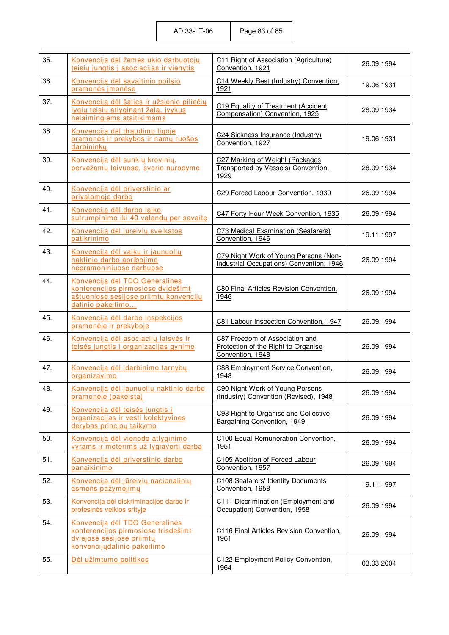| 35. | Konvencija dėl žemės ūkio darbuotojų<br>teisių jungtis į asociacijas ir vienytis                                                    | C11 Right of Association (Agriculture)<br>Convention, 1921                                | 26.09.1994 |
|-----|-------------------------------------------------------------------------------------------------------------------------------------|-------------------------------------------------------------------------------------------|------------|
| 36. | Konvencija dėl savaitinio poilsio<br>pramonės įmonėse                                                                               | C14 Weekly Rest (Industry) Convention,<br>1921                                            | 19.06.1931 |
| 37. | Konvencija dėl šalies ir užsienio piliečių<br>lygių teisių atlyginant žalą, įvykus<br>nelaimingiems atsitikimams                    | C19 Equality of Treatment (Accident<br>Compensation) Convention, 1925                     | 28.09.1934 |
| 38. | Konvencija dėl draudimo ligoje<br>pramonės ir prekybos ir namų ruošos<br>darbininky                                                 | C24 Sickness Insurance (Industry)<br>Convention, 1927                                     | 19.06.1931 |
| 39. | Konvencija dėl sunkių krovinių,<br>pervežamų laivuose, svorio nurodymo                                                              | C27 Marking of Weight (Packages<br>Transported by Vessels) Convention,<br>1929            | 28.09.1934 |
| 40. | Konvencija dėl priverstinio ar<br>privalomojo darbo                                                                                 | C29 Forced Labour Convention, 1930                                                        | 26.09.1994 |
| 41. | Konvencija dėl darbo laiko<br>sutrumpinimo iki 40 valandų per savaitę                                                               | C47 Forty-Hour Week Convention, 1935                                                      | 26.09.1994 |
| 42. | Konvencija dėl jūreivių sveikatos<br>patikrinimo                                                                                    | C73 Medical Examination (Seafarers)<br>Convention, 1946                                   | 19.11.1997 |
| 43. | Konvencija dėl vaikų ir jaunuolių<br>naktinio darbo apribojimo<br>nepramoniniuose darbuose                                          | C79 Night Work of Young Persons (Non-<br>Industrial Occupations) Convention, 1946         | 26.09.1994 |
| 44. | Konvencija dėl TDO Generalinės<br>konferencijos pirmosiose dvidešimt<br>aštuoniose sesijose priimtų konvencijų<br>dalinio pakeitimo | C80 Final Articles Revision Convention,<br>1946                                           | 26.09.1994 |
| 45. | Konvencija dėl darbo inspekcijos<br>pramonėje ir prekyboje                                                                          | C81 Labour Inspection Convention, 1947                                                    | 26.09.1994 |
| 46. | Konvencija dėl asociacijų laisvės ir<br>teisės jungtis į organizacijas gynimo                                                       | C87 Freedom of Association and<br>Protection of the Right to Organise<br>Convention, 1948 | 26.09.1994 |
| 47. | Konvencija dėl įdarbinimo tarnybų<br>organizavimo                                                                                   | C88 Employment Service Convention,<br>1948                                                | 26.09.1994 |
| 48. | Konvencija dėl jaunuoliu naktinio darbo<br>pramonėje (pakeista)                                                                     | C90 Night Work of Young Persons<br>(Industry) Convention (Revised), 1948                  | 26.09.1994 |
| 49. | Konvencija dėl teisės jungtis į<br>organizacijas ir vesti kolektyvines<br>derybas principų taikymo                                  | C98 Right to Organise and Collective<br>Bargaining Convention, 1949                       | 26.09.1994 |
| 50. | Konvencija dėl vienodo atlyginimo<br>vyrams ir moterims už lygiavertį darbą                                                         | C100 Equal Remuneration Convention,<br>1951                                               | 26.09.1994 |
| 51. | Konvencija dėl priverstinio darbo<br>panaikinimo                                                                                    | C105 Abolition of Forced Labour<br>Convention, 1957                                       | 26.09.1994 |
| 52. | Konvencija dėl jūreivių nacionalinių<br>asmens pažymėjimų                                                                           | C108 Seafarers' Identity Documents<br>Convention, 1958                                    | 19.11.1997 |
| 53. | Konvencija dėl diskriminacijos darbo ir<br>profesinės veiklos srityje                                                               | C111 Discrimination (Employment and<br>Occupation) Convention, 1958                       | 26.09.1994 |
| 54. | Konvencija dėl TDO Generalinės<br>konferencijos pirmosiose trisdešimt<br>dviejose sesijose priimtų<br>konvencijų dalinio pakeitimo  | C116 Final Articles Revision Convention,<br>1961                                          | 26.09.1994 |
| 55. | Dėl užimtumo politikos                                                                                                              | C122 Employment Policy Convention,<br>1964                                                | 03.03.2004 |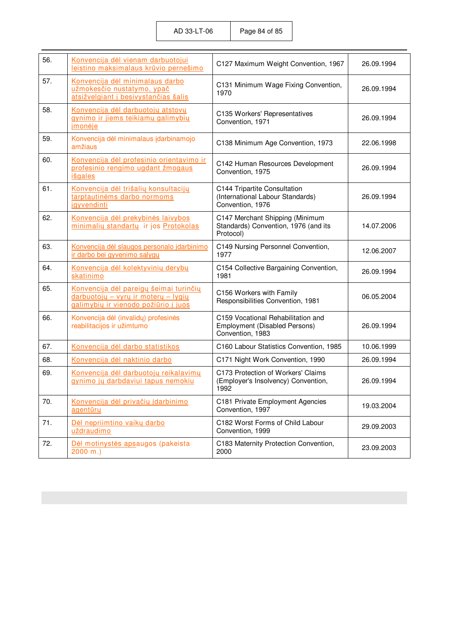| 56. | Konvencija dėl vienam darbuotojui<br>leistino maksimalaus krūvio pernešimo                                            | C127 Maximum Weight Convention, 1967                                                           | 26.09.1994 |
|-----|-----------------------------------------------------------------------------------------------------------------------|------------------------------------------------------------------------------------------------|------------|
| 57. | Konvencija dėl minimalaus darbo<br>užmokesčio nustatymo, ypač<br>atsižvelgiant į besivystančias šalis                 | C131 Minimum Wage Fixing Convention,<br>1970                                                   | 26.09.1994 |
| 58. | Konvencija dėl darbuotojų atstovų<br>gynimo ir jiems teikiamų galimybių<br>jmonėje                                    | C135 Workers' Representatives<br>Convention, 1971                                              | 26.09.1994 |
| 59. | Konvencija dėl minimalaus įdarbinamojo<br>amžiaus                                                                     | C138 Minimum Age Convention, 1973                                                              | 22.06.1998 |
| 60. | Konvencija dėl profesinio orientavimo ir<br>profesinio rengimo ugdant žmogaus<br>išgales                              | C142 Human Resources Development<br>Convention, 1975                                           | 26.09.1994 |
| 61. | Konvencija dėl trišalių konsultacijų<br>tarptautinėms darbo normoms<br>jgyvendinti                                    | C144 Tripartite Consultation<br>(International Labour Standards)<br>Convention, 1976           | 26.09.1994 |
| 62. | Konvencija dėl prekybinės laivybos<br>minimalių standartų ir jos Protokolas                                           | C147 Merchant Shipping (Minimum<br>Standards) Convention, 1976 (and its<br>Protocol)           | 14.07.2006 |
| 63. | Konvencija dėl slaugos personalo įdarbinimo<br>ir darbo bei gyvenimo sąlygų                                           | C149 Nursing Personnel Convention,<br>1977                                                     | 12.06.2007 |
| 64. | Konvencija dėl kolektyvinių derybų<br>skatinimo                                                                       | C154 Collective Bargaining Convention,<br>1981                                                 | 26.09.1994 |
| 65. | Konvencija dėl pareigų šeimai turinčių<br>darbuotojų – vyrų ir moterų – lygių<br>galimybių ir vienodo požiūrio į juos | C156 Workers with Family<br>Responsibilities Convention, 1981                                  | 06.05.2004 |
| 66. | Konvencija dėl (invalidų) profesinės<br>reabilitacijos ir užimtumo                                                    | C159 Vocational Rehabilitation and<br><b>Employment (Disabled Persons)</b><br>Convention, 1983 | 26.09.1994 |
| 67. | Konvencija dėl darbo statistikos                                                                                      | C160 Labour Statistics Convention, 1985                                                        | 10.06.1999 |
| 68. | Konvencija dėl naktinio darbo                                                                                         | C171 Night Work Convention, 1990                                                               | 26.09.1994 |
| 69. | Konvencija dėl darbuotojų reikalavimų<br>gynimo jų darbdaviui tapus nemokiu                                           | C173 Protection of Workers' Claims<br>(Employer's Insolvency) Convention,<br>1992              | 26.09.1994 |
| 70. | Konvencija dėl privačių įdarbinimo<br>agentūry                                                                        | C181 Private Employment Agencies<br>Convention, 1997                                           | 19.03.2004 |
| 71. | Dėl nepriimtino vaikų darbo<br>uždraudimo                                                                             | C182 Worst Forms of Child Labour<br>Convention, 1999                                           | 29.09.2003 |
| 72. | Dėl motinystės apsaugos (pakeista<br>$2000$ m.)                                                                       | C183 Maternity Protection Convention,<br>2000                                                  | 23.09.2003 |